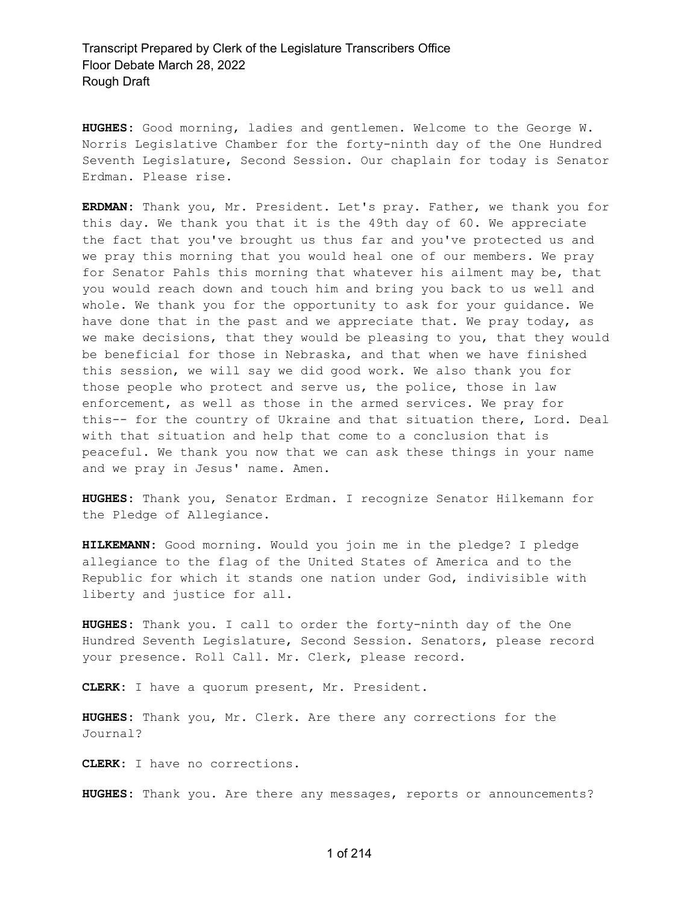**HUGHES:** Good morning, ladies and gentlemen. Welcome to the George W. Norris Legislative Chamber for the forty-ninth day of the One Hundred Seventh Legislature, Second Session. Our chaplain for today is Senator Erdman. Please rise.

**ERDMAN:** Thank you, Mr. President. Let's pray. Father, we thank you for this day. We thank you that it is the 49th day of 60. We appreciate the fact that you've brought us thus far and you've protected us and we pray this morning that you would heal one of our members. We pray for Senator Pahls this morning that whatever his ailment may be, that you would reach down and touch him and bring you back to us well and whole. We thank you for the opportunity to ask for your guidance. We have done that in the past and we appreciate that. We pray today, as we make decisions, that they would be pleasing to you, that they would be beneficial for those in Nebraska, and that when we have finished this session, we will say we did good work. We also thank you for those people who protect and serve us, the police, those in law enforcement, as well as those in the armed services. We pray for this-- for the country of Ukraine and that situation there, Lord. Deal with that situation and help that come to a conclusion that is peaceful. We thank you now that we can ask these things in your name and we pray in Jesus' name. Amen.

**HUGHES:** Thank you, Senator Erdman. I recognize Senator Hilkemann for the Pledge of Allegiance.

**HILKEMANN:** Good morning. Would you join me in the pledge? I pledge allegiance to the flag of the United States of America and to the Republic for which it stands one nation under God, indivisible with liberty and justice for all.

**HUGHES:** Thank you. I call to order the forty-ninth day of the One Hundred Seventh Legislature, Second Session. Senators, please record your presence. Roll Call. Mr. Clerk, please record.

**CLERK:** I have a quorum present, Mr. President.

**HUGHES:** Thank you, Mr. Clerk. Are there any corrections for the Journal?

**CLERK:** I have no corrections.

**HUGHES:** Thank you. Are there any messages, reports or announcements?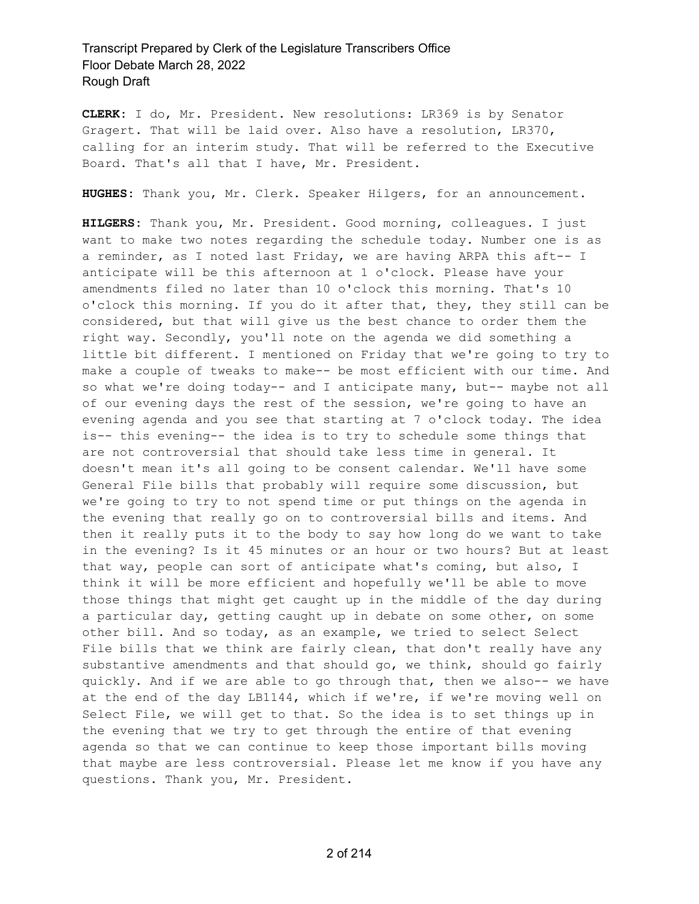**CLERK:** I do, Mr. President. New resolutions: LR369 is by Senator Gragert. That will be laid over. Also have a resolution, LR370, calling for an interim study. That will be referred to the Executive Board. That's all that I have, Mr. President.

**HUGHES:** Thank you, Mr. Clerk. Speaker Hilgers, for an announcement.

**HILGERS:** Thank you, Mr. President. Good morning, colleagues. I just want to make two notes regarding the schedule today. Number one is as a reminder, as I noted last Friday, we are having ARPA this aft-- I anticipate will be this afternoon at 1 o'clock. Please have your amendments filed no later than 10 o'clock this morning. That's 10 o'clock this morning. If you do it after that, they, they still can be considered, but that will give us the best chance to order them the right way. Secondly, you'll note on the agenda we did something a little bit different. I mentioned on Friday that we're going to try to make a couple of tweaks to make-- be most efficient with our time. And so what we're doing today-- and I anticipate many, but-- maybe not all of our evening days the rest of the session, we're going to have an evening agenda and you see that starting at 7 o'clock today. The idea is-- this evening-- the idea is to try to schedule some things that are not controversial that should take less time in general. It doesn't mean it's all going to be consent calendar. We'll have some General File bills that probably will require some discussion, but we're going to try to not spend time or put things on the agenda in the evening that really go on to controversial bills and items. And then it really puts it to the body to say how long do we want to take in the evening? Is it 45 minutes or an hour or two hours? But at least that way, people can sort of anticipate what's coming, but also, I think it will be more efficient and hopefully we'll be able to move those things that might get caught up in the middle of the day during a particular day, getting caught up in debate on some other, on some other bill. And so today, as an example, we tried to select Select File bills that we think are fairly clean, that don't really have any substantive amendments and that should go, we think, should go fairly quickly. And if we are able to go through that, then we also-- we have at the end of the day LB1144, which if we're, if we're moving well on Select File, we will get to that. So the idea is to set things up in the evening that we try to get through the entire of that evening agenda so that we can continue to keep those important bills moving that maybe are less controversial. Please let me know if you have any questions. Thank you, Mr. President.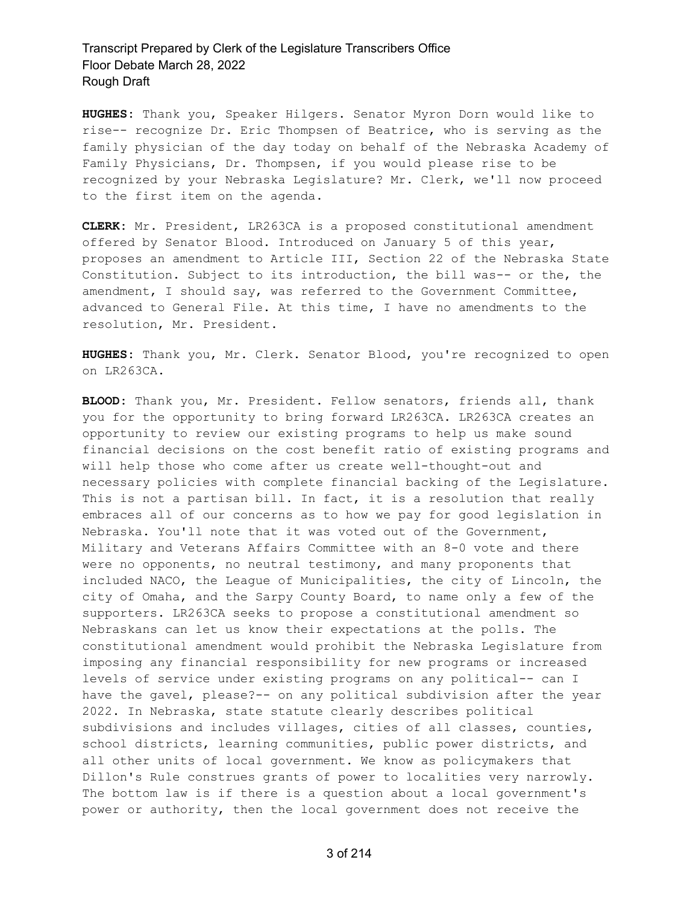**HUGHES:** Thank you, Speaker Hilgers. Senator Myron Dorn would like to rise-- recognize Dr. Eric Thompsen of Beatrice, who is serving as the family physician of the day today on behalf of the Nebraska Academy of Family Physicians, Dr. Thompsen, if you would please rise to be recognized by your Nebraska Legislature? Mr. Clerk, we'll now proceed to the first item on the agenda.

**CLERK:** Mr. President, LR263CA is a proposed constitutional amendment offered by Senator Blood. Introduced on January 5 of this year, proposes an amendment to Article III, Section 22 of the Nebraska State Constitution. Subject to its introduction, the bill was-- or the, the amendment, I should say, was referred to the Government Committee, advanced to General File. At this time, I have no amendments to the resolution, Mr. President.

**HUGHES:** Thank you, Mr. Clerk. Senator Blood, you're recognized to open on LR263CA.

**BLOOD:** Thank you, Mr. President. Fellow senators, friends all, thank you for the opportunity to bring forward LR263CA. LR263CA creates an opportunity to review our existing programs to help us make sound financial decisions on the cost benefit ratio of existing programs and will help those who come after us create well-thought-out and necessary policies with complete financial backing of the Legislature. This is not a partisan bill. In fact, it is a resolution that really embraces all of our concerns as to how we pay for good legislation in Nebraska. You'll note that it was voted out of the Government, Military and Veterans Affairs Committee with an 8-0 vote and there were no opponents, no neutral testimony, and many proponents that included NACO, the League of Municipalities, the city of Lincoln, the city of Omaha, and the Sarpy County Board, to name only a few of the supporters. LR263CA seeks to propose a constitutional amendment so Nebraskans can let us know their expectations at the polls. The constitutional amendment would prohibit the Nebraska Legislature from imposing any financial responsibility for new programs or increased levels of service under existing programs on any political-- can I have the gavel, please?-- on any political subdivision after the year 2022. In Nebraska, state statute clearly describes political subdivisions and includes villages, cities of all classes, counties, school districts, learning communities, public power districts, and all other units of local government. We know as policymakers that Dillon's Rule construes grants of power to localities very narrowly. The bottom law is if there is a question about a local government's power or authority, then the local government does not receive the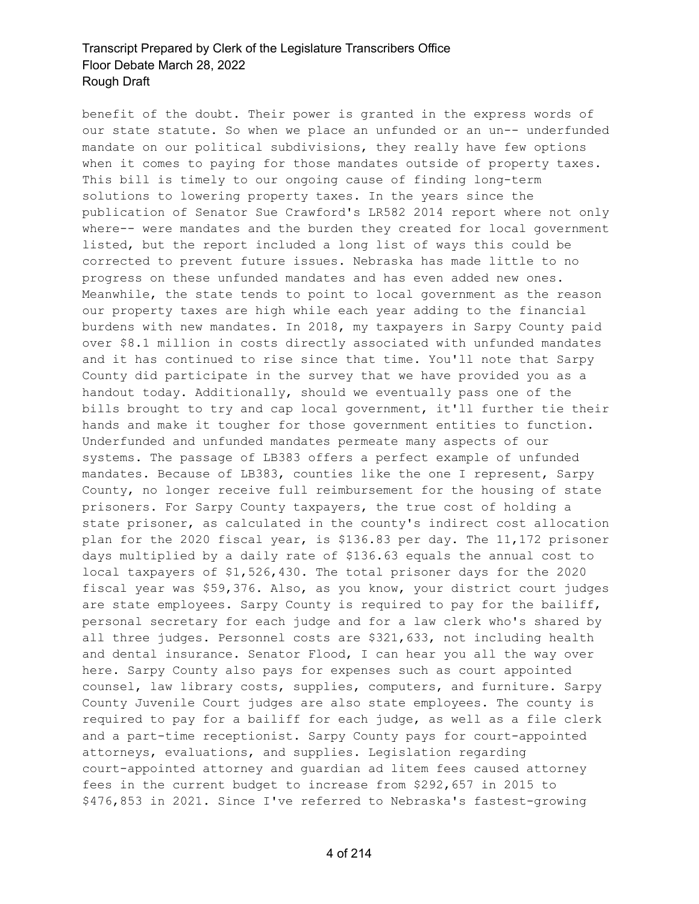benefit of the doubt. Their power is granted in the express words of our state statute. So when we place an unfunded or an un-- underfunded mandate on our political subdivisions, they really have few options when it comes to paying for those mandates outside of property taxes. This bill is timely to our ongoing cause of finding long-term solutions to lowering property taxes. In the years since the publication of Senator Sue Crawford's LR582 2014 report where not only where-- were mandates and the burden they created for local government listed, but the report included a long list of ways this could be corrected to prevent future issues. Nebraska has made little to no progress on these unfunded mandates and has even added new ones. Meanwhile, the state tends to point to local government as the reason our property taxes are high while each year adding to the financial burdens with new mandates. In 2018, my taxpayers in Sarpy County paid over \$8.1 million in costs directly associated with unfunded mandates and it has continued to rise since that time. You'll note that Sarpy County did participate in the survey that we have provided you as a handout today. Additionally, should we eventually pass one of the bills brought to try and cap local government, it'll further tie their hands and make it tougher for those government entities to function. Underfunded and unfunded mandates permeate many aspects of our systems. The passage of LB383 offers a perfect example of unfunded mandates. Because of LB383, counties like the one I represent, Sarpy County, no longer receive full reimbursement for the housing of state prisoners. For Sarpy County taxpayers, the true cost of holding a state prisoner, as calculated in the county's indirect cost allocation plan for the 2020 fiscal year, is \$136.83 per day. The 11,172 prisoner days multiplied by a daily rate of \$136.63 equals the annual cost to local taxpayers of \$1,526,430. The total prisoner days for the 2020 fiscal year was \$59,376. Also, as you know, your district court judges are state employees. Sarpy County is required to pay for the bailiff, personal secretary for each judge and for a law clerk who's shared by all three judges. Personnel costs are \$321,633, not including health and dental insurance. Senator Flood, I can hear you all the way over here. Sarpy County also pays for expenses such as court appointed counsel, law library costs, supplies, computers, and furniture. Sarpy County Juvenile Court judges are also state employees. The county is required to pay for a bailiff for each judge, as well as a file clerk and a part-time receptionist. Sarpy County pays for court-appointed attorneys, evaluations, and supplies. Legislation regarding court-appointed attorney and guardian ad litem fees caused attorney fees in the current budget to increase from \$292,657 in 2015 to \$476,853 in 2021. Since I've referred to Nebraska's fastest-growing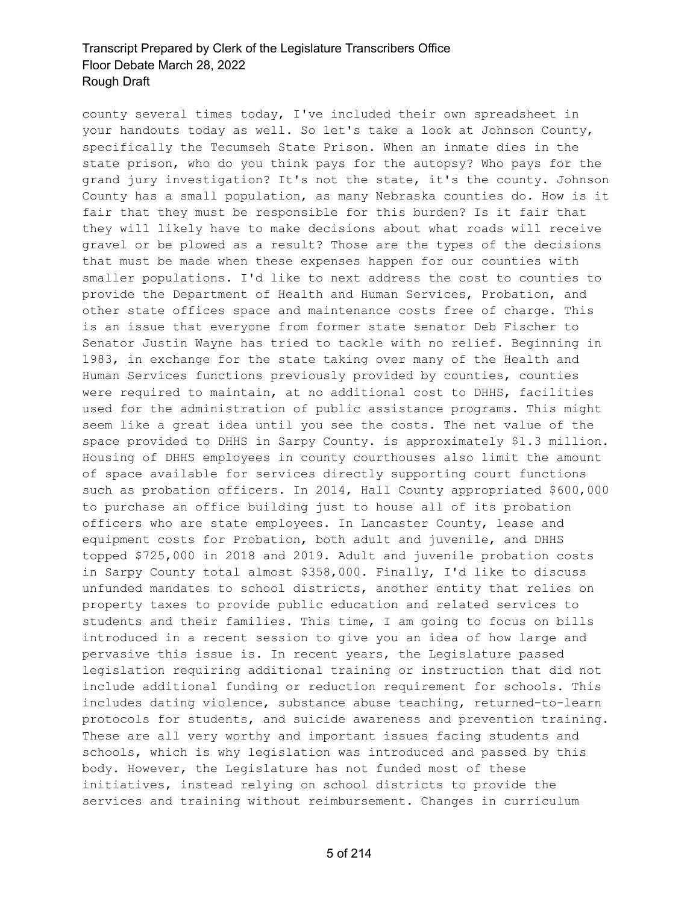county several times today, I've included their own spreadsheet in your handouts today as well. So let's take a look at Johnson County, specifically the Tecumseh State Prison. When an inmate dies in the state prison, who do you think pays for the autopsy? Who pays for the grand jury investigation? It's not the state, it's the county. Johnson County has a small population, as many Nebraska counties do. How is it fair that they must be responsible for this burden? Is it fair that they will likely have to make decisions about what roads will receive gravel or be plowed as a result? Those are the types of the decisions that must be made when these expenses happen for our counties with smaller populations. I'd like to next address the cost to counties to provide the Department of Health and Human Services, Probation, and other state offices space and maintenance costs free of charge. This is an issue that everyone from former state senator Deb Fischer to Senator Justin Wayne has tried to tackle with no relief. Beginning in 1983, in exchange for the state taking over many of the Health and Human Services functions previously provided by counties, counties were required to maintain, at no additional cost to DHHS, facilities used for the administration of public assistance programs. This might seem like a great idea until you see the costs. The net value of the space provided to DHHS in Sarpy County. is approximately \$1.3 million. Housing of DHHS employees in county courthouses also limit the amount of space available for services directly supporting court functions such as probation officers. In 2014, Hall County appropriated \$600,000 to purchase an office building just to house all of its probation officers who are state employees. In Lancaster County, lease and equipment costs for Probation, both adult and juvenile, and DHHS topped \$725,000 in 2018 and 2019. Adult and juvenile probation costs in Sarpy County total almost \$358,000. Finally, I'd like to discuss unfunded mandates to school districts, another entity that relies on property taxes to provide public education and related services to students and their families. This time, I am going to focus on bills introduced in a recent session to give you an idea of how large and pervasive this issue is. In recent years, the Legislature passed legislation requiring additional training or instruction that did not include additional funding or reduction requirement for schools. This includes dating violence, substance abuse teaching, returned-to-learn protocols for students, and suicide awareness and prevention training. These are all very worthy and important issues facing students and schools, which is why legislation was introduced and passed by this body. However, the Legislature has not funded most of these initiatives, instead relying on school districts to provide the services and training without reimbursement. Changes in curriculum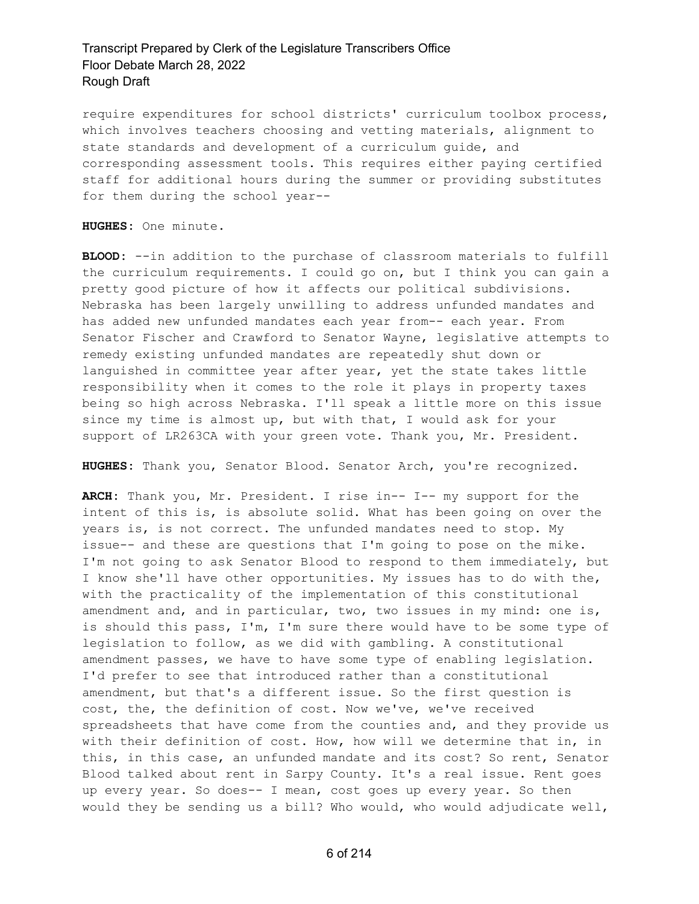require expenditures for school districts' curriculum toolbox process, which involves teachers choosing and vetting materials, alignment to state standards and development of a curriculum guide, and corresponding assessment tools. This requires either paying certified staff for additional hours during the summer or providing substitutes for them during the school year--

**HUGHES:** One minute.

**BLOOD:** --in addition to the purchase of classroom materials to fulfill the curriculum requirements. I could go on, but I think you can gain a pretty good picture of how it affects our political subdivisions. Nebraska has been largely unwilling to address unfunded mandates and has added new unfunded mandates each year from-- each year. From Senator Fischer and Crawford to Senator Wayne, legislative attempts to remedy existing unfunded mandates are repeatedly shut down or languished in committee year after year, yet the state takes little responsibility when it comes to the role it plays in property taxes being so high across Nebraska. I'll speak a little more on this issue since my time is almost up, but with that, I would ask for your support of LR263CA with your green vote. Thank you, Mr. President.

**HUGHES:** Thank you, Senator Blood. Senator Arch, you're recognized.

**ARCH:** Thank you, Mr. President. I rise in-- I-- my support for the intent of this is, is absolute solid. What has been going on over the years is, is not correct. The unfunded mandates need to stop. My issue-- and these are questions that I'm going to pose on the mike. I'm not going to ask Senator Blood to respond to them immediately, but I know she'll have other opportunities. My issues has to do with the, with the practicality of the implementation of this constitutional amendment and, and in particular, two, two issues in my mind: one is, is should this pass, I'm, I'm sure there would have to be some type of legislation to follow, as we did with gambling. A constitutional amendment passes, we have to have some type of enabling legislation. I'd prefer to see that introduced rather than a constitutional amendment, but that's a different issue. So the first question is cost, the, the definition of cost. Now we've, we've received spreadsheets that have come from the counties and, and they provide us with their definition of cost. How, how will we determine that in, in this, in this case, an unfunded mandate and its cost? So rent, Senator Blood talked about rent in Sarpy County. It's a real issue. Rent goes up every year. So does-- I mean, cost goes up every year. So then would they be sending us a bill? Who would, who would adjudicate well,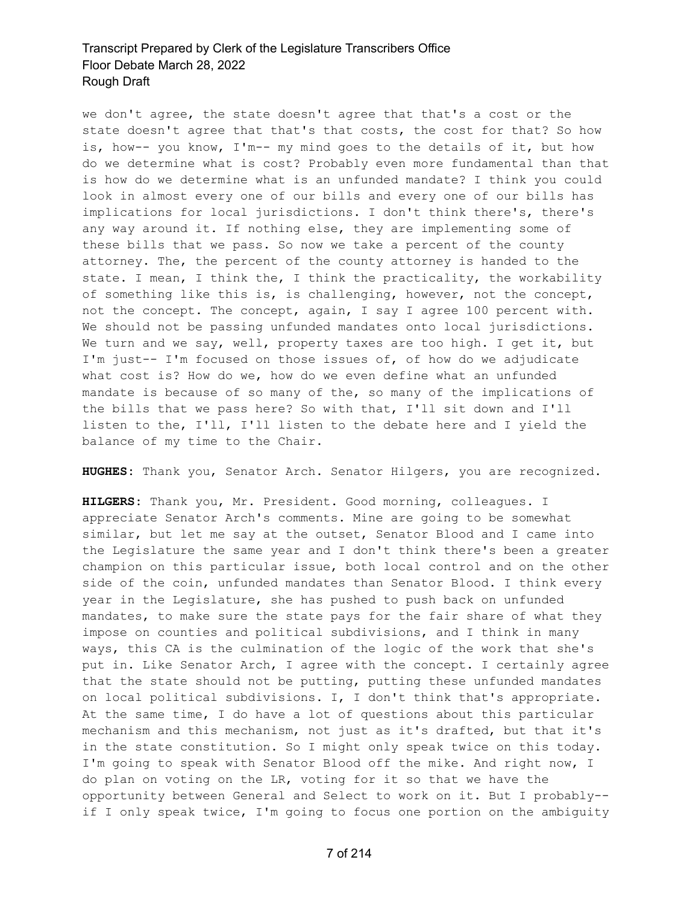we don't agree, the state doesn't agree that that's a cost or the state doesn't agree that that's that costs, the cost for that? So how is, how-- you know, I'm-- my mind goes to the details of it, but how do we determine what is cost? Probably even more fundamental than that is how do we determine what is an unfunded mandate? I think you could look in almost every one of our bills and every one of our bills has implications for local jurisdictions. I don't think there's, there's any way around it. If nothing else, they are implementing some of these bills that we pass. So now we take a percent of the county attorney. The, the percent of the county attorney is handed to the state. I mean, I think the, I think the practicality, the workability of something like this is, is challenging, however, not the concept, not the concept. The concept, again, I say I agree 100 percent with. We should not be passing unfunded mandates onto local jurisdictions. We turn and we say, well, property taxes are too high. I get it, but I'm just-- I'm focused on those issues of, of how do we adjudicate what cost is? How do we, how do we even define what an unfunded mandate is because of so many of the, so many of the implications of the bills that we pass here? So with that, I'll sit down and I'll listen to the, I'll, I'll listen to the debate here and I yield the balance of my time to the Chair.

**HUGHES:** Thank you, Senator Arch. Senator Hilgers, you are recognized.

**HILGERS:** Thank you, Mr. President. Good morning, colleagues. I appreciate Senator Arch's comments. Mine are going to be somewhat similar, but let me say at the outset, Senator Blood and I came into the Legislature the same year and I don't think there's been a greater champion on this particular issue, both local control and on the other side of the coin, unfunded mandates than Senator Blood. I think every year in the Legislature, she has pushed to push back on unfunded mandates, to make sure the state pays for the fair share of what they impose on counties and political subdivisions, and I think in many ways, this CA is the culmination of the logic of the work that she's put in. Like Senator Arch, I agree with the concept. I certainly agree that the state should not be putting, putting these unfunded mandates on local political subdivisions. I, I don't think that's appropriate. At the same time, I do have a lot of questions about this particular mechanism and this mechanism, not just as it's drafted, but that it's in the state constitution. So I might only speak twice on this today. I'm going to speak with Senator Blood off the mike. And right now, I do plan on voting on the LR, voting for it so that we have the opportunity between General and Select to work on it. But I probably- if I only speak twice, I'm going to focus one portion on the ambiguity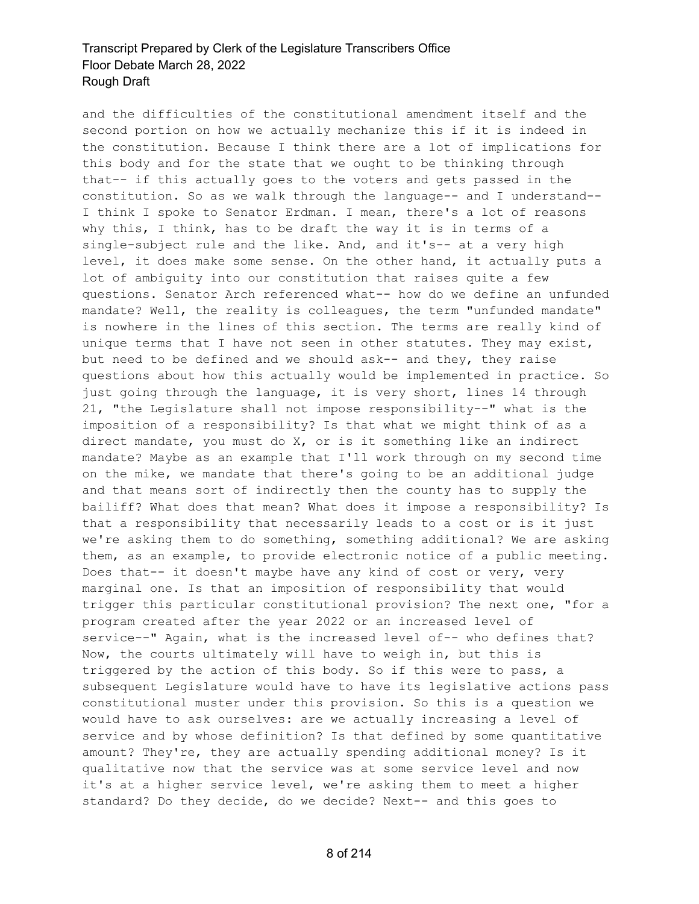and the difficulties of the constitutional amendment itself and the second portion on how we actually mechanize this if it is indeed in the constitution. Because I think there are a lot of implications for this body and for the state that we ought to be thinking through that-- if this actually goes to the voters and gets passed in the constitution. So as we walk through the language-- and I understand-- I think I spoke to Senator Erdman. I mean, there's a lot of reasons why this, I think, has to be draft the way it is in terms of a single-subject rule and the like. And, and it's-- at a very high level, it does make some sense. On the other hand, it actually puts a lot of ambiguity into our constitution that raises quite a few questions. Senator Arch referenced what-- how do we define an unfunded mandate? Well, the reality is colleagues, the term "unfunded mandate" is nowhere in the lines of this section. The terms are really kind of unique terms that I have not seen in other statutes. They may exist, but need to be defined and we should ask-- and they, they raise questions about how this actually would be implemented in practice. So just going through the language, it is very short, lines 14 through 21, "the Legislature shall not impose responsibility--" what is the imposition of a responsibility? Is that what we might think of as a direct mandate, you must do X, or is it something like an indirect mandate? Maybe as an example that I'll work through on my second time on the mike, we mandate that there's going to be an additional judge and that means sort of indirectly then the county has to supply the bailiff? What does that mean? What does it impose a responsibility? Is that a responsibility that necessarily leads to a cost or is it just we're asking them to do something, something additional? We are asking them, as an example, to provide electronic notice of a public meeting. Does that-- it doesn't maybe have any kind of cost or very, very marginal one. Is that an imposition of responsibility that would trigger this particular constitutional provision? The next one, "for a program created after the year 2022 or an increased level of service--" Again, what is the increased level of-- who defines that? Now, the courts ultimately will have to weigh in, but this is triggered by the action of this body. So if this were to pass, a subsequent Legislature would have to have its legislative actions pass constitutional muster under this provision. So this is a question we would have to ask ourselves: are we actually increasing a level of service and by whose definition? Is that defined by some quantitative amount? They're, they are actually spending additional money? Is it qualitative now that the service was at some service level and now it's at a higher service level, we're asking them to meet a higher standard? Do they decide, do we decide? Next-- and this goes to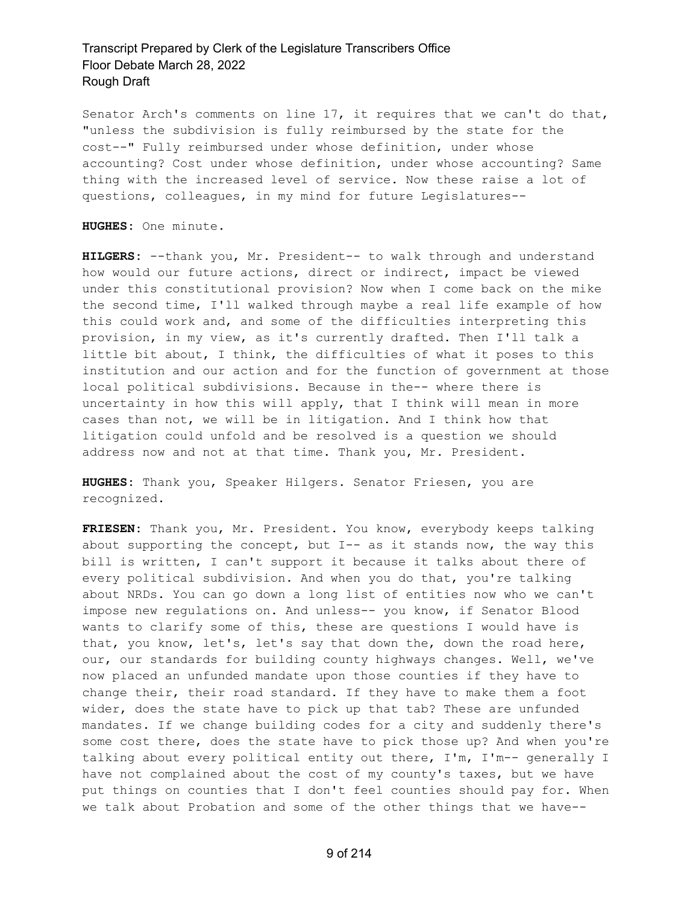Senator Arch's comments on line 17, it requires that we can't do that, "unless the subdivision is fully reimbursed by the state for the cost--" Fully reimbursed under whose definition, under whose accounting? Cost under whose definition, under whose accounting? Same thing with the increased level of service. Now these raise a lot of questions, colleagues, in my mind for future Legislatures--

**HUGHES:** One minute.

**HILGERS:** --thank you, Mr. President-- to walk through and understand how would our future actions, direct or indirect, impact be viewed under this constitutional provision? Now when I come back on the mike the second time, I'll walked through maybe a real life example of how this could work and, and some of the difficulties interpreting this provision, in my view, as it's currently drafted. Then I'll talk a little bit about, I think, the difficulties of what it poses to this institution and our action and for the function of government at those local political subdivisions. Because in the-- where there is uncertainty in how this will apply, that I think will mean in more cases than not, we will be in litigation. And I think how that litigation could unfold and be resolved is a question we should address now and not at that time. Thank you, Mr. President.

**HUGHES:** Thank you, Speaker Hilgers. Senator Friesen, you are recognized.

**FRIESEN:** Thank you, Mr. President. You know, everybody keeps talking about supporting the concept, but  $I--$  as it stands now, the way this bill is written, I can't support it because it talks about there of every political subdivision. And when you do that, you're talking about NRDs. You can go down a long list of entities now who we can't impose new regulations on. And unless-- you know, if Senator Blood wants to clarify some of this, these are questions I would have is that, you know, let's, let's say that down the, down the road here, our, our standards for building county highways changes. Well, we've now placed an unfunded mandate upon those counties if they have to change their, their road standard. If they have to make them a foot wider, does the state have to pick up that tab? These are unfunded mandates. If we change building codes for a city and suddenly there's some cost there, does the state have to pick those up? And when you're talking about every political entity out there, I'm, I'm-- generally I have not complained about the cost of my county's taxes, but we have put things on counties that I don't feel counties should pay for. When we talk about Probation and some of the other things that we have--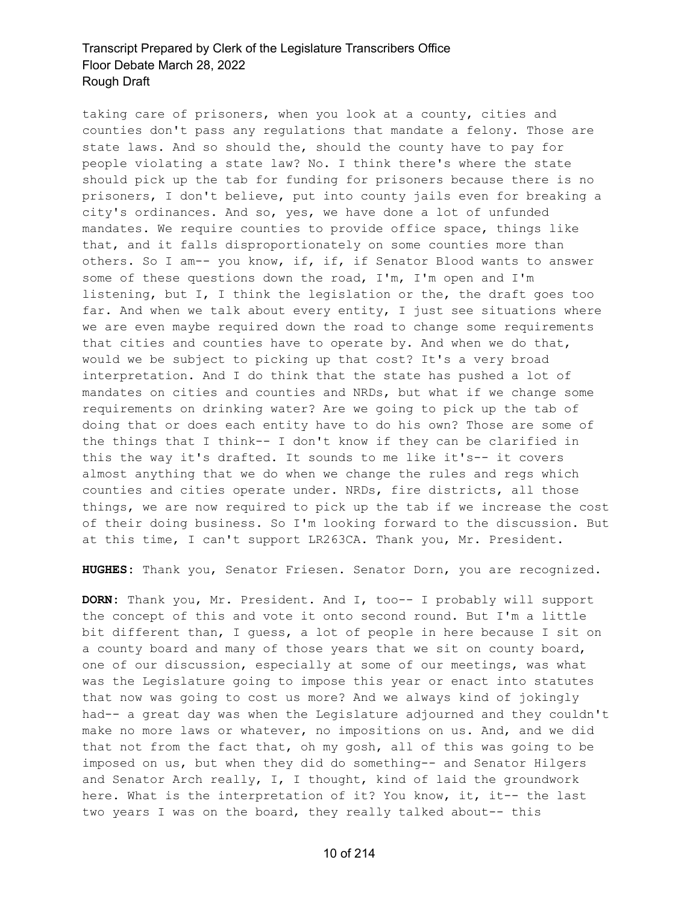taking care of prisoners, when you look at a county, cities and counties don't pass any regulations that mandate a felony. Those are state laws. And so should the, should the county have to pay for people violating a state law? No. I think there's where the state should pick up the tab for funding for prisoners because there is no prisoners, I don't believe, put into county jails even for breaking a city's ordinances. And so, yes, we have done a lot of unfunded mandates. We require counties to provide office space, things like that, and it falls disproportionately on some counties more than others. So I am-- you know, if, if, if Senator Blood wants to answer some of these questions down the road, I'm, I'm open and I'm listening, but I, I think the legislation or the, the draft goes too far. And when we talk about every entity, I just see situations where we are even maybe required down the road to change some requirements that cities and counties have to operate by. And when we do that, would we be subject to picking up that cost? It's a very broad interpretation. And I do think that the state has pushed a lot of mandates on cities and counties and NRDs, but what if we change some requirements on drinking water? Are we going to pick up the tab of doing that or does each entity have to do his own? Those are some of the things that I think-- I don't know if they can be clarified in this the way it's drafted. It sounds to me like it's-- it covers almost anything that we do when we change the rules and regs which counties and cities operate under. NRDs, fire districts, all those things, we are now required to pick up the tab if we increase the cost of their doing business. So I'm looking forward to the discussion. But at this time, I can't support LR263CA. Thank you, Mr. President.

**HUGHES:** Thank you, Senator Friesen. Senator Dorn, you are recognized.

**DORN:** Thank you, Mr. President. And I, too-- I probably will support the concept of this and vote it onto second round. But I'm a little bit different than, I guess, a lot of people in here because I sit on a county board and many of those years that we sit on county board, one of our discussion, especially at some of our meetings, was what was the Legislature going to impose this year or enact into statutes that now was going to cost us more? And we always kind of jokingly had-- a great day was when the Legislature adjourned and they couldn't make no more laws or whatever, no impositions on us. And, and we did that not from the fact that, oh my gosh, all of this was going to be imposed on us, but when they did do something-- and Senator Hilgers and Senator Arch really, I, I thought, kind of laid the groundwork here. What is the interpretation of it? You know, it, it-- the last two years I was on the board, they really talked about-- this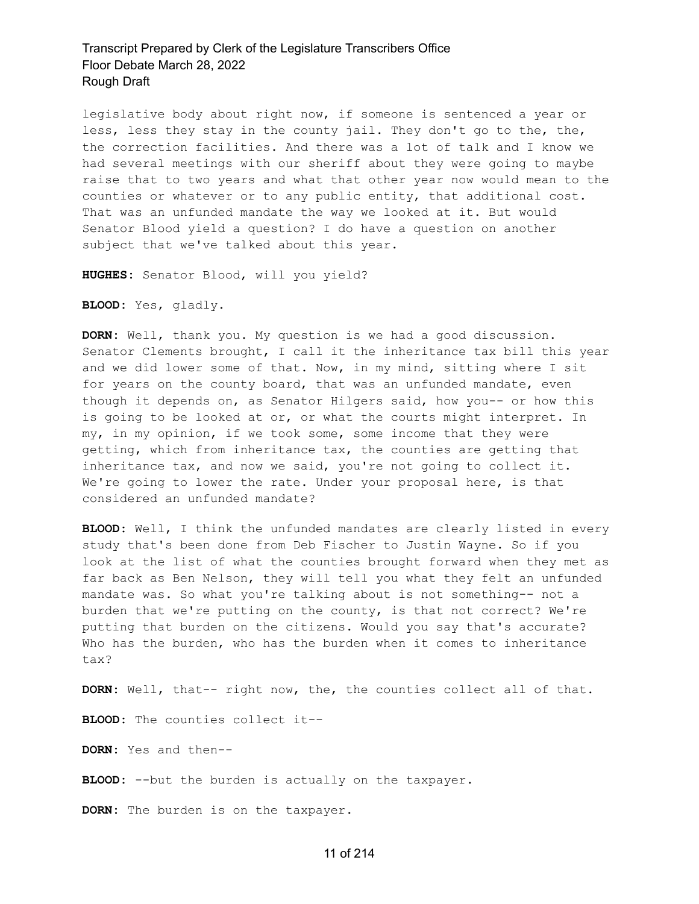legislative body about right now, if someone is sentenced a year or less, less they stay in the county jail. They don't go to the, the, the correction facilities. And there was a lot of talk and I know we had several meetings with our sheriff about they were going to maybe raise that to two years and what that other year now would mean to the counties or whatever or to any public entity, that additional cost. That was an unfunded mandate the way we looked at it. But would Senator Blood yield a question? I do have a question on another subject that we've talked about this year.

**HUGHES:** Senator Blood, will you yield?

**BLOOD:** Yes, gladly.

**DORN:** Well, thank you. My question is we had a good discussion. Senator Clements brought, I call it the inheritance tax bill this year and we did lower some of that. Now, in my mind, sitting where I sit for years on the county board, that was an unfunded mandate, even though it depends on, as Senator Hilgers said, how you-- or how this is going to be looked at or, or what the courts might interpret. In my, in my opinion, if we took some, some income that they were getting, which from inheritance tax, the counties are getting that inheritance tax, and now we said, you're not going to collect it. We're going to lower the rate. Under your proposal here, is that considered an unfunded mandate?

**BLOOD:** Well, I think the unfunded mandates are clearly listed in every study that's been done from Deb Fischer to Justin Wayne. So if you look at the list of what the counties brought forward when they met as far back as Ben Nelson, they will tell you what they felt an unfunded mandate was. So what you're talking about is not something-- not a burden that we're putting on the county, is that not correct? We're putting that burden on the citizens. Would you say that's accurate? Who has the burden, who has the burden when it comes to inheritance tax?

**DORN:** Well, that-- right now, the, the counties collect all of that.

**BLOOD:** The counties collect it--

**DORN:** Yes and then--

**BLOOD:** --but the burden is actually on the taxpayer.

**DORN:** The burden is on the taxpayer.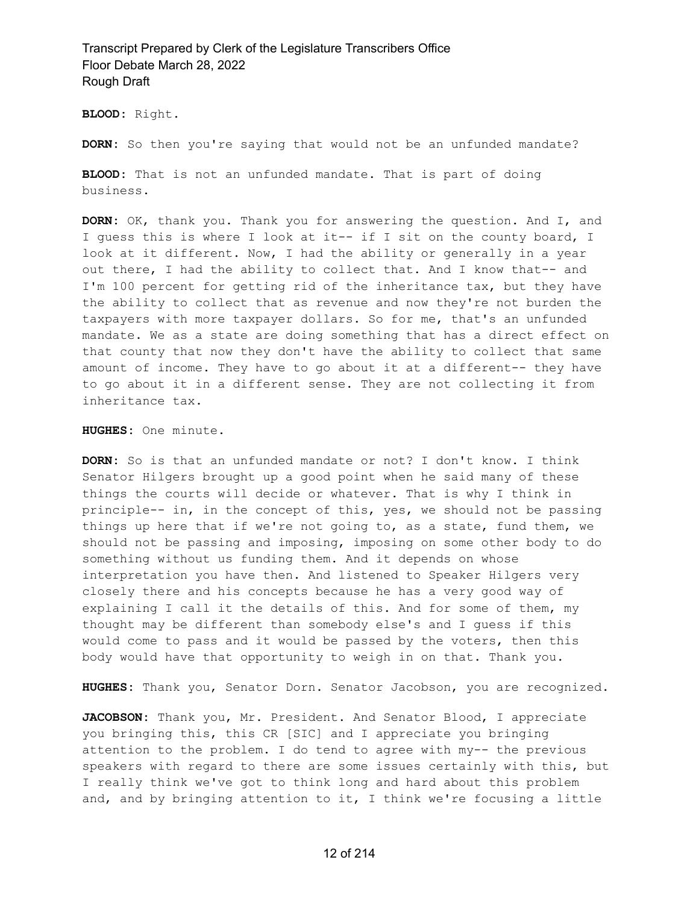**BLOOD:** Right.

**DORN:** So then you're saying that would not be an unfunded mandate?

**BLOOD:** That is not an unfunded mandate. That is part of doing business.

**DORN:** OK, thank you. Thank you for answering the question. And I, and I guess this is where I look at it-- if I sit on the county board, I look at it different. Now, I had the ability or generally in a year out there, I had the ability to collect that. And I know that-- and I'm 100 percent for getting rid of the inheritance tax, but they have the ability to collect that as revenue and now they're not burden the taxpayers with more taxpayer dollars. So for me, that's an unfunded mandate. We as a state are doing something that has a direct effect on that county that now they don't have the ability to collect that same amount of income. They have to go about it at a different-- they have to go about it in a different sense. They are not collecting it from inheritance tax.

**HUGHES:** One minute.

**DORN:** So is that an unfunded mandate or not? I don't know. I think Senator Hilgers brought up a good point when he said many of these things the courts will decide or whatever. That is why I think in principle-- in, in the concept of this, yes, we should not be passing things up here that if we're not going to, as a state, fund them, we should not be passing and imposing, imposing on some other body to do something without us funding them. And it depends on whose interpretation you have then. And listened to Speaker Hilgers very closely there and his concepts because he has a very good way of explaining I call it the details of this. And for some of them, my thought may be different than somebody else's and I guess if this would come to pass and it would be passed by the voters, then this body would have that opportunity to weigh in on that. Thank you.

**HUGHES:** Thank you, Senator Dorn. Senator Jacobson, you are recognized.

JACOBSON: Thank you, Mr. President. And Senator Blood, I appreciate you bringing this, this CR [SIC] and I appreciate you bringing attention to the problem. I do tend to agree with my-- the previous speakers with regard to there are some issues certainly with this, but I really think we've got to think long and hard about this problem and, and by bringing attention to it, I think we're focusing a little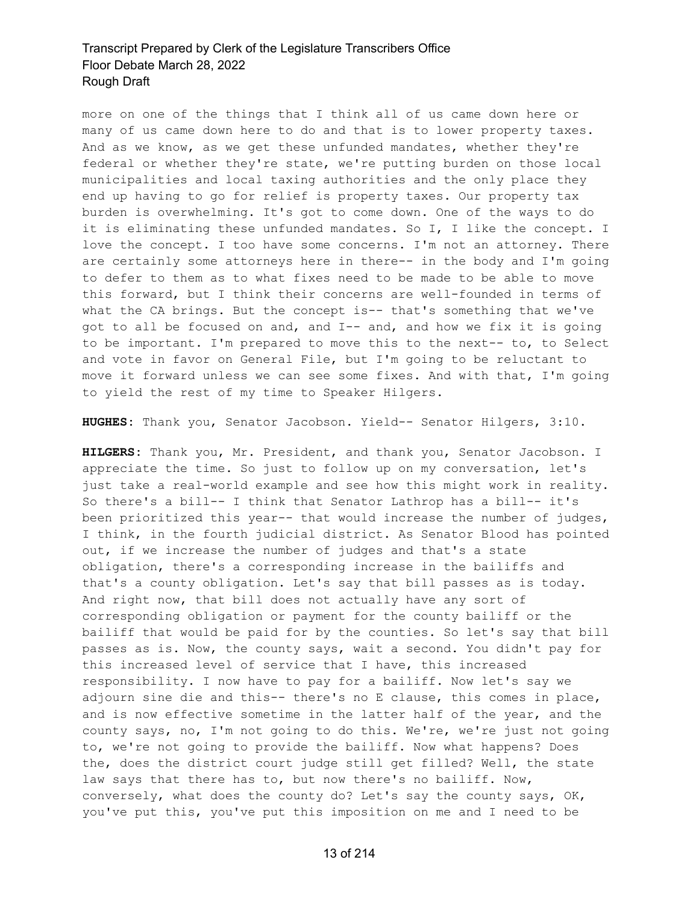more on one of the things that I think all of us came down here or many of us came down here to do and that is to lower property taxes. And as we know, as we get these unfunded mandates, whether they're federal or whether they're state, we're putting burden on those local municipalities and local taxing authorities and the only place they end up having to go for relief is property taxes. Our property tax burden is overwhelming. It's got to come down. One of the ways to do it is eliminating these unfunded mandates. So I, I like the concept. I love the concept. I too have some concerns. I'm not an attorney. There are certainly some attorneys here in there-- in the body and I'm going to defer to them as to what fixes need to be made to be able to move this forward, but I think their concerns are well-founded in terms of what the CA brings. But the concept is-- that's something that we've got to all be focused on and, and I-- and, and how we fix it is going to be important. I'm prepared to move this to the next-- to, to Select and vote in favor on General File, but I'm going to be reluctant to move it forward unless we can see some fixes. And with that, I'm going to yield the rest of my time to Speaker Hilgers.

**HUGHES:** Thank you, Senator Jacobson. Yield-- Senator Hilgers, 3:10.

**HILGERS:** Thank you, Mr. President, and thank you, Senator Jacobson. I appreciate the time. So just to follow up on my conversation, let's just take a real-world example and see how this might work in reality. So there's a bill-- I think that Senator Lathrop has a bill-- it's been prioritized this year-- that would increase the number of judges, I think, in the fourth judicial district. As Senator Blood has pointed out, if we increase the number of judges and that's a state obligation, there's a corresponding increase in the bailiffs and that's a county obligation. Let's say that bill passes as is today. And right now, that bill does not actually have any sort of corresponding obligation or payment for the county bailiff or the bailiff that would be paid for by the counties. So let's say that bill passes as is. Now, the county says, wait a second. You didn't pay for this increased level of service that I have, this increased responsibility. I now have to pay for a bailiff. Now let's say we adjourn sine die and this-- there's no E clause, this comes in place, and is now effective sometime in the latter half of the year, and the county says, no, I'm not going to do this. We're, we're just not going to, we're not going to provide the bailiff. Now what happens? Does the, does the district court judge still get filled? Well, the state law says that there has to, but now there's no bailiff. Now, conversely, what does the county do? Let's say the county says, OK, you've put this, you've put this imposition on me and I need to be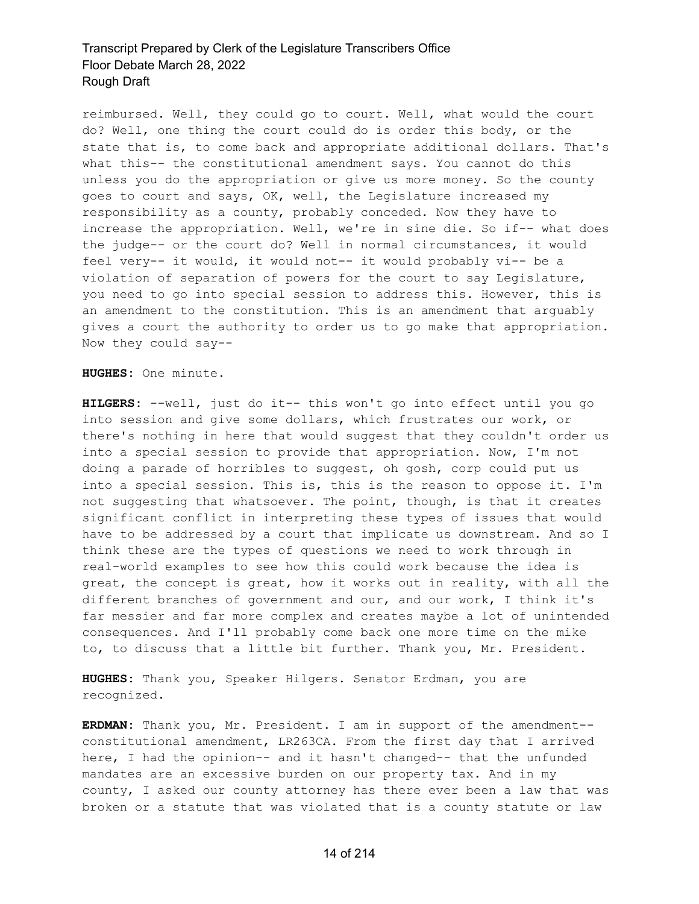reimbursed. Well, they could go to court. Well, what would the court do? Well, one thing the court could do is order this body, or the state that is, to come back and appropriate additional dollars. That's what this-- the constitutional amendment says. You cannot do this unless you do the appropriation or give us more money. So the county goes to court and says, OK, well, the Legislature increased my responsibility as a county, probably conceded. Now they have to increase the appropriation. Well, we're in sine die. So if-- what does the judge-- or the court do? Well in normal circumstances, it would feel very-- it would, it would not-- it would probably vi-- be a violation of separation of powers for the court to say Legislature, you need to go into special session to address this. However, this is an amendment to the constitution. This is an amendment that arguably gives a court the authority to order us to go make that appropriation. Now they could say--

**HUGHES:** One minute.

**HILGERS:** --well, just do it-- this won't go into effect until you go into session and give some dollars, which frustrates our work, or there's nothing in here that would suggest that they couldn't order us into a special session to provide that appropriation. Now, I'm not doing a parade of horribles to suggest, oh gosh, corp could put us into a special session. This is, this is the reason to oppose it. I'm not suggesting that whatsoever. The point, though, is that it creates significant conflict in interpreting these types of issues that would have to be addressed by a court that implicate us downstream. And so I think these are the types of questions we need to work through in real-world examples to see how this could work because the idea is great, the concept is great, how it works out in reality, with all the different branches of government and our, and our work, I think it's far messier and far more complex and creates maybe a lot of unintended consequences. And I'll probably come back one more time on the mike to, to discuss that a little bit further. Thank you, Mr. President.

**HUGHES:** Thank you, Speaker Hilgers. Senator Erdman, you are recognized.

**ERDMAN:** Thank you, Mr. President. I am in support of the amendment- constitutional amendment, LR263CA. From the first day that I arrived here, I had the opinion-- and it hasn't changed-- that the unfunded mandates are an excessive burden on our property tax. And in my county, I asked our county attorney has there ever been a law that was broken or a statute that was violated that is a county statute or law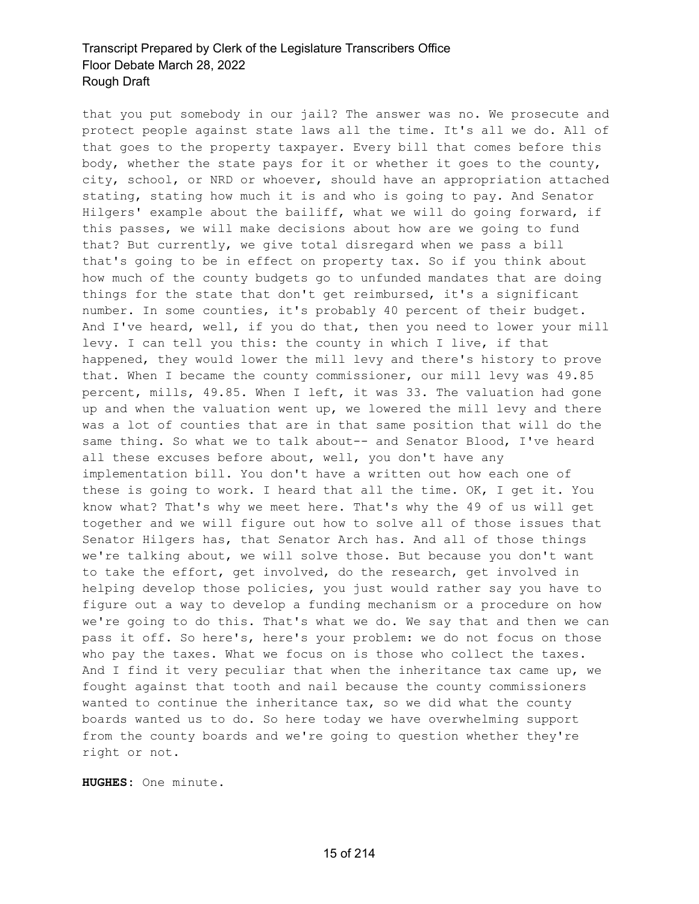that you put somebody in our jail? The answer was no. We prosecute and protect people against state laws all the time. It's all we do. All of that goes to the property taxpayer. Every bill that comes before this body, whether the state pays for it or whether it goes to the county, city, school, or NRD or whoever, should have an appropriation attached stating, stating how much it is and who is going to pay. And Senator Hilgers' example about the bailiff, what we will do going forward, if this passes, we will make decisions about how are we going to fund that? But currently, we give total disregard when we pass a bill that's going to be in effect on property tax. So if you think about how much of the county budgets go to unfunded mandates that are doing things for the state that don't get reimbursed, it's a significant number. In some counties, it's probably 40 percent of their budget. And I've heard, well, if you do that, then you need to lower your mill levy. I can tell you this: the county in which I live, if that happened, they would lower the mill levy and there's history to prove that. When I became the county commissioner, our mill levy was 49.85 percent, mills, 49.85. When I left, it was 33. The valuation had gone up and when the valuation went up, we lowered the mill levy and there was a lot of counties that are in that same position that will do the same thing. So what we to talk about-- and Senator Blood, I've heard all these excuses before about, well, you don't have any implementation bill. You don't have a written out how each one of these is going to work. I heard that all the time. OK, I get it. You know what? That's why we meet here. That's why the 49 of us will get together and we will figure out how to solve all of those issues that Senator Hilgers has, that Senator Arch has. And all of those things we're talking about, we will solve those. But because you don't want to take the effort, get involved, do the research, get involved in helping develop those policies, you just would rather say you have to figure out a way to develop a funding mechanism or a procedure on how we're going to do this. That's what we do. We say that and then we can pass it off. So here's, here's your problem: we do not focus on those who pay the taxes. What we focus on is those who collect the taxes. And I find it very peculiar that when the inheritance tax came up, we fought against that tooth and nail because the county commissioners wanted to continue the inheritance tax, so we did what the county boards wanted us to do. So here today we have overwhelming support from the county boards and we're going to question whether they're right or not.

**HUGHES:** One minute.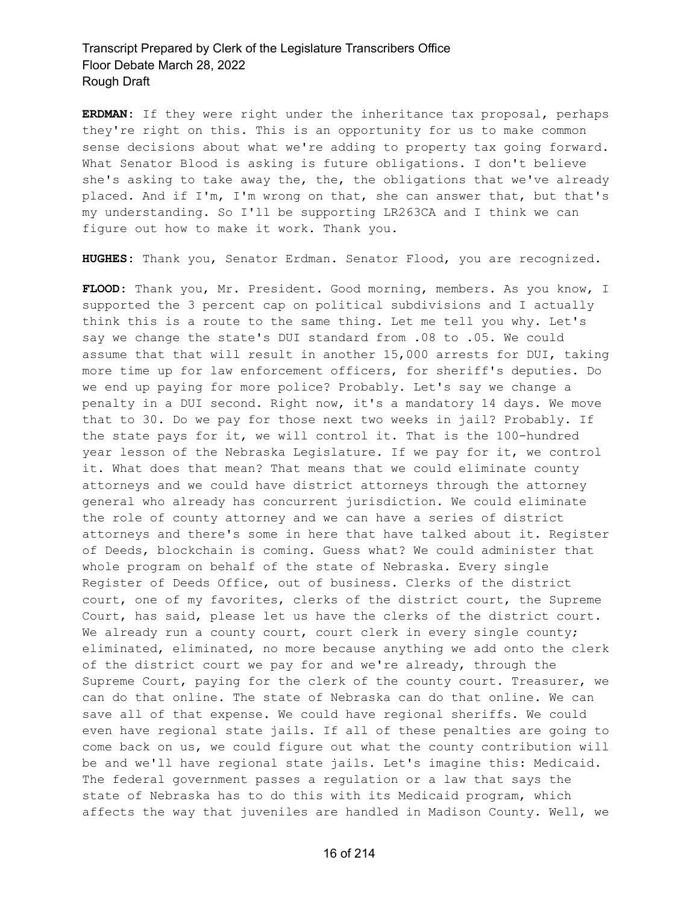**ERDMAN:** If they were right under the inheritance tax proposal, perhaps they're right on this. This is an opportunity for us to make common sense decisions about what we're adding to property tax going forward. What Senator Blood is asking is future obligations. I don't believe she's asking to take away the, the, the obligations that we've already placed. And if I'm, I'm wrong on that, she can answer that, but that's my understanding. So I'll be supporting LR263CA and I think we can figure out how to make it work. Thank you.

**HUGHES:** Thank you, Senator Erdman. Senator Flood, you are recognized.

**FLOOD:** Thank you, Mr. President. Good morning, members. As you know, I supported the 3 percent cap on political subdivisions and I actually think this is a route to the same thing. Let me tell you why. Let's say we change the state's DUI standard from .08 to .05. We could assume that that will result in another 15,000 arrests for DUI, taking more time up for law enforcement officers, for sheriff's deputies. Do we end up paying for more police? Probably. Let's say we change a penalty in a DUI second. Right now, it's a mandatory 14 days. We move that to 30. Do we pay for those next two weeks in jail? Probably. If the state pays for it, we will control it. That is the 100-hundred year lesson of the Nebraska Legislature. If we pay for it, we control it. What does that mean? That means that we could eliminate county attorneys and we could have district attorneys through the attorney general who already has concurrent jurisdiction. We could eliminate the role of county attorney and we can have a series of district attorneys and there's some in here that have talked about it. Register of Deeds, blockchain is coming. Guess what? We could administer that whole program on behalf of the state of Nebraska. Every single Register of Deeds Office, out of business. Clerks of the district court, one of my favorites, clerks of the district court, the Supreme Court, has said, please let us have the clerks of the district court. We already run a county court, court clerk in every single county; eliminated, eliminated, no more because anything we add onto the clerk of the district court we pay for and we're already, through the Supreme Court, paying for the clerk of the county court. Treasurer, we can do that online. The state of Nebraska can do that online. We can save all of that expense. We could have regional sheriffs. We could even have regional state jails. If all of these penalties are going to come back on us, we could figure out what the county contribution will be and we'll have regional state jails. Let's imagine this: Medicaid. The federal government passes a regulation or a law that says the state of Nebraska has to do this with its Medicaid program, which affects the way that juveniles are handled in Madison County. Well, we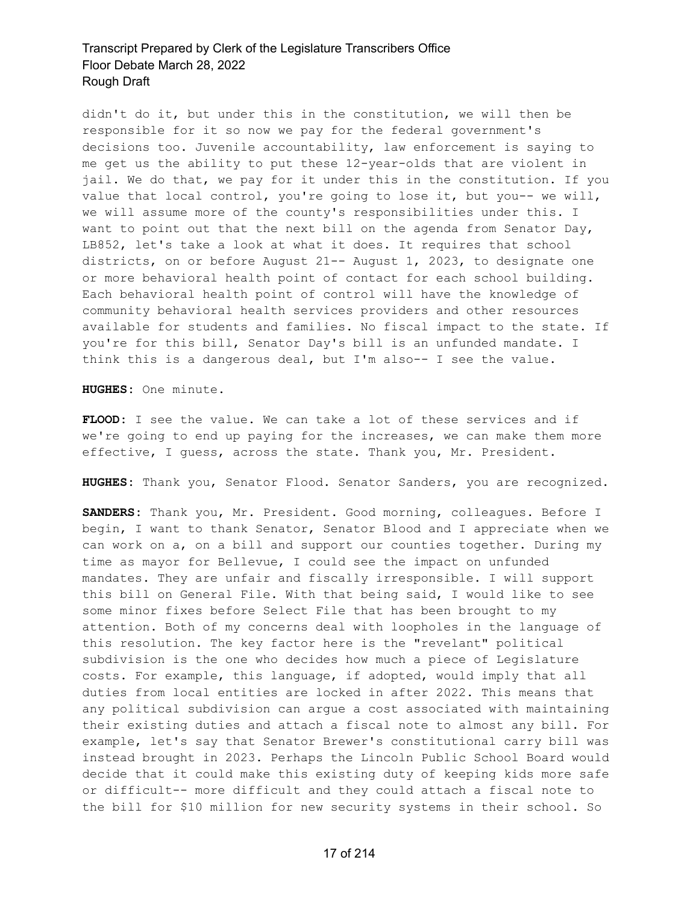didn't do it, but under this in the constitution, we will then be responsible for it so now we pay for the federal government's decisions too. Juvenile accountability, law enforcement is saying to me get us the ability to put these 12-year-olds that are violent in jail. We do that, we pay for it under this in the constitution. If you value that local control, you're going to lose it, but you-- we will, we will assume more of the county's responsibilities under this. I want to point out that the next bill on the agenda from Senator Day, LB852, let's take a look at what it does. It requires that school districts, on or before August 21-- August 1, 2023, to designate one or more behavioral health point of contact for each school building. Each behavioral health point of control will have the knowledge of community behavioral health services providers and other resources available for students and families. No fiscal impact to the state. If you're for this bill, Senator Day's bill is an unfunded mandate. I think this is a dangerous deal, but I'm also-- I see the value.

**HUGHES:** One minute.

**FLOOD:** I see the value. We can take a lot of these services and if we're going to end up paying for the increases, we can make them more effective, I guess, across the state. Thank you, Mr. President.

**HUGHES:** Thank you, Senator Flood. Senator Sanders, you are recognized.

**SANDERS:** Thank you, Mr. President. Good morning, colleagues. Before I begin, I want to thank Senator, Senator Blood and I appreciate when we can work on a, on a bill and support our counties together. During my time as mayor for Bellevue, I could see the impact on unfunded mandates. They are unfair and fiscally irresponsible. I will support this bill on General File. With that being said, I would like to see some minor fixes before Select File that has been brought to my attention. Both of my concerns deal with loopholes in the language of this resolution. The key factor here is the "revelant" political subdivision is the one who decides how much a piece of Legislature costs. For example, this language, if adopted, would imply that all duties from local entities are locked in after 2022. This means that any political subdivision can argue a cost associated with maintaining their existing duties and attach a fiscal note to almost any bill. For example, let's say that Senator Brewer's constitutional carry bill was instead brought in 2023. Perhaps the Lincoln Public School Board would decide that it could make this existing duty of keeping kids more safe or difficult-- more difficult and they could attach a fiscal note to the bill for \$10 million for new security systems in their school. So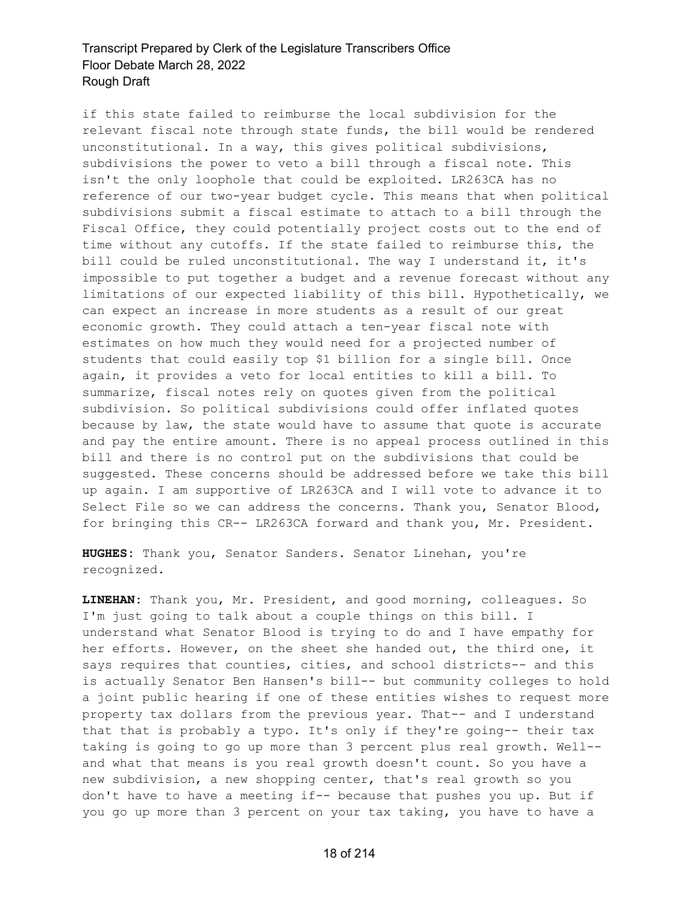if this state failed to reimburse the local subdivision for the relevant fiscal note through state funds, the bill would be rendered unconstitutional. In a way, this gives political subdivisions, subdivisions the power to veto a bill through a fiscal note. This isn't the only loophole that could be exploited. LR263CA has no reference of our two-year budget cycle. This means that when political subdivisions submit a fiscal estimate to attach to a bill through the Fiscal Office, they could potentially project costs out to the end of time without any cutoffs. If the state failed to reimburse this, the bill could be ruled unconstitutional. The way I understand it, it's impossible to put together a budget and a revenue forecast without any limitations of our expected liability of this bill. Hypothetically, we can expect an increase in more students as a result of our great economic growth. They could attach a ten-year fiscal note with estimates on how much they would need for a projected number of students that could easily top \$1 billion for a single bill. Once again, it provides a veto for local entities to kill a bill. To summarize, fiscal notes rely on quotes given from the political subdivision. So political subdivisions could offer inflated quotes because by law, the state would have to assume that quote is accurate and pay the entire amount. There is no appeal process outlined in this bill and there is no control put on the subdivisions that could be suggested. These concerns should be addressed before we take this bill up again. I am supportive of LR263CA and I will vote to advance it to Select File so we can address the concerns. Thank you, Senator Blood, for bringing this CR-- LR263CA forward and thank you, Mr. President.

**HUGHES:** Thank you, Senator Sanders. Senator Linehan, you're recognized.

**LINEHAN:** Thank you, Mr. President, and good morning, colleagues. So I'm just going to talk about a couple things on this bill. I understand what Senator Blood is trying to do and I have empathy for her efforts. However, on the sheet she handed out, the third one, it says requires that counties, cities, and school districts-- and this is actually Senator Ben Hansen's bill-- but community colleges to hold a joint public hearing if one of these entities wishes to request more property tax dollars from the previous year. That-- and I understand that that is probably a typo. It's only if they're going-- their tax taking is going to go up more than 3 percent plus real growth. Well- and what that means is you real growth doesn't count. So you have a new subdivision, a new shopping center, that's real growth so you don't have to have a meeting if-- because that pushes you up. But if you go up more than 3 percent on your tax taking, you have to have a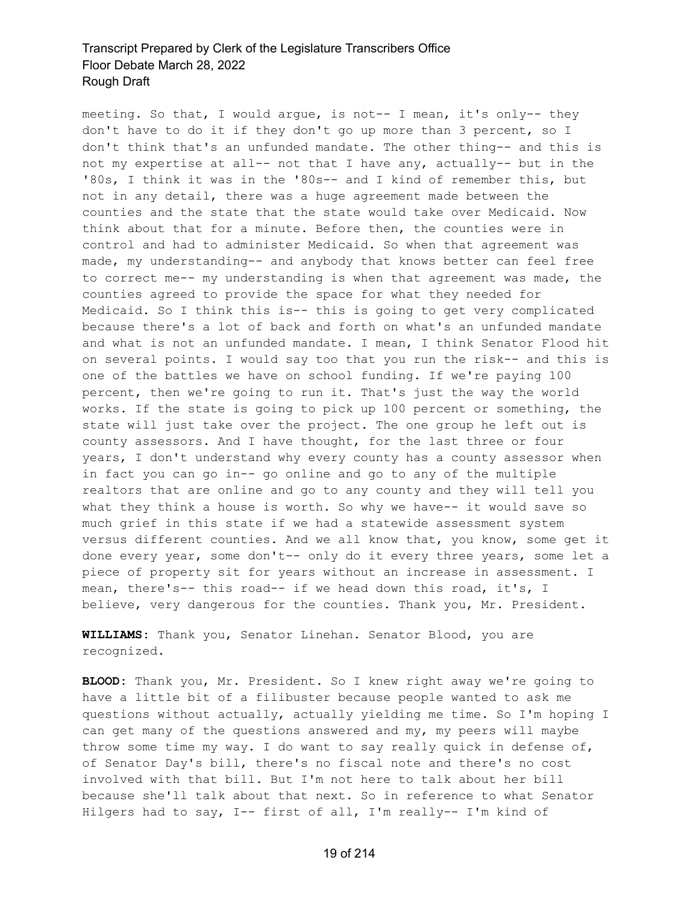meeting. So that, I would argue, is not-- I mean, it's only-- they don't have to do it if they don't go up more than 3 percent, so I don't think that's an unfunded mandate. The other thing-- and this is not my expertise at all-- not that I have any, actually-- but in the '80s, I think it was in the '80s-- and I kind of remember this, but not in any detail, there was a huge agreement made between the counties and the state that the state would take over Medicaid. Now think about that for a minute. Before then, the counties were in control and had to administer Medicaid. So when that agreement was made, my understanding-- and anybody that knows better can feel free to correct me-- my understanding is when that agreement was made, the counties agreed to provide the space for what they needed for Medicaid. So I think this is-- this is going to get very complicated because there's a lot of back and forth on what's an unfunded mandate and what is not an unfunded mandate. I mean, I think Senator Flood hit on several points. I would say too that you run the risk-- and this is one of the battles we have on school funding. If we're paying 100 percent, then we're going to run it. That's just the way the world works. If the state is going to pick up 100 percent or something, the state will just take over the project. The one group he left out is county assessors. And I have thought, for the last three or four years, I don't understand why every county has a county assessor when in fact you can go in-- go online and go to any of the multiple realtors that are online and go to any county and they will tell you what they think a house is worth. So why we have-- it would save so much grief in this state if we had a statewide assessment system versus different counties. And we all know that, you know, some get it done every year, some don't-- only do it every three years, some let a piece of property sit for years without an increase in assessment. I mean, there's-- this road-- if we head down this road, it's, I believe, very dangerous for the counties. Thank you, Mr. President.

**WILLIAMS:** Thank you, Senator Linehan. Senator Blood, you are recognized.

**BLOOD:** Thank you, Mr. President. So I knew right away we're going to have a little bit of a filibuster because people wanted to ask me questions without actually, actually yielding me time. So I'm hoping I can get many of the questions answered and my, my peers will maybe throw some time my way. I do want to say really quick in defense of, of Senator Day's bill, there's no fiscal note and there's no cost involved with that bill. But I'm not here to talk about her bill because she'll talk about that next. So in reference to what Senator Hilgers had to say, I-- first of all, I'm really-- I'm kind of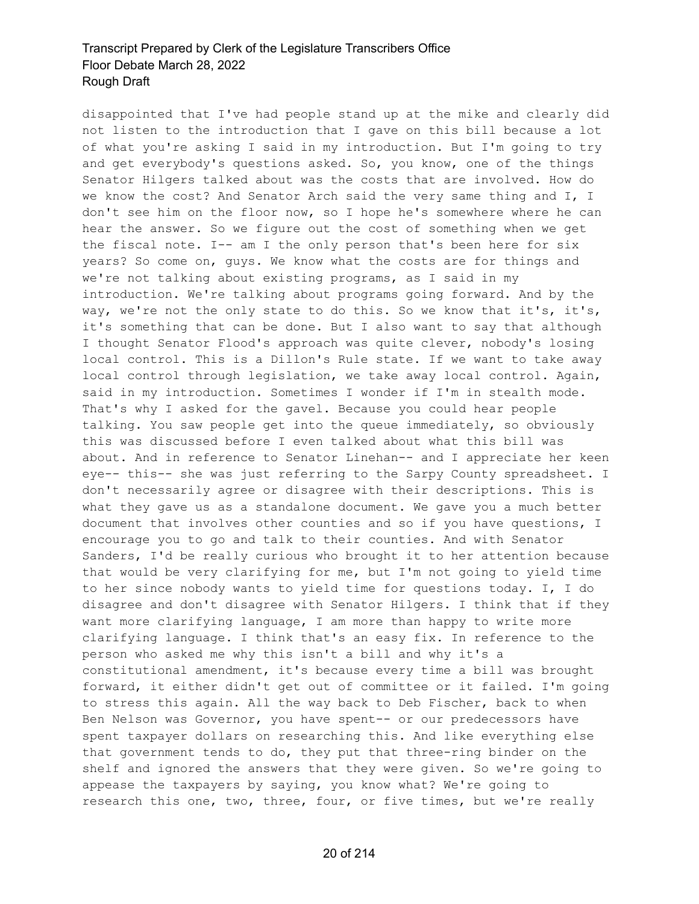disappointed that I've had people stand up at the mike and clearly did not listen to the introduction that I gave on this bill because a lot of what you're asking I said in my introduction. But I'm going to try and get everybody's questions asked. So, you know, one of the things Senator Hilgers talked about was the costs that are involved. How do we know the cost? And Senator Arch said the very same thing and I, I don't see him on the floor now, so I hope he's somewhere where he can hear the answer. So we figure out the cost of something when we get the fiscal note. I-- am I the only person that's been here for six years? So come on, guys. We know what the costs are for things and we're not talking about existing programs, as I said in my introduction. We're talking about programs going forward. And by the way, we're not the only state to do this. So we know that it's, it's, it's something that can be done. But I also want to say that although I thought Senator Flood's approach was quite clever, nobody's losing local control. This is a Dillon's Rule state. If we want to take away local control through legislation, we take away local control. Again, said in my introduction. Sometimes I wonder if I'm in stealth mode. That's why I asked for the gavel. Because you could hear people talking. You saw people get into the queue immediately, so obviously this was discussed before I even talked about what this bill was about. And in reference to Senator Linehan-- and I appreciate her keen eye-- this-- she was just referring to the Sarpy County spreadsheet. I don't necessarily agree or disagree with their descriptions. This is what they gave us as a standalone document. We gave you a much better document that involves other counties and so if you have questions, I encourage you to go and talk to their counties. And with Senator Sanders, I'd be really curious who brought it to her attention because that would be very clarifying for me, but I'm not going to yield time to her since nobody wants to yield time for questions today. I, I do disagree and don't disagree with Senator Hilgers. I think that if they want more clarifying language, I am more than happy to write more clarifying language. I think that's an easy fix. In reference to the person who asked me why this isn't a bill and why it's a constitutional amendment, it's because every time a bill was brought forward, it either didn't get out of committee or it failed. I'm going to stress this again. All the way back to Deb Fischer, back to when Ben Nelson was Governor, you have spent-- or our predecessors have spent taxpayer dollars on researching this. And like everything else that government tends to do, they put that three-ring binder on the shelf and ignored the answers that they were given. So we're going to appease the taxpayers by saying, you know what? We're going to research this one, two, three, four, or five times, but we're really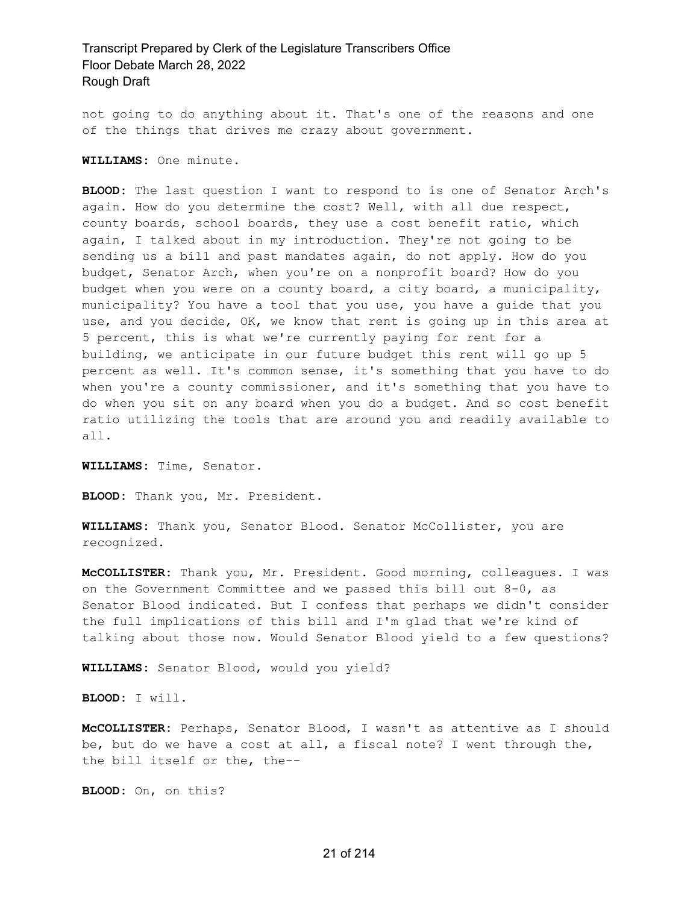not going to do anything about it. That's one of the reasons and one of the things that drives me crazy about government.

**WILLIAMS:** One minute.

**BLOOD:** The last question I want to respond to is one of Senator Arch's again. How do you determine the cost? Well, with all due respect, county boards, school boards, they use a cost benefit ratio, which again, I talked about in my introduction. They're not going to be sending us a bill and past mandates again, do not apply. How do you budget, Senator Arch, when you're on a nonprofit board? How do you budget when you were on a county board, a city board, a municipality, municipality? You have a tool that you use, you have a guide that you use, and you decide, OK, we know that rent is going up in this area at 5 percent, this is what we're currently paying for rent for a building, we anticipate in our future budget this rent will go up 5 percent as well. It's common sense, it's something that you have to do when you're a county commissioner, and it's something that you have to do when you sit on any board when you do a budget. And so cost benefit ratio utilizing the tools that are around you and readily available to all.

**WILLIAMS:** Time, Senator.

**BLOOD:** Thank you, Mr. President.

**WILLIAMS:** Thank you, Senator Blood. Senator McCollister, you are recognized.

**McCOLLISTER:** Thank you, Mr. President. Good morning, colleagues. I was on the Government Committee and we passed this bill out 8-0, as Senator Blood indicated. But I confess that perhaps we didn't consider the full implications of this bill and I'm glad that we're kind of talking about those now. Would Senator Blood yield to a few questions?

**WILLIAMS:** Senator Blood, would you yield?

**BLOOD:** I will.

**McCOLLISTER:** Perhaps, Senator Blood, I wasn't as attentive as I should be, but do we have a cost at all, a fiscal note? I went through the, the bill itself or the, the--

**BLOOD:** On, on this?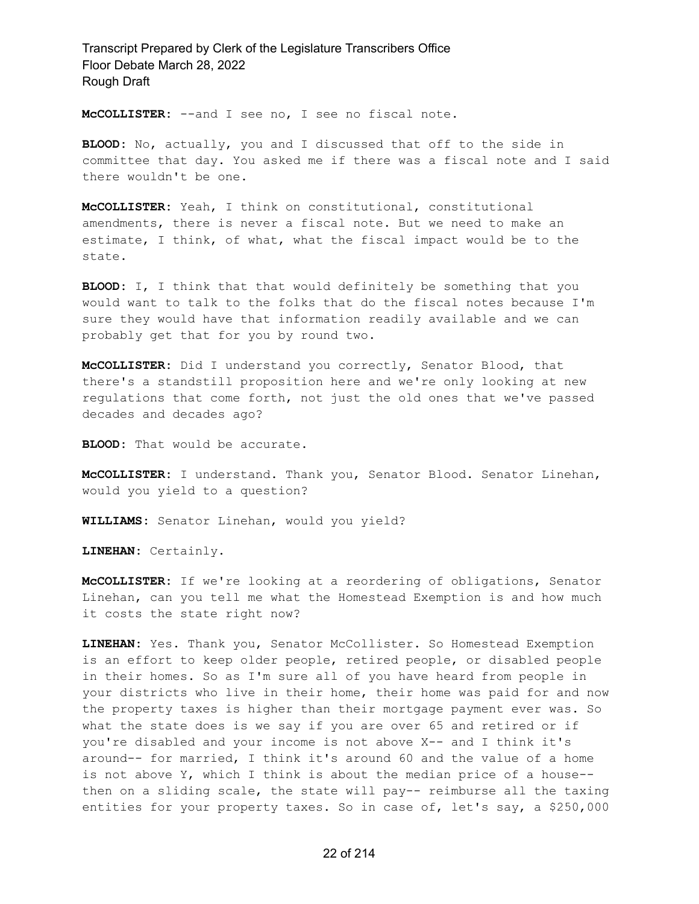**McCOLLISTER:** --and I see no, I see no fiscal note.

**BLOOD:** No, actually, you and I discussed that off to the side in committee that day. You asked me if there was a fiscal note and I said there wouldn't be one.

**McCOLLISTER:** Yeah, I think on constitutional, constitutional amendments, there is never a fiscal note. But we need to make an estimate, I think, of what, what the fiscal impact would be to the state.

**BLOOD:** I, I think that that would definitely be something that you would want to talk to the folks that do the fiscal notes because I'm sure they would have that information readily available and we can probably get that for you by round two.

**McCOLLISTER:** Did I understand you correctly, Senator Blood, that there's a standstill proposition here and we're only looking at new regulations that come forth, not just the old ones that we've passed decades and decades ago?

**BLOOD:** That would be accurate.

**McCOLLISTER:** I understand. Thank you, Senator Blood. Senator Linehan, would you yield to a question?

**WILLIAMS:** Senator Linehan, would you yield?

**LINEHAN:** Certainly.

**McCOLLISTER:** If we're looking at a reordering of obligations, Senator Linehan, can you tell me what the Homestead Exemption is and how much it costs the state right now?

**LINEHAN:** Yes. Thank you, Senator McCollister. So Homestead Exemption is an effort to keep older people, retired people, or disabled people in their homes. So as I'm sure all of you have heard from people in your districts who live in their home, their home was paid for and now the property taxes is higher than their mortgage payment ever was. So what the state does is we say if you are over 65 and retired or if you're disabled and your income is not above X-- and I think it's around-- for married, I think it's around 60 and the value of a home is not above Y, which I think is about the median price of a house- then on a sliding scale, the state will pay-- reimburse all the taxing entities for your property taxes. So in case of, let's say, a \$250,000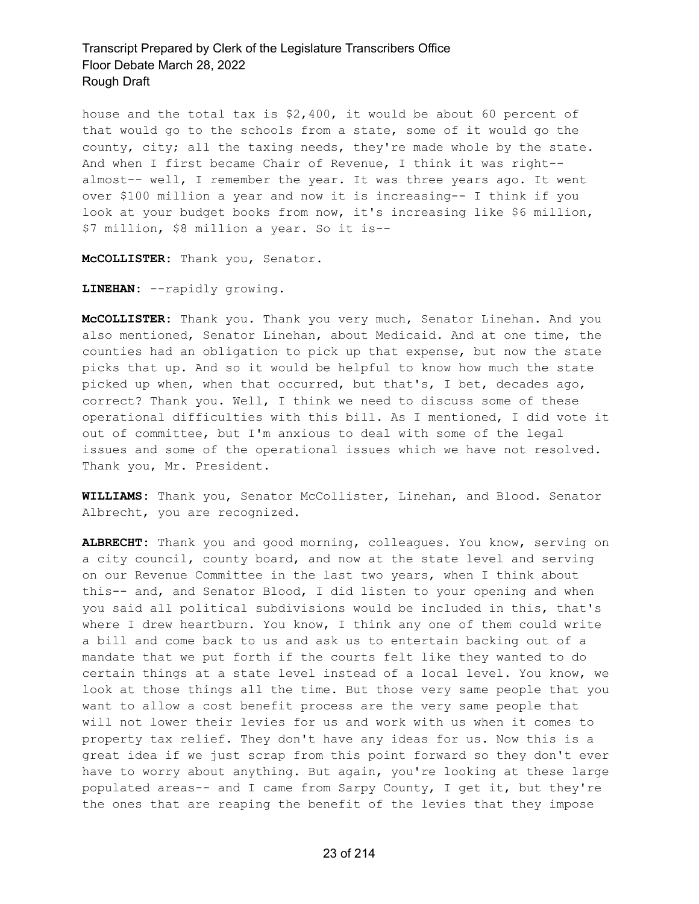house and the total tax is \$2,400, it would be about 60 percent of that would go to the schools from a state, some of it would go the county, city; all the taxing needs, they're made whole by the state. And when I first became Chair of Revenue, I think it was right- almost-- well, I remember the year. It was three years ago. It went over \$100 million a year and now it is increasing-- I think if you look at your budget books from now, it's increasing like \$6 million, \$7 million, \$8 million a year. So it is--

**McCOLLISTER:** Thank you, Senator.

**LINEHAN:** --rapidly growing.

**McCOLLISTER:** Thank you. Thank you very much, Senator Linehan. And you also mentioned, Senator Linehan, about Medicaid. And at one time, the counties had an obligation to pick up that expense, but now the state picks that up. And so it would be helpful to know how much the state picked up when, when that occurred, but that's, I bet, decades ago, correct? Thank you. Well, I think we need to discuss some of these operational difficulties with this bill. As I mentioned, I did vote it out of committee, but I'm anxious to deal with some of the legal issues and some of the operational issues which we have not resolved. Thank you, Mr. President.

**WILLIAMS:** Thank you, Senator McCollister, Linehan, and Blood. Senator Albrecht, you are recognized.

**ALBRECHT:** Thank you and good morning, colleagues. You know, serving on a city council, county board, and now at the state level and serving on our Revenue Committee in the last two years, when I think about this-- and, and Senator Blood, I did listen to your opening and when you said all political subdivisions would be included in this, that's where I drew heartburn. You know, I think any one of them could write a bill and come back to us and ask us to entertain backing out of a mandate that we put forth if the courts felt like they wanted to do certain things at a state level instead of a local level. You know, we look at those things all the time. But those very same people that you want to allow a cost benefit process are the very same people that will not lower their levies for us and work with us when it comes to property tax relief. They don't have any ideas for us. Now this is a great idea if we just scrap from this point forward so they don't ever have to worry about anything. But again, you're looking at these large populated areas-- and I came from Sarpy County, I get it, but they're the ones that are reaping the benefit of the levies that they impose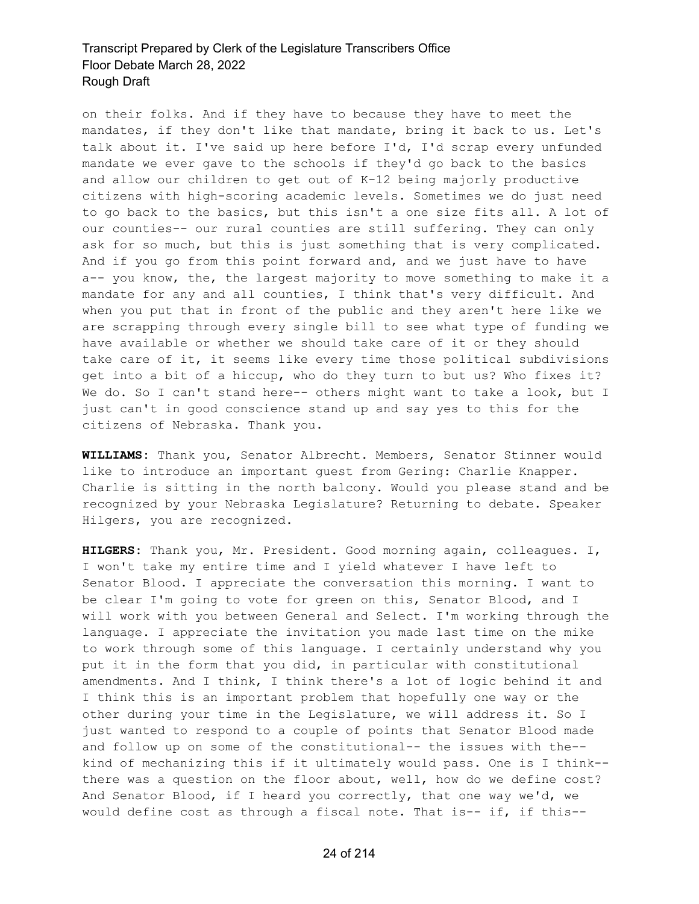on their folks. And if they have to because they have to meet the mandates, if they don't like that mandate, bring it back to us. Let's talk about it. I've said up here before I'd, I'd scrap every unfunded mandate we ever gave to the schools if they'd go back to the basics and allow our children to get out of K-12 being majorly productive citizens with high-scoring academic levels. Sometimes we do just need to go back to the basics, but this isn't a one size fits all. A lot of our counties-- our rural counties are still suffering. They can only ask for so much, but this is just something that is very complicated. And if you go from this point forward and, and we just have to have a-- you know, the, the largest majority to move something to make it a mandate for any and all counties, I think that's very difficult. And when you put that in front of the public and they aren't here like we are scrapping through every single bill to see what type of funding we have available or whether we should take care of it or they should take care of it, it seems like every time those political subdivisions get into a bit of a hiccup, who do they turn to but us? Who fixes it? We do. So I can't stand here-- others might want to take a look, but I just can't in good conscience stand up and say yes to this for the citizens of Nebraska. Thank you.

**WILLIAMS:** Thank you, Senator Albrecht. Members, Senator Stinner would like to introduce an important guest from Gering: Charlie Knapper. Charlie is sitting in the north balcony. Would you please stand and be recognized by your Nebraska Legislature? Returning to debate. Speaker Hilgers, you are recognized.

**HILGERS:** Thank you, Mr. President. Good morning again, colleagues. I, I won't take my entire time and I yield whatever I have left to Senator Blood. I appreciate the conversation this morning. I want to be clear I'm going to vote for green on this, Senator Blood, and I will work with you between General and Select. I'm working through the language. I appreciate the invitation you made last time on the mike to work through some of this language. I certainly understand why you put it in the form that you did, in particular with constitutional amendments. And I think, I think there's a lot of logic behind it and I think this is an important problem that hopefully one way or the other during your time in the Legislature, we will address it. So I just wanted to respond to a couple of points that Senator Blood made and follow up on some of the constitutional-- the issues with the- kind of mechanizing this if it ultimately would pass. One is I think- there was a question on the floor about, well, how do we define cost? And Senator Blood, if I heard you correctly, that one way we'd, we would define cost as through a fiscal note. That is-- if, if this--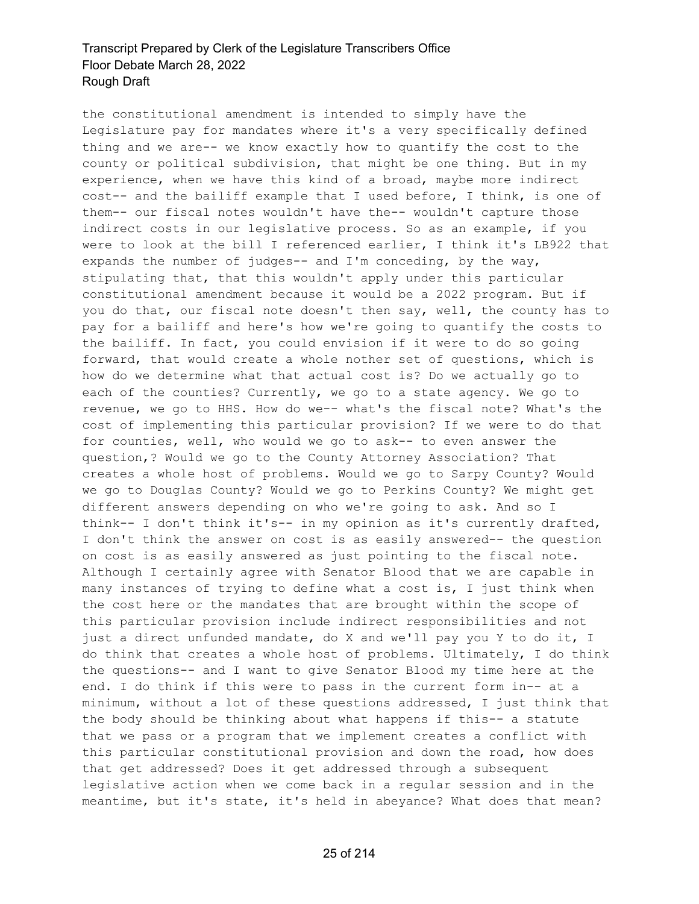the constitutional amendment is intended to simply have the Legislature pay for mandates where it's a very specifically defined thing and we are-- we know exactly how to quantify the cost to the county or political subdivision, that might be one thing. But in my experience, when we have this kind of a broad, maybe more indirect cost-- and the bailiff example that I used before, I think, is one of them-- our fiscal notes wouldn't have the-- wouldn't capture those indirect costs in our legislative process. So as an example, if you were to look at the bill I referenced earlier, I think it's LB922 that expands the number of judges-- and I'm conceding, by the way, stipulating that, that this wouldn't apply under this particular constitutional amendment because it would be a 2022 program. But if you do that, our fiscal note doesn't then say, well, the county has to pay for a bailiff and here's how we're going to quantify the costs to the bailiff. In fact, you could envision if it were to do so going forward, that would create a whole nother set of questions, which is how do we determine what that actual cost is? Do we actually go to each of the counties? Currently, we go to a state agency. We go to revenue, we go to HHS. How do we-- what's the fiscal note? What's the cost of implementing this particular provision? If we were to do that for counties, well, who would we go to ask-- to even answer the question,? Would we go to the County Attorney Association? That creates a whole host of problems. Would we go to Sarpy County? Would we go to Douglas County? Would we go to Perkins County? We might get different answers depending on who we're going to ask. And so I think-- I don't think it's-- in my opinion as it's currently drafted, I don't think the answer on cost is as easily answered-- the question on cost is as easily answered as just pointing to the fiscal note. Although I certainly agree with Senator Blood that we are capable in many instances of trying to define what a cost is, I just think when the cost here or the mandates that are brought within the scope of this particular provision include indirect responsibilities and not just a direct unfunded mandate, do X and we'll pay you Y to do it, I do think that creates a whole host of problems. Ultimately, I do think the questions-- and I want to give Senator Blood my time here at the end. I do think if this were to pass in the current form in-- at a minimum, without a lot of these questions addressed, I just think that the body should be thinking about what happens if this-- a statute that we pass or a program that we implement creates a conflict with this particular constitutional provision and down the road, how does that get addressed? Does it get addressed through a subsequent legislative action when we come back in a regular session and in the meantime, but it's state, it's held in abeyance? What does that mean?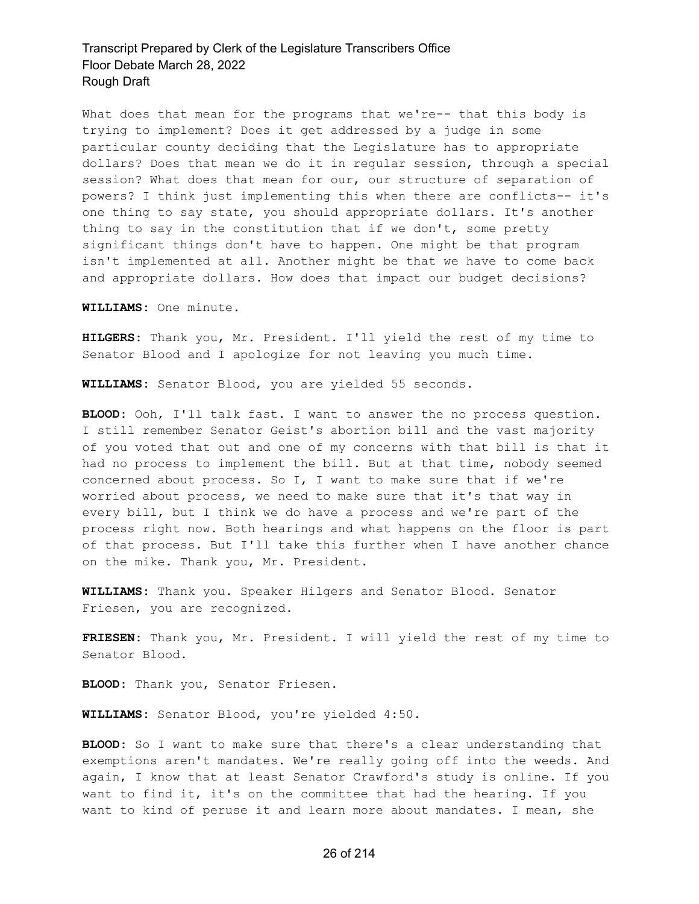What does that mean for the programs that we're-- that this body is trying to implement? Does it get addressed by a judge in some particular county deciding that the Legislature has to appropriate dollars? Does that mean we do it in regular session, through a special session? What does that mean for our, our structure of separation of powers? I think just implementing this when there are conflicts-- it's one thing to say state, you should appropriate dollars. It's another thing to say in the constitution that if we don't, some pretty significant things don't have to happen. One might be that program isn't implemented at all. Another might be that we have to come back and appropriate dollars. How does that impact our budget decisions?

**WILLIAMS:** One minute.

**HILGERS:** Thank you, Mr. President. I'll yield the rest of my time to Senator Blood and I apologize for not leaving you much time.

**WILLIAMS:** Senator Blood, you are yielded 55 seconds.

**BLOOD:** Ooh, I'll talk fast. I want to answer the no process question. I still remember Senator Geist's abortion bill and the vast majority of you voted that out and one of my concerns with that bill is that it had no process to implement the bill. But at that time, nobody seemed concerned about process. So I, I want to make sure that if we're worried about process, we need to make sure that it's that way in every bill, but I think we do have a process and we're part of the process right now. Both hearings and what happens on the floor is part of that process. But I'll take this further when I have another chance on the mike. Thank you, Mr. President.

**WILLIAMS:** Thank you. Speaker Hilgers and Senator Blood. Senator Friesen, you are recognized.

**FRIESEN:** Thank you, Mr. President. I will yield the rest of my time to Senator Blood.

**BLOOD:** Thank you, Senator Friesen.

**WILLIAMS:** Senator Blood, you're yielded 4:50.

**BLOOD:** So I want to make sure that there's a clear understanding that exemptions aren't mandates. We're really going off into the weeds. And again, I know that at least Senator Crawford's study is online. If you want to find it, it's on the committee that had the hearing. If you want to kind of peruse it and learn more about mandates. I mean, she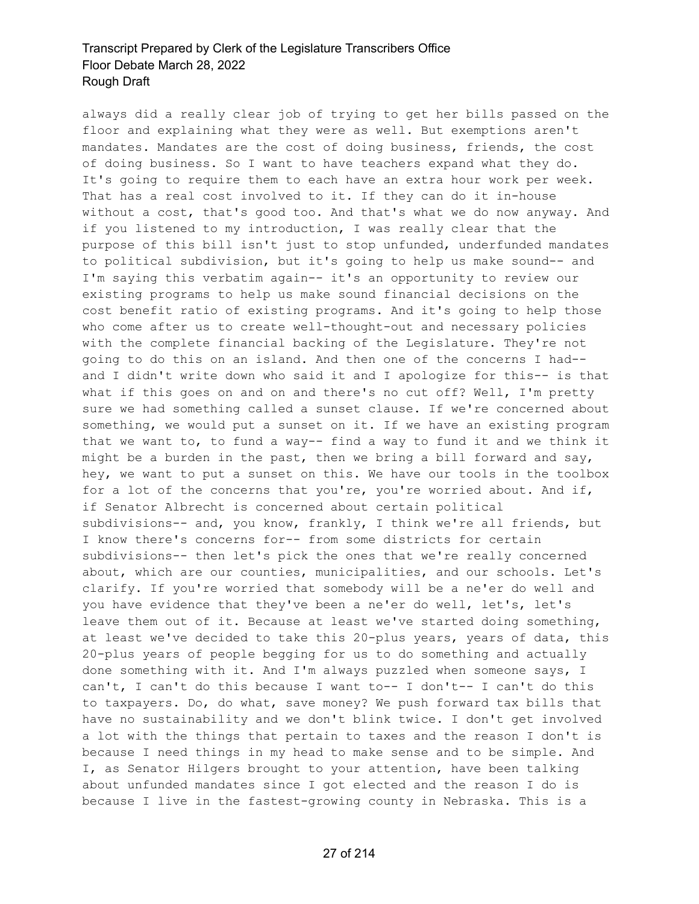always did a really clear job of trying to get her bills passed on the floor and explaining what they were as well. But exemptions aren't mandates. Mandates are the cost of doing business, friends, the cost of doing business. So I want to have teachers expand what they do. It's going to require them to each have an extra hour work per week. That has a real cost involved to it. If they can do it in-house without a cost, that's good too. And that's what we do now anyway. And if you listened to my introduction, I was really clear that the purpose of this bill isn't just to stop unfunded, underfunded mandates to political subdivision, but it's going to help us make sound-- and I'm saying this verbatim again-- it's an opportunity to review our existing programs to help us make sound financial decisions on the cost benefit ratio of existing programs. And it's going to help those who come after us to create well-thought-out and necessary policies with the complete financial backing of the Legislature. They're not going to do this on an island. And then one of the concerns I had- and I didn't write down who said it and I apologize for this-- is that what if this goes on and on and there's no cut off? Well, I'm pretty sure we had something called a sunset clause. If we're concerned about something, we would put a sunset on it. If we have an existing program that we want to, to fund a way-- find a way to fund it and we think it might be a burden in the past, then we bring a bill forward and say, hey, we want to put a sunset on this. We have our tools in the toolbox for a lot of the concerns that you're, you're worried about. And if, if Senator Albrecht is concerned about certain political subdivisions-- and, you know, frankly, I think we're all friends, but I know there's concerns for-- from some districts for certain subdivisions-- then let's pick the ones that we're really concerned about, which are our counties, municipalities, and our schools. Let's clarify. If you're worried that somebody will be a ne'er do well and you have evidence that they've been a ne'er do well, let's, let's leave them out of it. Because at least we've started doing something, at least we've decided to take this 20-plus years, years of data, this 20-plus years of people begging for us to do something and actually done something with it. And I'm always puzzled when someone says, I can't, I can't do this because I want to-- I don't-- I can't do this to taxpayers. Do, do what, save money? We push forward tax bills that have no sustainability and we don't blink twice. I don't get involved a lot with the things that pertain to taxes and the reason I don't is because I need things in my head to make sense and to be simple. And I, as Senator Hilgers brought to your attention, have been talking about unfunded mandates since I got elected and the reason I do is because I live in the fastest-growing county in Nebraska. This is a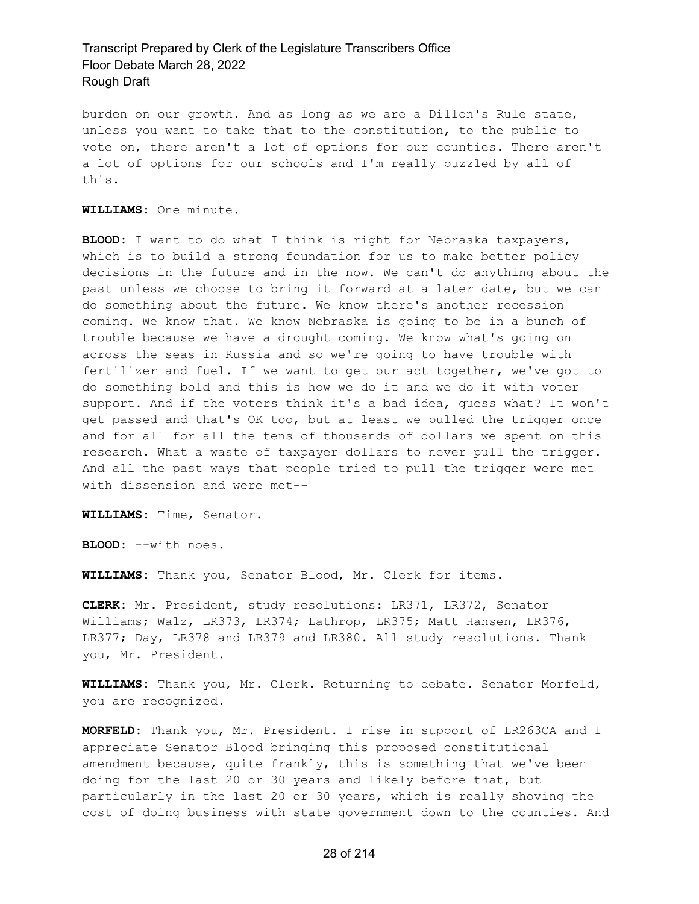burden on our growth. And as long as we are a Dillon's Rule state, unless you want to take that to the constitution, to the public to vote on, there aren't a lot of options for our counties. There aren't a lot of options for our schools and I'm really puzzled by all of this.

**WILLIAMS:** One minute.

**BLOOD:** I want to do what I think is right for Nebraska taxpayers, which is to build a strong foundation for us to make better policy decisions in the future and in the now. We can't do anything about the past unless we choose to bring it forward at a later date, but we can do something about the future. We know there's another recession coming. We know that. We know Nebraska is going to be in a bunch of trouble because we have a drought coming. We know what's going on across the seas in Russia and so we're going to have trouble with fertilizer and fuel. If we want to get our act together, we've got to do something bold and this is how we do it and we do it with voter support. And if the voters think it's a bad idea, guess what? It won't get passed and that's OK too, but at least we pulled the trigger once and for all for all the tens of thousands of dollars we spent on this research. What a waste of taxpayer dollars to never pull the trigger. And all the past ways that people tried to pull the trigger were met with dissension and were met--

**WILLIAMS:** Time, Senator.

**BLOOD:** --with noes.

**WILLIAMS:** Thank you, Senator Blood, Mr. Clerk for items.

**CLERK:** Mr. President, study resolutions: LR371, LR372, Senator Williams; Walz, LR373, LR374; Lathrop, LR375; Matt Hansen, LR376, LR377; Day, LR378 and LR379 and LR380. All study resolutions. Thank you, Mr. President.

**WILLIAMS:** Thank you, Mr. Clerk. Returning to debate. Senator Morfeld, you are recognized.

**MORFELD:** Thank you, Mr. President. I rise in support of LR263CA and I appreciate Senator Blood bringing this proposed constitutional amendment because, quite frankly, this is something that we've been doing for the last 20 or 30 years and likely before that, but particularly in the last 20 or 30 years, which is really shoving the cost of doing business with state government down to the counties. And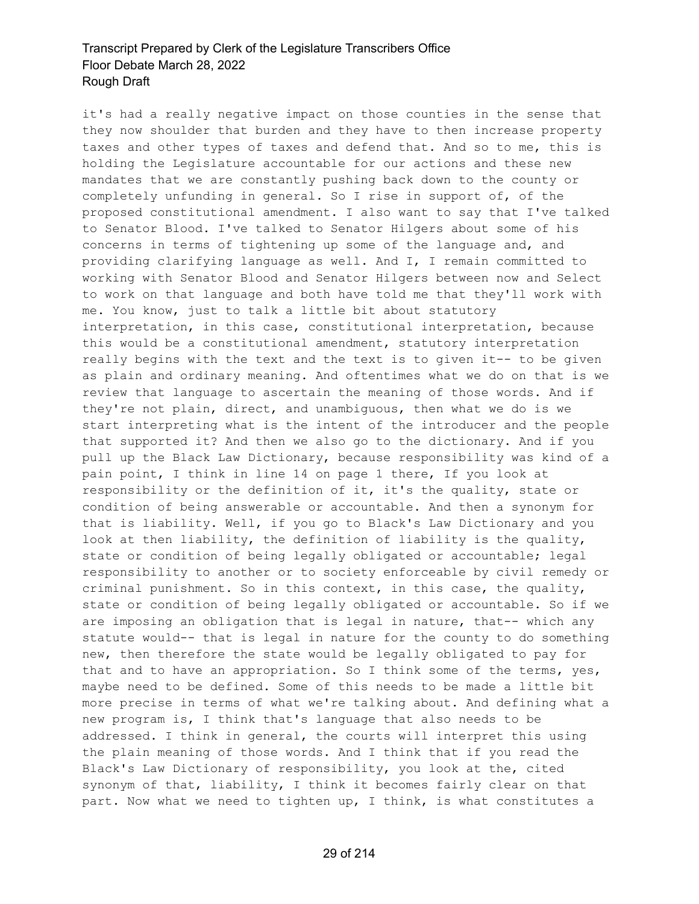it's had a really negative impact on those counties in the sense that they now shoulder that burden and they have to then increase property taxes and other types of taxes and defend that. And so to me, this is holding the Legislature accountable for our actions and these new mandates that we are constantly pushing back down to the county or completely unfunding in general. So I rise in support of, of the proposed constitutional amendment. I also want to say that I've talked to Senator Blood. I've talked to Senator Hilgers about some of his concerns in terms of tightening up some of the language and, and providing clarifying language as well. And I, I remain committed to working with Senator Blood and Senator Hilgers between now and Select to work on that language and both have told me that they'll work with me. You know, just to talk a little bit about statutory interpretation, in this case, constitutional interpretation, because this would be a constitutional amendment, statutory interpretation really begins with the text and the text is to given it-- to be given as plain and ordinary meaning. And oftentimes what we do on that is we review that language to ascertain the meaning of those words. And if they're not plain, direct, and unambiguous, then what we do is we start interpreting what is the intent of the introducer and the people that supported it? And then we also go to the dictionary. And if you pull up the Black Law Dictionary, because responsibility was kind of a pain point, I think in line 14 on page 1 there, If you look at responsibility or the definition of it, it's the quality, state or condition of being answerable or accountable. And then a synonym for that is liability. Well, if you go to Black's Law Dictionary and you look at then liability, the definition of liability is the quality, state or condition of being legally obligated or accountable; legal responsibility to another or to society enforceable by civil remedy or criminal punishment. So in this context, in this case, the quality, state or condition of being legally obligated or accountable. So if we are imposing an obligation that is legal in nature, that-- which any statute would-- that is legal in nature for the county to do something new, then therefore the state would be legally obligated to pay for that and to have an appropriation. So I think some of the terms, yes, maybe need to be defined. Some of this needs to be made a little bit more precise in terms of what we're talking about. And defining what a new program is, I think that's language that also needs to be addressed. I think in general, the courts will interpret this using the plain meaning of those words. And I think that if you read the Black's Law Dictionary of responsibility, you look at the, cited synonym of that, liability, I think it becomes fairly clear on that part. Now what we need to tighten up, I think, is what constitutes a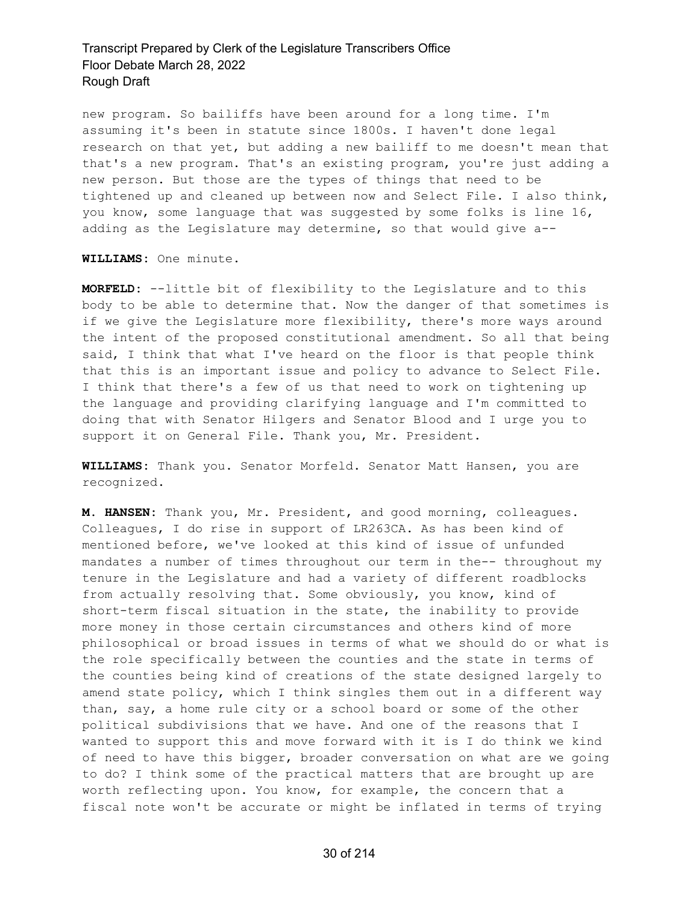new program. So bailiffs have been around for a long time. I'm assuming it's been in statute since 1800s. I haven't done legal research on that yet, but adding a new bailiff to me doesn't mean that that's a new program. That's an existing program, you're just adding a new person. But those are the types of things that need to be tightened up and cleaned up between now and Select File. I also think, you know, some language that was suggested by some folks is line 16, adding as the Legislature may determine, so that would give a--

**WILLIAMS:** One minute.

**MORFELD:** --little bit of flexibility to the Legislature and to this body to be able to determine that. Now the danger of that sometimes is if we give the Legislature more flexibility, there's more ways around the intent of the proposed constitutional amendment. So all that being said, I think that what I've heard on the floor is that people think that this is an important issue and policy to advance to Select File. I think that there's a few of us that need to work on tightening up the language and providing clarifying language and I'm committed to doing that with Senator Hilgers and Senator Blood and I urge you to support it on General File. Thank you, Mr. President.

**WILLIAMS:** Thank you. Senator Morfeld. Senator Matt Hansen, you are recognized.

**M. HANSEN:** Thank you, Mr. President, and good morning, colleagues. Colleagues, I do rise in support of LR263CA. As has been kind of mentioned before, we've looked at this kind of issue of unfunded mandates a number of times throughout our term in the-- throughout my tenure in the Legislature and had a variety of different roadblocks from actually resolving that. Some obviously, you know, kind of short-term fiscal situation in the state, the inability to provide more money in those certain circumstances and others kind of more philosophical or broad issues in terms of what we should do or what is the role specifically between the counties and the state in terms of the counties being kind of creations of the state designed largely to amend state policy, which I think singles them out in a different way than, say, a home rule city or a school board or some of the other political subdivisions that we have. And one of the reasons that I wanted to support this and move forward with it is I do think we kind of need to have this bigger, broader conversation on what are we going to do? I think some of the practical matters that are brought up are worth reflecting upon. You know, for example, the concern that a fiscal note won't be accurate or might be inflated in terms of trying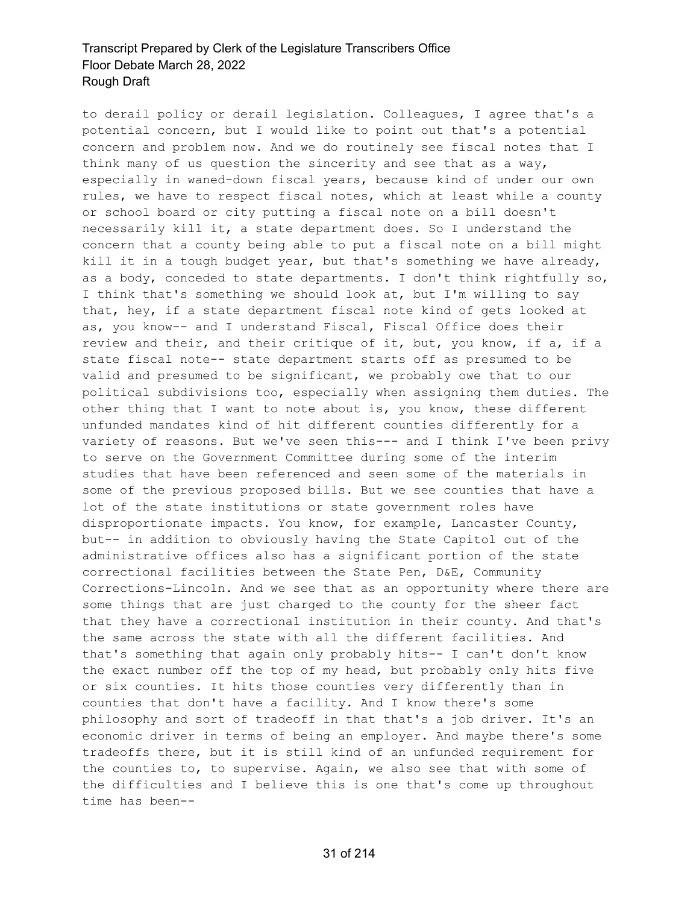to derail policy or derail legislation. Colleagues, I agree that's a potential concern, but I would like to point out that's a potential concern and problem now. And we do routinely see fiscal notes that I think many of us question the sincerity and see that as a way, especially in waned-down fiscal years, because kind of under our own rules, we have to respect fiscal notes, which at least while a county or school board or city putting a fiscal note on a bill doesn't necessarily kill it, a state department does. So I understand the concern that a county being able to put a fiscal note on a bill might kill it in a tough budget year, but that's something we have already, as a body, conceded to state departments. I don't think rightfully so, I think that's something we should look at, but I'm willing to say that, hey, if a state department fiscal note kind of gets looked at as, you know-- and I understand Fiscal, Fiscal Office does their review and their, and their critique of it, but, you know, if a, if a state fiscal note-- state department starts off as presumed to be valid and presumed to be significant, we probably owe that to our political subdivisions too, especially when assigning them duties. The other thing that I want to note about is, you know, these different unfunded mandates kind of hit different counties differently for a variety of reasons. But we've seen this--- and I think I've been privy to serve on the Government Committee during some of the interim studies that have been referenced and seen some of the materials in some of the previous proposed bills. But we see counties that have a lot of the state institutions or state government roles have disproportionate impacts. You know, for example, Lancaster County, but-- in addition to obviously having the State Capitol out of the administrative offices also has a significant portion of the state correctional facilities between the State Pen, D&E, Community Corrections-Lincoln. And we see that as an opportunity where there are some things that are just charged to the county for the sheer fact that they have a correctional institution in their county. And that's the same across the state with all the different facilities. And that's something that again only probably hits-- I can't don't know the exact number off the top of my head, but probably only hits five or six counties. It hits those counties very differently than in counties that don't have a facility. And I know there's some philosophy and sort of tradeoff in that that's a job driver. It's an economic driver in terms of being an employer. And maybe there's some tradeoffs there, but it is still kind of an unfunded requirement for the counties to, to supervise. Again, we also see that with some of the difficulties and I believe this is one that's come up throughout time has been--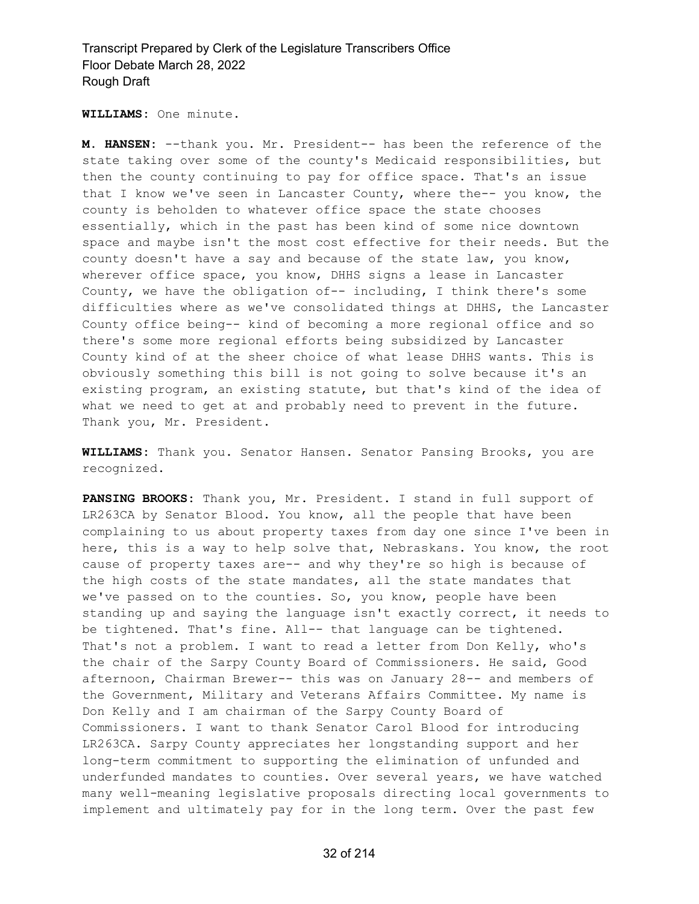**WILLIAMS:** One minute.

**M. HANSEN:** --thank you. Mr. President-- has been the reference of the state taking over some of the county's Medicaid responsibilities, but then the county continuing to pay for office space. That's an issue that I know we've seen in Lancaster County, where the-- you know, the county is beholden to whatever office space the state chooses essentially, which in the past has been kind of some nice downtown space and maybe isn't the most cost effective for their needs. But the county doesn't have a say and because of the state law, you know, wherever office space, you know, DHHS signs a lease in Lancaster County, we have the obligation of-- including, I think there's some difficulties where as we've consolidated things at DHHS, the Lancaster County office being-- kind of becoming a more regional office and so there's some more regional efforts being subsidized by Lancaster County kind of at the sheer choice of what lease DHHS wants. This is obviously something this bill is not going to solve because it's an existing program, an existing statute, but that's kind of the idea of what we need to get at and probably need to prevent in the future. Thank you, Mr. President.

**WILLIAMS:** Thank you. Senator Hansen. Senator Pansing Brooks, you are recognized.

**PANSING BROOKS:** Thank you, Mr. President. I stand in full support of LR263CA by Senator Blood. You know, all the people that have been complaining to us about property taxes from day one since I've been in here, this is a way to help solve that, Nebraskans. You know, the root cause of property taxes are-- and why they're so high is because of the high costs of the state mandates, all the state mandates that we've passed on to the counties. So, you know, people have been standing up and saying the language isn't exactly correct, it needs to be tightened. That's fine. All-- that language can be tightened. That's not a problem. I want to read a letter from Don Kelly, who's the chair of the Sarpy County Board of Commissioners. He said, Good afternoon, Chairman Brewer-- this was on January 28-- and members of the Government, Military and Veterans Affairs Committee. My name is Don Kelly and I am chairman of the Sarpy County Board of Commissioners. I want to thank Senator Carol Blood for introducing LR263CA. Sarpy County appreciates her longstanding support and her long-term commitment to supporting the elimination of unfunded and underfunded mandates to counties. Over several years, we have watched many well-meaning legislative proposals directing local governments to implement and ultimately pay for in the long term. Over the past few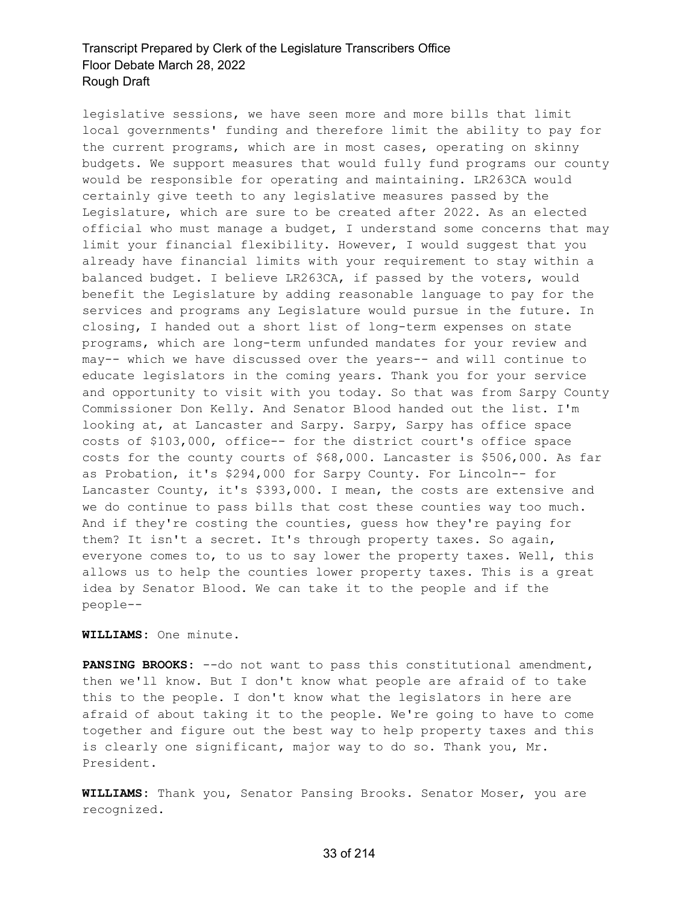legislative sessions, we have seen more and more bills that limit local governments' funding and therefore limit the ability to pay for the current programs, which are in most cases, operating on skinny budgets. We support measures that would fully fund programs our county would be responsible for operating and maintaining. LR263CA would certainly give teeth to any legislative measures passed by the Legislature, which are sure to be created after 2022. As an elected official who must manage a budget, I understand some concerns that may limit your financial flexibility. However, I would suggest that you already have financial limits with your requirement to stay within a balanced budget. I believe LR263CA, if passed by the voters, would benefit the Legislature by adding reasonable language to pay for the services and programs any Legislature would pursue in the future. In closing, I handed out a short list of long-term expenses on state programs, which are long-term unfunded mandates for your review and may-- which we have discussed over the years-- and will continue to educate legislators in the coming years. Thank you for your service and opportunity to visit with you today. So that was from Sarpy County Commissioner Don Kelly. And Senator Blood handed out the list. I'm looking at, at Lancaster and Sarpy. Sarpy, Sarpy has office space costs of \$103,000, office-- for the district court's office space costs for the county courts of \$68,000. Lancaster is \$506,000. As far as Probation, it's \$294,000 for Sarpy County. For Lincoln-- for Lancaster County, it's \$393,000. I mean, the costs are extensive and we do continue to pass bills that cost these counties way too much. And if they're costing the counties, guess how they're paying for them? It isn't a secret. It's through property taxes. So again, everyone comes to, to us to say lower the property taxes. Well, this allows us to help the counties lower property taxes. This is a great idea by Senator Blood. We can take it to the people and if the people--

#### **WILLIAMS:** One minute.

**PANSING BROOKS:** --do not want to pass this constitutional amendment, then we'll know. But I don't know what people are afraid of to take this to the people. I don't know what the legislators in here are afraid of about taking it to the people. We're going to have to come together and figure out the best way to help property taxes and this is clearly one significant, major way to do so. Thank you, Mr. President.

**WILLIAMS:** Thank you, Senator Pansing Brooks. Senator Moser, you are recognized.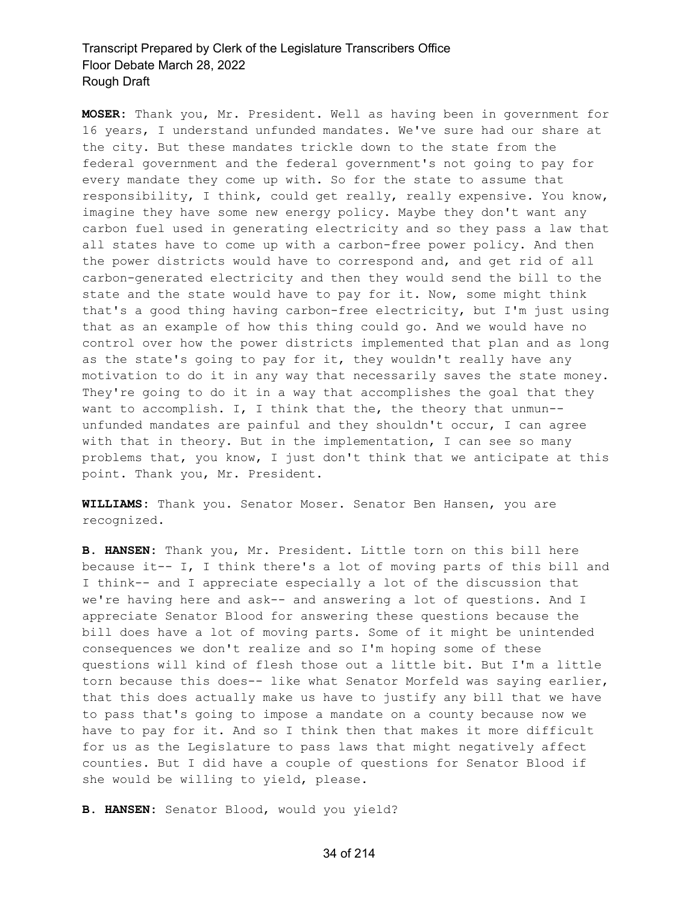**MOSER:** Thank you, Mr. President. Well as having been in government for 16 years, I understand unfunded mandates. We've sure had our share at the city. But these mandates trickle down to the state from the federal government and the federal government's not going to pay for every mandate they come up with. So for the state to assume that responsibility, I think, could get really, really expensive. You know, imagine they have some new energy policy. Maybe they don't want any carbon fuel used in generating electricity and so they pass a law that all states have to come up with a carbon-free power policy. And then the power districts would have to correspond and, and get rid of all carbon-generated electricity and then they would send the bill to the state and the state would have to pay for it. Now, some might think that's a good thing having carbon-free electricity, but I'm just using that as an example of how this thing could go. And we would have no control over how the power districts implemented that plan and as long as the state's going to pay for it, they wouldn't really have any motivation to do it in any way that necessarily saves the state money. They're going to do it in a way that accomplishes the goal that they want to accomplish. I, I think that the, the theory that unmun-unfunded mandates are painful and they shouldn't occur, I can agree with that in theory. But in the implementation, I can see so many problems that, you know, I just don't think that we anticipate at this point. Thank you, Mr. President.

**WILLIAMS:** Thank you. Senator Moser. Senator Ben Hansen, you are recognized.

**B. HANSEN:** Thank you, Mr. President. Little torn on this bill here because it-- I, I think there's a lot of moving parts of this bill and I think-- and I appreciate especially a lot of the discussion that we're having here and ask-- and answering a lot of questions. And I appreciate Senator Blood for answering these questions because the bill does have a lot of moving parts. Some of it might be unintended consequences we don't realize and so I'm hoping some of these questions will kind of flesh those out a little bit. But I'm a little torn because this does-- like what Senator Morfeld was saying earlier, that this does actually make us have to justify any bill that we have to pass that's going to impose a mandate on a county because now we have to pay for it. And so I think then that makes it more difficult for us as the Legislature to pass laws that might negatively affect counties. But I did have a couple of questions for Senator Blood if she would be willing to yield, please.

**B. HANSEN:** Senator Blood, would you yield?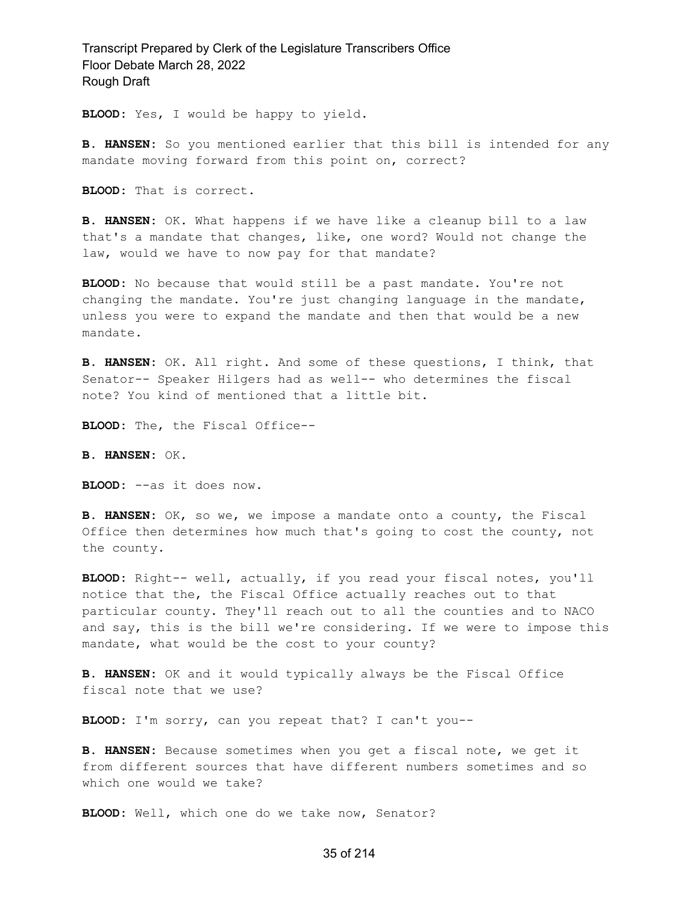**BLOOD:** Yes, I would be happy to yield.

**B. HANSEN:** So you mentioned earlier that this bill is intended for any mandate moving forward from this point on, correct?

**BLOOD:** That is correct.

**B. HANSEN:** OK. What happens if we have like a cleanup bill to a law that's a mandate that changes, like, one word? Would not change the law, would we have to now pay for that mandate?

**BLOOD:** No because that would still be a past mandate. You're not changing the mandate. You're just changing language in the mandate, unless you were to expand the mandate and then that would be a new mandate.

**B. HANSEN:** OK. All right. And some of these questions, I think, that Senator-- Speaker Hilgers had as well-- who determines the fiscal note? You kind of mentioned that a little bit.

**BLOOD:** The, the Fiscal Office--

**B. HANSEN:** OK.

**BLOOD:** --as it does now.

**B. HANSEN:** OK, so we, we impose a mandate onto a county, the Fiscal Office then determines how much that's going to cost the county, not the county.

**BLOOD:** Right-- well, actually, if you read your fiscal notes, you'll notice that the, the Fiscal Office actually reaches out to that particular county. They'll reach out to all the counties and to NACO and say, this is the bill we're considering. If we were to impose this mandate, what would be the cost to your county?

**B. HANSEN:** OK and it would typically always be the Fiscal Office fiscal note that we use?

**BLOOD:** I'm sorry, can you repeat that? I can't you--

**B. HANSEN:** Because sometimes when you get a fiscal note, we get it from different sources that have different numbers sometimes and so which one would we take?

**BLOOD:** Well, which one do we take now, Senator?

#### 35 of 214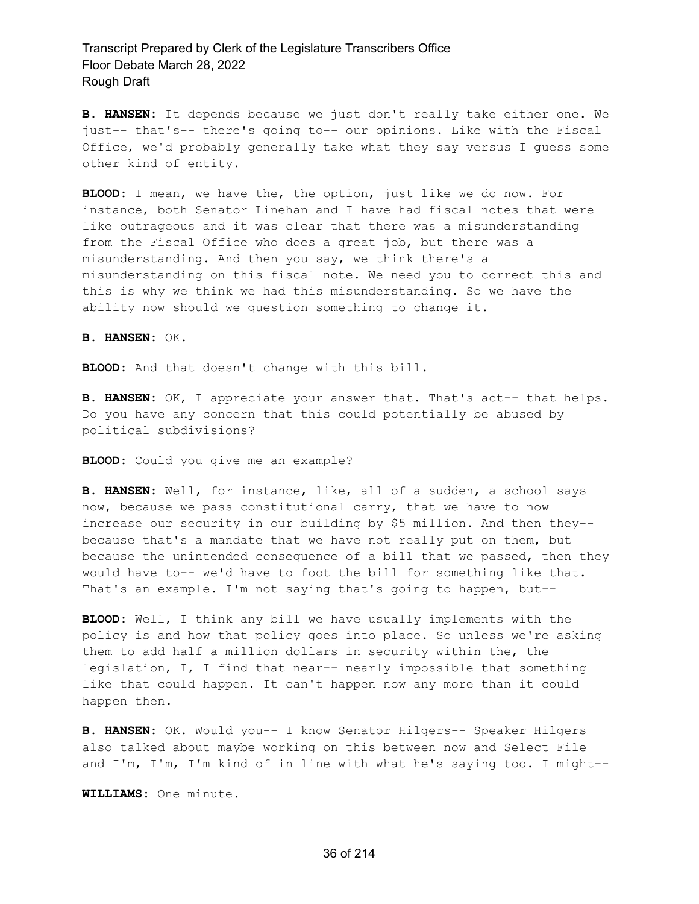**B. HANSEN:** It depends because we just don't really take either one. We just-- that's-- there's going to-- our opinions. Like with the Fiscal Office, we'd probably generally take what they say versus I guess some other kind of entity.

**BLOOD:** I mean, we have the, the option, just like we do now. For instance, both Senator Linehan and I have had fiscal notes that were like outrageous and it was clear that there was a misunderstanding from the Fiscal Office who does a great job, but there was a misunderstanding. And then you say, we think there's a misunderstanding on this fiscal note. We need you to correct this and this is why we think we had this misunderstanding. So we have the ability now should we question something to change it.

**B. HANSEN:** OK.

**BLOOD:** And that doesn't change with this bill.

**B. HANSEN:** OK, I appreciate your answer that. That's act-- that helps. Do you have any concern that this could potentially be abused by political subdivisions?

**BLOOD:** Could you give me an example?

**B. HANSEN:** Well, for instance, like, all of a sudden, a school says now, because we pass constitutional carry, that we have to now increase our security in our building by \$5 million. And then they- because that's a mandate that we have not really put on them, but because the unintended consequence of a bill that we passed, then they would have to-- we'd have to foot the bill for something like that. That's an example. I'm not saying that's going to happen, but--

**BLOOD:** Well, I think any bill we have usually implements with the policy is and how that policy goes into place. So unless we're asking them to add half a million dollars in security within the, the legislation, I, I find that near-- nearly impossible that something like that could happen. It can't happen now any more than it could happen then.

**B. HANSEN:** OK. Would you-- I know Senator Hilgers-- Speaker Hilgers also talked about maybe working on this between now and Select File and I'm, I'm, I'm kind of in line with what he's saying too. I might--

**WILLIAMS:** One minute.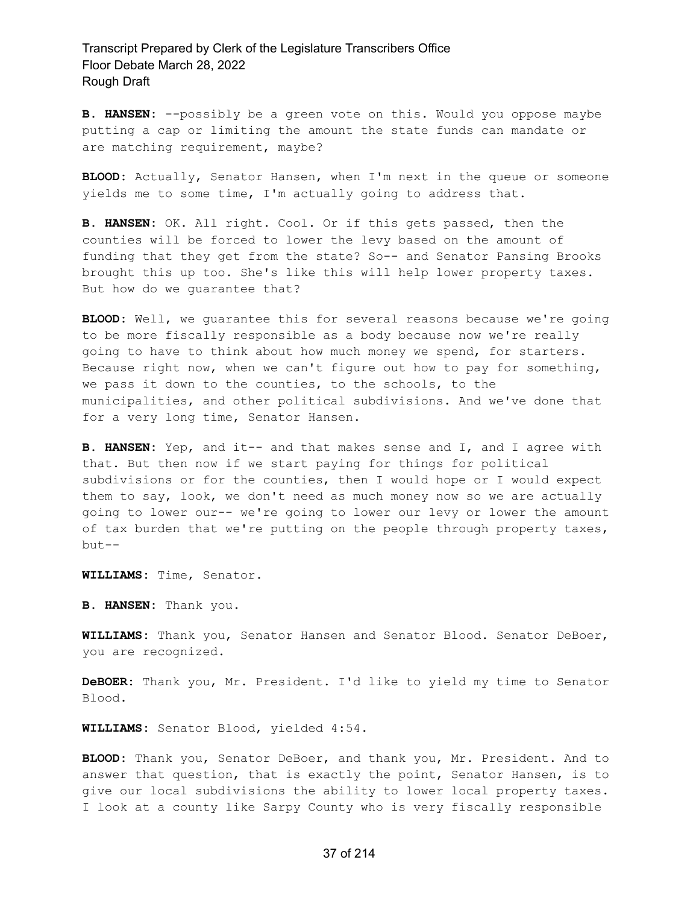**B. HANSEN:** --possibly be a green vote on this. Would you oppose maybe putting a cap or limiting the amount the state funds can mandate or are matching requirement, maybe?

**BLOOD:** Actually, Senator Hansen, when I'm next in the queue or someone yields me to some time, I'm actually going to address that.

**B. HANSEN:** OK. All right. Cool. Or if this gets passed, then the counties will be forced to lower the levy based on the amount of funding that they get from the state? So-- and Senator Pansing Brooks brought this up too. She's like this will help lower property taxes. But how do we guarantee that?

**BLOOD:** Well, we guarantee this for several reasons because we're going to be more fiscally responsible as a body because now we're really going to have to think about how much money we spend, for starters. Because right now, when we can't figure out how to pay for something, we pass it down to the counties, to the schools, to the municipalities, and other political subdivisions. And we've done that for a very long time, Senator Hansen.

**B. HANSEN:** Yep, and it-- and that makes sense and I, and I agree with that. But then now if we start paying for things for political subdivisions or for the counties, then I would hope or I would expect them to say, look, we don't need as much money now so we are actually going to lower our-- we're going to lower our levy or lower the amount of tax burden that we're putting on the people through property taxes, but--

**WILLIAMS:** Time, Senator.

**B. HANSEN:** Thank you.

**WILLIAMS:** Thank you, Senator Hansen and Senator Blood. Senator DeBoer, you are recognized.

**DeBOER:** Thank you, Mr. President. I'd like to yield my time to Senator Blood.

**WILLIAMS:** Senator Blood, yielded 4:54.

**BLOOD:** Thank you, Senator DeBoer, and thank you, Mr. President. And to answer that question, that is exactly the point, Senator Hansen, is to give our local subdivisions the ability to lower local property taxes. I look at a county like Sarpy County who is very fiscally responsible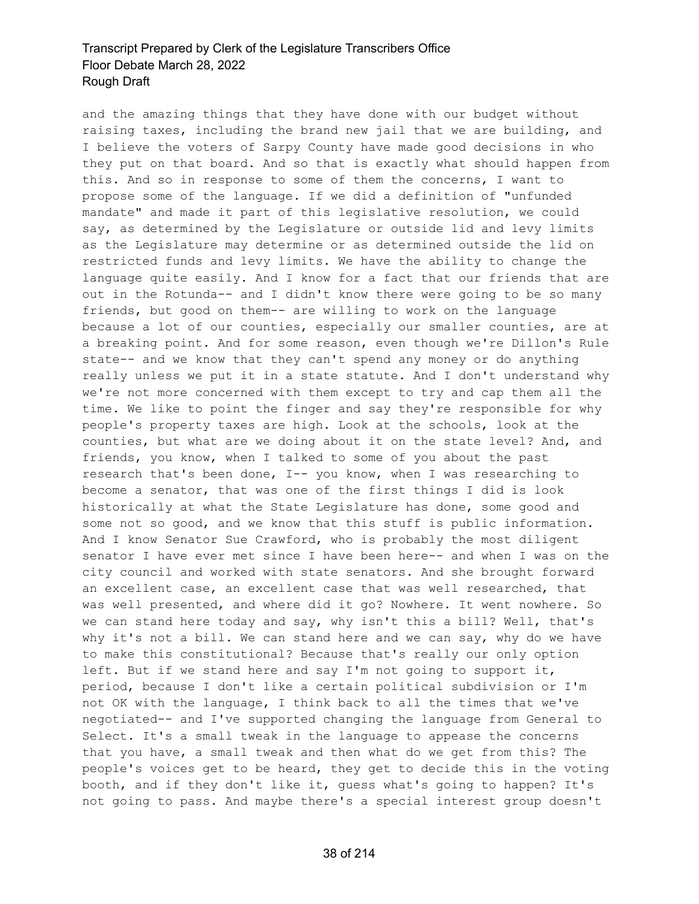and the amazing things that they have done with our budget without raising taxes, including the brand new jail that we are building, and I believe the voters of Sarpy County have made good decisions in who they put on that board. And so that is exactly what should happen from this. And so in response to some of them the concerns, I want to propose some of the language. If we did a definition of "unfunded mandate" and made it part of this legislative resolution, we could say, as determined by the Legislature or outside lid and levy limits as the Legislature may determine or as determined outside the lid on restricted funds and levy limits. We have the ability to change the language quite easily. And I know for a fact that our friends that are out in the Rotunda-- and I didn't know there were going to be so many friends, but good on them-- are willing to work on the language because a lot of our counties, especially our smaller counties, are at a breaking point. And for some reason, even though we're Dillon's Rule state-- and we know that they can't spend any money or do anything really unless we put it in a state statute. And I don't understand why we're not more concerned with them except to try and cap them all the time. We like to point the finger and say they're responsible for why people's property taxes are high. Look at the schools, look at the counties, but what are we doing about it on the state level? And, and friends, you know, when I talked to some of you about the past research that's been done, I-- you know, when I was researching to become a senator, that was one of the first things I did is look historically at what the State Legislature has done, some good and some not so good, and we know that this stuff is public information. And I know Senator Sue Crawford, who is probably the most diligent senator I have ever met since I have been here-- and when I was on the city council and worked with state senators. And she brought forward an excellent case, an excellent case that was well researched, that was well presented, and where did it go? Nowhere. It went nowhere. So we can stand here today and say, why isn't this a bill? Well, that's why it's not a bill. We can stand here and we can say, why do we have to make this constitutional? Because that's really our only option left. But if we stand here and say I'm not going to support it, period, because I don't like a certain political subdivision or I'm not OK with the language, I think back to all the times that we've negotiated-- and I've supported changing the language from General to Select. It's a small tweak in the language to appease the concerns that you have, a small tweak and then what do we get from this? The people's voices get to be heard, they get to decide this in the voting booth, and if they don't like it, guess what's going to happen? It's not going to pass. And maybe there's a special interest group doesn't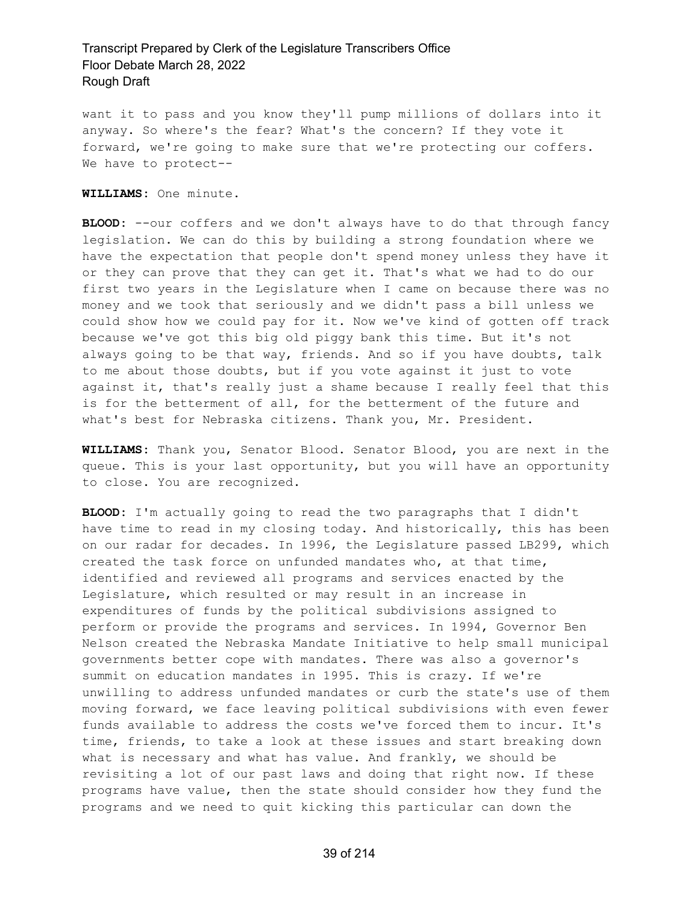want it to pass and you know they'll pump millions of dollars into it anyway. So where's the fear? What's the concern? If they vote it forward, we're going to make sure that we're protecting our coffers. We have to protect--

**WILLIAMS:** One minute.

**BLOOD:** --our coffers and we don't always have to do that through fancy legislation. We can do this by building a strong foundation where we have the expectation that people don't spend money unless they have it or they can prove that they can get it. That's what we had to do our first two years in the Legislature when I came on because there was no money and we took that seriously and we didn't pass a bill unless we could show how we could pay for it. Now we've kind of gotten off track because we've got this big old piggy bank this time. But it's not always going to be that way, friends. And so if you have doubts, talk to me about those doubts, but if you vote against it just to vote against it, that's really just a shame because I really feel that this is for the betterment of all, for the betterment of the future and what's best for Nebraska citizens. Thank you, Mr. President.

**WILLIAMS:** Thank you, Senator Blood. Senator Blood, you are next in the queue. This is your last opportunity, but you will have an opportunity to close. You are recognized.

**BLOOD:** I'm actually going to read the two paragraphs that I didn't have time to read in my closing today. And historically, this has been on our radar for decades. In 1996, the Legislature passed LB299, which created the task force on unfunded mandates who, at that time, identified and reviewed all programs and services enacted by the Legislature, which resulted or may result in an increase in expenditures of funds by the political subdivisions assigned to perform or provide the programs and services. In 1994, Governor Ben Nelson created the Nebraska Mandate Initiative to help small municipal governments better cope with mandates. There was also a governor's summit on education mandates in 1995. This is crazy. If we're unwilling to address unfunded mandates or curb the state's use of them moving forward, we face leaving political subdivisions with even fewer funds available to address the costs we've forced them to incur. It's time, friends, to take a look at these issues and start breaking down what is necessary and what has value. And frankly, we should be revisiting a lot of our past laws and doing that right now. If these programs have value, then the state should consider how they fund the programs and we need to quit kicking this particular can down the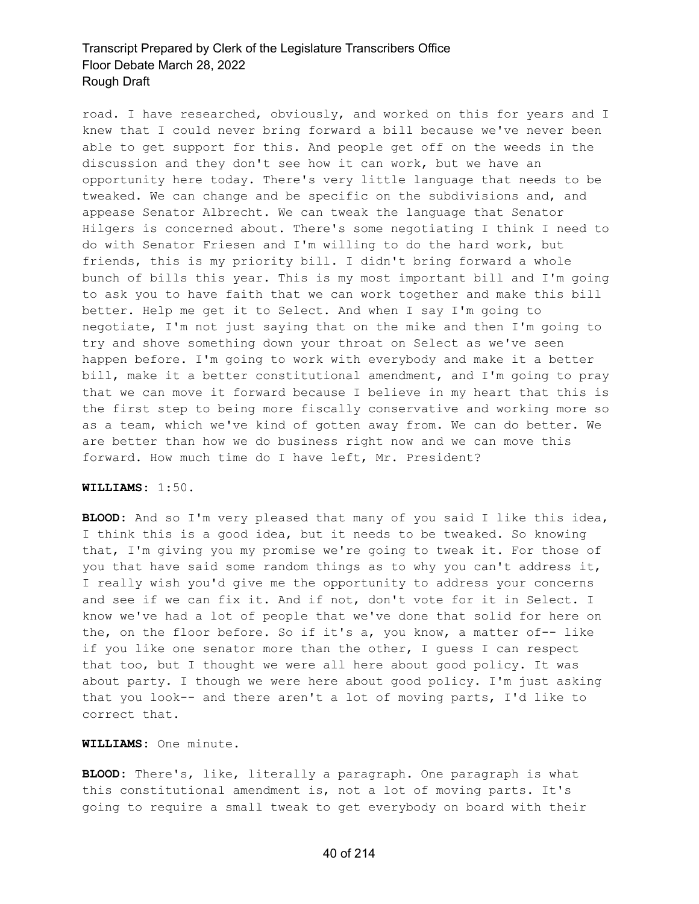road. I have researched, obviously, and worked on this for years and I knew that I could never bring forward a bill because we've never been able to get support for this. And people get off on the weeds in the discussion and they don't see how it can work, but we have an opportunity here today. There's very little language that needs to be tweaked. We can change and be specific on the subdivisions and, and appease Senator Albrecht. We can tweak the language that Senator Hilgers is concerned about. There's some negotiating I think I need to do with Senator Friesen and I'm willing to do the hard work, but friends, this is my priority bill. I didn't bring forward a whole bunch of bills this year. This is my most important bill and I'm going to ask you to have faith that we can work together and make this bill better. Help me get it to Select. And when I say I'm going to negotiate, I'm not just saying that on the mike and then I'm going to try and shove something down your throat on Select as we've seen happen before. I'm going to work with everybody and make it a better bill, make it a better constitutional amendment, and I'm going to pray that we can move it forward because I believe in my heart that this is the first step to being more fiscally conservative and working more so as a team, which we've kind of gotten away from. We can do better. We are better than how we do business right now and we can move this forward. How much time do I have left, Mr. President?

#### **WILLIAMS:** 1:50.

**BLOOD:** And so I'm very pleased that many of you said I like this idea, I think this is a good idea, but it needs to be tweaked. So knowing that, I'm giving you my promise we're going to tweak it. For those of you that have said some random things as to why you can't address it, I really wish you'd give me the opportunity to address your concerns and see if we can fix it. And if not, don't vote for it in Select. I know we've had a lot of people that we've done that solid for here on the, on the floor before. So if it's a, you know, a matter of-- like if you like one senator more than the other, I guess I can respect that too, but I thought we were all here about good policy. It was about party. I though we were here about good policy. I'm just asking that you look-- and there aren't a lot of moving parts, I'd like to correct that.

#### **WILLIAMS:** One minute.

**BLOOD:** There's, like, literally a paragraph. One paragraph is what this constitutional amendment is, not a lot of moving parts. It's going to require a small tweak to get everybody on board with their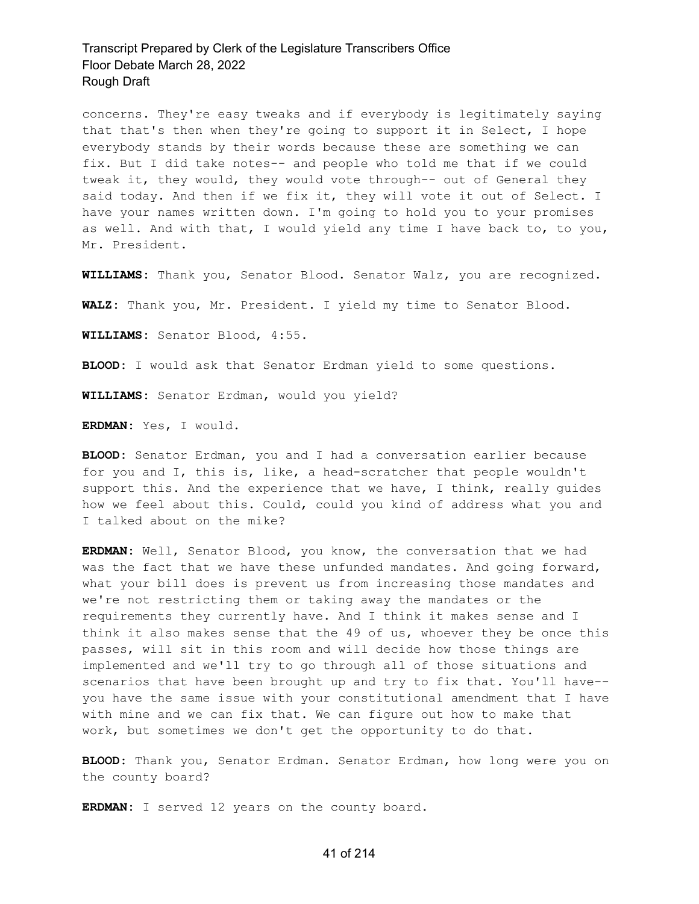concerns. They're easy tweaks and if everybody is legitimately saying that that's then when they're going to support it in Select, I hope everybody stands by their words because these are something we can fix. But I did take notes-- and people who told me that if we could tweak it, they would, they would vote through-- out of General they said today. And then if we fix it, they will vote it out of Select. I have your names written down. I'm going to hold you to your promises as well. And with that, I would yield any time I have back to, to you, Mr. President.

**WILLIAMS:** Thank you, Senator Blood. Senator Walz, you are recognized.

**WALZ:** Thank you, Mr. President. I yield my time to Senator Blood.

**WILLIAMS:** Senator Blood, 4:55.

**BLOOD:** I would ask that Senator Erdman yield to some questions.

**WILLIAMS:** Senator Erdman, would you yield?

**ERDMAN:** Yes, I would.

**BLOOD:** Senator Erdman, you and I had a conversation earlier because for you and I, this is, like, a head-scratcher that people wouldn't support this. And the experience that we have, I think, really guides how we feel about this. Could, could you kind of address what you and I talked about on the mike?

**ERDMAN:** Well, Senator Blood, you know, the conversation that we had was the fact that we have these unfunded mandates. And going forward, what your bill does is prevent us from increasing those mandates and we're not restricting them or taking away the mandates or the requirements they currently have. And I think it makes sense and I think it also makes sense that the 49 of us, whoever they be once this passes, will sit in this room and will decide how those things are implemented and we'll try to go through all of those situations and scenarios that have been brought up and try to fix that. You'll have- you have the same issue with your constitutional amendment that I have with mine and we can fix that. We can figure out how to make that work, but sometimes we don't get the opportunity to do that.

**BLOOD:** Thank you, Senator Erdman. Senator Erdman, how long were you on the county board?

**ERDMAN:** I served 12 years on the county board.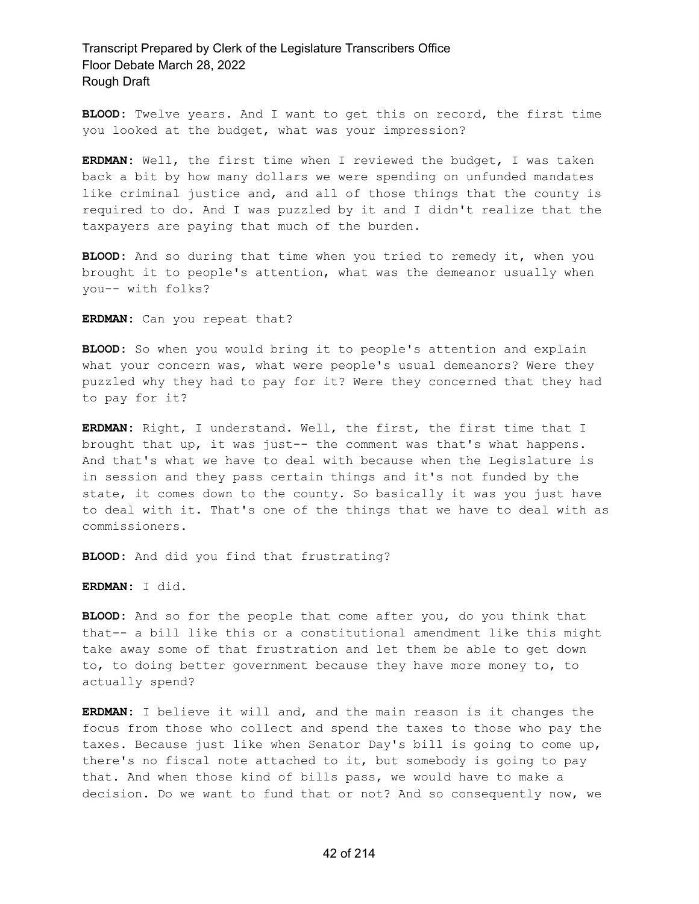**BLOOD:** Twelve years. And I want to get this on record, the first time you looked at the budget, what was your impression?

**ERDMAN:** Well, the first time when I reviewed the budget, I was taken back a bit by how many dollars we were spending on unfunded mandates like criminal justice and, and all of those things that the county is required to do. And I was puzzled by it and I didn't realize that the taxpayers are paying that much of the burden.

**BLOOD:** And so during that time when you tried to remedy it, when you brought it to people's attention, what was the demeanor usually when you-- with folks?

**ERDMAN:** Can you repeat that?

**BLOOD:** So when you would bring it to people's attention and explain what your concern was, what were people's usual demeanors? Were they puzzled why they had to pay for it? Were they concerned that they had to pay for it?

**ERDMAN:** Right, I understand. Well, the first, the first time that I brought that up, it was just-- the comment was that's what happens. And that's what we have to deal with because when the Legislature is in session and they pass certain things and it's not funded by the state, it comes down to the county. So basically it was you just have to deal with it. That's one of the things that we have to deal with as commissioners.

**BLOOD:** And did you find that frustrating?

**ERDMAN:** I did.

**BLOOD:** And so for the people that come after you, do you think that that-- a bill like this or a constitutional amendment like this might take away some of that frustration and let them be able to get down to, to doing better government because they have more money to, to actually spend?

**ERDMAN:** I believe it will and, and the main reason is it changes the focus from those who collect and spend the taxes to those who pay the taxes. Because just like when Senator Day's bill is going to come up, there's no fiscal note attached to it, but somebody is going to pay that. And when those kind of bills pass, we would have to make a decision. Do we want to fund that or not? And so consequently now, we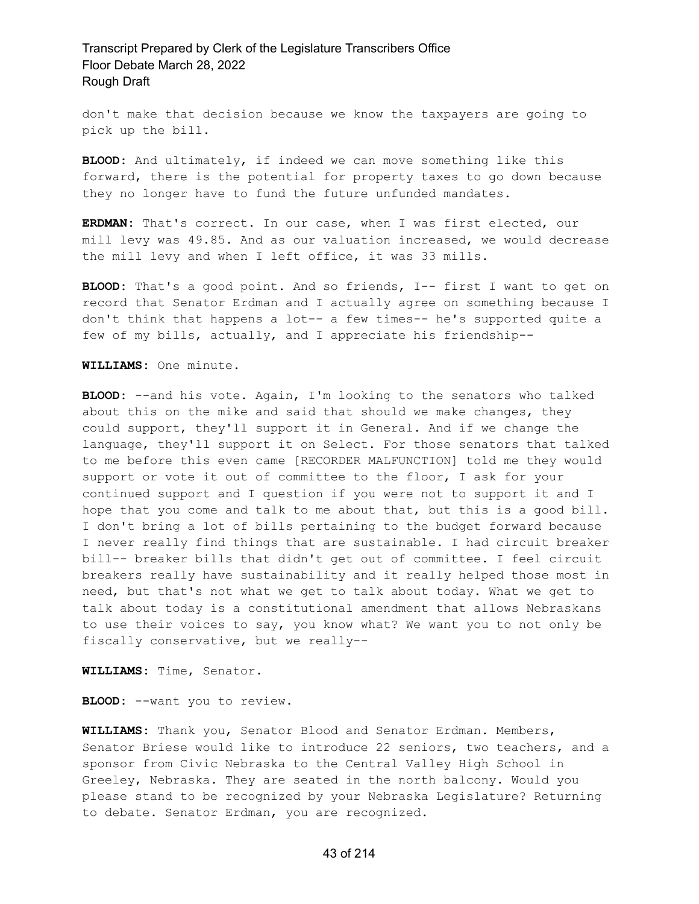don't make that decision because we know the taxpayers are going to pick up the bill.

**BLOOD:** And ultimately, if indeed we can move something like this forward, there is the potential for property taxes to go down because they no longer have to fund the future unfunded mandates.

**ERDMAN:** That's correct. In our case, when I was first elected, our mill levy was 49.85. And as our valuation increased, we would decrease the mill levy and when I left office, it was 33 mills.

**BLOOD:** That's a good point. And so friends, I-- first I want to get on record that Senator Erdman and I actually agree on something because I don't think that happens a lot-- a few times-- he's supported quite a few of my bills, actually, and I appreciate his friendship--

**WILLIAMS:** One minute.

**BLOOD:** --and his vote. Again, I'm looking to the senators who talked about this on the mike and said that should we make changes, they could support, they'll support it in General. And if we change the language, they'll support it on Select. For those senators that talked to me before this even came [RECORDER MALFUNCTION] told me they would support or vote it out of committee to the floor, I ask for your continued support and I question if you were not to support it and I hope that you come and talk to me about that, but this is a good bill. I don't bring a lot of bills pertaining to the budget forward because I never really find things that are sustainable. I had circuit breaker bill-- breaker bills that didn't get out of committee. I feel circuit breakers really have sustainability and it really helped those most in need, but that's not what we get to talk about today. What we get to talk about today is a constitutional amendment that allows Nebraskans to use their voices to say, you know what? We want you to not only be fiscally conservative, but we really--

**WILLIAMS:** Time, Senator.

**BLOOD:** --want you to review.

**WILLIAMS:** Thank you, Senator Blood and Senator Erdman. Members, Senator Briese would like to introduce 22 seniors, two teachers, and a sponsor from Civic Nebraska to the Central Valley High School in Greeley, Nebraska. They are seated in the north balcony. Would you please stand to be recognized by your Nebraska Legislature? Returning to debate. Senator Erdman, you are recognized.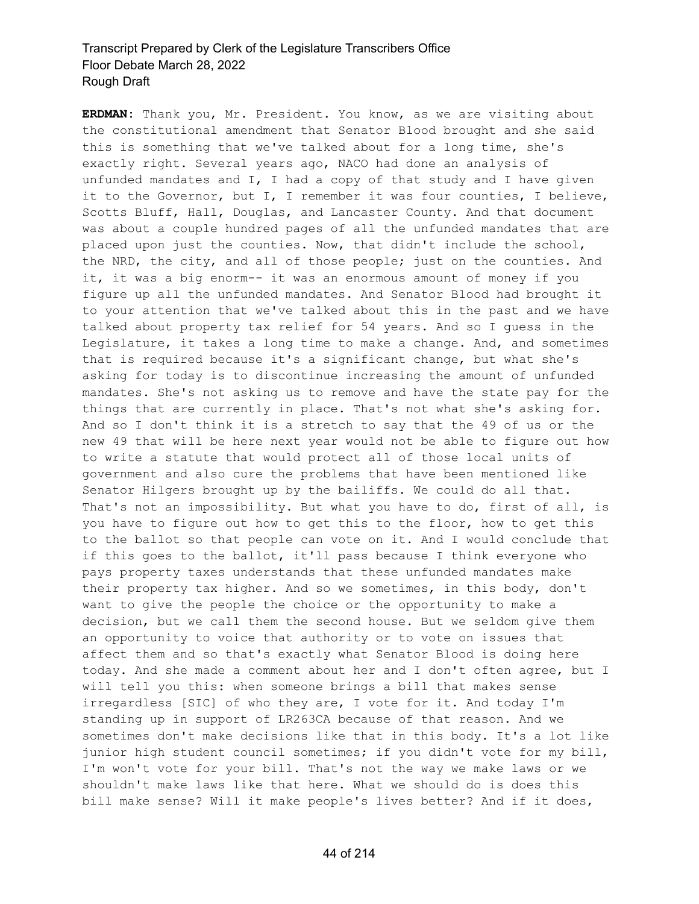**ERDMAN:** Thank you, Mr. President. You know, as we are visiting about the constitutional amendment that Senator Blood brought and she said this is something that we've talked about for a long time, she's exactly right. Several years ago, NACO had done an analysis of unfunded mandates and I, I had a copy of that study and I have given it to the Governor, but I, I remember it was four counties, I believe, Scotts Bluff, Hall, Douglas, and Lancaster County. And that document was about a couple hundred pages of all the unfunded mandates that are placed upon just the counties. Now, that didn't include the school, the NRD, the city, and all of those people; just on the counties. And it, it was a big enorm-- it was an enormous amount of money if you figure up all the unfunded mandates. And Senator Blood had brought it to your attention that we've talked about this in the past and we have talked about property tax relief for 54 years. And so I guess in the Legislature, it takes a long time to make a change. And, and sometimes that is required because it's a significant change, but what she's asking for today is to discontinue increasing the amount of unfunded mandates. She's not asking us to remove and have the state pay for the things that are currently in place. That's not what she's asking for. And so I don't think it is a stretch to say that the 49 of us or the new 49 that will be here next year would not be able to figure out how to write a statute that would protect all of those local units of government and also cure the problems that have been mentioned like Senator Hilgers brought up by the bailiffs. We could do all that. That's not an impossibility. But what you have to do, first of all, is you have to figure out how to get this to the floor, how to get this to the ballot so that people can vote on it. And I would conclude that if this goes to the ballot, it'll pass because I think everyone who pays property taxes understands that these unfunded mandates make their property tax higher. And so we sometimes, in this body, don't want to give the people the choice or the opportunity to make a decision, but we call them the second house. But we seldom give them an opportunity to voice that authority or to vote on issues that affect them and so that's exactly what Senator Blood is doing here today. And she made a comment about her and I don't often agree, but I will tell you this: when someone brings a bill that makes sense irregardless [SIC] of who they are, I vote for it. And today I'm standing up in support of LR263CA because of that reason. And we sometimes don't make decisions like that in this body. It's a lot like junior high student council sometimes; if you didn't vote for my bill, I'm won't vote for your bill. That's not the way we make laws or we shouldn't make laws like that here. What we should do is does this bill make sense? Will it make people's lives better? And if it does,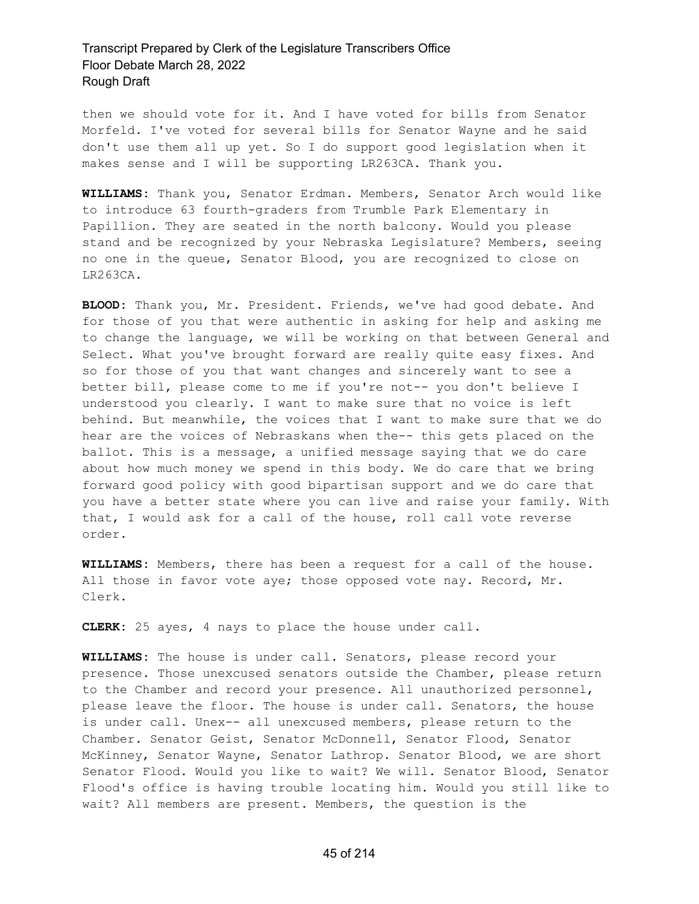then we should vote for it. And I have voted for bills from Senator Morfeld. I've voted for several bills for Senator Wayne and he said don't use them all up yet. So I do support good legislation when it makes sense and I will be supporting LR263CA. Thank you.

**WILLIAMS:** Thank you, Senator Erdman. Members, Senator Arch would like to introduce 63 fourth-graders from Trumble Park Elementary in Papillion. They are seated in the north balcony. Would you please stand and be recognized by your Nebraska Legislature? Members, seeing no one in the queue, Senator Blood, you are recognized to close on LR263CA.

**BLOOD:** Thank you, Mr. President. Friends, we've had good debate. And for those of you that were authentic in asking for help and asking me to change the language, we will be working on that between General and Select. What you've brought forward are really quite easy fixes. And so for those of you that want changes and sincerely want to see a better bill, please come to me if you're not-- you don't believe I understood you clearly. I want to make sure that no voice is left behind. But meanwhile, the voices that I want to make sure that we do hear are the voices of Nebraskans when the-- this gets placed on the ballot. This is a message, a unified message saying that we do care about how much money we spend in this body. We do care that we bring forward good policy with good bipartisan support and we do care that you have a better state where you can live and raise your family. With that, I would ask for a call of the house, roll call vote reverse order.

**WILLIAMS:** Members, there has been a request for a call of the house. All those in favor vote aye; those opposed vote nay. Record, Mr. Clerk.

**CLERK:** 25 ayes, 4 nays to place the house under call.

**WILLIAMS:** The house is under call. Senators, please record your presence. Those unexcused senators outside the Chamber, please return to the Chamber and record your presence. All unauthorized personnel, please leave the floor. The house is under call. Senators, the house is under call. Unex-- all unexcused members, please return to the Chamber. Senator Geist, Senator McDonnell, Senator Flood, Senator McKinney, Senator Wayne, Senator Lathrop. Senator Blood, we are short Senator Flood. Would you like to wait? We will. Senator Blood, Senator Flood's office is having trouble locating him. Would you still like to wait? All members are present. Members, the question is the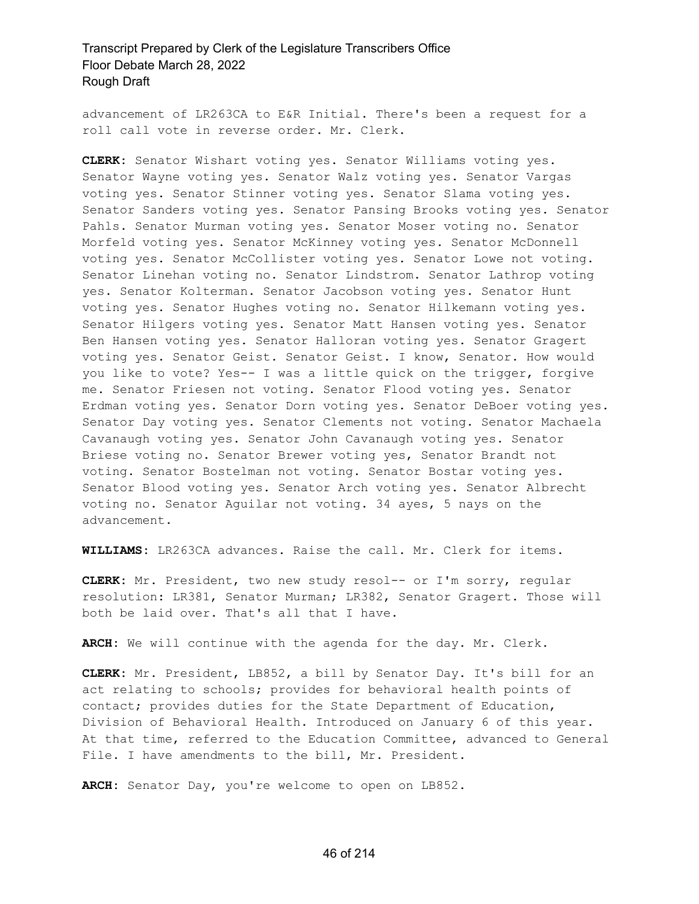advancement of LR263CA to E&R Initial. There's been a request for a roll call vote in reverse order. Mr. Clerk.

**CLERK:** Senator Wishart voting yes. Senator Williams voting yes. Senator Wayne voting yes. Senator Walz voting yes. Senator Vargas voting yes. Senator Stinner voting yes. Senator Slama voting yes. Senator Sanders voting yes. Senator Pansing Brooks voting yes. Senator Pahls. Senator Murman voting yes. Senator Moser voting no. Senator Morfeld voting yes. Senator McKinney voting yes. Senator McDonnell voting yes. Senator McCollister voting yes. Senator Lowe not voting. Senator Linehan voting no. Senator Lindstrom. Senator Lathrop voting yes. Senator Kolterman. Senator Jacobson voting yes. Senator Hunt voting yes. Senator Hughes voting no. Senator Hilkemann voting yes. Senator Hilgers voting yes. Senator Matt Hansen voting yes. Senator Ben Hansen voting yes. Senator Halloran voting yes. Senator Gragert voting yes. Senator Geist. Senator Geist. I know, Senator. How would you like to vote? Yes-- I was a little quick on the trigger, forgive me. Senator Friesen not voting. Senator Flood voting yes. Senator Erdman voting yes. Senator Dorn voting yes. Senator DeBoer voting yes. Senator Day voting yes. Senator Clements not voting. Senator Machaela Cavanaugh voting yes. Senator John Cavanaugh voting yes. Senator Briese voting no. Senator Brewer voting yes, Senator Brandt not voting. Senator Bostelman not voting. Senator Bostar voting yes. Senator Blood voting yes. Senator Arch voting yes. Senator Albrecht voting no. Senator Aguilar not voting. 34 ayes, 5 nays on the advancement.

**WILLIAMS:** LR263CA advances. Raise the call. Mr. Clerk for items.

**CLERK:** Mr. President, two new study resol-- or I'm sorry, regular resolution: LR381, Senator Murman; LR382, Senator Gragert. Those will both be laid over. That's all that I have.

**ARCH:** We will continue with the agenda for the day. Mr. Clerk.

**CLERK:** Mr. President, LB852, a bill by Senator Day. It's bill for an act relating to schools; provides for behavioral health points of contact; provides duties for the State Department of Education, Division of Behavioral Health. Introduced on January 6 of this year. At that time, referred to the Education Committee, advanced to General File. I have amendments to the bill, Mr. President.

**ARCH:** Senator Day, you're welcome to open on LB852.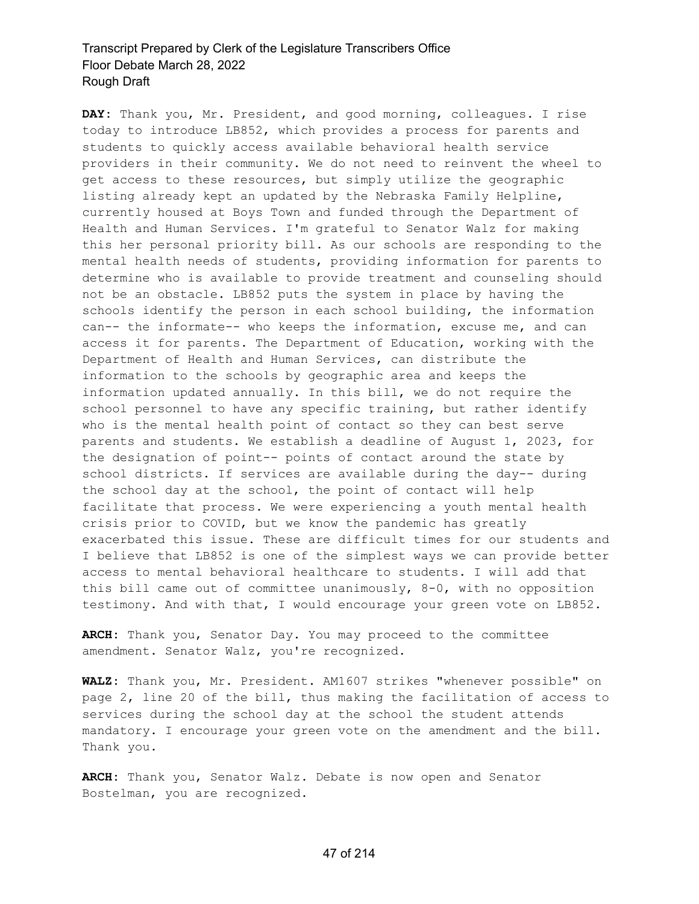**DAY:** Thank you, Mr. President, and good morning, colleagues. I rise today to introduce LB852, which provides a process for parents and students to quickly access available behavioral health service providers in their community. We do not need to reinvent the wheel to get access to these resources, but simply utilize the geographic listing already kept an updated by the Nebraska Family Helpline, currently housed at Boys Town and funded through the Department of Health and Human Services. I'm grateful to Senator Walz for making this her personal priority bill. As our schools are responding to the mental health needs of students, providing information for parents to determine who is available to provide treatment and counseling should not be an obstacle. LB852 puts the system in place by having the schools identify the person in each school building, the information can-- the informate-- who keeps the information, excuse me, and can access it for parents. The Department of Education, working with the Department of Health and Human Services, can distribute the information to the schools by geographic area and keeps the information updated annually. In this bill, we do not require the school personnel to have any specific training, but rather identify who is the mental health point of contact so they can best serve parents and students. We establish a deadline of August 1, 2023, for the designation of point-- points of contact around the state by school districts. If services are available during the day-- during the school day at the school, the point of contact will help facilitate that process. We were experiencing a youth mental health crisis prior to COVID, but we know the pandemic has greatly exacerbated this issue. These are difficult times for our students and I believe that LB852 is one of the simplest ways we can provide better access to mental behavioral healthcare to students. I will add that this bill came out of committee unanimously,  $8-0$ , with no opposition testimony. And with that, I would encourage your green vote on LB852.

**ARCH:** Thank you, Senator Day. You may proceed to the committee amendment. Senator Walz, you're recognized.

**WALZ:** Thank you, Mr. President. AM1607 strikes "whenever possible" on page 2, line 20 of the bill, thus making the facilitation of access to services during the school day at the school the student attends mandatory. I encourage your green vote on the amendment and the bill. Thank you.

**ARCH:** Thank you, Senator Walz. Debate is now open and Senator Bostelman, you are recognized.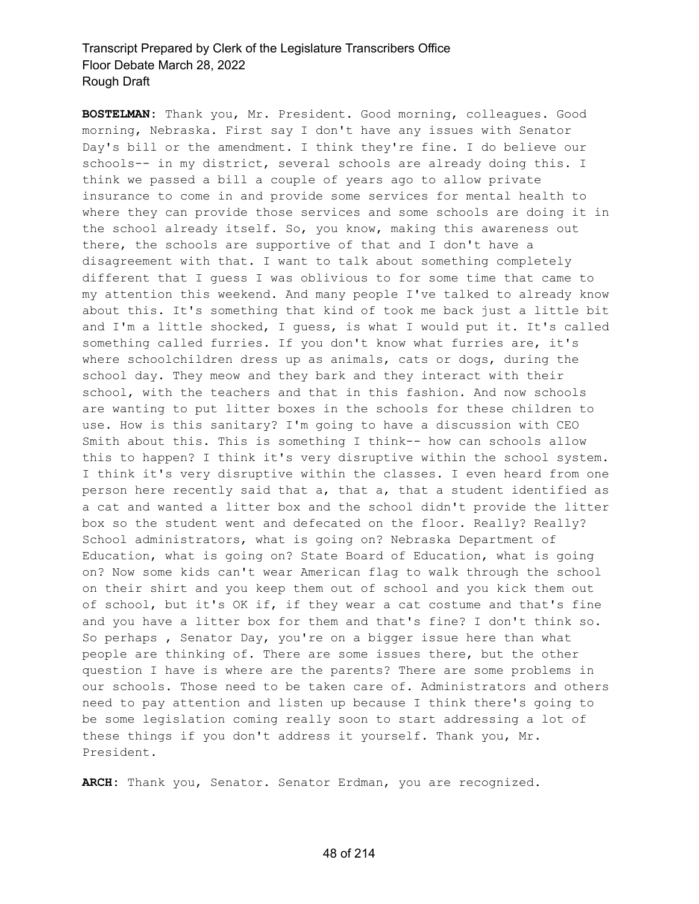**BOSTELMAN:** Thank you, Mr. President. Good morning, colleagues. Good morning, Nebraska. First say I don't have any issues with Senator Day's bill or the amendment. I think they're fine. I do believe our schools-- in my district, several schools are already doing this. I think we passed a bill a couple of years ago to allow private insurance to come in and provide some services for mental health to where they can provide those services and some schools are doing it in the school already itself. So, you know, making this awareness out there, the schools are supportive of that and I don't have a disagreement with that. I want to talk about something completely different that I guess I was oblivious to for some time that came to my attention this weekend. And many people I've talked to already know about this. It's something that kind of took me back just a little bit and I'm a little shocked, I guess, is what I would put it. It's called something called furries. If you don't know what furries are, it's where schoolchildren dress up as animals, cats or dogs, during the school day. They meow and they bark and they interact with their school, with the teachers and that in this fashion. And now schools are wanting to put litter boxes in the schools for these children to use. How is this sanitary? I'm going to have a discussion with CEO Smith about this. This is something I think-- how can schools allow this to happen? I think it's very disruptive within the school system. I think it's very disruptive within the classes. I even heard from one person here recently said that a, that a, that a student identified as a cat and wanted a litter box and the school didn't provide the litter box so the student went and defecated on the floor. Really? Really? School administrators, what is going on? Nebraska Department of Education, what is going on? State Board of Education, what is going on? Now some kids can't wear American flag to walk through the school on their shirt and you keep them out of school and you kick them out of school, but it's OK if, if they wear a cat costume and that's fine and you have a litter box for them and that's fine? I don't think so. So perhaps , Senator Day, you're on a bigger issue here than what people are thinking of. There are some issues there, but the other question I have is where are the parents? There are some problems in our schools. Those need to be taken care of. Administrators and others need to pay attention and listen up because I think there's going to be some legislation coming really soon to start addressing a lot of these things if you don't address it yourself. Thank you, Mr. President.

**ARCH:** Thank you, Senator. Senator Erdman, you are recognized.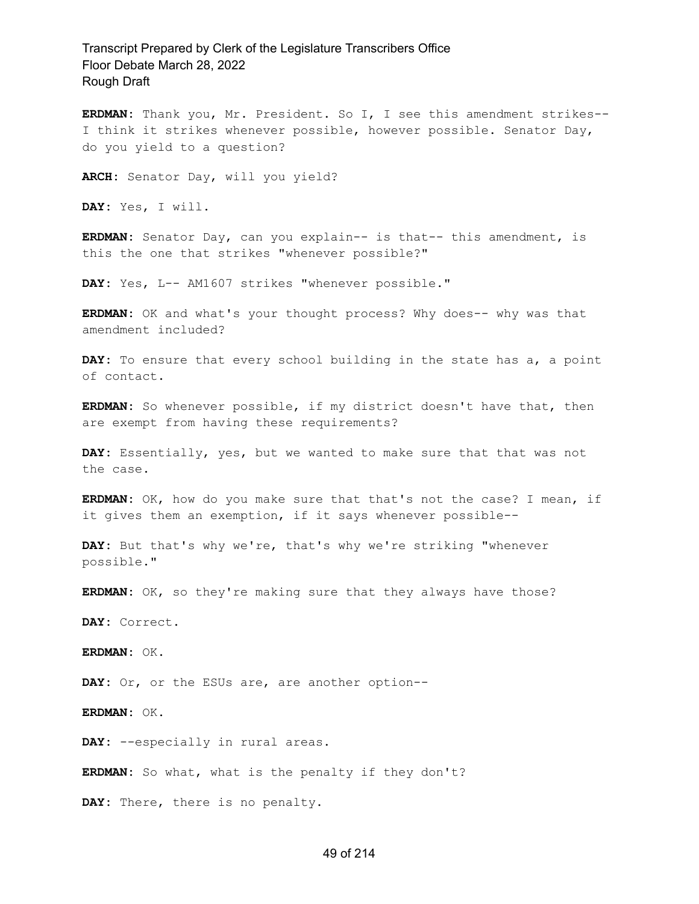**ERDMAN:** Thank you, Mr. President. So I, I see this amendment strikes-- I think it strikes whenever possible, however possible. Senator Day, do you yield to a question?

**ARCH:** Senator Day, will you yield?

**DAY:** Yes, I will.

**ERDMAN:** Senator Day, can you explain-- is that-- this amendment, is this the one that strikes "whenever possible?"

DAY: Yes, L-- AM1607 strikes "whenever possible."

**ERDMAN:** OK and what's your thought process? Why does-- why was that amendment included?

**DAY:** To ensure that every school building in the state has a, a point of contact.

**ERDMAN:** So whenever possible, if my district doesn't have that, then are exempt from having these requirements?

**DAY:** Essentially, yes, but we wanted to make sure that that was not the case.

**ERDMAN:** OK, how do you make sure that that's not the case? I mean, if it gives them an exemption, if it says whenever possible--

**DAY:** But that's why we're, that's why we're striking "whenever possible."

**ERDMAN:** OK, so they're making sure that they always have those?

**DAY:** Correct.

**ERDMAN:** OK.

**DAY:** Or, or the ESUs are, are another option--

**ERDMAN:** OK.

DAY: --especially in rural areas.

**ERDMAN:** So what, what is the penalty if they don't?

**DAY:** There, there is no penalty.

#### 49 of 214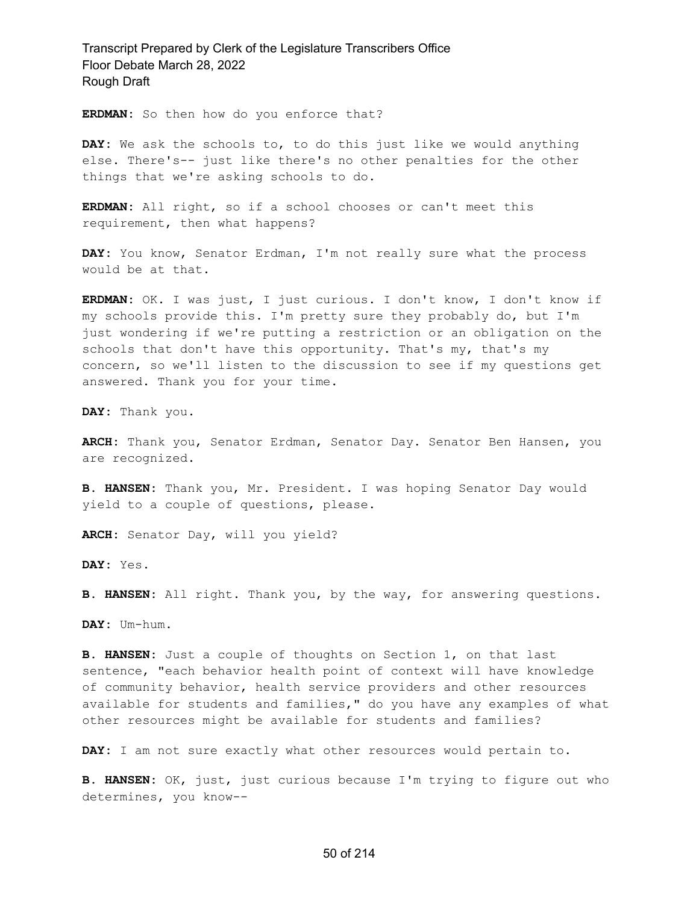**ERDMAN:** So then how do you enforce that?

**DAY:** We ask the schools to, to do this just like we would anything else. There's-- just like there's no other penalties for the other things that we're asking schools to do.

**ERDMAN:** All right, so if a school chooses or can't meet this requirement, then what happens?

**DAY:** You know, Senator Erdman, I'm not really sure what the process would be at that.

**ERDMAN:** OK. I was just, I just curious. I don't know, I don't know if my schools provide this. I'm pretty sure they probably do, but I'm just wondering if we're putting a restriction or an obligation on the schools that don't have this opportunity. That's my, that's my concern, so we'll listen to the discussion to see if my questions get answered. Thank you for your time.

**DAY:** Thank you.

**ARCH:** Thank you, Senator Erdman, Senator Day. Senator Ben Hansen, you are recognized.

**B. HANSEN:** Thank you, Mr. President. I was hoping Senator Day would yield to a couple of questions, please.

**ARCH:** Senator Day, will you yield?

**DAY:** Yes.

**B. HANSEN:** All right. Thank you, by the way, for answering questions.

**DAY:** Um-hum.

**B. HANSEN:** Just a couple of thoughts on Section 1, on that last sentence, "each behavior health point of context will have knowledge of community behavior, health service providers and other resources available for students and families," do you have any examples of what other resources might be available for students and families?

**DAY:** I am not sure exactly what other resources would pertain to.

**B. HANSEN:** OK, just, just curious because I'm trying to figure out who determines, you know--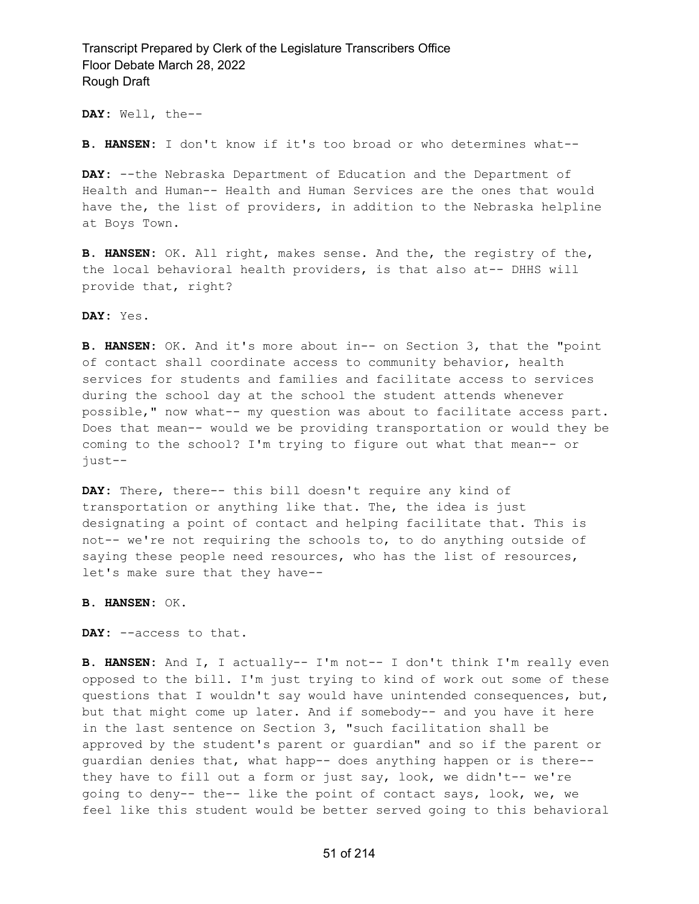**DAY:** Well, the--

**B. HANSEN:** I don't know if it's too broad or who determines what--

**DAY:** --the Nebraska Department of Education and the Department of Health and Human-- Health and Human Services are the ones that would have the, the list of providers, in addition to the Nebraska helpline at Boys Town.

**B. HANSEN:** OK. All right, makes sense. And the, the registry of the, the local behavioral health providers, is that also at-- DHHS will provide that, right?

#### **DAY:** Yes.

**B. HANSEN:** OK. And it's more about in-- on Section 3, that the "point of contact shall coordinate access to community behavior, health services for students and families and facilitate access to services during the school day at the school the student attends whenever possible," now what-- my question was about to facilitate access part. Does that mean-- would we be providing transportation or would they be coming to the school? I'm trying to figure out what that mean-- or just--

**DAY:** There, there-- this bill doesn't require any kind of transportation or anything like that. The, the idea is just designating a point of contact and helping facilitate that. This is not-- we're not requiring the schools to, to do anything outside of saying these people need resources, who has the list of resources, let's make sure that they have--

#### **B. HANSEN:** OK.

**DAY:** --access to that.

**B. HANSEN:** And I, I actually-- I'm not-- I don't think I'm really even opposed to the bill. I'm just trying to kind of work out some of these questions that I wouldn't say would have unintended consequences, but, but that might come up later. And if somebody-- and you have it here in the last sentence on Section 3, "such facilitation shall be approved by the student's parent or guardian" and so if the parent or guardian denies that, what happ-- does anything happen or is there- they have to fill out a form or just say, look, we didn't-- we're going to deny-- the-- like the point of contact says, look, we, we feel like this student would be better served going to this behavioral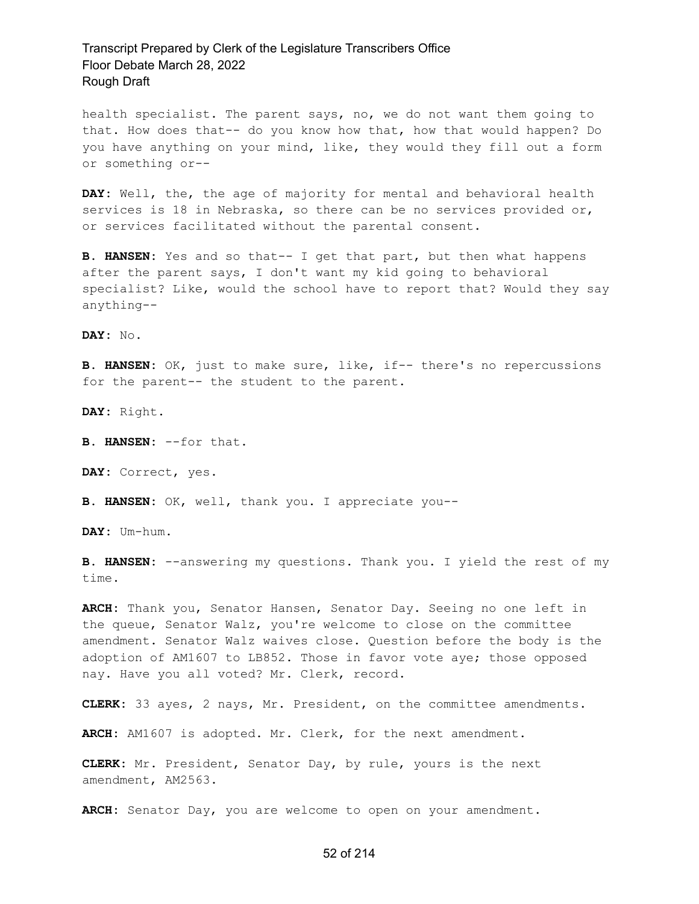health specialist. The parent says, no, we do not want them going to that. How does that-- do you know how that, how that would happen? Do you have anything on your mind, like, they would they fill out a form or something or--

**DAY:** Well, the, the age of majority for mental and behavioral health services is 18 in Nebraska, so there can be no services provided or, or services facilitated without the parental consent.

**B. HANSEN:** Yes and so that-- I get that part, but then what happens after the parent says, I don't want my kid going to behavioral specialist? Like, would the school have to report that? Would they say anything--

**DAY:** No.

**B. HANSEN:** OK, just to make sure, like, if-- there's no repercussions for the parent-- the student to the parent.

**DAY:** Right.

**B. HANSEN:** --for that.

**DAY:** Correct, yes.

**B. HANSEN:** OK, well, thank you. I appreciate you--

**DAY:** Um-hum.

**B. HANSEN:** --answering my questions. Thank you. I yield the rest of my time.

**ARCH:** Thank you, Senator Hansen, Senator Day. Seeing no one left in the queue, Senator Walz, you're welcome to close on the committee amendment. Senator Walz waives close. Question before the body is the adoption of AM1607 to LB852. Those in favor vote aye; those opposed nay. Have you all voted? Mr. Clerk, record.

**CLERK:** 33 ayes, 2 nays, Mr. President, on the committee amendments.

**ARCH:** AM1607 is adopted. Mr. Clerk, for the next amendment.

**CLERK:** Mr. President, Senator Day, by rule, yours is the next amendment, AM2563.

**ARCH:** Senator Day, you are welcome to open on your amendment.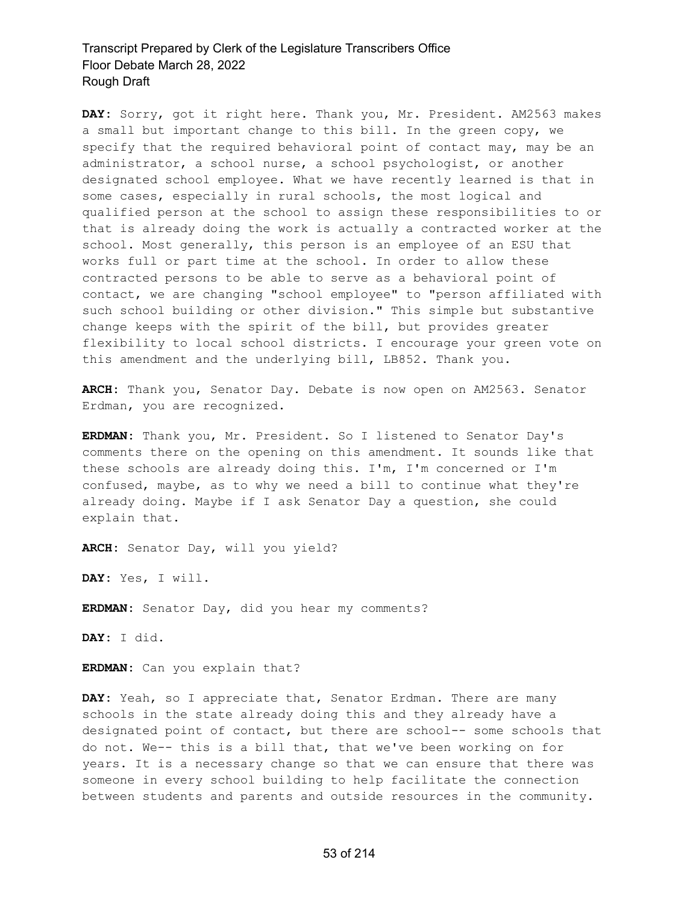**DAY:** Sorry, got it right here. Thank you, Mr. President. AM2563 makes a small but important change to this bill. In the green copy, we specify that the required behavioral point of contact may, may be an administrator, a school nurse, a school psychologist, or another designated school employee. What we have recently learned is that in some cases, especially in rural schools, the most logical and qualified person at the school to assign these responsibilities to or that is already doing the work is actually a contracted worker at the school. Most generally, this person is an employee of an ESU that works full or part time at the school. In order to allow these contracted persons to be able to serve as a behavioral point of contact, we are changing "school employee" to "person affiliated with such school building or other division." This simple but substantive change keeps with the spirit of the bill, but provides greater flexibility to local school districts. I encourage your green vote on this amendment and the underlying bill, LB852. Thank you.

**ARCH:** Thank you, Senator Day. Debate is now open on AM2563. Senator Erdman, you are recognized.

**ERDMAN:** Thank you, Mr. President. So I listened to Senator Day's comments there on the opening on this amendment. It sounds like that these schools are already doing this. I'm, I'm concerned or I'm confused, maybe, as to why we need a bill to continue what they're already doing. Maybe if I ask Senator Day a question, she could explain that.

**ARCH:** Senator Day, will you yield?

**DAY:** Yes, I will.

**ERDMAN:** Senator Day, did you hear my comments?

**DAY:** I did.

**ERDMAN:** Can you explain that?

**DAY:** Yeah, so I appreciate that, Senator Erdman. There are many schools in the state already doing this and they already have a designated point of contact, but there are school-- some schools that do not. We-- this is a bill that, that we've been working on for years. It is a necessary change so that we can ensure that there was someone in every school building to help facilitate the connection between students and parents and outside resources in the community.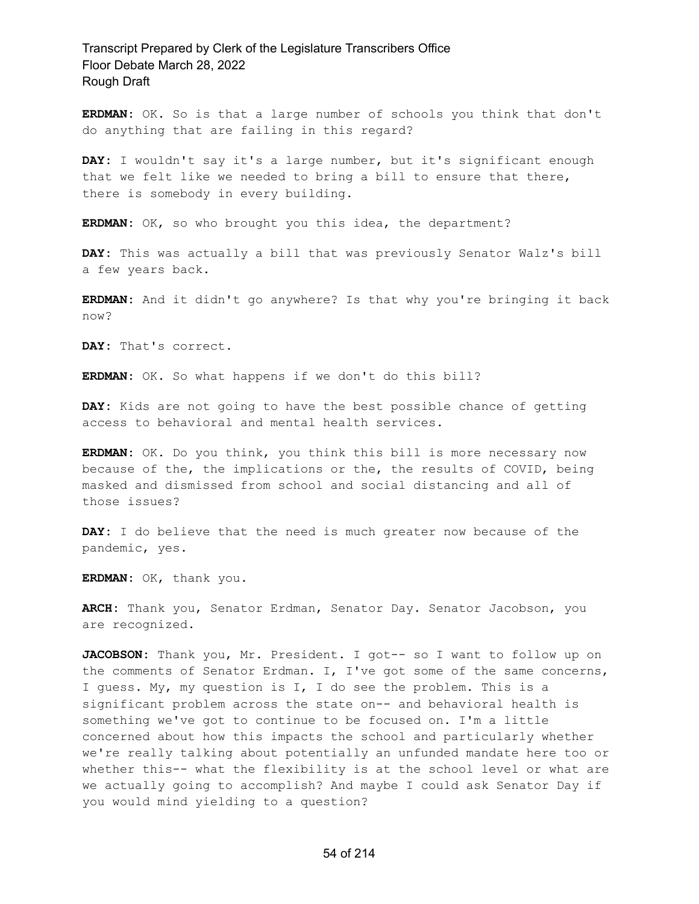**ERDMAN:** OK. So is that a large number of schools you think that don't do anything that are failing in this regard?

**DAY:** I wouldn't say it's a large number, but it's significant enough that we felt like we needed to bring a bill to ensure that there, there is somebody in every building.

**ERDMAN:** OK, so who brought you this idea, the department?

**DAY:** This was actually a bill that was previously Senator Walz's bill a few years back.

**ERDMAN:** And it didn't go anywhere? Is that why you're bringing it back now?

**DAY:** That's correct.

**ERDMAN:** OK. So what happens if we don't do this bill?

**DAY:** Kids are not going to have the best possible chance of getting access to behavioral and mental health services.

**ERDMAN:** OK. Do you think, you think this bill is more necessary now because of the, the implications or the, the results of COVID, being masked and dismissed from school and social distancing and all of those issues?

**DAY:** I do believe that the need is much greater now because of the pandemic, yes.

**ERDMAN:** OK, thank you.

**ARCH:** Thank you, Senator Erdman, Senator Day. Senator Jacobson, you are recognized.

**JACOBSON:** Thank you, Mr. President. I got-- so I want to follow up on the comments of Senator Erdman. I, I've got some of the same concerns, I guess. My, my question is I, I do see the problem. This is a significant problem across the state on-- and behavioral health is something we've got to continue to be focused on. I'm a little concerned about how this impacts the school and particularly whether we're really talking about potentially an unfunded mandate here too or whether this-- what the flexibility is at the school level or what are we actually going to accomplish? And maybe I could ask Senator Day if you would mind yielding to a question?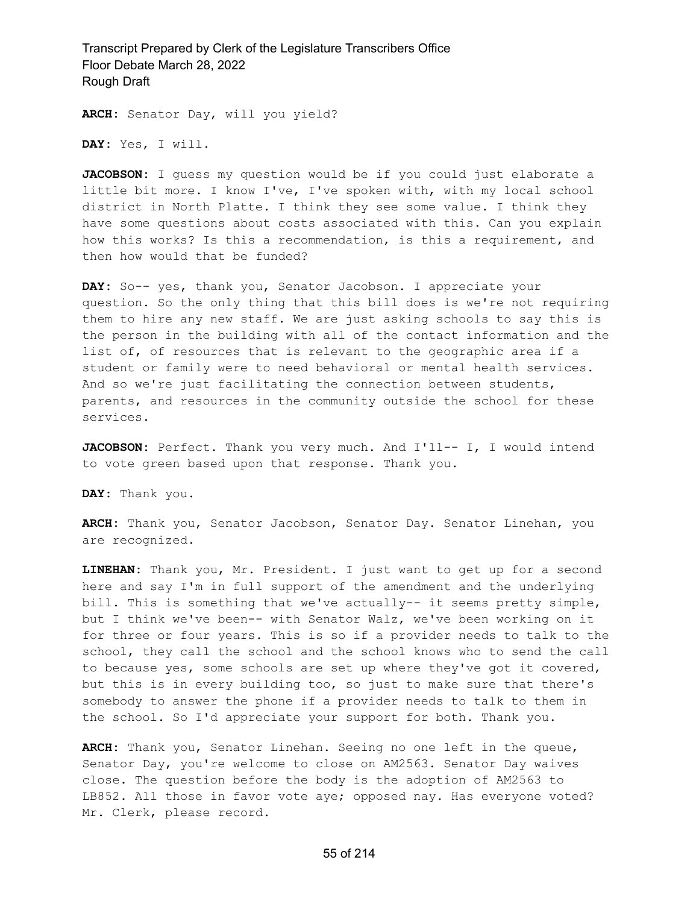**ARCH:** Senator Day, will you yield?

**DAY:** Yes, I will.

**JACOBSON:** I guess my question would be if you could just elaborate a little bit more. I know I've, I've spoken with, with my local school district in North Platte. I think they see some value. I think they have some questions about costs associated with this. Can you explain how this works? Is this a recommendation, is this a requirement, and then how would that be funded?

**DAY:** So-- yes, thank you, Senator Jacobson. I appreciate your question. So the only thing that this bill does is we're not requiring them to hire any new staff. We are just asking schools to say this is the person in the building with all of the contact information and the list of, of resources that is relevant to the geographic area if a student or family were to need behavioral or mental health services. And so we're just facilitating the connection between students, parents, and resources in the community outside the school for these services.

JACOBSON: Perfect. Thank you very much. And I'll-- I, I would intend to vote green based upon that response. Thank you.

**DAY:** Thank you.

**ARCH:** Thank you, Senator Jacobson, Senator Day. Senator Linehan, you are recognized.

**LINEHAN:** Thank you, Mr. President. I just want to get up for a second here and say I'm in full support of the amendment and the underlying bill. This is something that we've actually-- it seems pretty simple, but I think we've been-- with Senator Walz, we've been working on it for three or four years. This is so if a provider needs to talk to the school, they call the school and the school knows who to send the call to because yes, some schools are set up where they've got it covered, but this is in every building too, so just to make sure that there's somebody to answer the phone if a provider needs to talk to them in the school. So I'd appreciate your support for both. Thank you.

**ARCH:** Thank you, Senator Linehan. Seeing no one left in the queue, Senator Day, you're welcome to close on AM2563. Senator Day waives close. The question before the body is the adoption of AM2563 to LB852. All those in favor vote aye; opposed nay. Has everyone voted? Mr. Clerk, please record.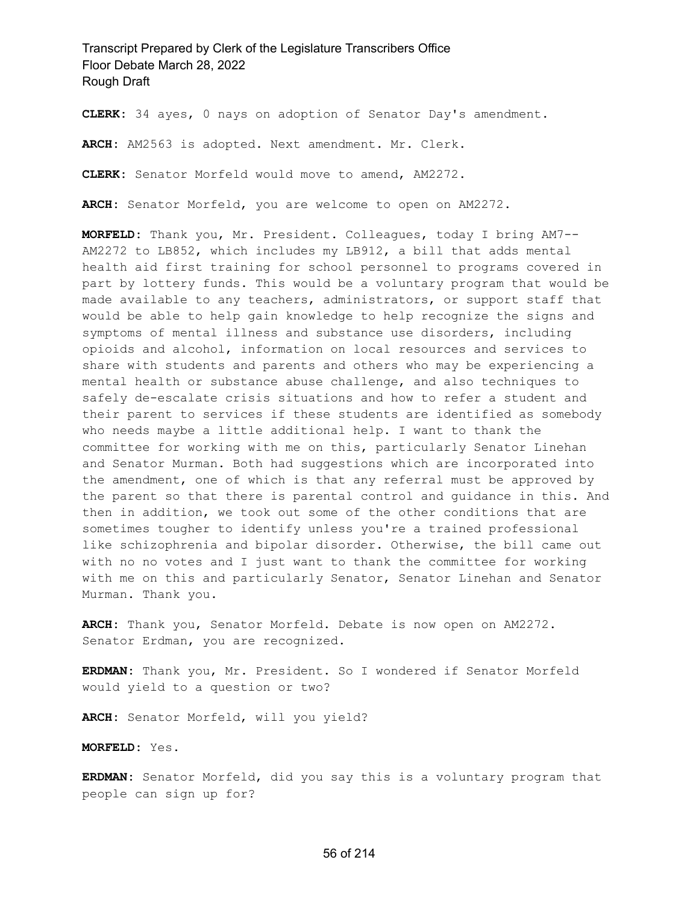**CLERK:** 34 ayes, 0 nays on adoption of Senator Day's amendment.

**ARCH:** AM2563 is adopted. Next amendment. Mr. Clerk.

**CLERK:** Senator Morfeld would move to amend, AM2272.

**ARCH:** Senator Morfeld, you are welcome to open on AM2272.

**MORFELD:** Thank you, Mr. President. Colleagues, today I bring AM7-- AM2272 to LB852, which includes my LB912, a bill that adds mental health aid first training for school personnel to programs covered in part by lottery funds. This would be a voluntary program that would be made available to any teachers, administrators, or support staff that would be able to help gain knowledge to help recognize the signs and symptoms of mental illness and substance use disorders, including opioids and alcohol, information on local resources and services to share with students and parents and others who may be experiencing a mental health or substance abuse challenge, and also techniques to safely de-escalate crisis situations and how to refer a student and their parent to services if these students are identified as somebody who needs maybe a little additional help. I want to thank the committee for working with me on this, particularly Senator Linehan and Senator Murman. Both had suggestions which are incorporated into the amendment, one of which is that any referral must be approved by the parent so that there is parental control and guidance in this. And then in addition, we took out some of the other conditions that are sometimes tougher to identify unless you're a trained professional like schizophrenia and bipolar disorder. Otherwise, the bill came out with no no votes and I just want to thank the committee for working with me on this and particularly Senator, Senator Linehan and Senator Murman. Thank you.

**ARCH:** Thank you, Senator Morfeld. Debate is now open on AM2272. Senator Erdman, you are recognized.

**ERDMAN:** Thank you, Mr. President. So I wondered if Senator Morfeld would yield to a question or two?

**ARCH:** Senator Morfeld, will you yield?

**MORFELD:** Yes.

**ERDMAN:** Senator Morfeld, did you say this is a voluntary program that people can sign up for?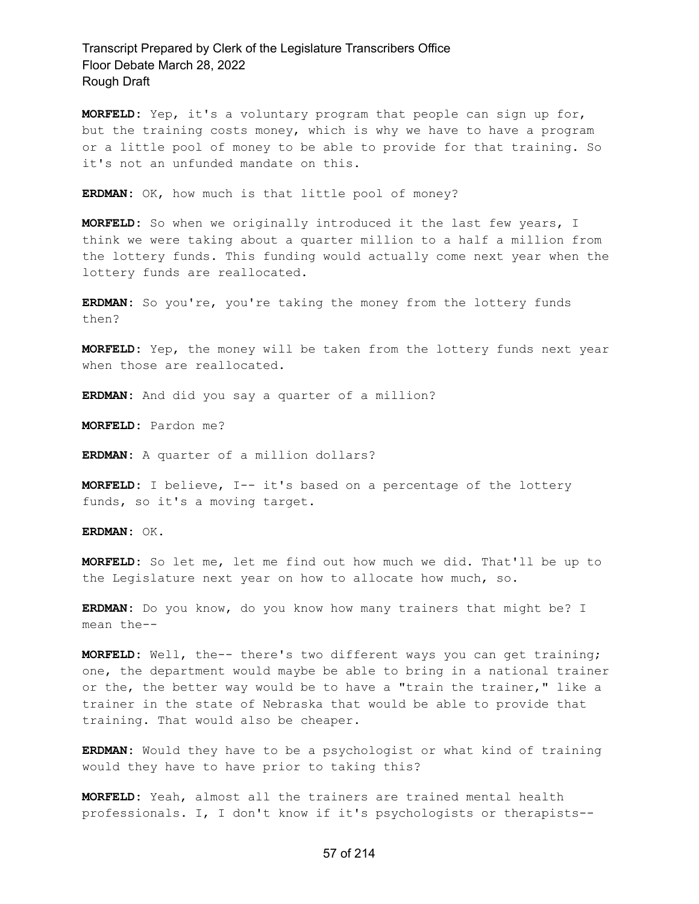**MORFELD:** Yep, it's a voluntary program that people can sign up for, but the training costs money, which is why we have to have a program or a little pool of money to be able to provide for that training. So it's not an unfunded mandate on this.

**ERDMAN:** OK, how much is that little pool of money?

**MORFELD:** So when we originally introduced it the last few years, I think we were taking about a quarter million to a half a million from the lottery funds. This funding would actually come next year when the lottery funds are reallocated.

ERDMAN: So you're, you're taking the money from the lottery funds then?

**MORFELD:** Yep, the money will be taken from the lottery funds next year when those are reallocated.

**ERDMAN:** And did you say a quarter of a million?

**MORFELD:** Pardon me?

**ERDMAN:** A quarter of a million dollars?

**MORFELD:** I believe, I-- it's based on a percentage of the lottery funds, so it's a moving target.

**ERDMAN:** OK.

**MORFELD:** So let me, let me find out how much we did. That'll be up to the Legislature next year on how to allocate how much, so.

**ERDMAN:** Do you know, do you know how many trainers that might be? I mean the--

**MORFELD:** Well, the-- there's two different ways you can get training; one, the department would maybe be able to bring in a national trainer or the, the better way would be to have a "train the trainer," like a trainer in the state of Nebraska that would be able to provide that training. That would also be cheaper.

**ERDMAN:** Would they have to be a psychologist or what kind of training would they have to have prior to taking this?

**MORFELD:** Yeah, almost all the trainers are trained mental health professionals. I, I don't know if it's psychologists or therapists--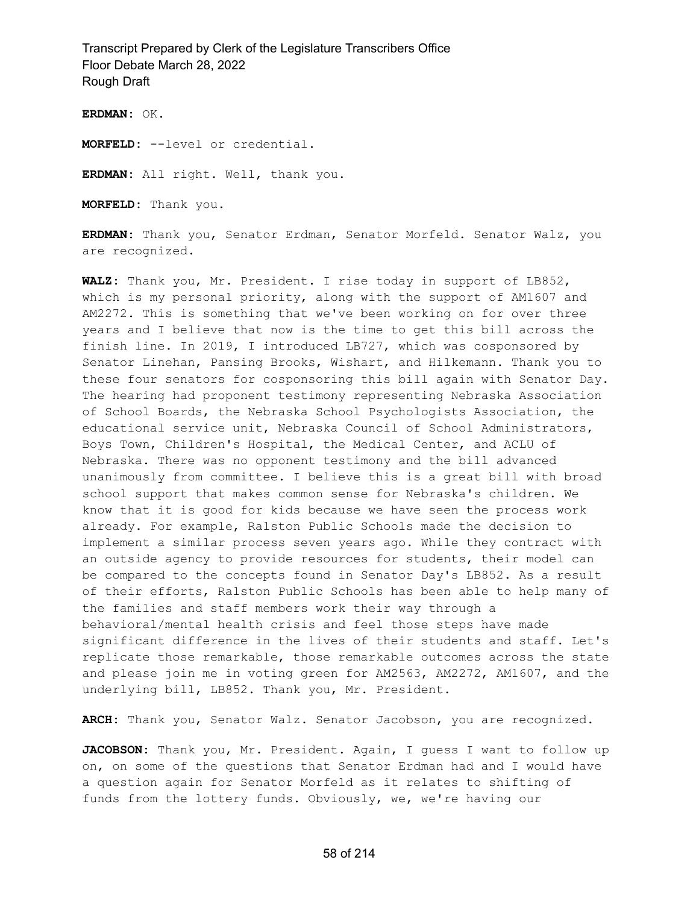**ERDMAN:** OK.

**MORFELD:** --level or credential.

**ERDMAN:** All right. Well, thank you.

**MORFELD:** Thank you.

**ERDMAN:** Thank you, Senator Erdman, Senator Morfeld. Senator Walz, you are recognized.

**WALZ:** Thank you, Mr. President. I rise today in support of LB852, which is my personal priority, along with the support of AM1607 and AM2272. This is something that we've been working on for over three years and I believe that now is the time to get this bill across the finish line. In 2019, I introduced LB727, which was cosponsored by Senator Linehan, Pansing Brooks, Wishart, and Hilkemann. Thank you to these four senators for cosponsoring this bill again with Senator Day. The hearing had proponent testimony representing Nebraska Association of School Boards, the Nebraska School Psychologists Association, the educational service unit, Nebraska Council of School Administrators, Boys Town, Children's Hospital, the Medical Center, and ACLU of Nebraska. There was no opponent testimony and the bill advanced unanimously from committee. I believe this is a great bill with broad school support that makes common sense for Nebraska's children. We know that it is good for kids because we have seen the process work already. For example, Ralston Public Schools made the decision to implement a similar process seven years ago. While they contract with an outside agency to provide resources for students, their model can be compared to the concepts found in Senator Day's LB852. As a result of their efforts, Ralston Public Schools has been able to help many of the families and staff members work their way through a behavioral/mental health crisis and feel those steps have made significant difference in the lives of their students and staff. Let's replicate those remarkable, those remarkable outcomes across the state and please join me in voting green for AM2563, AM2272, AM1607, and the underlying bill, LB852. Thank you, Mr. President.

**ARCH:** Thank you, Senator Walz. Senator Jacobson, you are recognized.

**JACOBSON:** Thank you, Mr. President. Again, I guess I want to follow up on, on some of the questions that Senator Erdman had and I would have a question again for Senator Morfeld as it relates to shifting of funds from the lottery funds. Obviously, we, we're having our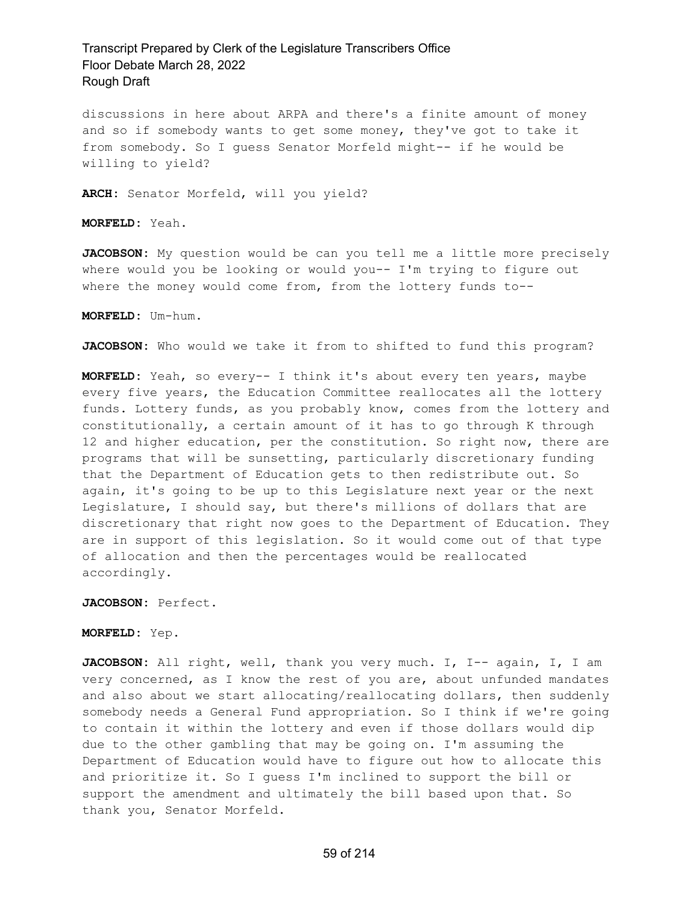discussions in here about ARPA and there's a finite amount of money and so if somebody wants to get some money, they've got to take it from somebody. So I guess Senator Morfeld might-- if he would be willing to yield?

**ARCH:** Senator Morfeld, will you yield?

**MORFELD:** Yeah.

**JACOBSON:** My question would be can you tell me a little more precisely where would you be looking or would you-- I'm trying to figure out where the money would come from, from the lottery funds to--

**MORFELD:** Um-hum.

**JACOBSON:** Who would we take it from to shifted to fund this program?

**MORFELD:** Yeah, so every-- I think it's about every ten years, maybe every five years, the Education Committee reallocates all the lottery funds. Lottery funds, as you probably know, comes from the lottery and constitutionally, a certain amount of it has to go through K through 12 and higher education, per the constitution. So right now, there are programs that will be sunsetting, particularly discretionary funding that the Department of Education gets to then redistribute out. So again, it's going to be up to this Legislature next year or the next Legislature, I should say, but there's millions of dollars that are discretionary that right now goes to the Department of Education. They are in support of this legislation. So it would come out of that type of allocation and then the percentages would be reallocated accordingly.

**JACOBSON:** Perfect.

**MORFELD:** Yep.

JACOBSON: All right, well, thank you very much. I, I-- again, I, I am very concerned, as I know the rest of you are, about unfunded mandates and also about we start allocating/reallocating dollars, then suddenly somebody needs a General Fund appropriation. So I think if we're going to contain it within the lottery and even if those dollars would dip due to the other gambling that may be going on. I'm assuming the Department of Education would have to figure out how to allocate this and prioritize it. So I guess I'm inclined to support the bill or support the amendment and ultimately the bill based upon that. So thank you, Senator Morfeld.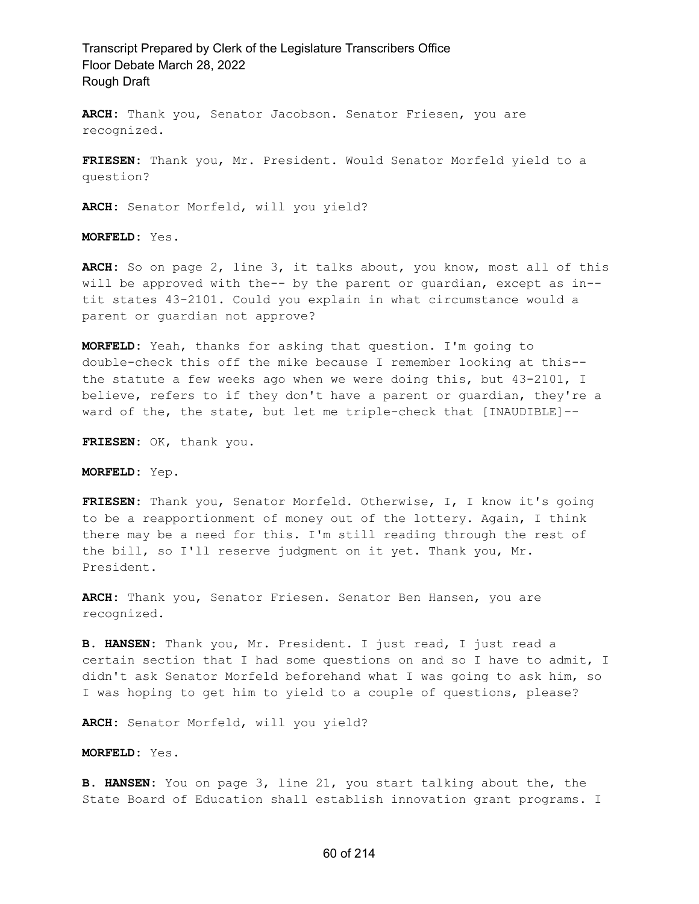**ARCH:** Thank you, Senator Jacobson. Senator Friesen, you are recognized.

**FRIESEN:** Thank you, Mr. President. Would Senator Morfeld yield to a question?

**ARCH:** Senator Morfeld, will you yield?

**MORFELD:** Yes.

**ARCH:** So on page 2, line 3, it talks about, you know, most all of this will be approved with the-- by the parent or guardian, except as in- tit states 43-2101. Could you explain in what circumstance would a parent or guardian not approve?

**MORFELD:** Yeah, thanks for asking that question. I'm going to double-check this off the mike because I remember looking at this- the statute a few weeks ago when we were doing this, but 43-2101, I believe, refers to if they don't have a parent or guardian, they're a ward of the, the state, but let me triple-check that [INAUDIBLE]--

**FRIESEN:** OK, thank you.

**MORFELD:** Yep.

**FRIESEN:** Thank you, Senator Morfeld. Otherwise, I, I know it's going to be a reapportionment of money out of the lottery. Again, I think there may be a need for this. I'm still reading through the rest of the bill, so I'll reserve judgment on it yet. Thank you, Mr. President.

**ARCH:** Thank you, Senator Friesen. Senator Ben Hansen, you are recognized.

**B. HANSEN:** Thank you, Mr. President. I just read, I just read a certain section that I had some questions on and so I have to admit, I didn't ask Senator Morfeld beforehand what I was going to ask him, so I was hoping to get him to yield to a couple of questions, please?

**ARCH:** Senator Morfeld, will you yield?

**MORFELD:** Yes.

**B. HANSEN:** You on page 3, line 21, you start talking about the, the State Board of Education shall establish innovation grant programs. I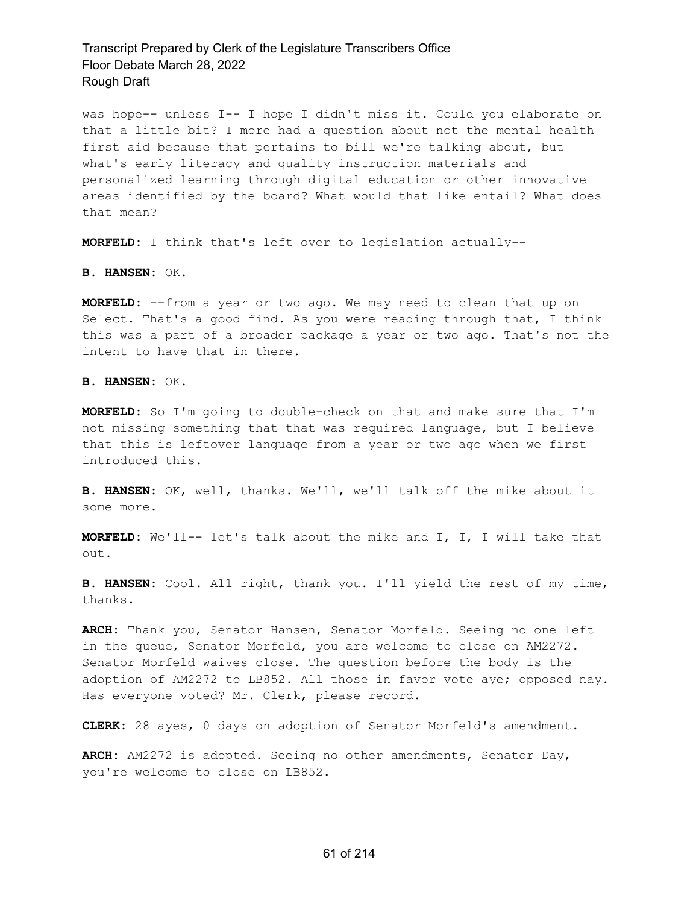was hope-- unless I-- I hope I didn't miss it. Could you elaborate on that a little bit? I more had a question about not the mental health first aid because that pertains to bill we're talking about, but what's early literacy and quality instruction materials and personalized learning through digital education or other innovative areas identified by the board? What would that like entail? What does that mean?

**MORFELD:** I think that's left over to legislation actually--

**B. HANSEN:** OK.

**MORFELD:** --from a year or two ago. We may need to clean that up on Select. That's a good find. As you were reading through that, I think this was a part of a broader package a year or two ago. That's not the intent to have that in there.

**B. HANSEN:** OK.

**MORFELD:** So I'm going to double-check on that and make sure that I'm not missing something that that was required language, but I believe that this is leftover language from a year or two ago when we first introduced this.

**B. HANSEN:** OK, well, thanks. We'll, we'll talk off the mike about it some more.

**MORFELD:** We'll-- let's talk about the mike and I, I, I will take that out.

**B. HANSEN:** Cool. All right, thank you. I'll yield the rest of my time, thanks.

**ARCH:** Thank you, Senator Hansen, Senator Morfeld. Seeing no one left in the queue, Senator Morfeld, you are welcome to close on AM2272. Senator Morfeld waives close. The question before the body is the adoption of AM2272 to LB852. All those in favor vote aye; opposed nay. Has everyone voted? Mr. Clerk, please record.

**CLERK:** 28 ayes, 0 days on adoption of Senator Morfeld's amendment.

**ARCH:** AM2272 is adopted. Seeing no other amendments, Senator Day, you're welcome to close on LB852.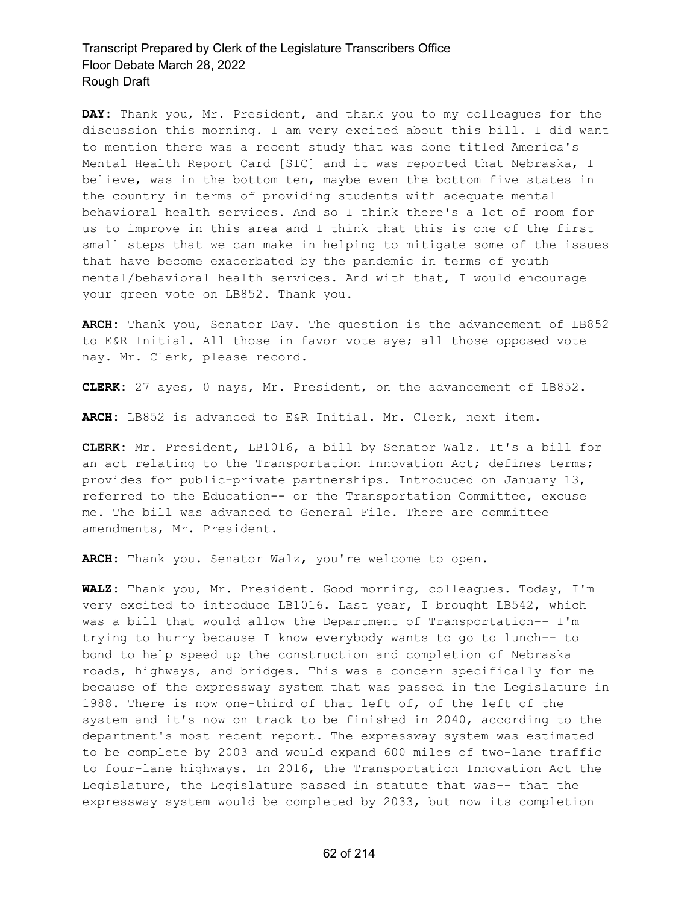**DAY:** Thank you, Mr. President, and thank you to my colleagues for the discussion this morning. I am very excited about this bill. I did want to mention there was a recent study that was done titled America's Mental Health Report Card [SIC] and it was reported that Nebraska, I believe, was in the bottom ten, maybe even the bottom five states in the country in terms of providing students with adequate mental behavioral health services. And so I think there's a lot of room for us to improve in this area and I think that this is one of the first small steps that we can make in helping to mitigate some of the issues that have become exacerbated by the pandemic in terms of youth mental/behavioral health services. And with that, I would encourage your green vote on LB852. Thank you.

**ARCH:** Thank you, Senator Day. The question is the advancement of LB852 to E&R Initial. All those in favor vote aye; all those opposed vote nay. Mr. Clerk, please record.

**CLERK:** 27 ayes, 0 nays, Mr. President, on the advancement of LB852.

**ARCH:** LB852 is advanced to E&R Initial. Mr. Clerk, next item.

**CLERK:** Mr. President, LB1016, a bill by Senator Walz. It's a bill for an act relating to the Transportation Innovation Act; defines terms; provides for public-private partnerships. Introduced on January 13, referred to the Education-- or the Transportation Committee, excuse me. The bill was advanced to General File. There are committee amendments, Mr. President.

**ARCH:** Thank you. Senator Walz, you're welcome to open.

**WALZ:** Thank you, Mr. President. Good morning, colleagues. Today, I'm very excited to introduce LB1016. Last year, I brought LB542, which was a bill that would allow the Department of Transportation-- I'm trying to hurry because I know everybody wants to go to lunch-- to bond to help speed up the construction and completion of Nebraska roads, highways, and bridges. This was a concern specifically for me because of the expressway system that was passed in the Legislature in 1988. There is now one-third of that left of, of the left of the system and it's now on track to be finished in 2040, according to the department's most recent report. The expressway system was estimated to be complete by 2003 and would expand 600 miles of two-lane traffic to four-lane highways. In 2016, the Transportation Innovation Act the Legislature, the Legislature passed in statute that was-- that the expressway system would be completed by 2033, but now its completion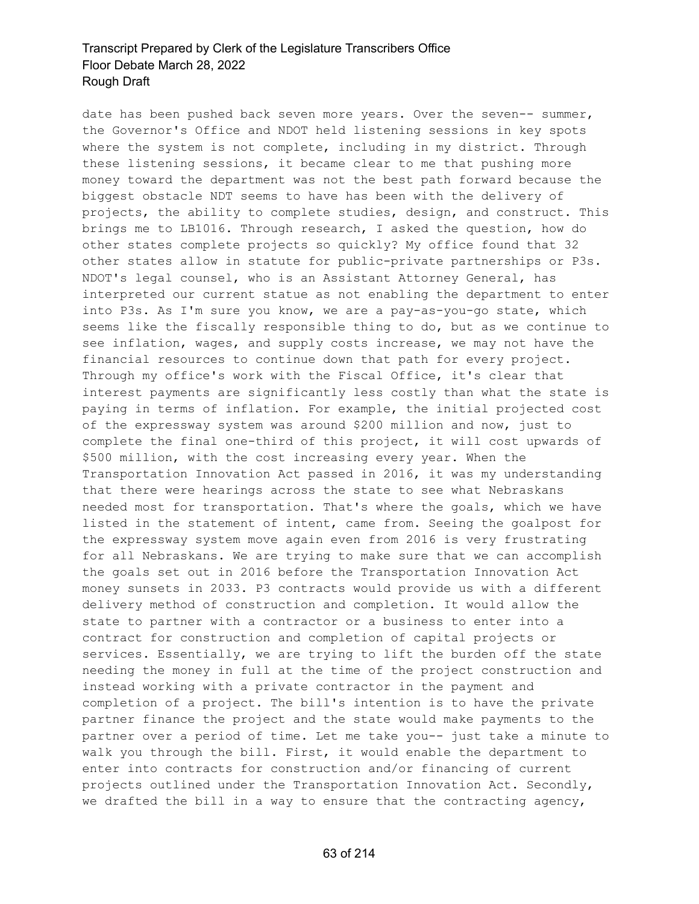date has been pushed back seven more years. Over the seven-- summer, the Governor's Office and NDOT held listening sessions in key spots where the system is not complete, including in my district. Through these listening sessions, it became clear to me that pushing more money toward the department was not the best path forward because the biggest obstacle NDT seems to have has been with the delivery of projects, the ability to complete studies, design, and construct. This brings me to LB1016. Through research, I asked the question, how do other states complete projects so quickly? My office found that 32 other states allow in statute for public-private partnerships or P3s. NDOT's legal counsel, who is an Assistant Attorney General, has interpreted our current statue as not enabling the department to enter into P3s. As I'm sure you know, we are a pay-as-you-go state, which seems like the fiscally responsible thing to do, but as we continue to see inflation, wages, and supply costs increase, we may not have the financial resources to continue down that path for every project. Through my office's work with the Fiscal Office, it's clear that interest payments are significantly less costly than what the state is paying in terms of inflation. For example, the initial projected cost of the expressway system was around \$200 million and now, just to complete the final one-third of this project, it will cost upwards of \$500 million, with the cost increasing every year. When the Transportation Innovation Act passed in 2016, it was my understanding that there were hearings across the state to see what Nebraskans needed most for transportation. That's where the goals, which we have listed in the statement of intent, came from. Seeing the goalpost for the expressway system move again even from 2016 is very frustrating for all Nebraskans. We are trying to make sure that we can accomplish the goals set out in 2016 before the Transportation Innovation Act money sunsets in 2033. P3 contracts would provide us with a different delivery method of construction and completion. It would allow the state to partner with a contractor or a business to enter into a contract for construction and completion of capital projects or services. Essentially, we are trying to lift the burden off the state needing the money in full at the time of the project construction and instead working with a private contractor in the payment and completion of a project. The bill's intention is to have the private partner finance the project and the state would make payments to the partner over a period of time. Let me take you-- just take a minute to walk you through the bill. First, it would enable the department to enter into contracts for construction and/or financing of current projects outlined under the Transportation Innovation Act. Secondly, we drafted the bill in a way to ensure that the contracting agency,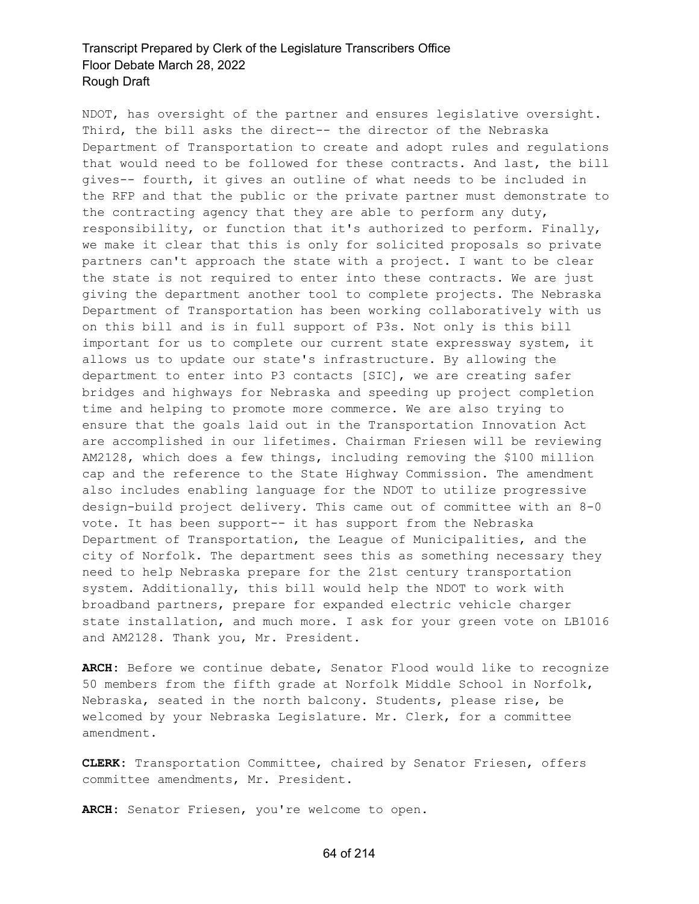NDOT, has oversight of the partner and ensures legislative oversight. Third, the bill asks the direct-- the director of the Nebraska Department of Transportation to create and adopt rules and regulations that would need to be followed for these contracts. And last, the bill gives-- fourth, it gives an outline of what needs to be included in the RFP and that the public or the private partner must demonstrate to the contracting agency that they are able to perform any duty, responsibility, or function that it's authorized to perform. Finally, we make it clear that this is only for solicited proposals so private partners can't approach the state with a project. I want to be clear the state is not required to enter into these contracts. We are just giving the department another tool to complete projects. The Nebraska Department of Transportation has been working collaboratively with us on this bill and is in full support of P3s. Not only is this bill important for us to complete our current state expressway system, it allows us to update our state's infrastructure. By allowing the department to enter into P3 contacts [SIC], we are creating safer bridges and highways for Nebraska and speeding up project completion time and helping to promote more commerce. We are also trying to ensure that the goals laid out in the Transportation Innovation Act are accomplished in our lifetimes. Chairman Friesen will be reviewing AM2128, which does a few things, including removing the \$100 million cap and the reference to the State Highway Commission. The amendment also includes enabling language for the NDOT to utilize progressive design-build project delivery. This came out of committee with an 8-0 vote. It has been support-- it has support from the Nebraska Department of Transportation, the League of Municipalities, and the city of Norfolk. The department sees this as something necessary they need to help Nebraska prepare for the 21st century transportation system. Additionally, this bill would help the NDOT to work with broadband partners, prepare for expanded electric vehicle charger state installation, and much more. I ask for your green vote on LB1016 and AM2128. Thank you, Mr. President.

**ARCH:** Before we continue debate, Senator Flood would like to recognize 50 members from the fifth grade at Norfolk Middle School in Norfolk, Nebraska, seated in the north balcony. Students, please rise, be welcomed by your Nebraska Legislature. Mr. Clerk, for a committee amendment.

**CLERK:** Transportation Committee, chaired by Senator Friesen, offers committee amendments, Mr. President.

**ARCH:** Senator Friesen, you're welcome to open.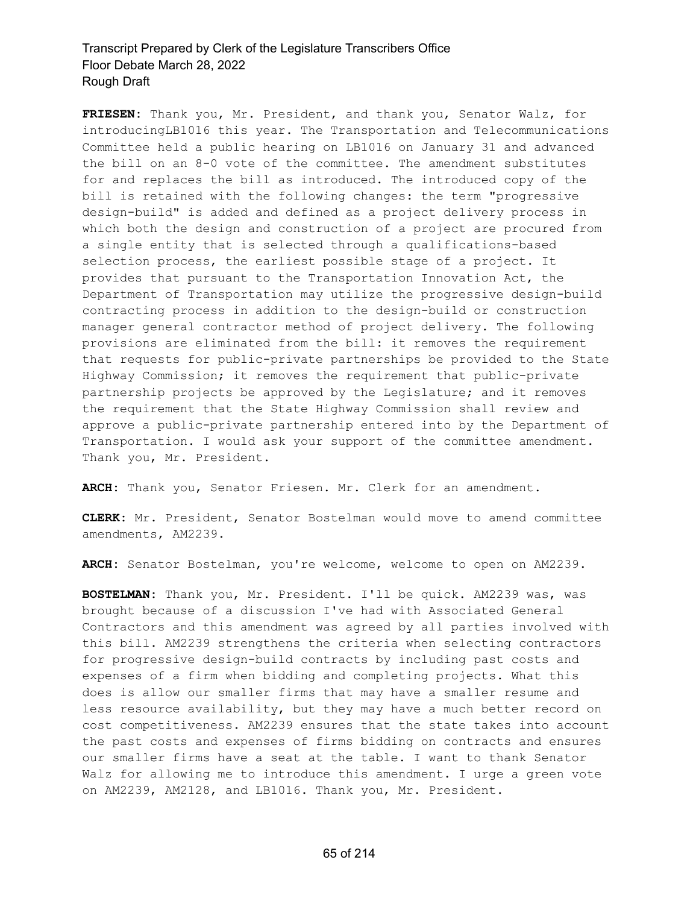**FRIESEN:** Thank you, Mr. President, and thank you, Senator Walz, for introducingLB1016 this year. The Transportation and Telecommunications Committee held a public hearing on LB1016 on January 31 and advanced the bill on an 8-0 vote of the committee. The amendment substitutes for and replaces the bill as introduced. The introduced copy of the bill is retained with the following changes: the term "progressive design-build" is added and defined as a project delivery process in which both the design and construction of a project are procured from a single entity that is selected through a qualifications-based selection process, the earliest possible stage of a project. It provides that pursuant to the Transportation Innovation Act, the Department of Transportation may utilize the progressive design-build contracting process in addition to the design-build or construction manager general contractor method of project delivery. The following provisions are eliminated from the bill: it removes the requirement that requests for public-private partnerships be provided to the State Highway Commission; it removes the requirement that public-private partnership projects be approved by the Legislature; and it removes the requirement that the State Highway Commission shall review and approve a public-private partnership entered into by the Department of Transportation. I would ask your support of the committee amendment. Thank you, Mr. President.

**ARCH:** Thank you, Senator Friesen. Mr. Clerk for an amendment.

**CLERK:** Mr. President, Senator Bostelman would move to amend committee amendments, AM2239.

**ARCH:** Senator Bostelman, you're welcome, welcome to open on AM2239.

**BOSTELMAN:** Thank you, Mr. President. I'll be quick. AM2239 was, was brought because of a discussion I've had with Associated General Contractors and this amendment was agreed by all parties involved with this bill. AM2239 strengthens the criteria when selecting contractors for progressive design-build contracts by including past costs and expenses of a firm when bidding and completing projects. What this does is allow our smaller firms that may have a smaller resume and less resource availability, but they may have a much better record on cost competitiveness. AM2239 ensures that the state takes into account the past costs and expenses of firms bidding on contracts and ensures our smaller firms have a seat at the table. I want to thank Senator Walz for allowing me to introduce this amendment. I urge a green vote on AM2239, AM2128, and LB1016. Thank you, Mr. President.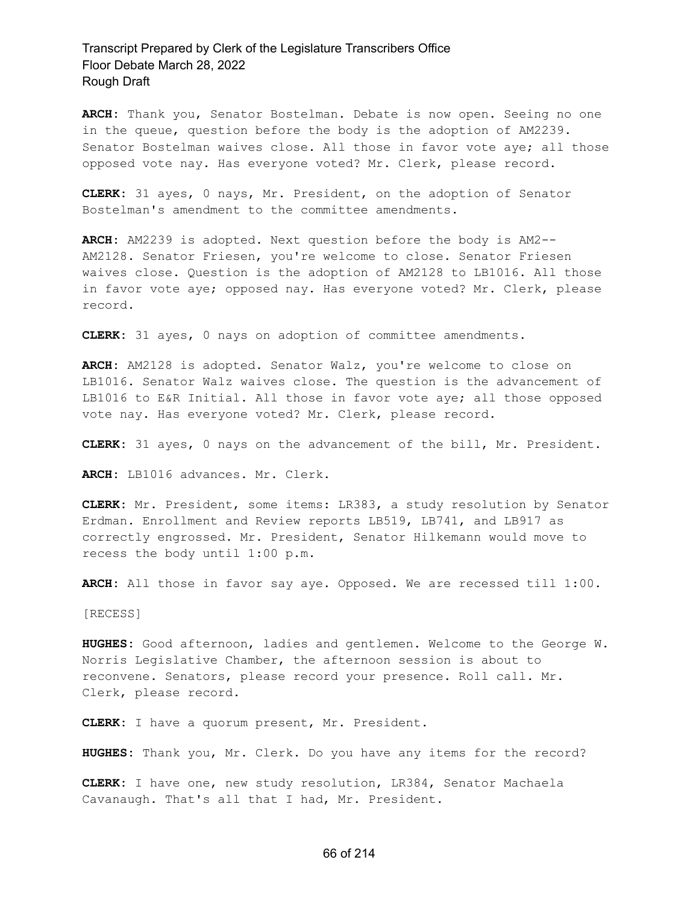**ARCH:** Thank you, Senator Bostelman. Debate is now open. Seeing no one in the queue, question before the body is the adoption of AM2239. Senator Bostelman waives close. All those in favor vote aye; all those opposed vote nay. Has everyone voted? Mr. Clerk, please record.

**CLERK:** 31 ayes, 0 nays, Mr. President, on the adoption of Senator Bostelman's amendment to the committee amendments.

**ARCH:** AM2239 is adopted. Next question before the body is AM2-- AM2128. Senator Friesen, you're welcome to close. Senator Friesen waives close. Question is the adoption of AM2128 to LB1016. All those in favor vote aye; opposed nay. Has everyone voted? Mr. Clerk, please record.

**CLERK:** 31 ayes, 0 nays on adoption of committee amendments.

**ARCH:** AM2128 is adopted. Senator Walz, you're welcome to close on LB1016. Senator Walz waives close. The question is the advancement of LB1016 to E&R Initial. All those in favor vote aye; all those opposed vote nay. Has everyone voted? Mr. Clerk, please record.

**CLERK:** 31 ayes, 0 nays on the advancement of the bill, Mr. President.

**ARCH:** LB1016 advances. Mr. Clerk.

**CLERK:** Mr. President, some items: LR383, a study resolution by Senator Erdman. Enrollment and Review reports LB519, LB741, and LB917 as correctly engrossed. Mr. President, Senator Hilkemann would move to recess the body until 1:00 p.m.

**ARCH:** All those in favor say aye. Opposed. We are recessed till 1:00.

[RECESS]

**HUGHES:** Good afternoon, ladies and gentlemen. Welcome to the George W. Norris Legislative Chamber, the afternoon session is about to reconvene. Senators, please record your presence. Roll call. Mr. Clerk, please record.

**CLERK:** I have a quorum present, Mr. President.

**HUGHES:** Thank you, Mr. Clerk. Do you have any items for the record?

**CLERK:** I have one, new study resolution, LR384, Senator Machaela Cavanaugh. That's all that I had, Mr. President.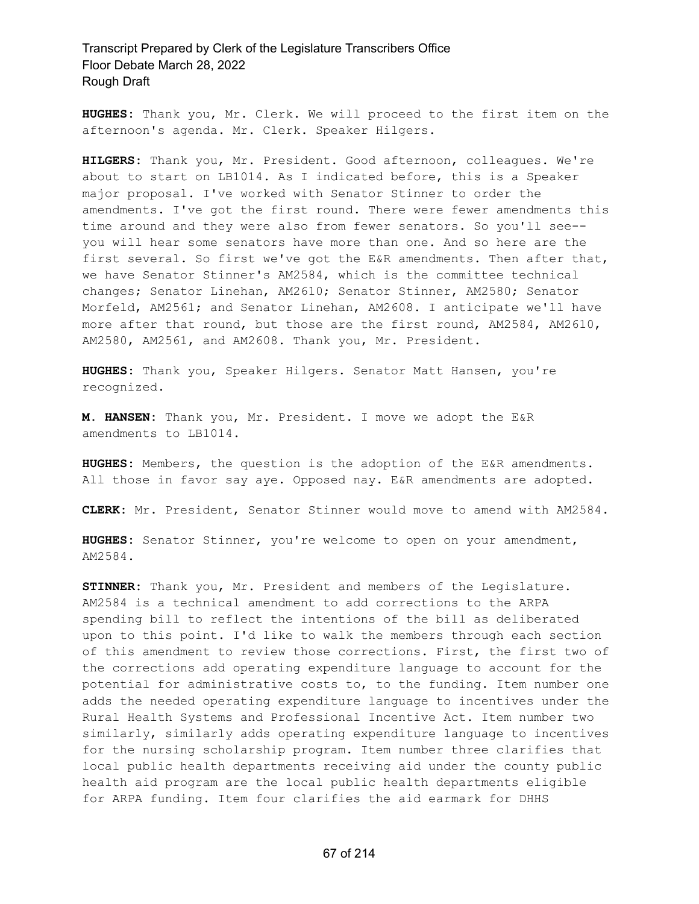**HUGHES:** Thank you, Mr. Clerk. We will proceed to the first item on the afternoon's agenda. Mr. Clerk. Speaker Hilgers.

**HILGERS:** Thank you, Mr. President. Good afternoon, colleagues. We're about to start on LB1014. As I indicated before, this is a Speaker major proposal. I've worked with Senator Stinner to order the amendments. I've got the first round. There were fewer amendments this time around and they were also from fewer senators. So you'll see- you will hear some senators have more than one. And so here are the first several. So first we've got the E&R amendments. Then after that, we have Senator Stinner's AM2584, which is the committee technical changes; Senator Linehan, AM2610; Senator Stinner, AM2580; Senator Morfeld, AM2561; and Senator Linehan, AM2608. I anticipate we'll have more after that round, but those are the first round, AM2584, AM2610, AM2580, AM2561, and AM2608. Thank you, Mr. President.

**HUGHES:** Thank you, Speaker Hilgers. Senator Matt Hansen, you're recognized.

**M. HANSEN:** Thank you, Mr. President. I move we adopt the E&R amendments to LB1014.

**HUGHES:** Members, the question is the adoption of the E&R amendments. All those in favor say aye. Opposed nay. E&R amendments are adopted.

**CLERK:** Mr. President, Senator Stinner would move to amend with AM2584.

**HUGHES:** Senator Stinner, you're welcome to open on your amendment, AM2584.

**STINNER:** Thank you, Mr. President and members of the Legislature. AM2584 is a technical amendment to add corrections to the ARPA spending bill to reflect the intentions of the bill as deliberated upon to this point. I'd like to walk the members through each section of this amendment to review those corrections. First, the first two of the corrections add operating expenditure language to account for the potential for administrative costs to, to the funding. Item number one adds the needed operating expenditure language to incentives under the Rural Health Systems and Professional Incentive Act. Item number two similarly, similarly adds operating expenditure language to incentives for the nursing scholarship program. Item number three clarifies that local public health departments receiving aid under the county public health aid program are the local public health departments eligible for ARPA funding. Item four clarifies the aid earmark for DHHS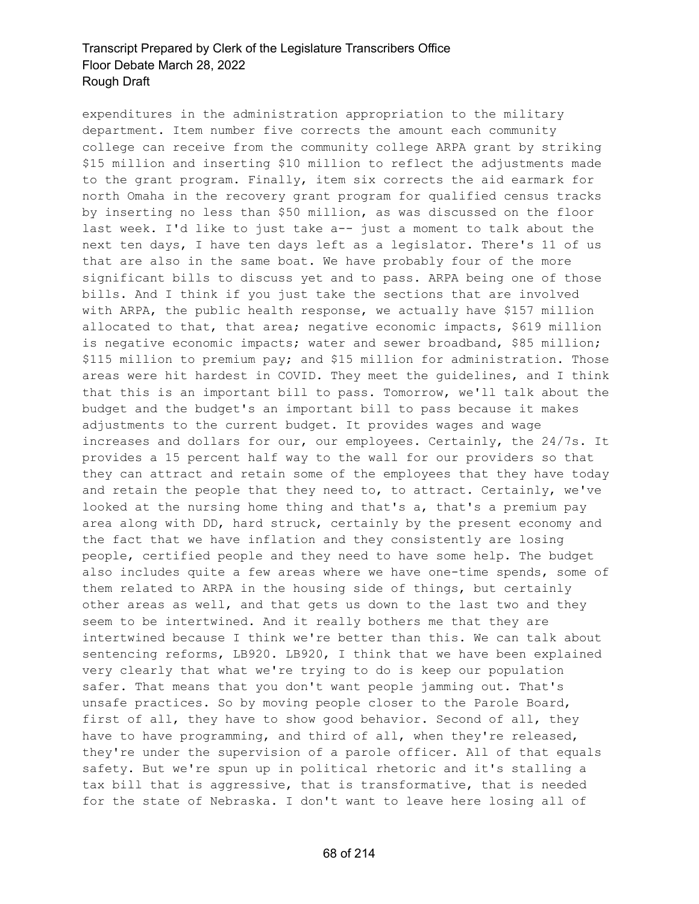expenditures in the administration appropriation to the military department. Item number five corrects the amount each community college can receive from the community college ARPA grant by striking \$15 million and inserting \$10 million to reflect the adjustments made to the grant program. Finally, item six corrects the aid earmark for north Omaha in the recovery grant program for qualified census tracks by inserting no less than \$50 million, as was discussed on the floor last week. I'd like to just take a-- just a moment to talk about the next ten days, I have ten days left as a legislator. There's 11 of us that are also in the same boat. We have probably four of the more significant bills to discuss yet and to pass. ARPA being one of those bills. And I think if you just take the sections that are involved with ARPA, the public health response, we actually have \$157 million allocated to that, that area; negative economic impacts, \$619 million is negative economic impacts; water and sewer broadband, \$85 million; \$115 million to premium pay; and \$15 million for administration. Those areas were hit hardest in COVID. They meet the guidelines, and I think that this is an important bill to pass. Tomorrow, we'll talk about the budget and the budget's an important bill to pass because it makes adjustments to the current budget. It provides wages and wage increases and dollars for our, our employees. Certainly, the 24/7s. It provides a 15 percent half way to the wall for our providers so that they can attract and retain some of the employees that they have today and retain the people that they need to, to attract. Certainly, we've looked at the nursing home thing and that's a, that's a premium pay area along with DD, hard struck, certainly by the present economy and the fact that we have inflation and they consistently are losing people, certified people and they need to have some help. The budget also includes quite a few areas where we have one-time spends, some of them related to ARPA in the housing side of things, but certainly other areas as well, and that gets us down to the last two and they seem to be intertwined. And it really bothers me that they are intertwined because I think we're better than this. We can talk about sentencing reforms, LB920. LB920, I think that we have been explained very clearly that what we're trying to do is keep our population safer. That means that you don't want people jamming out. That's unsafe practices. So by moving people closer to the Parole Board, first of all, they have to show good behavior. Second of all, they have to have programming, and third of all, when they're released, they're under the supervision of a parole officer. All of that equals safety. But we're spun up in political rhetoric and it's stalling a tax bill that is aggressive, that is transformative, that is needed for the state of Nebraska. I don't want to leave here losing all of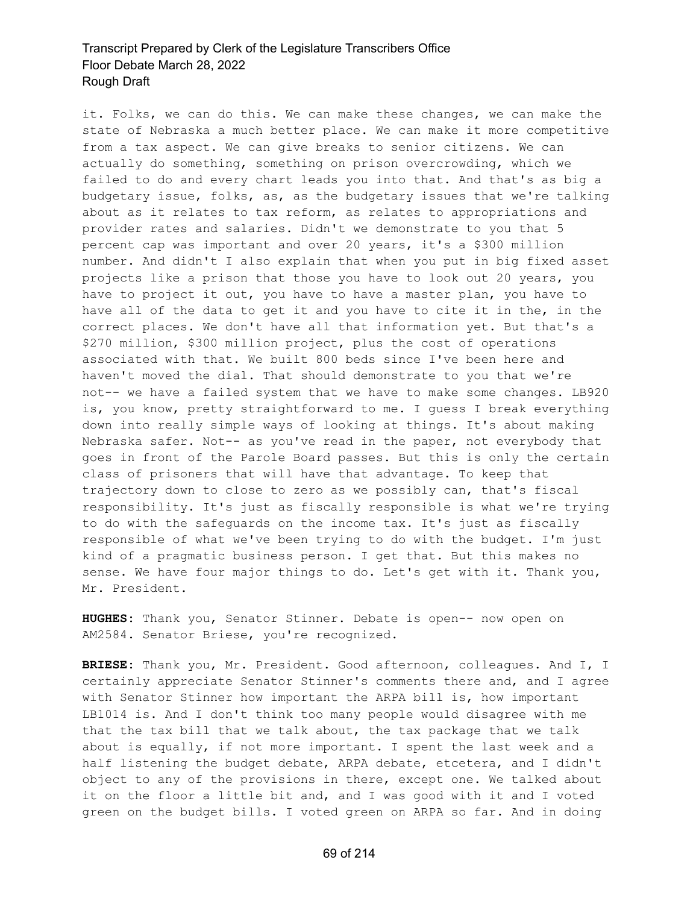it. Folks, we can do this. We can make these changes, we can make the state of Nebraska a much better place. We can make it more competitive from a tax aspect. We can give breaks to senior citizens. We can actually do something, something on prison overcrowding, which we failed to do and every chart leads you into that. And that's as big a budgetary issue, folks, as, as the budgetary issues that we're talking about as it relates to tax reform, as relates to appropriations and provider rates and salaries. Didn't we demonstrate to you that 5 percent cap was important and over 20 years, it's a \$300 million number. And didn't I also explain that when you put in big fixed asset projects like a prison that those you have to look out 20 years, you have to project it out, you have to have a master plan, you have to have all of the data to get it and you have to cite it in the, in the correct places. We don't have all that information yet. But that's a \$270 million, \$300 million project, plus the cost of operations associated with that. We built 800 beds since I've been here and haven't moved the dial. That should demonstrate to you that we're not-- we have a failed system that we have to make some changes. LB920 is, you know, pretty straightforward to me. I guess I break everything down into really simple ways of looking at things. It's about making Nebraska safer. Not-- as you've read in the paper, not everybody that goes in front of the Parole Board passes. But this is only the certain class of prisoners that will have that advantage. To keep that trajectory down to close to zero as we possibly can, that's fiscal responsibility. It's just as fiscally responsible is what we're trying to do with the safeguards on the income tax. It's just as fiscally responsible of what we've been trying to do with the budget. I'm just kind of a pragmatic business person. I get that. But this makes no sense. We have four major things to do. Let's get with it. Thank you, Mr. President.

**HUGHES:** Thank you, Senator Stinner. Debate is open-- now open on AM2584. Senator Briese, you're recognized.

**BRIESE:** Thank you, Mr. President. Good afternoon, colleagues. And I, I certainly appreciate Senator Stinner's comments there and, and I agree with Senator Stinner how important the ARPA bill is, how important LB1014 is. And I don't think too many people would disagree with me that the tax bill that we talk about, the tax package that we talk about is equally, if not more important. I spent the last week and a half listening the budget debate, ARPA debate, etcetera, and I didn't object to any of the provisions in there, except one. We talked about it on the floor a little bit and, and I was good with it and I voted green on the budget bills. I voted green on ARPA so far. And in doing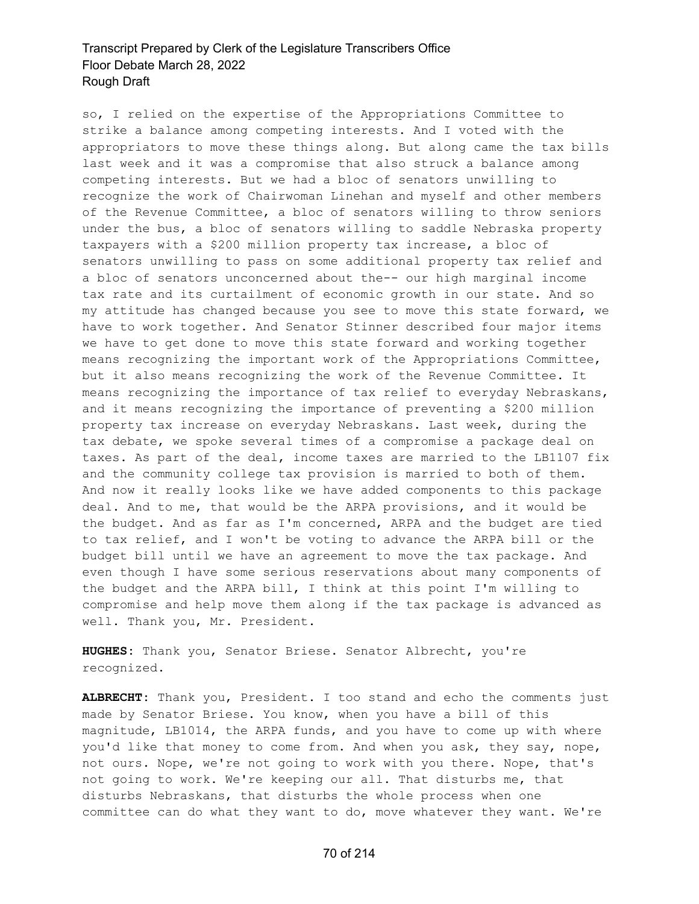so, I relied on the expertise of the Appropriations Committee to strike a balance among competing interests. And I voted with the appropriators to move these things along. But along came the tax bills last week and it was a compromise that also struck a balance among competing interests. But we had a bloc of senators unwilling to recognize the work of Chairwoman Linehan and myself and other members of the Revenue Committee, a bloc of senators willing to throw seniors under the bus, a bloc of senators willing to saddle Nebraska property taxpayers with a \$200 million property tax increase, a bloc of senators unwilling to pass on some additional property tax relief and a bloc of senators unconcerned about the-- our high marginal income tax rate and its curtailment of economic growth in our state. And so my attitude has changed because you see to move this state forward, we have to work together. And Senator Stinner described four major items we have to get done to move this state forward and working together means recognizing the important work of the Appropriations Committee, but it also means recognizing the work of the Revenue Committee. It means recognizing the importance of tax relief to everyday Nebraskans, and it means recognizing the importance of preventing a \$200 million property tax increase on everyday Nebraskans. Last week, during the tax debate, we spoke several times of a compromise a package deal on taxes. As part of the deal, income taxes are married to the LB1107 fix and the community college tax provision is married to both of them. And now it really looks like we have added components to this package deal. And to me, that would be the ARPA provisions, and it would be the budget. And as far as I'm concerned, ARPA and the budget are tied to tax relief, and I won't be voting to advance the ARPA bill or the budget bill until we have an agreement to move the tax package. And even though I have some serious reservations about many components of the budget and the ARPA bill, I think at this point I'm willing to compromise and help move them along if the tax package is advanced as well. Thank you, Mr. President.

**HUGHES:** Thank you, Senator Briese. Senator Albrecht, you're recognized.

**ALBRECHT:** Thank you, President. I too stand and echo the comments just made by Senator Briese. You know, when you have a bill of this magnitude, LB1014, the ARPA funds, and you have to come up with where you'd like that money to come from. And when you ask, they say, nope, not ours. Nope, we're not going to work with you there. Nope, that's not going to work. We're keeping our all. That disturbs me, that disturbs Nebraskans, that disturbs the whole process when one committee can do what they want to do, move whatever they want. We're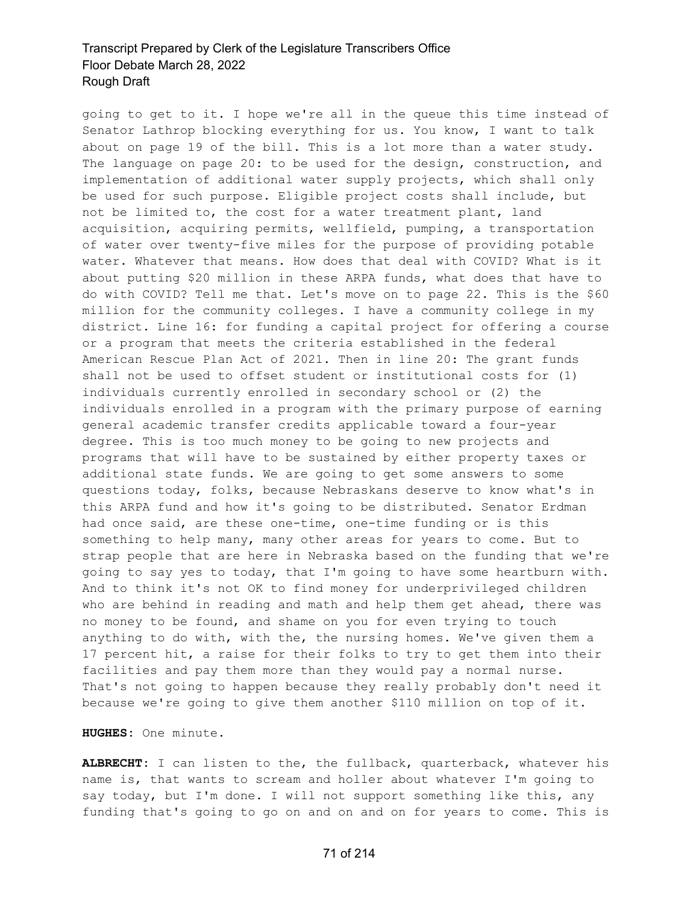going to get to it. I hope we're all in the queue this time instead of Senator Lathrop blocking everything for us. You know, I want to talk about on page 19 of the bill. This is a lot more than a water study. The language on page 20: to be used for the design, construction, and implementation of additional water supply projects, which shall only be used for such purpose. Eligible project costs shall include, but not be limited to, the cost for a water treatment plant, land acquisition, acquiring permits, wellfield, pumping, a transportation of water over twenty-five miles for the purpose of providing potable water. Whatever that means. How does that deal with COVID? What is it about putting \$20 million in these ARPA funds, what does that have to do with COVID? Tell me that. Let's move on to page 22. This is the \$60 million for the community colleges. I have a community college in my district. Line 16: for funding a capital project for offering a course or a program that meets the criteria established in the federal American Rescue Plan Act of 2021. Then in line 20: The grant funds shall not be used to offset student or institutional costs for (1) individuals currently enrolled in secondary school or (2) the individuals enrolled in a program with the primary purpose of earning general academic transfer credits applicable toward a four-year degree. This is too much money to be going to new projects and programs that will have to be sustained by either property taxes or additional state funds. We are going to get some answers to some questions today, folks, because Nebraskans deserve to know what's in this ARPA fund and how it's going to be distributed. Senator Erdman had once said, are these one-time, one-time funding or is this something to help many, many other areas for years to come. But to strap people that are here in Nebraska based on the funding that we're going to say yes to today, that I'm going to have some heartburn with. And to think it's not OK to find money for underprivileged children who are behind in reading and math and help them get ahead, there was no money to be found, and shame on you for even trying to touch anything to do with, with the, the nursing homes. We've given them a 17 percent hit, a raise for their folks to try to get them into their facilities and pay them more than they would pay a normal nurse. That's not going to happen because they really probably don't need it because we're going to give them another \$110 million on top of it.

**HUGHES:** One minute.

**ALBRECHT:** I can listen to the, the fullback, quarterback, whatever his name is, that wants to scream and holler about whatever I'm going to say today, but I'm done. I will not support something like this, any funding that's going to go on and on and on for years to come. This is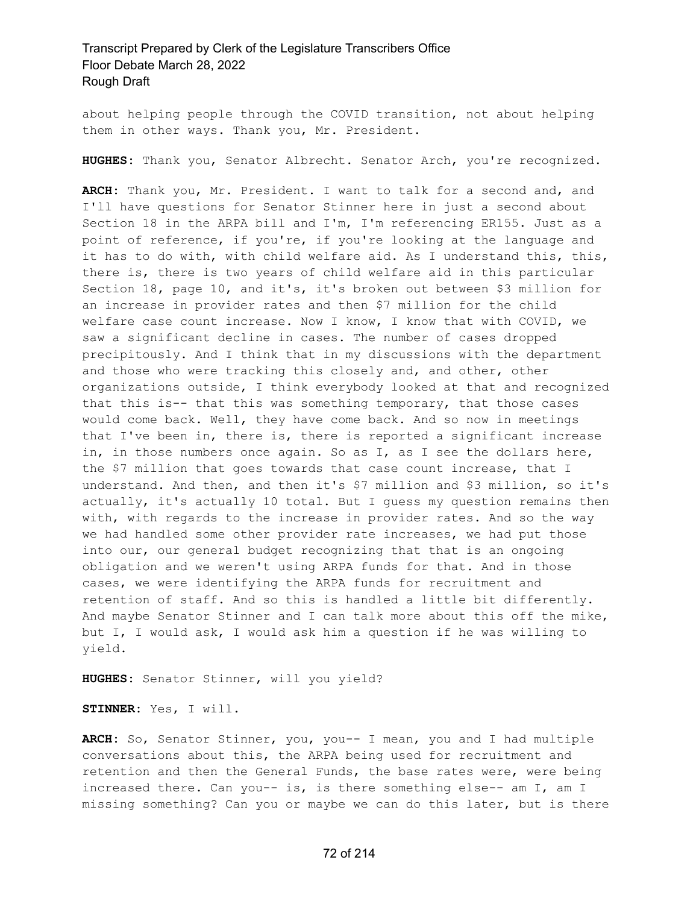about helping people through the COVID transition, not about helping them in other ways. Thank you, Mr. President.

**HUGHES:** Thank you, Senator Albrecht. Senator Arch, you're recognized.

**ARCH:** Thank you, Mr. President. I want to talk for a second and, and I'll have questions for Senator Stinner here in just a second about Section 18 in the ARPA bill and I'm, I'm referencing ER155. Just as a point of reference, if you're, if you're looking at the language and it has to do with, with child welfare aid. As I understand this, this, there is, there is two years of child welfare aid in this particular Section 18, page 10, and it's, it's broken out between \$3 million for an increase in provider rates and then \$7 million for the child welfare case count increase. Now I know, I know that with COVID, we saw a significant decline in cases. The number of cases dropped precipitously. And I think that in my discussions with the department and those who were tracking this closely and, and other, other organizations outside, I think everybody looked at that and recognized that this is-- that this was something temporary, that those cases would come back. Well, they have come back. And so now in meetings that I've been in, there is, there is reported a significant increase in, in those numbers once again. So as I, as I see the dollars here, the \$7 million that goes towards that case count increase, that I understand. And then, and then it's \$7 million and \$3 million, so it's actually, it's actually 10 total. But I guess my question remains then with, with regards to the increase in provider rates. And so the way we had handled some other provider rate increases, we had put those into our, our general budget recognizing that that is an ongoing obligation and we weren't using ARPA funds for that. And in those cases, we were identifying the ARPA funds for recruitment and retention of staff. And so this is handled a little bit differently. And maybe Senator Stinner and I can talk more about this off the mike, but I, I would ask, I would ask him a question if he was willing to yield.

**HUGHES:** Senator Stinner, will you yield?

**STINNER:** Yes, I will.

**ARCH:** So, Senator Stinner, you, you-- I mean, you and I had multiple conversations about this, the ARPA being used for recruitment and retention and then the General Funds, the base rates were, were being increased there. Can you-- is, is there something else-- am I, am I missing something? Can you or maybe we can do this later, but is there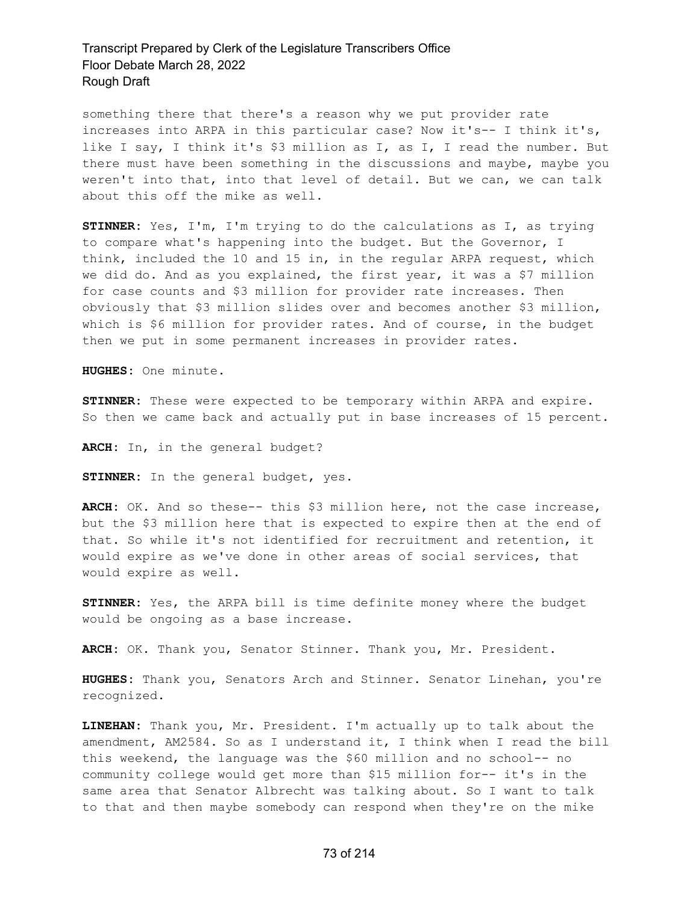something there that there's a reason why we put provider rate increases into ARPA in this particular case? Now it's-- I think it's, like I say, I think it's \$3 million as I, as I, I read the number. But there must have been something in the discussions and maybe, maybe you weren't into that, into that level of detail. But we can, we can talk about this off the mike as well.

**STINNER:** Yes, I'm, I'm trying to do the calculations as I, as trying to compare what's happening into the budget. But the Governor, I think, included the 10 and 15 in, in the regular ARPA request, which we did do. And as you explained, the first year, it was a \$7 million for case counts and \$3 million for provider rate increases. Then obviously that \$3 million slides over and becomes another \$3 million, which is \$6 million for provider rates. And of course, in the budget then we put in some permanent increases in provider rates.

**HUGHES:** One minute.

**STINNER:** These were expected to be temporary within ARPA and expire. So then we came back and actually put in base increases of 15 percent.

**ARCH:** In, in the general budget?

**STINNER:** In the general budget, yes.

**ARCH:** OK. And so these-- this \$3 million here, not the case increase, but the \$3 million here that is expected to expire then at the end of that. So while it's not identified for recruitment and retention, it would expire as we've done in other areas of social services, that would expire as well.

**STINNER:** Yes, the ARPA bill is time definite money where the budget would be ongoing as a base increase.

**ARCH:** OK. Thank you, Senator Stinner. Thank you, Mr. President.

**HUGHES:** Thank you, Senators Arch and Stinner. Senator Linehan, you're recognized.

**LINEHAN:** Thank you, Mr. President. I'm actually up to talk about the amendment, AM2584. So as I understand it, I think when I read the bill this weekend, the language was the \$60 million and no school-- no community college would get more than \$15 million for-- it's in the same area that Senator Albrecht was talking about. So I want to talk to that and then maybe somebody can respond when they're on the mike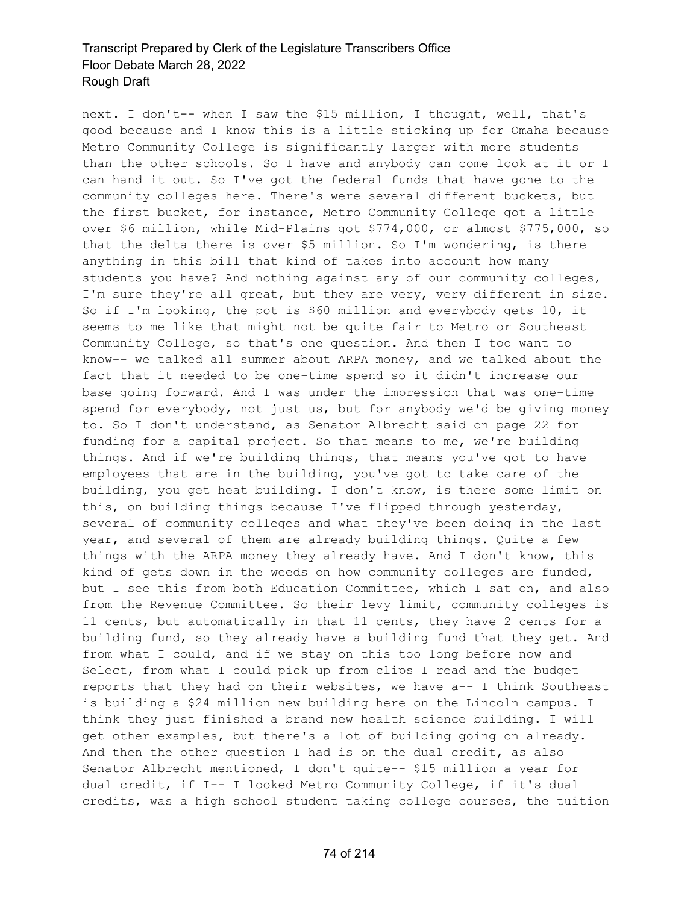next. I don't-- when I saw the \$15 million, I thought, well, that's good because and I know this is a little sticking up for Omaha because Metro Community College is significantly larger with more students than the other schools. So I have and anybody can come look at it or I can hand it out. So I've got the federal funds that have gone to the community colleges here. There's were several different buckets, but the first bucket, for instance, Metro Community College got a little over \$6 million, while Mid-Plains got \$774,000, or almost \$775,000, so that the delta there is over \$5 million. So I'm wondering, is there anything in this bill that kind of takes into account how many students you have? And nothing against any of our community colleges, I'm sure they're all great, but they are very, very different in size. So if I'm looking, the pot is \$60 million and everybody gets 10, it seems to me like that might not be quite fair to Metro or Southeast Community College, so that's one question. And then I too want to know-- we talked all summer about ARPA money, and we talked about the fact that it needed to be one-time spend so it didn't increase our base going forward. And I was under the impression that was one-time spend for everybody, not just us, but for anybody we'd be giving money to. So I don't understand, as Senator Albrecht said on page 22 for funding for a capital project. So that means to me, we're building things. And if we're building things, that means you've got to have employees that are in the building, you've got to take care of the building, you get heat building. I don't know, is there some limit on this, on building things because I've flipped through yesterday, several of community colleges and what they've been doing in the last year, and several of them are already building things. Quite a few things with the ARPA money they already have. And I don't know, this kind of gets down in the weeds on how community colleges are funded, but I see this from both Education Committee, which I sat on, and also from the Revenue Committee. So their levy limit, community colleges is 11 cents, but automatically in that 11 cents, they have 2 cents for a building fund, so they already have a building fund that they get. And from what I could, and if we stay on this too long before now and Select, from what I could pick up from clips I read and the budget reports that they had on their websites, we have a-- I think Southeast is building a \$24 million new building here on the Lincoln campus. I think they just finished a brand new health science building. I will get other examples, but there's a lot of building going on already. And then the other question I had is on the dual credit, as also Senator Albrecht mentioned, I don't quite-- \$15 million a year for dual credit, if I-- I looked Metro Community College, if it's dual credits, was a high school student taking college courses, the tuition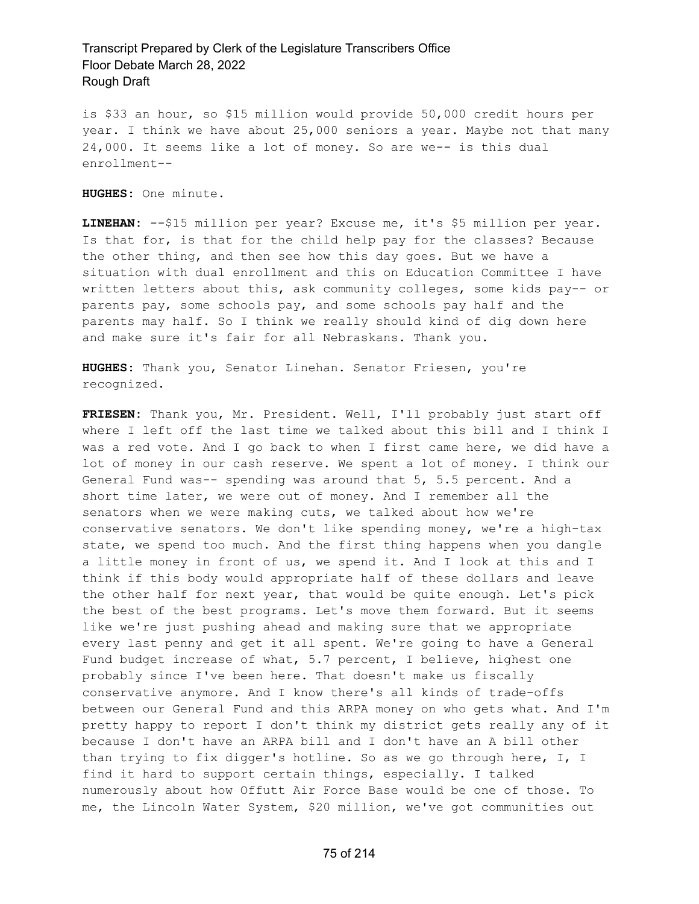is \$33 an hour, so \$15 million would provide 50,000 credit hours per year. I think we have about 25,000 seniors a year. Maybe not that many 24,000. It seems like a lot of money. So are we-- is this dual enrollment--

**HUGHES:** One minute.

**LINEHAN:** --\$15 million per year? Excuse me, it's \$5 million per year. Is that for, is that for the child help pay for the classes? Because the other thing, and then see how this day goes. But we have a situation with dual enrollment and this on Education Committee I have written letters about this, ask community colleges, some kids pay-- or parents pay, some schools pay, and some schools pay half and the parents may half. So I think we really should kind of dig down here and make sure it's fair for all Nebraskans. Thank you.

**HUGHES:** Thank you, Senator Linehan. Senator Friesen, you're recognized.

**FRIESEN:** Thank you, Mr. President. Well, I'll probably just start off where I left off the last time we talked about this bill and I think I was a red vote. And I go back to when I first came here, we did have a lot of money in our cash reserve. We spent a lot of money. I think our General Fund was-- spending was around that 5, 5.5 percent. And a short time later, we were out of money. And I remember all the senators when we were making cuts, we talked about how we're conservative senators. We don't like spending money, we're a high-tax state, we spend too much. And the first thing happens when you dangle a little money in front of us, we spend it. And I look at this and I think if this body would appropriate half of these dollars and leave the other half for next year, that would be quite enough. Let's pick the best of the best programs. Let's move them forward. But it seems like we're just pushing ahead and making sure that we appropriate every last penny and get it all spent. We're going to have a General Fund budget increase of what, 5.7 percent, I believe, highest one probably since I've been here. That doesn't make us fiscally conservative anymore. And I know there's all kinds of trade-offs between our General Fund and this ARPA money on who gets what. And I'm pretty happy to report I don't think my district gets really any of it because I don't have an ARPA bill and I don't have an A bill other than trying to fix digger's hotline. So as we go through here, I, I find it hard to support certain things, especially. I talked numerously about how Offutt Air Force Base would be one of those. To me, the Lincoln Water System, \$20 million, we've got communities out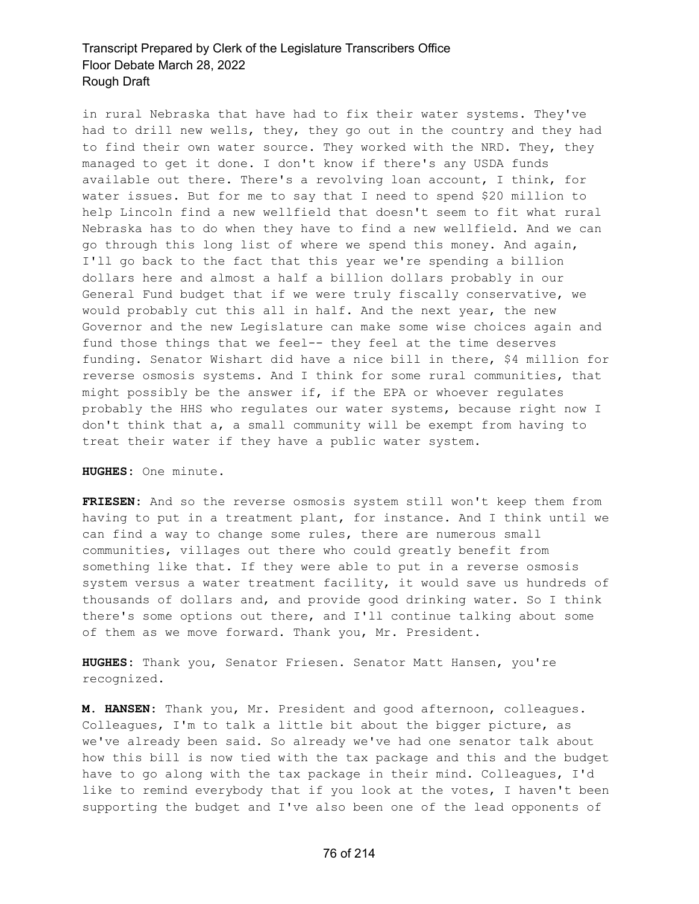in rural Nebraska that have had to fix their water systems. They've had to drill new wells, they, they go out in the country and they had to find their own water source. They worked with the NRD. They, they managed to get it done. I don't know if there's any USDA funds available out there. There's a revolving loan account, I think, for water issues. But for me to say that I need to spend \$20 million to help Lincoln find a new wellfield that doesn't seem to fit what rural Nebraska has to do when they have to find a new wellfield. And we can go through this long list of where we spend this money. And again, I'll go back to the fact that this year we're spending a billion dollars here and almost a half a billion dollars probably in our General Fund budget that if we were truly fiscally conservative, we would probably cut this all in half. And the next year, the new Governor and the new Legislature can make some wise choices again and fund those things that we feel-- they feel at the time deserves funding. Senator Wishart did have a nice bill in there, \$4 million for reverse osmosis systems. And I think for some rural communities, that might possibly be the answer if, if the EPA or whoever regulates probably the HHS who regulates our water systems, because right now I don't think that a, a small community will be exempt from having to treat their water if they have a public water system.

**HUGHES:** One minute.

**FRIESEN:** And so the reverse osmosis system still won't keep them from having to put in a treatment plant, for instance. And I think until we can find a way to change some rules, there are numerous small communities, villages out there who could greatly benefit from something like that. If they were able to put in a reverse osmosis system versus a water treatment facility, it would save us hundreds of thousands of dollars and, and provide good drinking water. So I think there's some options out there, and I'll continue talking about some of them as we move forward. Thank you, Mr. President.

**HUGHES:** Thank you, Senator Friesen. Senator Matt Hansen, you're recognized.

**M. HANSEN:** Thank you, Mr. President and good afternoon, colleagues. Colleagues, I'm to talk a little bit about the bigger picture, as we've already been said. So already we've had one senator talk about how this bill is now tied with the tax package and this and the budget have to go along with the tax package in their mind. Colleagues, I'd like to remind everybody that if you look at the votes, I haven't been supporting the budget and I've also been one of the lead opponents of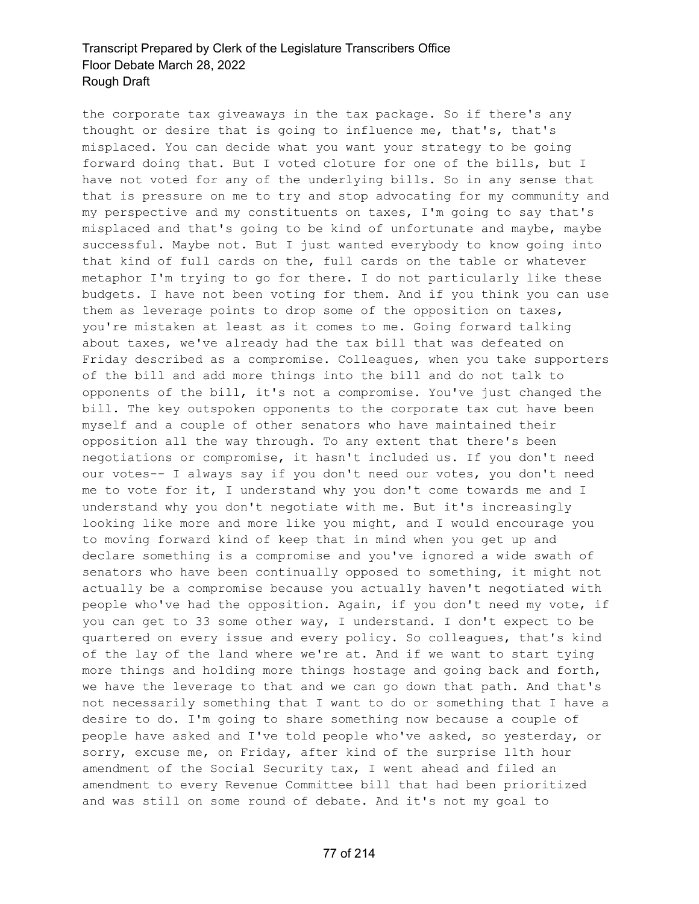the corporate tax giveaways in the tax package. So if there's any thought or desire that is going to influence me, that's, that's misplaced. You can decide what you want your strategy to be going forward doing that. But I voted cloture for one of the bills, but I have not voted for any of the underlying bills. So in any sense that that is pressure on me to try and stop advocating for my community and my perspective and my constituents on taxes, I'm going to say that's misplaced and that's going to be kind of unfortunate and maybe, maybe successful. Maybe not. But I just wanted everybody to know going into that kind of full cards on the, full cards on the table or whatever metaphor I'm trying to go for there. I do not particularly like these budgets. I have not been voting for them. And if you think you can use them as leverage points to drop some of the opposition on taxes, you're mistaken at least as it comes to me. Going forward talking about taxes, we've already had the tax bill that was defeated on Friday described as a compromise. Colleagues, when you take supporters of the bill and add more things into the bill and do not talk to opponents of the bill, it's not a compromise. You've just changed the bill. The key outspoken opponents to the corporate tax cut have been myself and a couple of other senators who have maintained their opposition all the way through. To any extent that there's been negotiations or compromise, it hasn't included us. If you don't need our votes-- I always say if you don't need our votes, you don't need me to vote for it, I understand why you don't come towards me and I understand why you don't negotiate with me. But it's increasingly looking like more and more like you might, and I would encourage you to moving forward kind of keep that in mind when you get up and declare something is a compromise and you've ignored a wide swath of senators who have been continually opposed to something, it might not actually be a compromise because you actually haven't negotiated with people who've had the opposition. Again, if you don't need my vote, if you can get to 33 some other way, I understand. I don't expect to be quartered on every issue and every policy. So colleagues, that's kind of the lay of the land where we're at. And if we want to start tying more things and holding more things hostage and going back and forth, we have the leverage to that and we can go down that path. And that's not necessarily something that I want to do or something that I have a desire to do. I'm going to share something now because a couple of people have asked and I've told people who've asked, so yesterday, or sorry, excuse me, on Friday, after kind of the surprise 11th hour amendment of the Social Security tax, I went ahead and filed an amendment to every Revenue Committee bill that had been prioritized and was still on some round of debate. And it's not my goal to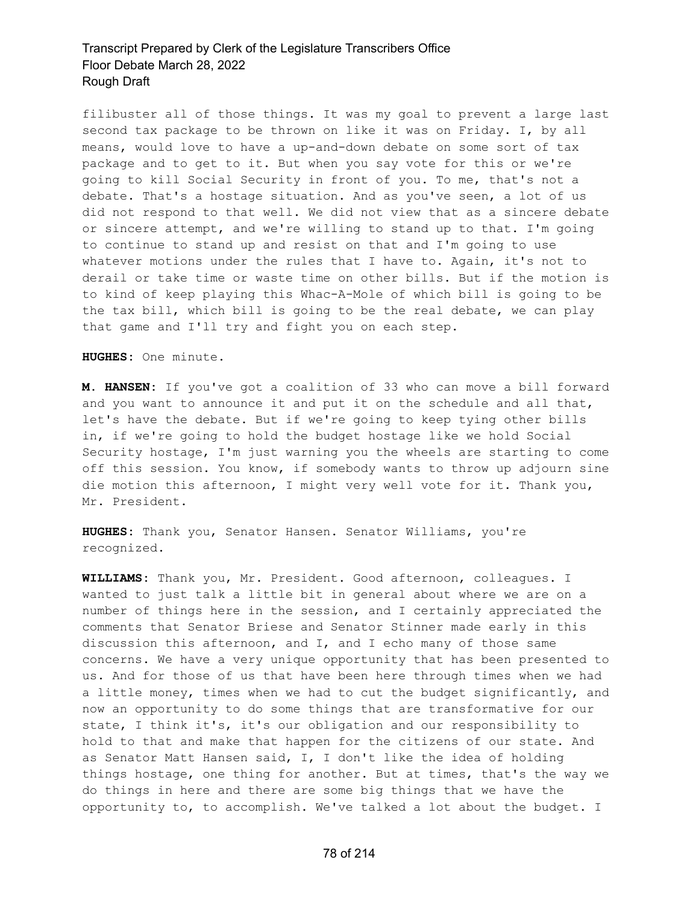filibuster all of those things. It was my goal to prevent a large last second tax package to be thrown on like it was on Friday. I, by all means, would love to have a up-and-down debate on some sort of tax package and to get to it. But when you say vote for this or we're going to kill Social Security in front of you. To me, that's not a debate. That's a hostage situation. And as you've seen, a lot of us did not respond to that well. We did not view that as a sincere debate or sincere attempt, and we're willing to stand up to that. I'm going to continue to stand up and resist on that and I'm going to use whatever motions under the rules that I have to. Again, it's not to derail or take time or waste time on other bills. But if the motion is to kind of keep playing this Whac-A-Mole of which bill is going to be the tax bill, which bill is going to be the real debate, we can play that game and I'll try and fight you on each step.

**HUGHES:** One minute.

**M. HANSEN:** If you've got a coalition of 33 who can move a bill forward and you want to announce it and put it on the schedule and all that, let's have the debate. But if we're going to keep tying other bills in, if we're going to hold the budget hostage like we hold Social Security hostage, I'm just warning you the wheels are starting to come off this session. You know, if somebody wants to throw up adjourn sine die motion this afternoon, I might very well vote for it. Thank you, Mr. President.

**HUGHES:** Thank you, Senator Hansen. Senator Williams, you're recognized.

**WILLIAMS:** Thank you, Mr. President. Good afternoon, colleagues. I wanted to just talk a little bit in general about where we are on a number of things here in the session, and I certainly appreciated the comments that Senator Briese and Senator Stinner made early in this discussion this afternoon, and I, and I echo many of those same concerns. We have a very unique opportunity that has been presented to us. And for those of us that have been here through times when we had a little money, times when we had to cut the budget significantly, and now an opportunity to do some things that are transformative for our state, I think it's, it's our obligation and our responsibility to hold to that and make that happen for the citizens of our state. And as Senator Matt Hansen said, I, I don't like the idea of holding things hostage, one thing for another. But at times, that's the way we do things in here and there are some big things that we have the opportunity to, to accomplish. We've talked a lot about the budget. I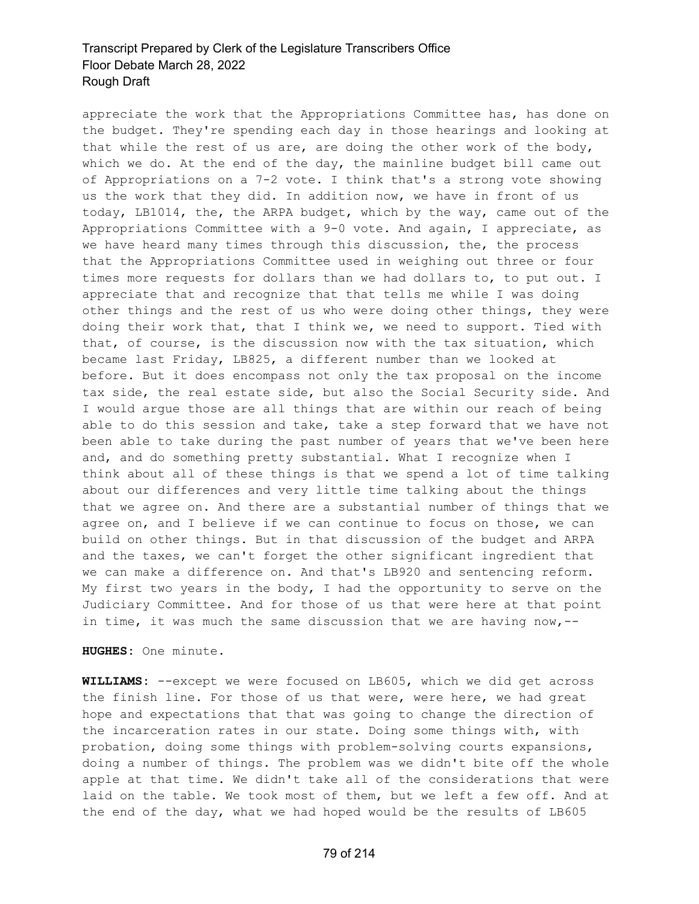appreciate the work that the Appropriations Committee has, has done on the budget. They're spending each day in those hearings and looking at that while the rest of us are, are doing the other work of the body, which we do. At the end of the day, the mainline budget bill came out of Appropriations on a 7-2 vote. I think that's a strong vote showing us the work that they did. In addition now, we have in front of us today, LB1014, the, the ARPA budget, which by the way, came out of the Appropriations Committee with a 9-0 vote. And again, I appreciate, as we have heard many times through this discussion, the, the process that the Appropriations Committee used in weighing out three or four times more requests for dollars than we had dollars to, to put out. I appreciate that and recognize that that tells me while I was doing other things and the rest of us who were doing other things, they were doing their work that, that I think we, we need to support. Tied with that, of course, is the discussion now with the tax situation, which became last Friday, LB825, a different number than we looked at before. But it does encompass not only the tax proposal on the income tax side, the real estate side, but also the Social Security side. And I would argue those are all things that are within our reach of being able to do this session and take, take a step forward that we have not been able to take during the past number of years that we've been here and, and do something pretty substantial. What I recognize when I think about all of these things is that we spend a lot of time talking about our differences and very little time talking about the things that we agree on. And there are a substantial number of things that we agree on, and I believe if we can continue to focus on those, we can build on other things. But in that discussion of the budget and ARPA and the taxes, we can't forget the other significant ingredient that we can make a difference on. And that's LB920 and sentencing reform. My first two years in the body, I had the opportunity to serve on the Judiciary Committee. And for those of us that were here at that point in time, it was much the same discussion that we are having now,--

**HUGHES:** One minute.

**WILLIAMS:** --except we were focused on LB605, which we did get across the finish line. For those of us that were, were here, we had great hope and expectations that that was going to change the direction of the incarceration rates in our state. Doing some things with, with probation, doing some things with problem-solving courts expansions, doing a number of things. The problem was we didn't bite off the whole apple at that time. We didn't take all of the considerations that were laid on the table. We took most of them, but we left a few off. And at the end of the day, what we had hoped would be the results of LB605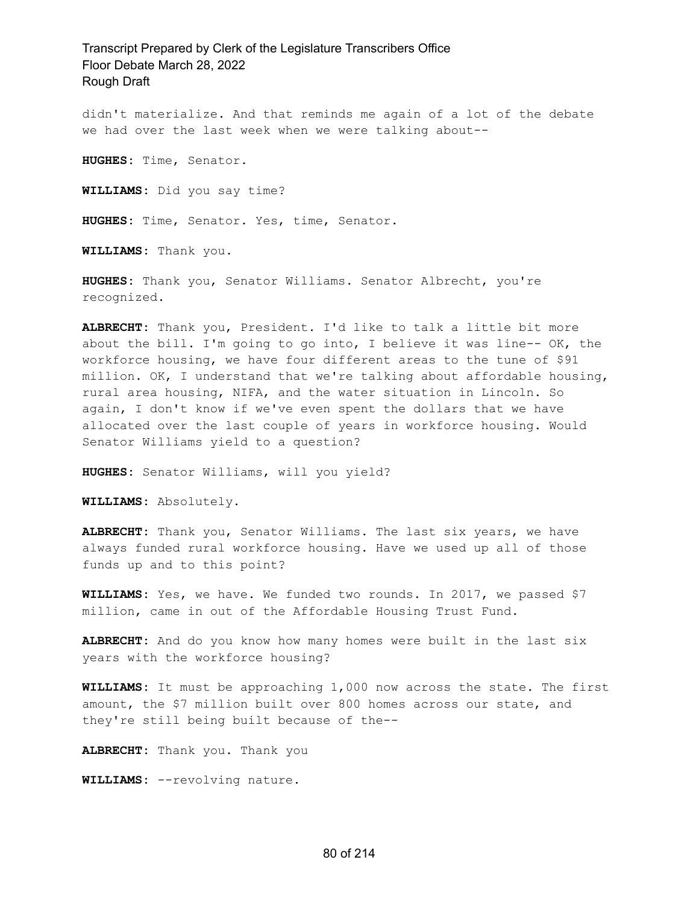didn't materialize. And that reminds me again of a lot of the debate we had over the last week when we were talking about--

**HUGHES:** Time, Senator.

**WILLIAMS:** Did you say time?

**HUGHES:** Time, Senator. Yes, time, Senator.

**WILLIAMS:** Thank you.

**HUGHES:** Thank you, Senator Williams. Senator Albrecht, you're recognized.

**ALBRECHT:** Thank you, President. I'd like to talk a little bit more about the bill. I'm going to go into, I believe it was line-- OK, the workforce housing, we have four different areas to the tune of \$91 million. OK, I understand that we're talking about affordable housing, rural area housing, NIFA, and the water situation in Lincoln. So again, I don't know if we've even spent the dollars that we have allocated over the last couple of years in workforce housing. Would Senator Williams yield to a question?

**HUGHES:** Senator Williams, will you yield?

**WILLIAMS:** Absolutely.

**ALBRECHT:** Thank you, Senator Williams. The last six years, we have always funded rural workforce housing. Have we used up all of those funds up and to this point?

**WILLIAMS:** Yes, we have. We funded two rounds. In 2017, we passed \$7 million, came in out of the Affordable Housing Trust Fund.

**ALBRECHT:** And do you know how many homes were built in the last six years with the workforce housing?

**WILLIAMS:** It must be approaching 1,000 now across the state. The first amount, the \$7 million built over 800 homes across our state, and they're still being built because of the--

**ALBRECHT:** Thank you. Thank you

**WILLIAMS:** --revolving nature.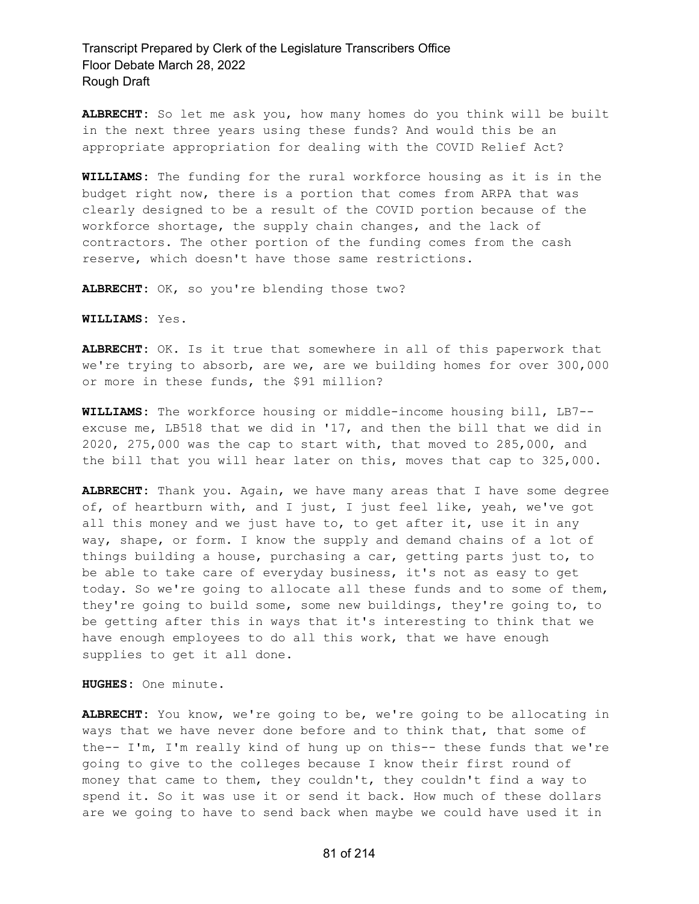**ALBRECHT:** So let me ask you, how many homes do you think will be built in the next three years using these funds? And would this be an appropriate appropriation for dealing with the COVID Relief Act?

**WILLIAMS:** The funding for the rural workforce housing as it is in the budget right now, there is a portion that comes from ARPA that was clearly designed to be a result of the COVID portion because of the workforce shortage, the supply chain changes, and the lack of contractors. The other portion of the funding comes from the cash reserve, which doesn't have those same restrictions.

**ALBRECHT:** OK, so you're blending those two?

**WILLIAMS:** Yes.

**ALBRECHT:** OK. Is it true that somewhere in all of this paperwork that we're trying to absorb, are we, are we building homes for over 300,000 or more in these funds, the \$91 million?

**WILLIAMS:** The workforce housing or middle-income housing bill, LB7- excuse me, LB518 that we did in '17, and then the bill that we did in 2020, 275,000 was the cap to start with, that moved to 285,000, and the bill that you will hear later on this, moves that cap to 325,000.

**ALBRECHT:** Thank you. Again, we have many areas that I have some degree of, of heartburn with, and I just, I just feel like, yeah, we've got all this money and we just have to, to get after it, use it in any way, shape, or form. I know the supply and demand chains of a lot of things building a house, purchasing a car, getting parts just to, to be able to take care of everyday business, it's not as easy to get today. So we're going to allocate all these funds and to some of them, they're going to build some, some new buildings, they're going to, to be getting after this in ways that it's interesting to think that we have enough employees to do all this work, that we have enough supplies to get it all done.

**HUGHES:** One minute.

**ALBRECHT:** You know, we're going to be, we're going to be allocating in ways that we have never done before and to think that, that some of the-- I'm, I'm really kind of hung up on this-- these funds that we're going to give to the colleges because I know their first round of money that came to them, they couldn't, they couldn't find a way to spend it. So it was use it or send it back. How much of these dollars are we going to have to send back when maybe we could have used it in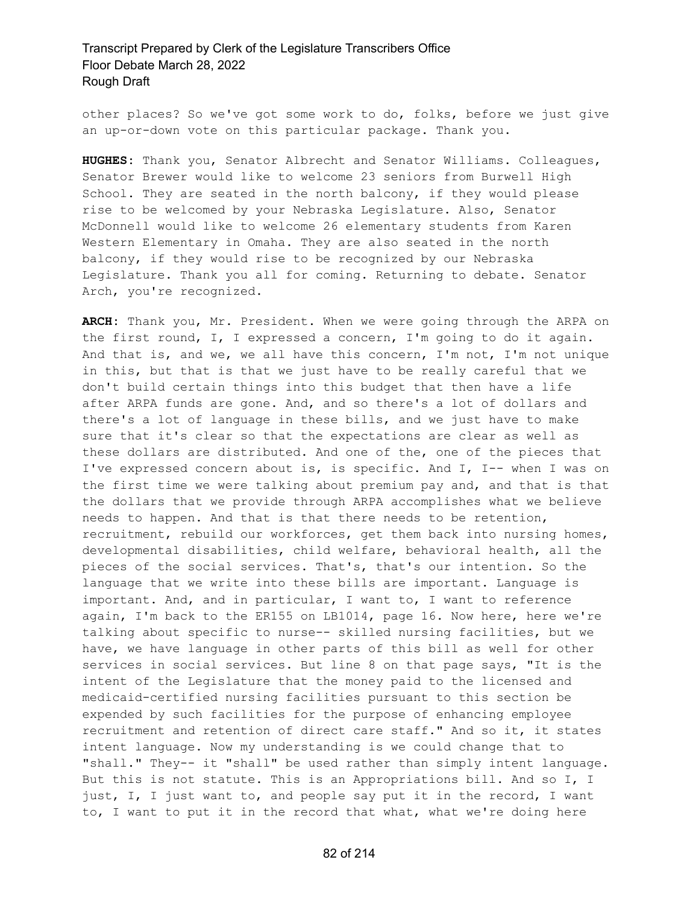other places? So we've got some work to do, folks, before we just give an up-or-down vote on this particular package. Thank you.

**HUGHES:** Thank you, Senator Albrecht and Senator Williams. Colleagues, Senator Brewer would like to welcome 23 seniors from Burwell High School. They are seated in the north balcony, if they would please rise to be welcomed by your Nebraska Legislature. Also, Senator McDonnell would like to welcome 26 elementary students from Karen Western Elementary in Omaha. They are also seated in the north balcony, if they would rise to be recognized by our Nebraska Legislature. Thank you all for coming. Returning to debate. Senator Arch, you're recognized.

**ARCH:** Thank you, Mr. President. When we were going through the ARPA on the first round, I, I expressed a concern, I'm going to do it again. And that is, and we, we all have this concern, I'm not, I'm not unique in this, but that is that we just have to be really careful that we don't build certain things into this budget that then have a life after ARPA funds are gone. And, and so there's a lot of dollars and there's a lot of language in these bills, and we just have to make sure that it's clear so that the expectations are clear as well as these dollars are distributed. And one of the, one of the pieces that I've expressed concern about is, is specific. And I, I-- when I was on the first time we were talking about premium pay and, and that is that the dollars that we provide through ARPA accomplishes what we believe needs to happen. And that is that there needs to be retention, recruitment, rebuild our workforces, get them back into nursing homes, developmental disabilities, child welfare, behavioral health, all the pieces of the social services. That's, that's our intention. So the language that we write into these bills are important. Language is important. And, and in particular, I want to, I want to reference again, I'm back to the ER155 on LB1014, page 16. Now here, here we're talking about specific to nurse-- skilled nursing facilities, but we have, we have language in other parts of this bill as well for other services in social services. But line 8 on that page says, "It is the intent of the Legislature that the money paid to the licensed and medicaid-certified nursing facilities pursuant to this section be expended by such facilities for the purpose of enhancing employee recruitment and retention of direct care staff." And so it, it states intent language. Now my understanding is we could change that to "shall." They-- it "shall" be used rather than simply intent language. But this is not statute. This is an Appropriations bill. And so I, I just, I, I just want to, and people say put it in the record, I want to, I want to put it in the record that what, what we're doing here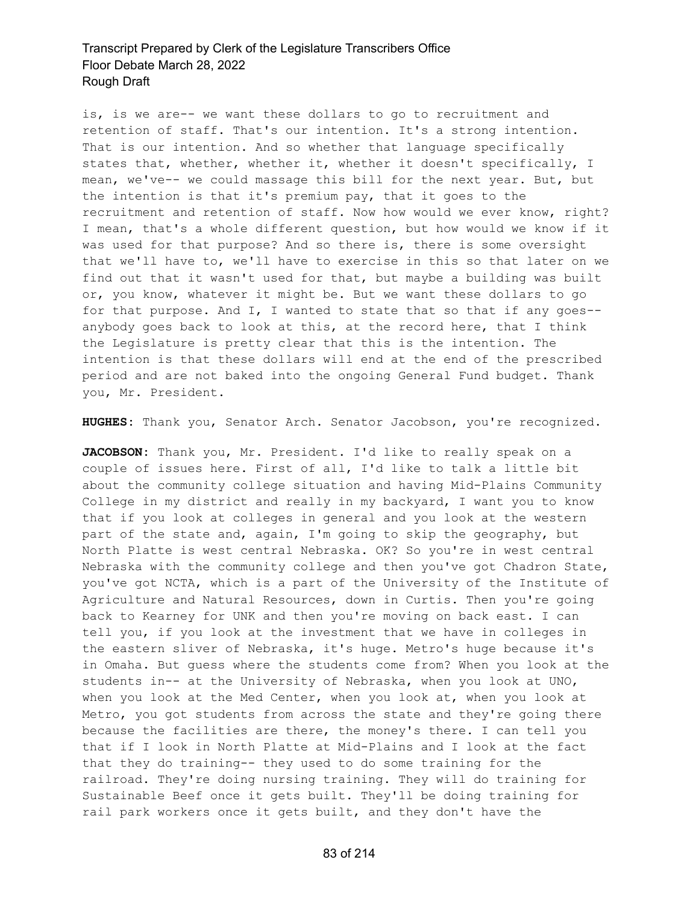is, is we are-- we want these dollars to go to recruitment and retention of staff. That's our intention. It's a strong intention. That is our intention. And so whether that language specifically states that, whether, whether it, whether it doesn't specifically, I mean, we've-- we could massage this bill for the next year. But, but the intention is that it's premium pay, that it goes to the recruitment and retention of staff. Now how would we ever know, right? I mean, that's a whole different question, but how would we know if it was used for that purpose? And so there is, there is some oversight that we'll have to, we'll have to exercise in this so that later on we find out that it wasn't used for that, but maybe a building was built or, you know, whatever it might be. But we want these dollars to go for that purpose. And I, I wanted to state that so that if any goes- anybody goes back to look at this, at the record here, that I think the Legislature is pretty clear that this is the intention. The intention is that these dollars will end at the end of the prescribed period and are not baked into the ongoing General Fund budget. Thank you, Mr. President.

**HUGHES:** Thank you, Senator Arch. Senator Jacobson, you're recognized.

JACOBSON: Thank you, Mr. President. I'd like to really speak on a couple of issues here. First of all, I'd like to talk a little bit about the community college situation and having Mid-Plains Community College in my district and really in my backyard, I want you to know that if you look at colleges in general and you look at the western part of the state and, again, I'm going to skip the geography, but North Platte is west central Nebraska. OK? So you're in west central Nebraska with the community college and then you've got Chadron State, you've got NCTA, which is a part of the University of the Institute of Agriculture and Natural Resources, down in Curtis. Then you're going back to Kearney for UNK and then you're moving on back east. I can tell you, if you look at the investment that we have in colleges in the eastern sliver of Nebraska, it's huge. Metro's huge because it's in Omaha. But guess where the students come from? When you look at the students in-- at the University of Nebraska, when you look at UNO, when you look at the Med Center, when you look at, when you look at Metro, you got students from across the state and they're going there because the facilities are there, the money's there. I can tell you that if I look in North Platte at Mid-Plains and I look at the fact that they do training-- they used to do some training for the railroad. They're doing nursing training. They will do training for Sustainable Beef once it gets built. They'll be doing training for rail park workers once it gets built, and they don't have the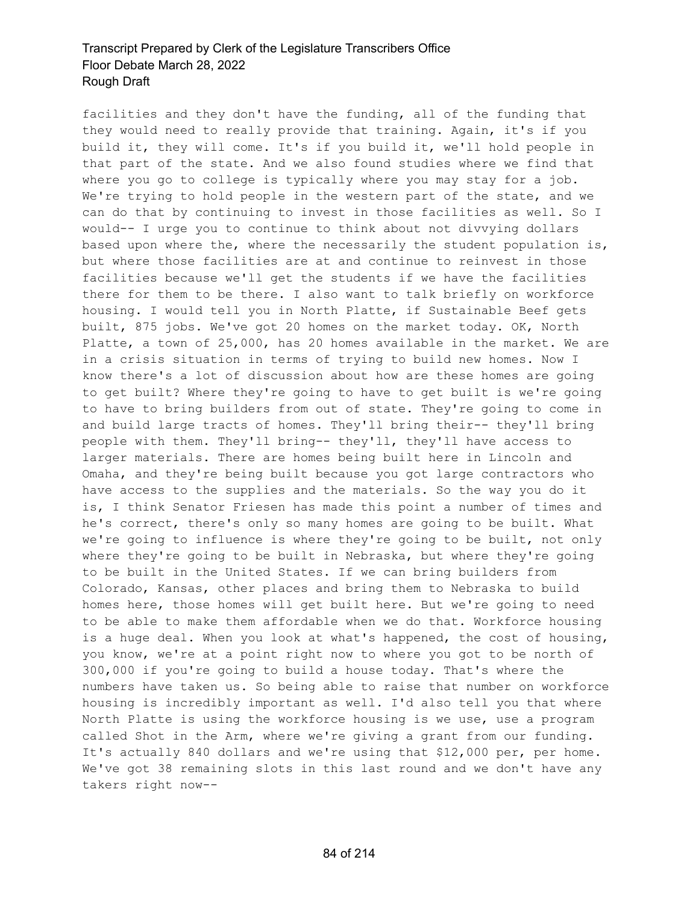facilities and they don't have the funding, all of the funding that they would need to really provide that training. Again, it's if you build it, they will come. It's if you build it, we'll hold people in that part of the state. And we also found studies where we find that where you go to college is typically where you may stay for a job. We're trying to hold people in the western part of the state, and we can do that by continuing to invest in those facilities as well. So I would-- I urge you to continue to think about not divvying dollars based upon where the, where the necessarily the student population is, but where those facilities are at and continue to reinvest in those facilities because we'll get the students if we have the facilities there for them to be there. I also want to talk briefly on workforce housing. I would tell you in North Platte, if Sustainable Beef gets built, 875 jobs. We've got 20 homes on the market today. OK, North Platte, a town of 25,000, has 20 homes available in the market. We are in a crisis situation in terms of trying to build new homes. Now I know there's a lot of discussion about how are these homes are going to get built? Where they're going to have to get built is we're going to have to bring builders from out of state. They're going to come in and build large tracts of homes. They'll bring their-- they'll bring people with them. They'll bring-- they'll, they'll have access to larger materials. There are homes being built here in Lincoln and Omaha, and they're being built because you got large contractors who have access to the supplies and the materials. So the way you do it is, I think Senator Friesen has made this point a number of times and he's correct, there's only so many homes are going to be built. What we're going to influence is where they're going to be built, not only where they're going to be built in Nebraska, but where they're going to be built in the United States. If we can bring builders from Colorado, Kansas, other places and bring them to Nebraska to build homes here, those homes will get built here. But we're going to need to be able to make them affordable when we do that. Workforce housing is a huge deal. When you look at what's happened, the cost of housing, you know, we're at a point right now to where you got to be north of 300,000 if you're going to build a house today. That's where the numbers have taken us. So being able to raise that number on workforce housing is incredibly important as well. I'd also tell you that where North Platte is using the workforce housing is we use, use a program called Shot in the Arm, where we're giving a grant from our funding. It's actually 840 dollars and we're using that \$12,000 per, per home. We've got 38 remaining slots in this last round and we don't have any takers right now--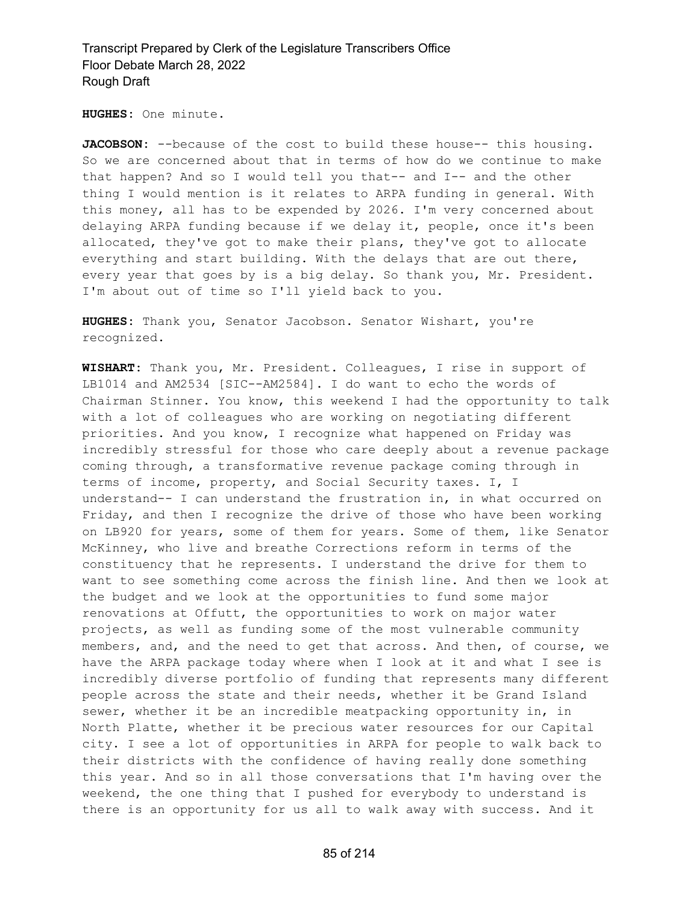**HUGHES:** One minute.

JACOBSON: --because of the cost to build these house-- this housing. So we are concerned about that in terms of how do we continue to make that happen? And so I would tell you that-- and I-- and the other thing I would mention is it relates to ARPA funding in general. With this money, all has to be expended by 2026. I'm very concerned about delaying ARPA funding because if we delay it, people, once it's been allocated, they've got to make their plans, they've got to allocate everything and start building. With the delays that are out there, every year that goes by is a big delay. So thank you, Mr. President. I'm about out of time so I'll yield back to you.

**HUGHES:** Thank you, Senator Jacobson. Senator Wishart, you're recognized.

**WISHART:** Thank you, Mr. President. Colleagues, I rise in support of LB1014 and AM2534 [SIC--AM2584]. I do want to echo the words of Chairman Stinner. You know, this weekend I had the opportunity to talk with a lot of colleagues who are working on negotiating different priorities. And you know, I recognize what happened on Friday was incredibly stressful for those who care deeply about a revenue package coming through, a transformative revenue package coming through in terms of income, property, and Social Security taxes. I, I understand-- I can understand the frustration in, in what occurred on Friday, and then I recognize the drive of those who have been working on LB920 for years, some of them for years. Some of them, like Senator McKinney, who live and breathe Corrections reform in terms of the constituency that he represents. I understand the drive for them to want to see something come across the finish line. And then we look at the budget and we look at the opportunities to fund some major renovations at Offutt, the opportunities to work on major water projects, as well as funding some of the most vulnerable community members, and, and the need to get that across. And then, of course, we have the ARPA package today where when I look at it and what I see is incredibly diverse portfolio of funding that represents many different people across the state and their needs, whether it be Grand Island sewer, whether it be an incredible meatpacking opportunity in, in North Platte, whether it be precious water resources for our Capital city. I see a lot of opportunities in ARPA for people to walk back to their districts with the confidence of having really done something this year. And so in all those conversations that I'm having over the weekend, the one thing that I pushed for everybody to understand is there is an opportunity for us all to walk away with success. And it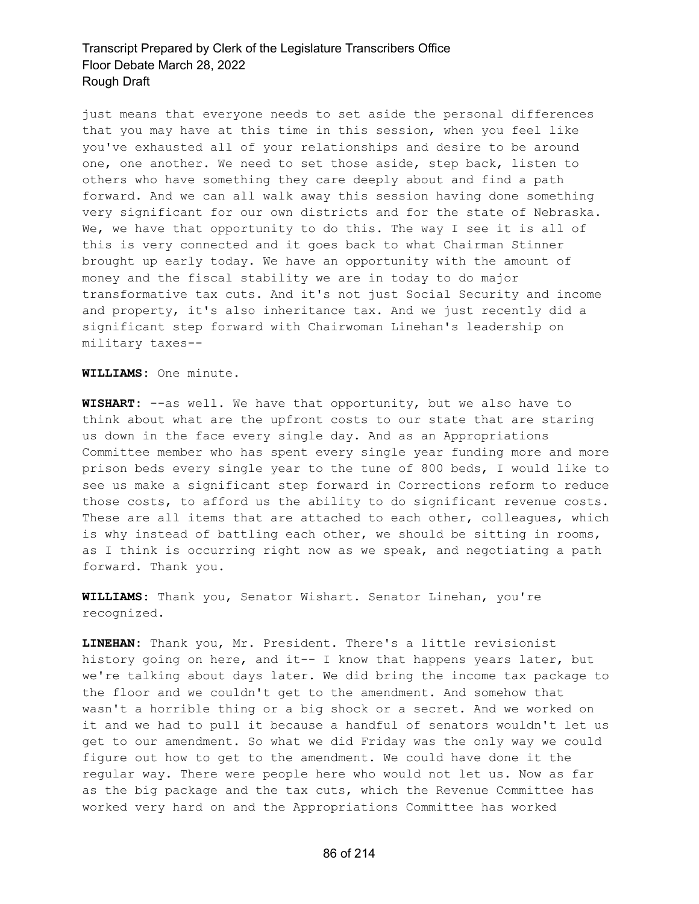just means that everyone needs to set aside the personal differences that you may have at this time in this session, when you feel like you've exhausted all of your relationships and desire to be around one, one another. We need to set those aside, step back, listen to others who have something they care deeply about and find a path forward. And we can all walk away this session having done something very significant for our own districts and for the state of Nebraska. We, we have that opportunity to do this. The way I see it is all of this is very connected and it goes back to what Chairman Stinner brought up early today. We have an opportunity with the amount of money and the fiscal stability we are in today to do major transformative tax cuts. And it's not just Social Security and income and property, it's also inheritance tax. And we just recently did a significant step forward with Chairwoman Linehan's leadership on military taxes--

**WILLIAMS:** One minute.

**WISHART:** --as well. We have that opportunity, but we also have to think about what are the upfront costs to our state that are staring us down in the face every single day. And as an Appropriations Committee member who has spent every single year funding more and more prison beds every single year to the tune of 800 beds, I would like to see us make a significant step forward in Corrections reform to reduce those costs, to afford us the ability to do significant revenue costs. These are all items that are attached to each other, colleagues, which is why instead of battling each other, we should be sitting in rooms, as I think is occurring right now as we speak, and negotiating a path forward. Thank you.

**WILLIAMS:** Thank you, Senator Wishart. Senator Linehan, you're recognized.

**LINEHAN:** Thank you, Mr. President. There's a little revisionist history going on here, and it-- I know that happens years later, but we're talking about days later. We did bring the income tax package to the floor and we couldn't get to the amendment. And somehow that wasn't a horrible thing or a big shock or a secret. And we worked on it and we had to pull it because a handful of senators wouldn't let us get to our amendment. So what we did Friday was the only way we could figure out how to get to the amendment. We could have done it the regular way. There were people here who would not let us. Now as far as the big package and the tax cuts, which the Revenue Committee has worked very hard on and the Appropriations Committee has worked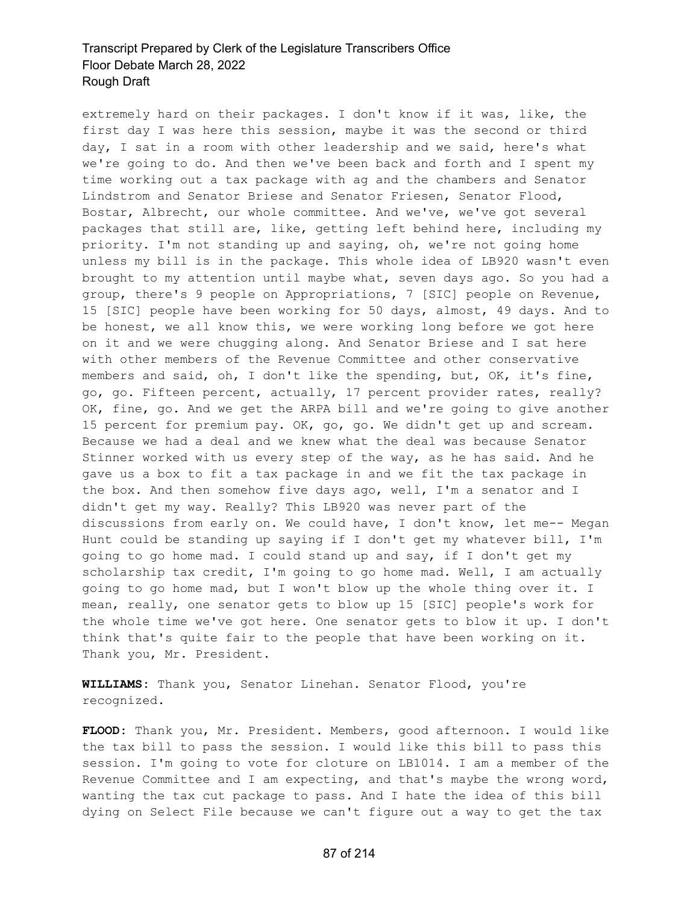extremely hard on their packages. I don't know if it was, like, the first day I was here this session, maybe it was the second or third day, I sat in a room with other leadership and we said, here's what we're going to do. And then we've been back and forth and I spent my time working out a tax package with ag and the chambers and Senator Lindstrom and Senator Briese and Senator Friesen, Senator Flood, Bostar, Albrecht, our whole committee. And we've, we've got several packages that still are, like, getting left behind here, including my priority. I'm not standing up and saying, oh, we're not going home unless my bill is in the package. This whole idea of LB920 wasn't even brought to my attention until maybe what, seven days ago. So you had a group, there's 9 people on Appropriations, 7 [SIC] people on Revenue, 15 [SIC] people have been working for 50 days, almost, 49 days. And to be honest, we all know this, we were working long before we got here on it and we were chugging along. And Senator Briese and I sat here with other members of the Revenue Committee and other conservative members and said, oh, I don't like the spending, but, OK, it's fine, go, go. Fifteen percent, actually, 17 percent provider rates, really? OK, fine, go. And we get the ARPA bill and we're going to give another 15 percent for premium pay. OK, go, go. We didn't get up and scream. Because we had a deal and we knew what the deal was because Senator Stinner worked with us every step of the way, as he has said. And he gave us a box to fit a tax package in and we fit the tax package in the box. And then somehow five days ago, well, I'm a senator and I didn't get my way. Really? This LB920 was never part of the discussions from early on. We could have, I don't know, let me-- Megan Hunt could be standing up saying if I don't get my whatever bill, I'm going to go home mad. I could stand up and say, if I don't get my scholarship tax credit, I'm going to go home mad. Well, I am actually going to go home mad, but I won't blow up the whole thing over it. I mean, really, one senator gets to blow up 15 [SIC] people's work for the whole time we've got here. One senator gets to blow it up. I don't think that's quite fair to the people that have been working on it. Thank you, Mr. President.

**WILLIAMS:** Thank you, Senator Linehan. Senator Flood, you're recognized.

**FLOOD:** Thank you, Mr. President. Members, good afternoon. I would like the tax bill to pass the session. I would like this bill to pass this session. I'm going to vote for cloture on LB1014. I am a member of the Revenue Committee and I am expecting, and that's maybe the wrong word, wanting the tax cut package to pass. And I hate the idea of this bill dying on Select File because we can't figure out a way to get the tax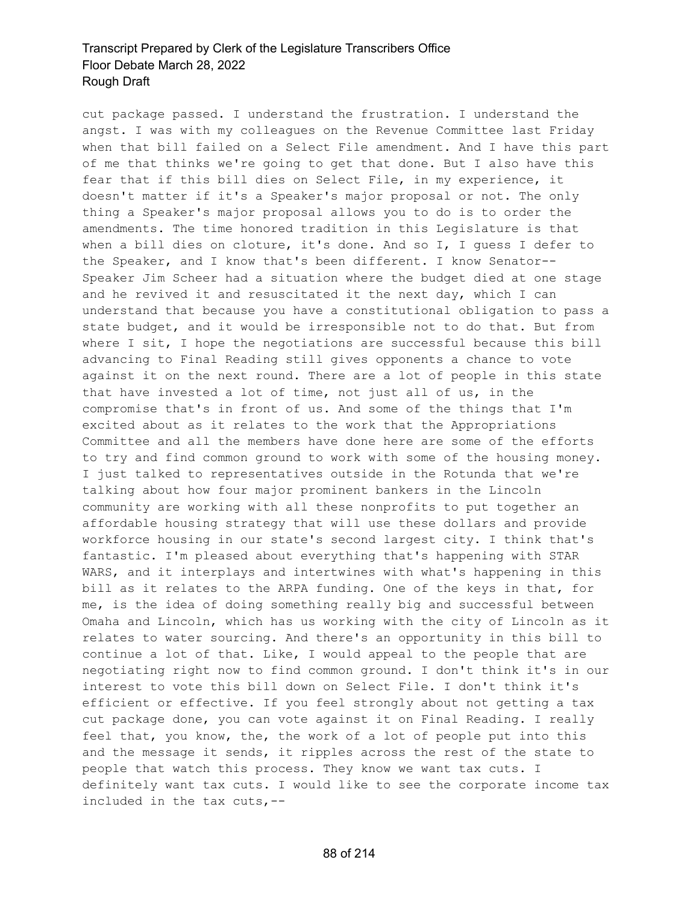cut package passed. I understand the frustration. I understand the angst. I was with my colleagues on the Revenue Committee last Friday when that bill failed on a Select File amendment. And I have this part of me that thinks we're going to get that done. But I also have this fear that if this bill dies on Select File, in my experience, it doesn't matter if it's a Speaker's major proposal or not. The only thing a Speaker's major proposal allows you to do is to order the amendments. The time honored tradition in this Legislature is that when a bill dies on cloture, it's done. And so I, I guess I defer to the Speaker, and I know that's been different. I know Senator-- Speaker Jim Scheer had a situation where the budget died at one stage and he revived it and resuscitated it the next day, which I can understand that because you have a constitutional obligation to pass a state budget, and it would be irresponsible not to do that. But from where I sit, I hope the negotiations are successful because this bill advancing to Final Reading still gives opponents a chance to vote against it on the next round. There are a lot of people in this state that have invested a lot of time, not just all of us, in the compromise that's in front of us. And some of the things that I'm excited about as it relates to the work that the Appropriations Committee and all the members have done here are some of the efforts to try and find common ground to work with some of the housing money. I just talked to representatives outside in the Rotunda that we're talking about how four major prominent bankers in the Lincoln community are working with all these nonprofits to put together an affordable housing strategy that will use these dollars and provide workforce housing in our state's second largest city. I think that's fantastic. I'm pleased about everything that's happening with STAR WARS, and it interplays and intertwines with what's happening in this bill as it relates to the ARPA funding. One of the keys in that, for me, is the idea of doing something really big and successful between Omaha and Lincoln, which has us working with the city of Lincoln as it relates to water sourcing. And there's an opportunity in this bill to continue a lot of that. Like, I would appeal to the people that are negotiating right now to find common ground. I don't think it's in our interest to vote this bill down on Select File. I don't think it's efficient or effective. If you feel strongly about not getting a tax cut package done, you can vote against it on Final Reading. I really feel that, you know, the, the work of a lot of people put into this and the message it sends, it ripples across the rest of the state to people that watch this process. They know we want tax cuts. I definitely want tax cuts. I would like to see the corporate income tax included in the tax cuts,--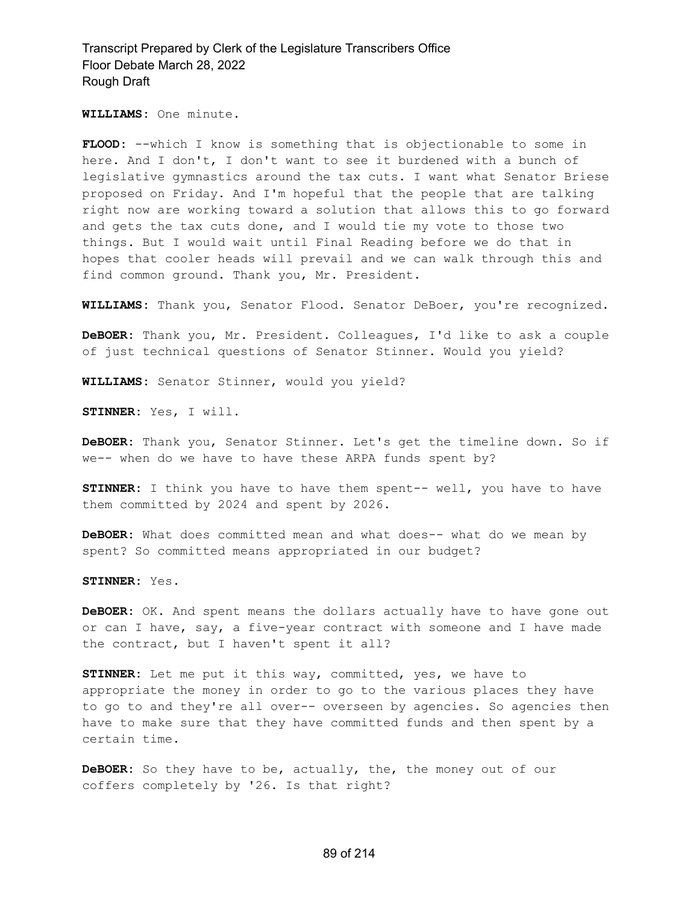**WILLIAMS:** One minute.

**FLOOD:** --which I know is something that is objectionable to some in here. And I don't, I don't want to see it burdened with a bunch of legislative gymnastics around the tax cuts. I want what Senator Briese proposed on Friday. And I'm hopeful that the people that are talking right now are working toward a solution that allows this to go forward and gets the tax cuts done, and I would tie my vote to those two things. But I would wait until Final Reading before we do that in hopes that cooler heads will prevail and we can walk through this and find common ground. Thank you, Mr. President.

**WILLIAMS:** Thank you, Senator Flood. Senator DeBoer, you're recognized.

**DeBOER:** Thank you, Mr. President. Colleagues, I'd like to ask a couple of just technical questions of Senator Stinner. Would you yield?

**WILLIAMS:** Senator Stinner, would you yield?

**STINNER:** Yes, I will.

**DeBOER:** Thank you, Senator Stinner. Let's get the timeline down. So if we-- when do we have to have these ARPA funds spent by?

**STINNER:** I think you have to have them spent-- well, you have to have them committed by 2024 and spent by 2026.

**DeBOER:** What does committed mean and what does-- what do we mean by spent? So committed means appropriated in our budget?

**STINNER:** Yes.

**DeBOER:** OK. And spent means the dollars actually have to have gone out or can I have, say, a five-year contract with someone and I have made the contract, but I haven't spent it all?

**STINNER:** Let me put it this way, committed, yes, we have to appropriate the money in order to go to the various places they have to go to and they're all over-- overseen by agencies. So agencies then have to make sure that they have committed funds and then spent by a certain time.

**DeBOER:** So they have to be, actually, the, the money out of our coffers completely by '26. Is that right?

#### 89 of 214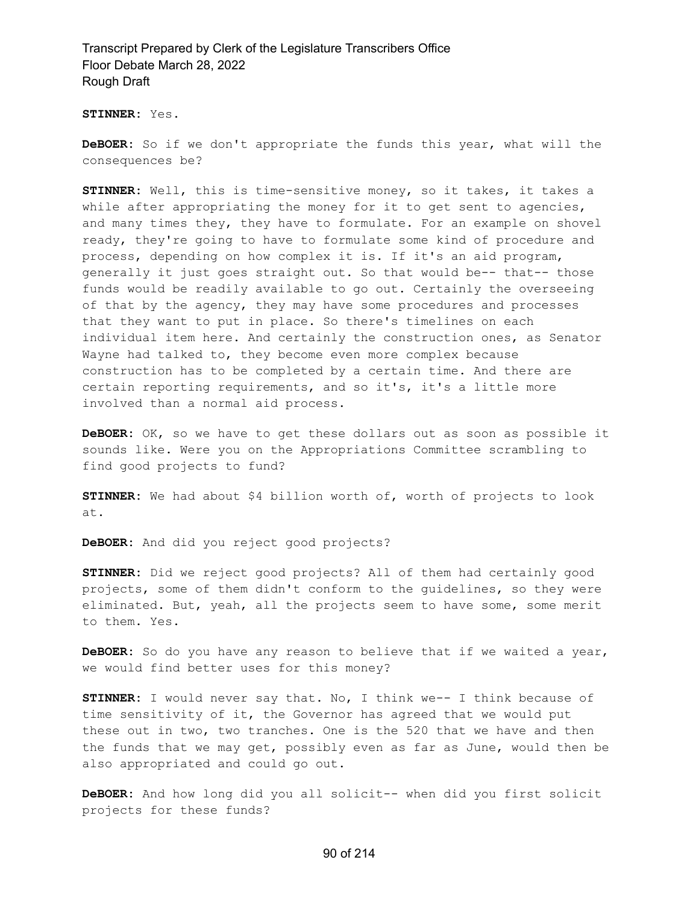**STINNER:** Yes.

**DeBOER:** So if we don't appropriate the funds this year, what will the consequences be?

**STINNER:** Well, this is time-sensitive money, so it takes, it takes a while after appropriating the money for it to get sent to agencies, and many times they, they have to formulate. For an example on shovel ready, they're going to have to formulate some kind of procedure and process, depending on how complex it is. If it's an aid program, generally it just goes straight out. So that would be-- that-- those funds would be readily available to go out. Certainly the overseeing of that by the agency, they may have some procedures and processes that they want to put in place. So there's timelines on each individual item here. And certainly the construction ones, as Senator Wayne had talked to, they become even more complex because construction has to be completed by a certain time. And there are certain reporting requirements, and so it's, it's a little more involved than a normal aid process.

**DeBOER:** OK, so we have to get these dollars out as soon as possible it sounds like. Were you on the Appropriations Committee scrambling to find good projects to fund?

**STINNER:** We had about \$4 billion worth of, worth of projects to look at.

**DeBOER:** And did you reject good projects?

**STINNER:** Did we reject good projects? All of them had certainly good projects, some of them didn't conform to the guidelines, so they were eliminated. But, yeah, all the projects seem to have some, some merit to them. Yes.

**DeBOER:** So do you have any reason to believe that if we waited a year, we would find better uses for this money?

**STINNER:** I would never say that. No, I think we-- I think because of time sensitivity of it, the Governor has agreed that we would put these out in two, two tranches. One is the 520 that we have and then the funds that we may get, possibly even as far as June, would then be also appropriated and could go out.

**DeBOER:** And how long did you all solicit-- when did you first solicit projects for these funds?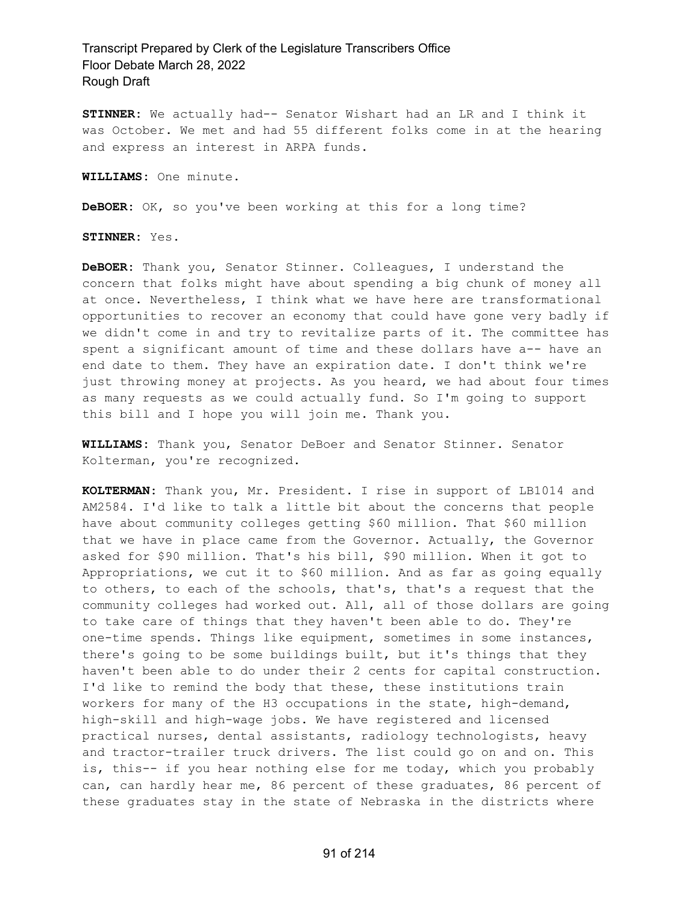**STINNER:** We actually had-- Senator Wishart had an LR and I think it was October. We met and had 55 different folks come in at the hearing and express an interest in ARPA funds.

**WILLIAMS:** One minute.

**DeBOER:** OK, so you've been working at this for a long time?

**STINNER:** Yes.

**DeBOER:** Thank you, Senator Stinner. Colleagues, I understand the concern that folks might have about spending a big chunk of money all at once. Nevertheless, I think what we have here are transformational opportunities to recover an economy that could have gone very badly if we didn't come in and try to revitalize parts of it. The committee has spent a significant amount of time and these dollars have a-- have an end date to them. They have an expiration date. I don't think we're just throwing money at projects. As you heard, we had about four times as many requests as we could actually fund. So I'm going to support this bill and I hope you will join me. Thank you.

**WILLIAMS:** Thank you, Senator DeBoer and Senator Stinner. Senator Kolterman, you're recognized.

**KOLTERMAN:** Thank you, Mr. President. I rise in support of LB1014 and AM2584. I'd like to talk a little bit about the concerns that people have about community colleges getting \$60 million. That \$60 million that we have in place came from the Governor. Actually, the Governor asked for \$90 million. That's his bill, \$90 million. When it got to Appropriations, we cut it to \$60 million. And as far as going equally to others, to each of the schools, that's, that's a request that the community colleges had worked out. All, all of those dollars are going to take care of things that they haven't been able to do. They're one-time spends. Things like equipment, sometimes in some instances, there's going to be some buildings built, but it's things that they haven't been able to do under their 2 cents for capital construction. I'd like to remind the body that these, these institutions train workers for many of the H3 occupations in the state, high-demand, high-skill and high-wage jobs. We have registered and licensed practical nurses, dental assistants, radiology technologists, heavy and tractor-trailer truck drivers. The list could go on and on. This is, this-- if you hear nothing else for me today, which you probably can, can hardly hear me, 86 percent of these graduates, 86 percent of these graduates stay in the state of Nebraska in the districts where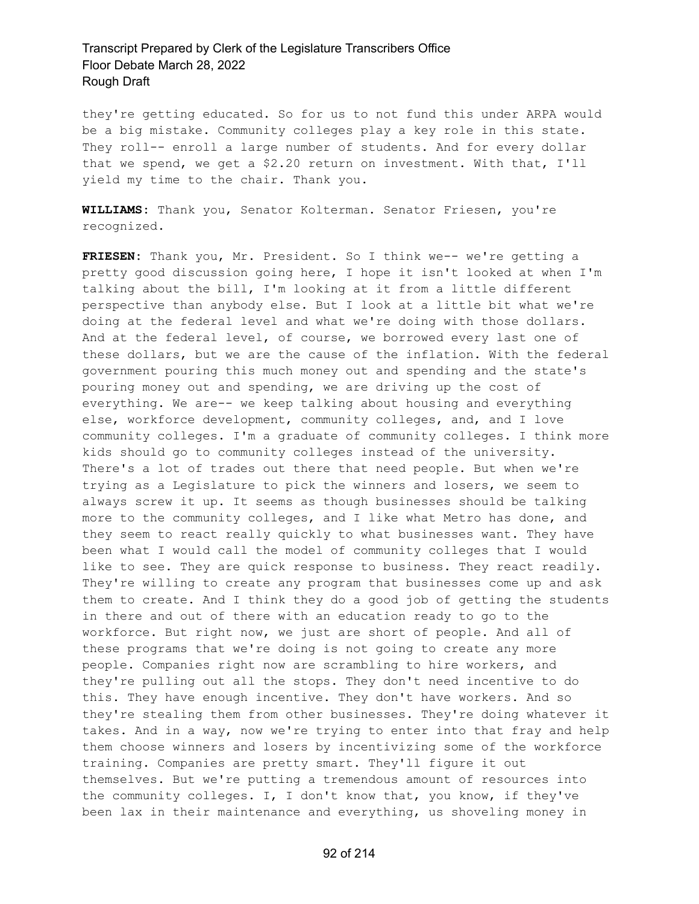they're getting educated. So for us to not fund this under ARPA would be a big mistake. Community colleges play a key role in this state. They roll-- enroll a large number of students. And for every dollar that we spend, we get a \$2.20 return on investment. With that, I'll yield my time to the chair. Thank you.

**WILLIAMS:** Thank you, Senator Kolterman. Senator Friesen, you're recognized.

**FRIESEN:** Thank you, Mr. President. So I think we-- we're getting a pretty good discussion going here, I hope it isn't looked at when I'm talking about the bill, I'm looking at it from a little different perspective than anybody else. But I look at a little bit what we're doing at the federal level and what we're doing with those dollars. And at the federal level, of course, we borrowed every last one of these dollars, but we are the cause of the inflation. With the federal government pouring this much money out and spending and the state's pouring money out and spending, we are driving up the cost of everything. We are-- we keep talking about housing and everything else, workforce development, community colleges, and, and I love community colleges. I'm a graduate of community colleges. I think more kids should go to community colleges instead of the university. There's a lot of trades out there that need people. But when we're trying as a Legislature to pick the winners and losers, we seem to always screw it up. It seems as though businesses should be talking more to the community colleges, and I like what Metro has done, and they seem to react really quickly to what businesses want. They have been what I would call the model of community colleges that I would like to see. They are quick response to business. They react readily. They're willing to create any program that businesses come up and ask them to create. And I think they do a good job of getting the students in there and out of there with an education ready to go to the workforce. But right now, we just are short of people. And all of these programs that we're doing is not going to create any more people. Companies right now are scrambling to hire workers, and they're pulling out all the stops. They don't need incentive to do this. They have enough incentive. They don't have workers. And so they're stealing them from other businesses. They're doing whatever it takes. And in a way, now we're trying to enter into that fray and help them choose winners and losers by incentivizing some of the workforce training. Companies are pretty smart. They'll figure it out themselves. But we're putting a tremendous amount of resources into the community colleges. I, I don't know that, you know, if they've been lax in their maintenance and everything, us shoveling money in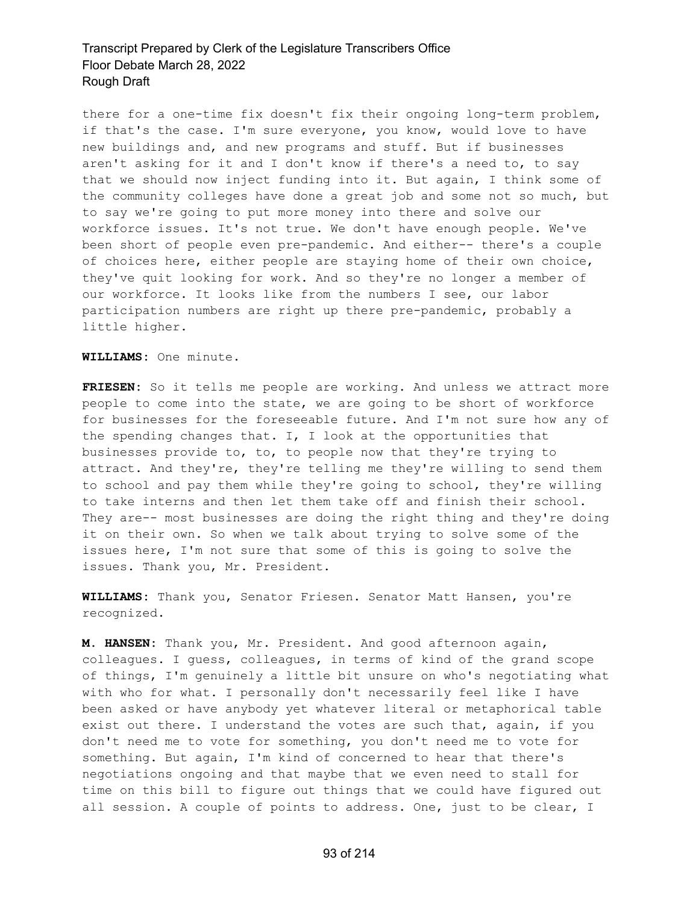there for a one-time fix doesn't fix their ongoing long-term problem, if that's the case. I'm sure everyone, you know, would love to have new buildings and, and new programs and stuff. But if businesses aren't asking for it and I don't know if there's a need to, to say that we should now inject funding into it. But again, I think some of the community colleges have done a great job and some not so much, but to say we're going to put more money into there and solve our workforce issues. It's not true. We don't have enough people. We've been short of people even pre-pandemic. And either-- there's a couple of choices here, either people are staying home of their own choice, they've quit looking for work. And so they're no longer a member of our workforce. It looks like from the numbers I see, our labor participation numbers are right up there pre-pandemic, probably a little higher.

**WILLIAMS:** One minute.

**FRIESEN:** So it tells me people are working. And unless we attract more people to come into the state, we are going to be short of workforce for businesses for the foreseeable future. And I'm not sure how any of the spending changes that. I, I look at the opportunities that businesses provide to, to, to people now that they're trying to attract. And they're, they're telling me they're willing to send them to school and pay them while they're going to school, they're willing to take interns and then let them take off and finish their school. They are-- most businesses are doing the right thing and they're doing it on their own. So when we talk about trying to solve some of the issues here, I'm not sure that some of this is going to solve the issues. Thank you, Mr. President.

**WILLIAMS:** Thank you, Senator Friesen. Senator Matt Hansen, you're recognized.

**M. HANSEN:** Thank you, Mr. President. And good afternoon again, colleagues. I guess, colleagues, in terms of kind of the grand scope of things, I'm genuinely a little bit unsure on who's negotiating what with who for what. I personally don't necessarily feel like I have been asked or have anybody yet whatever literal or metaphorical table exist out there. I understand the votes are such that, again, if you don't need me to vote for something, you don't need me to vote for something. But again, I'm kind of concerned to hear that there's negotiations ongoing and that maybe that we even need to stall for time on this bill to figure out things that we could have figured out all session. A couple of points to address. One, just to be clear, I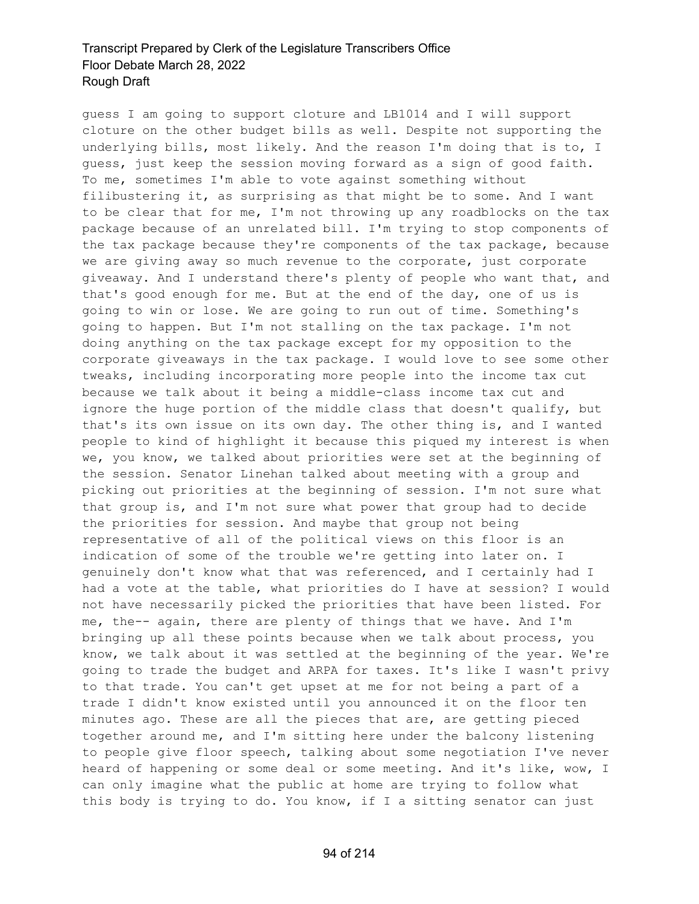guess I am going to support cloture and LB1014 and I will support cloture on the other budget bills as well. Despite not supporting the underlying bills, most likely. And the reason I'm doing that is to, I guess, just keep the session moving forward as a sign of good faith. To me, sometimes I'm able to vote against something without filibustering it, as surprising as that might be to some. And I want to be clear that for me, I'm not throwing up any roadblocks on the tax package because of an unrelated bill. I'm trying to stop components of the tax package because they're components of the tax package, because we are giving away so much revenue to the corporate, just corporate giveaway. And I understand there's plenty of people who want that, and that's good enough for me. But at the end of the day, one of us is going to win or lose. We are going to run out of time. Something's going to happen. But I'm not stalling on the tax package. I'm not doing anything on the tax package except for my opposition to the corporate giveaways in the tax package. I would love to see some other tweaks, including incorporating more people into the income tax cut because we talk about it being a middle-class income tax cut and ignore the huge portion of the middle class that doesn't qualify, but that's its own issue on its own day. The other thing is, and I wanted people to kind of highlight it because this piqued my interest is when we, you know, we talked about priorities were set at the beginning of the session. Senator Linehan talked about meeting with a group and picking out priorities at the beginning of session. I'm not sure what that group is, and I'm not sure what power that group had to decide the priorities for session. And maybe that group not being representative of all of the political views on this floor is an indication of some of the trouble we're getting into later on. I genuinely don't know what that was referenced, and I certainly had I had a vote at the table, what priorities do I have at session? I would not have necessarily picked the priorities that have been listed. For me, the-- again, there are plenty of things that we have. And I'm bringing up all these points because when we talk about process, you know, we talk about it was settled at the beginning of the year. We're going to trade the budget and ARPA for taxes. It's like I wasn't privy to that trade. You can't get upset at me for not being a part of a trade I didn't know existed until you announced it on the floor ten minutes ago. These are all the pieces that are, are getting pieced together around me, and I'm sitting here under the balcony listening to people give floor speech, talking about some negotiation I've never heard of happening or some deal or some meeting. And it's like, wow, I can only imagine what the public at home are trying to follow what this body is trying to do. You know, if I a sitting senator can just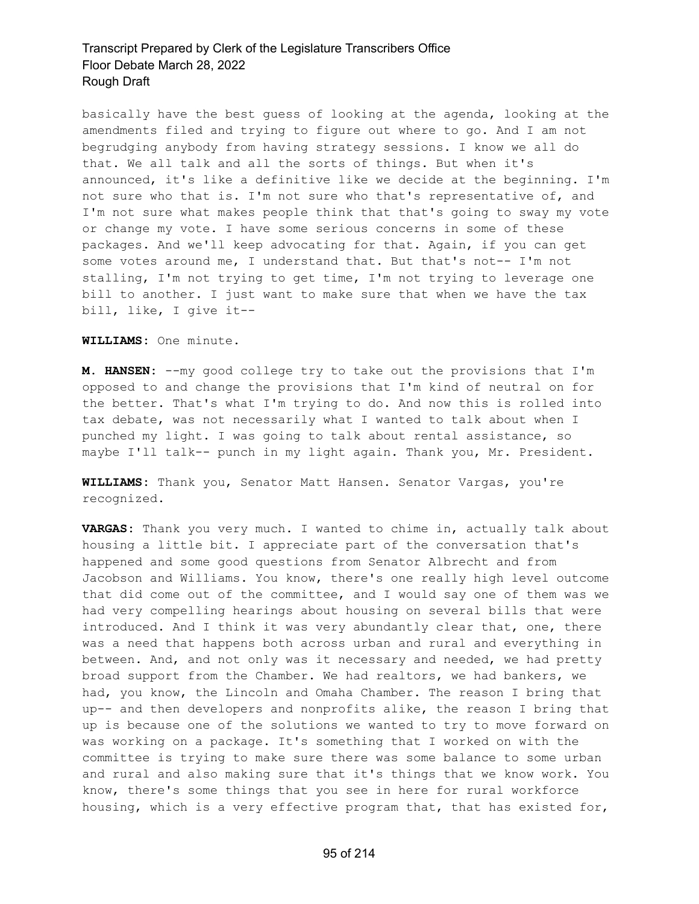basically have the best guess of looking at the agenda, looking at the amendments filed and trying to figure out where to go. And I am not begrudging anybody from having strategy sessions. I know we all do that. We all talk and all the sorts of things. But when it's announced, it's like a definitive like we decide at the beginning. I'm not sure who that is. I'm not sure who that's representative of, and I'm not sure what makes people think that that's going to sway my vote or change my vote. I have some serious concerns in some of these packages. And we'll keep advocating for that. Again, if you can get some votes around me, I understand that. But that's not-- I'm not stalling, I'm not trying to get time, I'm not trying to leverage one bill to another. I just want to make sure that when we have the tax bill, like, I give it--

**WILLIAMS:** One minute.

**M. HANSEN:** --my good college try to take out the provisions that I'm opposed to and change the provisions that I'm kind of neutral on for the better. That's what I'm trying to do. And now this is rolled into tax debate, was not necessarily what I wanted to talk about when I punched my light. I was going to talk about rental assistance, so maybe I'll talk-- punch in my light again. Thank you, Mr. President.

**WILLIAMS:** Thank you, Senator Matt Hansen. Senator Vargas, you're recognized.

**VARGAS:** Thank you very much. I wanted to chime in, actually talk about housing a little bit. I appreciate part of the conversation that's happened and some good questions from Senator Albrecht and from Jacobson and Williams. You know, there's one really high level outcome that did come out of the committee, and I would say one of them was we had very compelling hearings about housing on several bills that were introduced. And I think it was very abundantly clear that, one, there was a need that happens both across urban and rural and everything in between. And, and not only was it necessary and needed, we had pretty broad support from the Chamber. We had realtors, we had bankers, we had, you know, the Lincoln and Omaha Chamber. The reason I bring that up-- and then developers and nonprofits alike, the reason I bring that up is because one of the solutions we wanted to try to move forward on was working on a package. It's something that I worked on with the committee is trying to make sure there was some balance to some urban and rural and also making sure that it's things that we know work. You know, there's some things that you see in here for rural workforce housing, which is a very effective program that, that has existed for,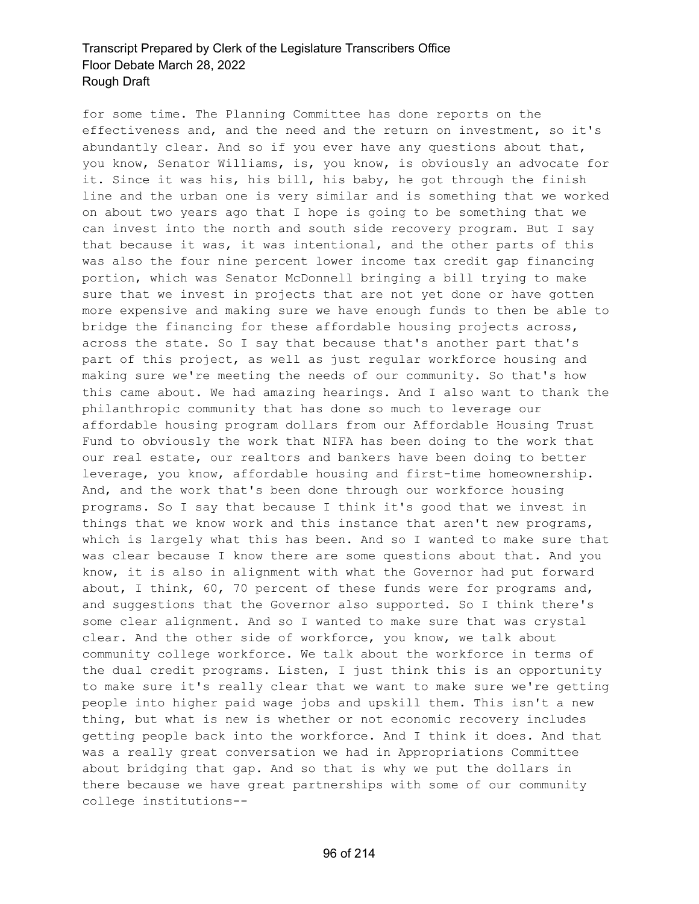for some time. The Planning Committee has done reports on the effectiveness and, and the need and the return on investment, so it's abundantly clear. And so if you ever have any questions about that, you know, Senator Williams, is, you know, is obviously an advocate for it. Since it was his, his bill, his baby, he got through the finish line and the urban one is very similar and is something that we worked on about two years ago that I hope is going to be something that we can invest into the north and south side recovery program. But I say that because it was, it was intentional, and the other parts of this was also the four nine percent lower income tax credit gap financing portion, which was Senator McDonnell bringing a bill trying to make sure that we invest in projects that are not yet done or have gotten more expensive and making sure we have enough funds to then be able to bridge the financing for these affordable housing projects across, across the state. So I say that because that's another part that's part of this project, as well as just regular workforce housing and making sure we're meeting the needs of our community. So that's how this came about. We had amazing hearings. And I also want to thank the philanthropic community that has done so much to leverage our affordable housing program dollars from our Affordable Housing Trust Fund to obviously the work that NIFA has been doing to the work that our real estate, our realtors and bankers have been doing to better leverage, you know, affordable housing and first-time homeownership. And, and the work that's been done through our workforce housing programs. So I say that because I think it's good that we invest in things that we know work and this instance that aren't new programs, which is largely what this has been. And so I wanted to make sure that was clear because I know there are some questions about that. And you know, it is also in alignment with what the Governor had put forward about, I think, 60, 70 percent of these funds were for programs and, and suggestions that the Governor also supported. So I think there's some clear alignment. And so I wanted to make sure that was crystal clear. And the other side of workforce, you know, we talk about community college workforce. We talk about the workforce in terms of the dual credit programs. Listen, I just think this is an opportunity to make sure it's really clear that we want to make sure we're getting people into higher paid wage jobs and upskill them. This isn't a new thing, but what is new is whether or not economic recovery includes getting people back into the workforce. And I think it does. And that was a really great conversation we had in Appropriations Committee about bridging that gap. And so that is why we put the dollars in there because we have great partnerships with some of our community college institutions--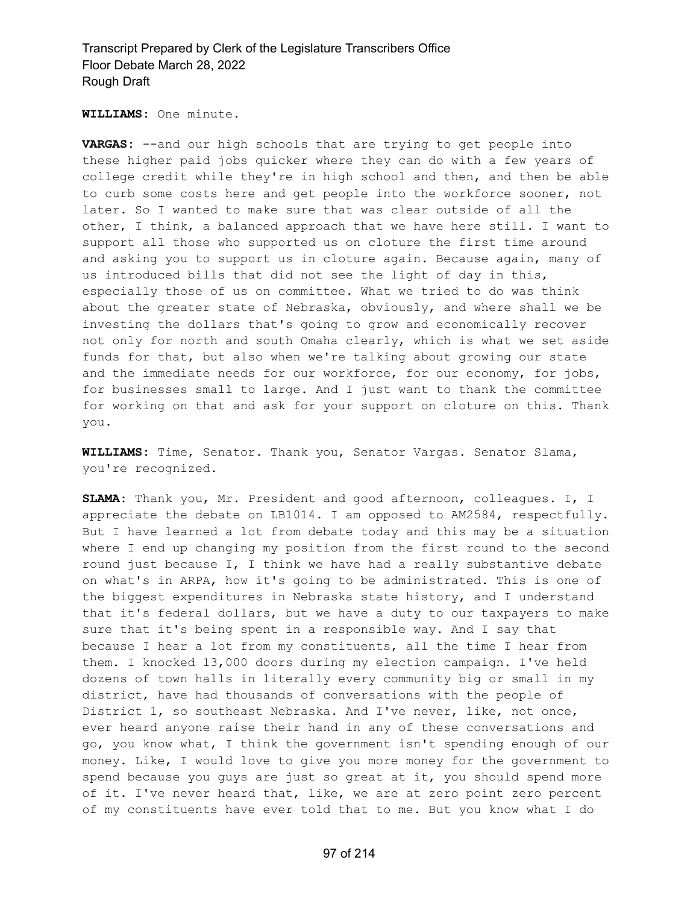**WILLIAMS:** One minute.

**VARGAS:** --and our high schools that are trying to get people into these higher paid jobs quicker where they can do with a few years of college credit while they're in high school and then, and then be able to curb some costs here and get people into the workforce sooner, not later. So I wanted to make sure that was clear outside of all the other, I think, a balanced approach that we have here still. I want to support all those who supported us on cloture the first time around and asking you to support us in cloture again. Because again, many of us introduced bills that did not see the light of day in this, especially those of us on committee. What we tried to do was think about the greater state of Nebraska, obviously, and where shall we be investing the dollars that's going to grow and economically recover not only for north and south Omaha clearly, which is what we set aside funds for that, but also when we're talking about growing our state and the immediate needs for our workforce, for our economy, for jobs, for businesses small to large. And I just want to thank the committee for working on that and ask for your support on cloture on this. Thank you.

**WILLIAMS:** Time, Senator. Thank you, Senator Vargas. Senator Slama, you're recognized.

**SLAMA:** Thank you, Mr. President and good afternoon, colleagues. I, I appreciate the debate on LB1014. I am opposed to AM2584, respectfully. But I have learned a lot from debate today and this may be a situation where I end up changing my position from the first round to the second round just because I, I think we have had a really substantive debate on what's in ARPA, how it's going to be administrated. This is one of the biggest expenditures in Nebraska state history, and I understand that it's federal dollars, but we have a duty to our taxpayers to make sure that it's being spent in a responsible way. And I say that because I hear a lot from my constituents, all the time I hear from them. I knocked 13,000 doors during my election campaign. I've held dozens of town halls in literally every community big or small in my district, have had thousands of conversations with the people of District 1, so southeast Nebraska. And I've never, like, not once, ever heard anyone raise their hand in any of these conversations and go, you know what, I think the government isn't spending enough of our money. Like, I would love to give you more money for the government to spend because you guys are just so great at it, you should spend more of it. I've never heard that, like, we are at zero point zero percent of my constituents have ever told that to me. But you know what I do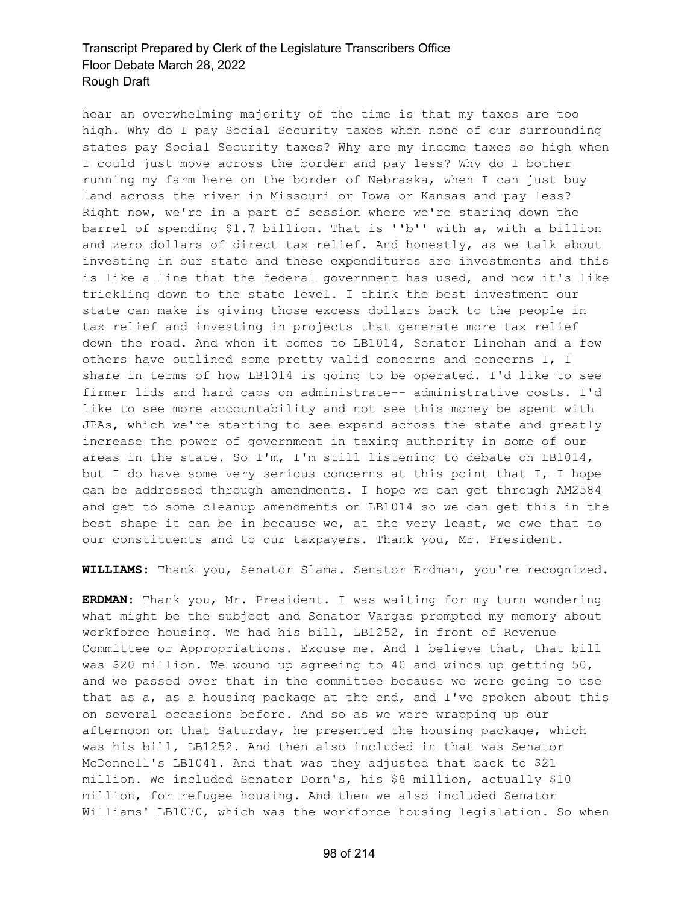hear an overwhelming majority of the time is that my taxes are too high. Why do I pay Social Security taxes when none of our surrounding states pay Social Security taxes? Why are my income taxes so high when I could just move across the border and pay less? Why do I bother running my farm here on the border of Nebraska, when I can just buy land across the river in Missouri or Iowa or Kansas and pay less? Right now, we're in a part of session where we're staring down the barrel of spending \$1.7 billion. That is ''b'' with a, with a billion and zero dollars of direct tax relief. And honestly, as we talk about investing in our state and these expenditures are investments and this is like a line that the federal government has used, and now it's like trickling down to the state level. I think the best investment our state can make is giving those excess dollars back to the people in tax relief and investing in projects that generate more tax relief down the road. And when it comes to LB1014, Senator Linehan and a few others have outlined some pretty valid concerns and concerns I, I share in terms of how LB1014 is going to be operated. I'd like to see firmer lids and hard caps on administrate-- administrative costs. I'd like to see more accountability and not see this money be spent with JPAs, which we're starting to see expand across the state and greatly increase the power of government in taxing authority in some of our areas in the state. So I'm, I'm still listening to debate on LB1014, but I do have some very serious concerns at this point that I, I hope can be addressed through amendments. I hope we can get through AM2584 and get to some cleanup amendments on LB1014 so we can get this in the best shape it can be in because we, at the very least, we owe that to our constituents and to our taxpayers. Thank you, Mr. President.

**WILLIAMS:** Thank you, Senator Slama. Senator Erdman, you're recognized.

**ERDMAN:** Thank you, Mr. President. I was waiting for my turn wondering what might be the subject and Senator Vargas prompted my memory about workforce housing. We had his bill, LB1252, in front of Revenue Committee or Appropriations. Excuse me. And I believe that, that bill was \$20 million. We wound up agreeing to 40 and winds up getting 50, and we passed over that in the committee because we were going to use that as a, as a housing package at the end, and I've spoken about this on several occasions before. And so as we were wrapping up our afternoon on that Saturday, he presented the housing package, which was his bill, LB1252. And then also included in that was Senator McDonnell's LB1041. And that was they adjusted that back to \$21 million. We included Senator Dorn's, his \$8 million, actually \$10 million, for refugee housing. And then we also included Senator Williams' LB1070, which was the workforce housing legislation. So when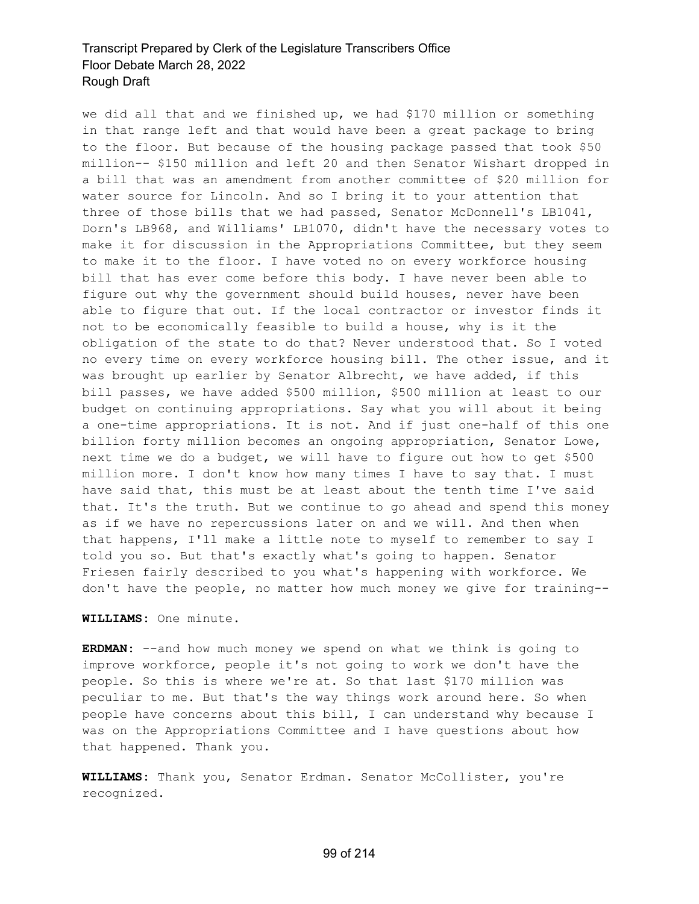we did all that and we finished up, we had \$170 million or something in that range left and that would have been a great package to bring to the floor. But because of the housing package passed that took \$50 million-- \$150 million and left 20 and then Senator Wishart dropped in a bill that was an amendment from another committee of \$20 million for water source for Lincoln. And so I bring it to your attention that three of those bills that we had passed, Senator McDonnell's LB1041, Dorn's LB968, and Williams' LB1070, didn't have the necessary votes to make it for discussion in the Appropriations Committee, but they seem to make it to the floor. I have voted no on every workforce housing bill that has ever come before this body. I have never been able to figure out why the government should build houses, never have been able to figure that out. If the local contractor or investor finds it not to be economically feasible to build a house, why is it the obligation of the state to do that? Never understood that. So I voted no every time on every workforce housing bill. The other issue, and it was brought up earlier by Senator Albrecht, we have added, if this bill passes, we have added \$500 million, \$500 million at least to our budget on continuing appropriations. Say what you will about it being a one-time appropriations. It is not. And if just one-half of this one billion forty million becomes an ongoing appropriation, Senator Lowe, next time we do a budget, we will have to figure out how to get \$500 million more. I don't know how many times I have to say that. I must have said that, this must be at least about the tenth time I've said that. It's the truth. But we continue to go ahead and spend this money as if we have no repercussions later on and we will. And then when that happens, I'll make a little note to myself to remember to say I told you so. But that's exactly what's going to happen. Senator Friesen fairly described to you what's happening with workforce. We don't have the people, no matter how much money we give for training--

#### **WILLIAMS:** One minute.

**ERDMAN:** --and how much money we spend on what we think is going to improve workforce, people it's not going to work we don't have the people. So this is where we're at. So that last \$170 million was peculiar to me. But that's the way things work around here. So when people have concerns about this bill, I can understand why because I was on the Appropriations Committee and I have questions about how that happened. Thank you.

**WILLIAMS:** Thank you, Senator Erdman. Senator McCollister, you're recognized.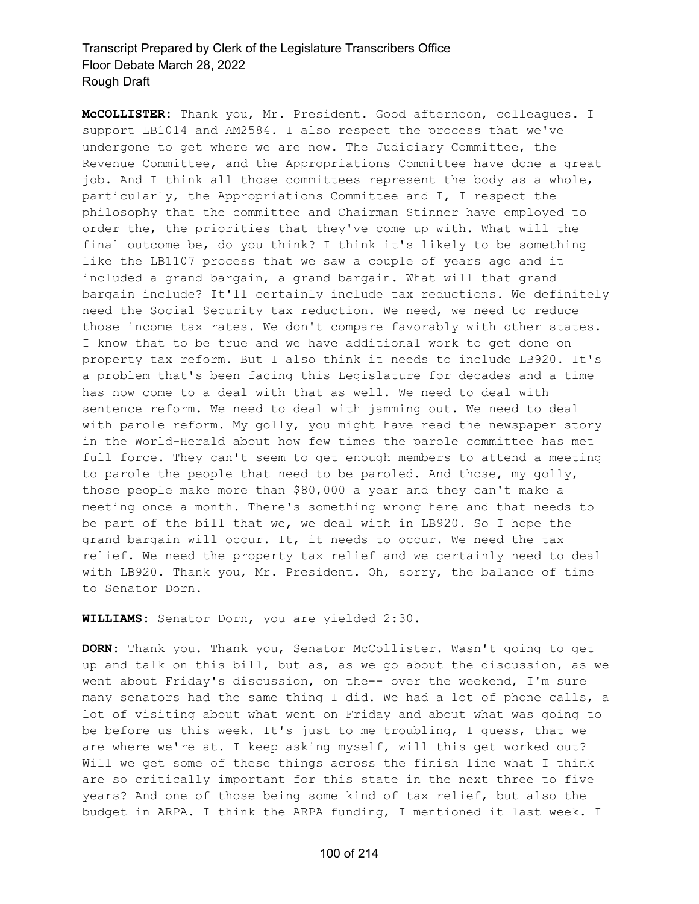**McCOLLISTER:** Thank you, Mr. President. Good afternoon, colleagues. I support LB1014 and AM2584. I also respect the process that we've undergone to get where we are now. The Judiciary Committee, the Revenue Committee, and the Appropriations Committee have done a great job. And I think all those committees represent the body as a whole, particularly, the Appropriations Committee and I, I respect the philosophy that the committee and Chairman Stinner have employed to order the, the priorities that they've come up with. What will the final outcome be, do you think? I think it's likely to be something like the LB1107 process that we saw a couple of years ago and it included a grand bargain, a grand bargain. What will that grand bargain include? It'll certainly include tax reductions. We definitely need the Social Security tax reduction. We need, we need to reduce those income tax rates. We don't compare favorably with other states. I know that to be true and we have additional work to get done on property tax reform. But I also think it needs to include LB920. It's a problem that's been facing this Legislature for decades and a time has now come to a deal with that as well. We need to deal with sentence reform. We need to deal with jamming out. We need to deal with parole reform. My golly, you might have read the newspaper story in the World-Herald about how few times the parole committee has met full force. They can't seem to get enough members to attend a meeting to parole the people that need to be paroled. And those, my golly, those people make more than \$80,000 a year and they can't make a meeting once a month. There's something wrong here and that needs to be part of the bill that we, we deal with in LB920. So I hope the grand bargain will occur. It, it needs to occur. We need the tax relief. We need the property tax relief and we certainly need to deal with LB920. Thank you, Mr. President. Oh, sorry, the balance of time to Senator Dorn.

**WILLIAMS:** Senator Dorn, you are yielded 2:30.

**DORN:** Thank you. Thank you, Senator McCollister. Wasn't going to get up and talk on this bill, but as, as we go about the discussion, as we went about Friday's discussion, on the-- over the weekend, I'm sure many senators had the same thing I did. We had a lot of phone calls, a lot of visiting about what went on Friday and about what was going to be before us this week. It's just to me troubling, I guess, that we are where we're at. I keep asking myself, will this get worked out? Will we get some of these things across the finish line what I think are so critically important for this state in the next three to five years? And one of those being some kind of tax relief, but also the budget in ARPA. I think the ARPA funding, I mentioned it last week. I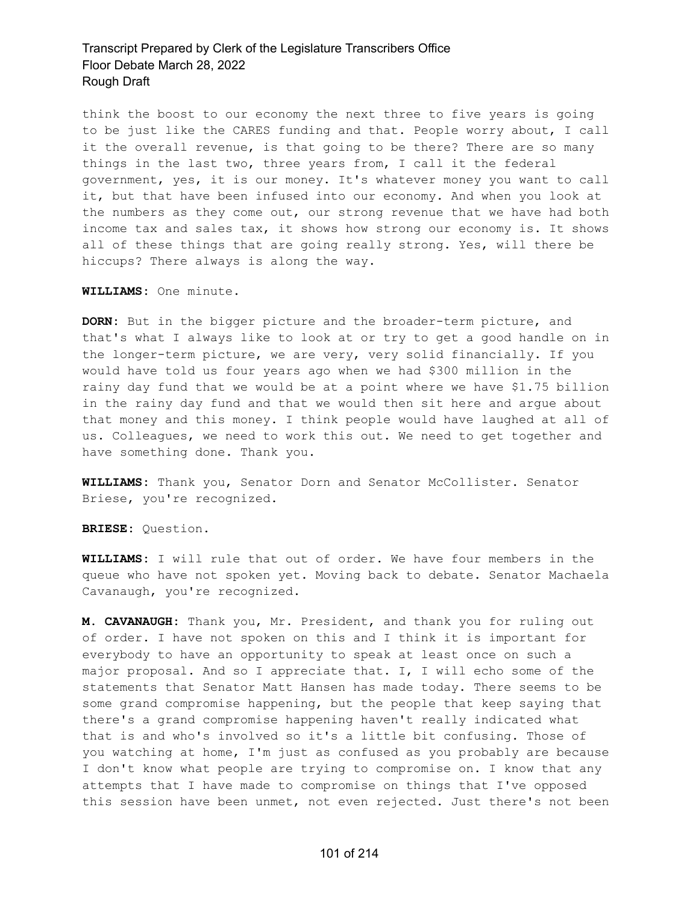think the boost to our economy the next three to five years is going to be just like the CARES funding and that. People worry about, I call it the overall revenue, is that going to be there? There are so many things in the last two, three years from, I call it the federal government, yes, it is our money. It's whatever money you want to call it, but that have been infused into our economy. And when you look at the numbers as they come out, our strong revenue that we have had both income tax and sales tax, it shows how strong our economy is. It shows all of these things that are going really strong. Yes, will there be hiccups? There always is along the way.

**WILLIAMS:** One minute.

**DORN:** But in the bigger picture and the broader-term picture, and that's what I always like to look at or try to get a good handle on in the longer-term picture, we are very, very solid financially. If you would have told us four years ago when we had \$300 million in the rainy day fund that we would be at a point where we have \$1.75 billion in the rainy day fund and that we would then sit here and argue about that money and this money. I think people would have laughed at all of us. Colleagues, we need to work this out. We need to get together and have something done. Thank you.

**WILLIAMS:** Thank you, Senator Dorn and Senator McCollister. Senator Briese, you're recognized.

**BRIESE:** Question.

**WILLIAMS:** I will rule that out of order. We have four members in the queue who have not spoken yet. Moving back to debate. Senator Machaela Cavanaugh, you're recognized.

**M. CAVANAUGH:** Thank you, Mr. President, and thank you for ruling out of order. I have not spoken on this and I think it is important for everybody to have an opportunity to speak at least once on such a major proposal. And so I appreciate that. I, I will echo some of the statements that Senator Matt Hansen has made today. There seems to be some grand compromise happening, but the people that keep saying that there's a grand compromise happening haven't really indicated what that is and who's involved so it's a little bit confusing. Those of you watching at home, I'm just as confused as you probably are because I don't know what people are trying to compromise on. I know that any attempts that I have made to compromise on things that I've opposed this session have been unmet, not even rejected. Just there's not been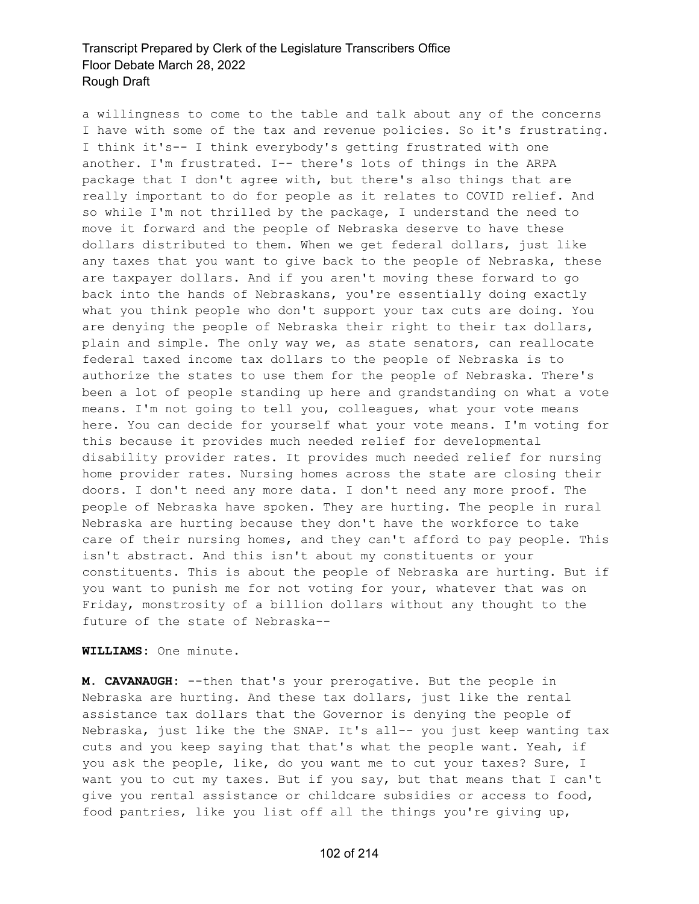a willingness to come to the table and talk about any of the concerns I have with some of the tax and revenue policies. So it's frustrating. I think it's-- I think everybody's getting frustrated with one another. I'm frustrated. I-- there's lots of things in the ARPA package that I don't agree with, but there's also things that are really important to do for people as it relates to COVID relief. And so while I'm not thrilled by the package, I understand the need to move it forward and the people of Nebraska deserve to have these dollars distributed to them. When we get federal dollars, just like any taxes that you want to give back to the people of Nebraska, these are taxpayer dollars. And if you aren't moving these forward to go back into the hands of Nebraskans, you're essentially doing exactly what you think people who don't support your tax cuts are doing. You are denying the people of Nebraska their right to their tax dollars, plain and simple. The only way we, as state senators, can reallocate federal taxed income tax dollars to the people of Nebraska is to authorize the states to use them for the people of Nebraska. There's been a lot of people standing up here and grandstanding on what a vote means. I'm not going to tell you, colleagues, what your vote means here. You can decide for yourself what your vote means. I'm voting for this because it provides much needed relief for developmental disability provider rates. It provides much needed relief for nursing home provider rates. Nursing homes across the state are closing their doors. I don't need any more data. I don't need any more proof. The people of Nebraska have spoken. They are hurting. The people in rural Nebraska are hurting because they don't have the workforce to take care of their nursing homes, and they can't afford to pay people. This isn't abstract. And this isn't about my constituents or your constituents. This is about the people of Nebraska are hurting. But if you want to punish me for not voting for your, whatever that was on Friday, monstrosity of a billion dollars without any thought to the future of the state of Nebraska--

**WILLIAMS:** One minute.

**M. CAVANAUGH:** --then that's your prerogative. But the people in Nebraska are hurting. And these tax dollars, just like the rental assistance tax dollars that the Governor is denying the people of Nebraska, just like the the SNAP. It's all-- you just keep wanting tax cuts and you keep saying that that's what the people want. Yeah, if you ask the people, like, do you want me to cut your taxes? Sure, I want you to cut my taxes. But if you say, but that means that I can't give you rental assistance or childcare subsidies or access to food, food pantries, like you list off all the things you're giving up,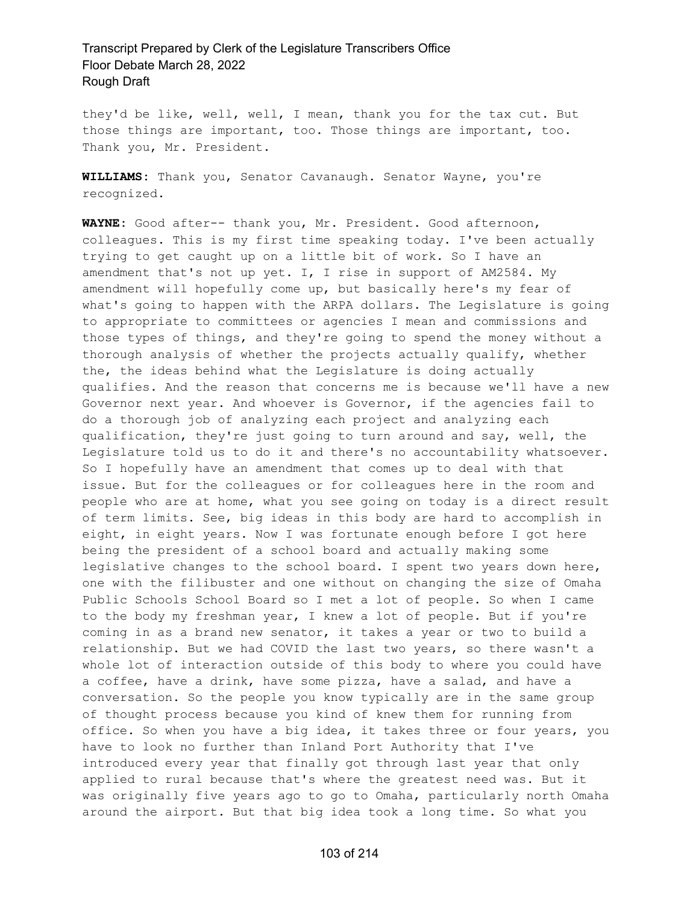they'd be like, well, well, I mean, thank you for the tax cut. But those things are important, too. Those things are important, too. Thank you, Mr. President.

**WILLIAMS:** Thank you, Senator Cavanaugh. Senator Wayne, you're recognized.

**WAYNE:** Good after-- thank you, Mr. President. Good afternoon, colleagues. This is my first time speaking today. I've been actually trying to get caught up on a little bit of work. So I have an amendment that's not up yet. I, I rise in support of AM2584. My amendment will hopefully come up, but basically here's my fear of what's going to happen with the ARPA dollars. The Legislature is going to appropriate to committees or agencies I mean and commissions and those types of things, and they're going to spend the money without a thorough analysis of whether the projects actually qualify, whether the, the ideas behind what the Legislature is doing actually qualifies. And the reason that concerns me is because we'll have a new Governor next year. And whoever is Governor, if the agencies fail to do a thorough job of analyzing each project and analyzing each qualification, they're just going to turn around and say, well, the Legislature told us to do it and there's no accountability whatsoever. So I hopefully have an amendment that comes up to deal with that issue. But for the colleagues or for colleagues here in the room and people who are at home, what you see going on today is a direct result of term limits. See, big ideas in this body are hard to accomplish in eight, in eight years. Now I was fortunate enough before I got here being the president of a school board and actually making some legislative changes to the school board. I spent two years down here, one with the filibuster and one without on changing the size of Omaha Public Schools School Board so I met a lot of people. So when I came to the body my freshman year, I knew a lot of people. But if you're coming in as a brand new senator, it takes a year or two to build a relationship. But we had COVID the last two years, so there wasn't a whole lot of interaction outside of this body to where you could have a coffee, have a drink, have some pizza, have a salad, and have a conversation. So the people you know typically are in the same group of thought process because you kind of knew them for running from office. So when you have a big idea, it takes three or four years, you have to look no further than Inland Port Authority that I've introduced every year that finally got through last year that only applied to rural because that's where the greatest need was. But it was originally five years ago to go to Omaha, particularly north Omaha around the airport. But that big idea took a long time. So what you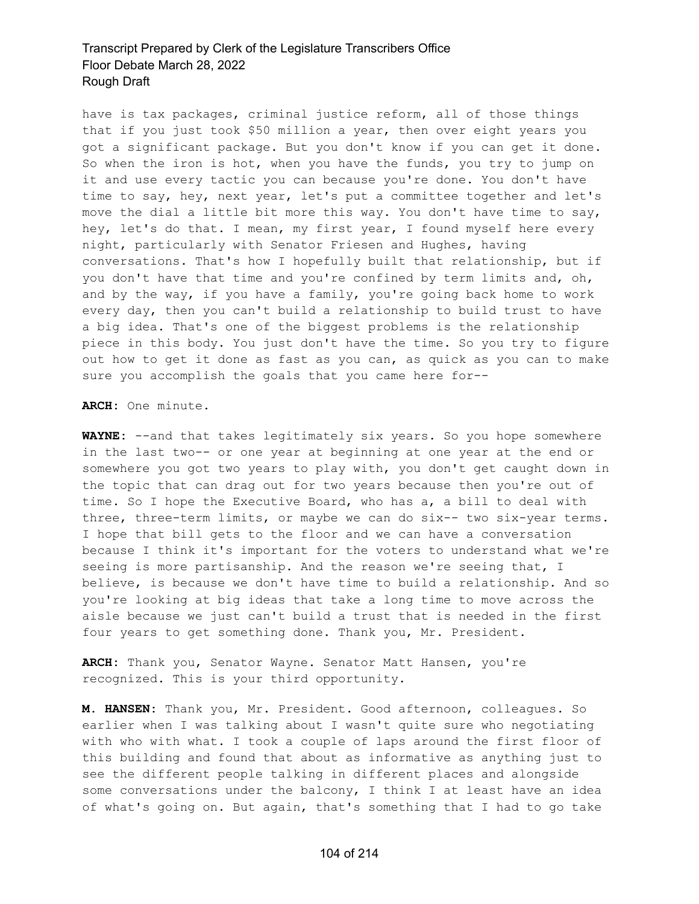have is tax packages, criminal justice reform, all of those things that if you just took \$50 million a year, then over eight years you got a significant package. But you don't know if you can get it done. So when the iron is hot, when you have the funds, you try to jump on it and use every tactic you can because you're done. You don't have time to say, hey, next year, let's put a committee together and let's move the dial a little bit more this way. You don't have time to say, hey, let's do that. I mean, my first year, I found myself here every night, particularly with Senator Friesen and Hughes, having conversations. That's how I hopefully built that relationship, but if you don't have that time and you're confined by term limits and, oh, and by the way, if you have a family, you're going back home to work every day, then you can't build a relationship to build trust to have a big idea. That's one of the biggest problems is the relationship piece in this body. You just don't have the time. So you try to figure out how to get it done as fast as you can, as quick as you can to make sure you accomplish the goals that you came here for--

#### **ARCH:** One minute.

**WAYNE:** --and that takes legitimately six years. So you hope somewhere in the last two-- or one year at beginning at one year at the end or somewhere you got two years to play with, you don't get caught down in the topic that can drag out for two years because then you're out of time. So I hope the Executive Board, who has a, a bill to deal with three, three-term limits, or maybe we can do six-- two six-year terms. I hope that bill gets to the floor and we can have a conversation because I think it's important for the voters to understand what we're seeing is more partisanship. And the reason we're seeing that, I believe, is because we don't have time to build a relationship. And so you're looking at big ideas that take a long time to move across the aisle because we just can't build a trust that is needed in the first four years to get something done. Thank you, Mr. President.

**ARCH:** Thank you, Senator Wayne. Senator Matt Hansen, you're recognized. This is your third opportunity.

**M. HANSEN:** Thank you, Mr. President. Good afternoon, colleagues. So earlier when I was talking about I wasn't quite sure who negotiating with who with what. I took a couple of laps around the first floor of this building and found that about as informative as anything just to see the different people talking in different places and alongside some conversations under the balcony, I think I at least have an idea of what's going on. But again, that's something that I had to go take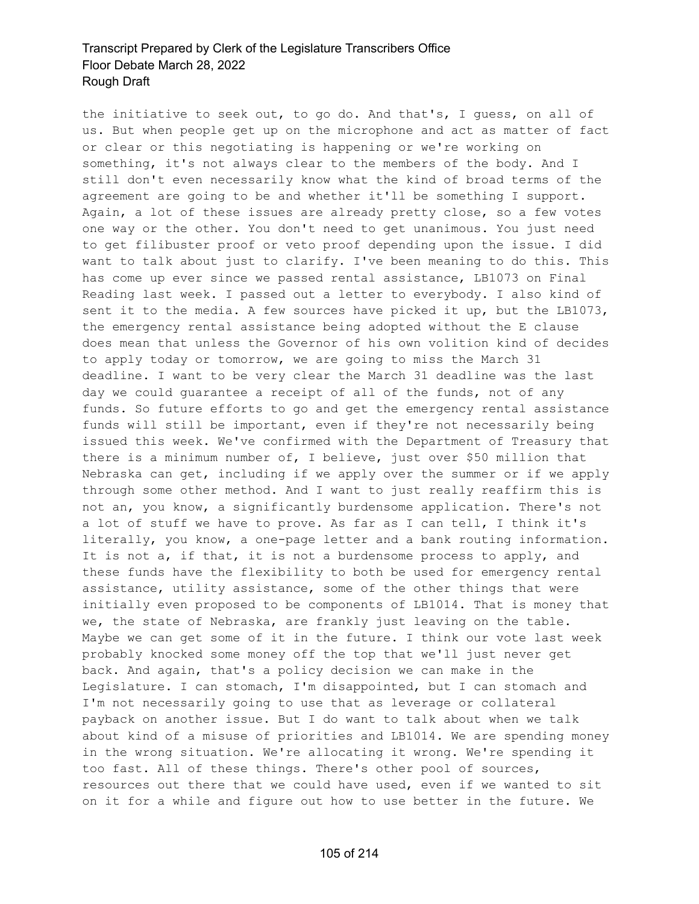the initiative to seek out, to go do. And that's, I guess, on all of us. But when people get up on the microphone and act as matter of fact or clear or this negotiating is happening or we're working on something, it's not always clear to the members of the body. And I still don't even necessarily know what the kind of broad terms of the agreement are going to be and whether it'll be something I support. Again, a lot of these issues are already pretty close, so a few votes one way or the other. You don't need to get unanimous. You just need to get filibuster proof or veto proof depending upon the issue. I did want to talk about just to clarify. I've been meaning to do this. This has come up ever since we passed rental assistance, LB1073 on Final Reading last week. I passed out a letter to everybody. I also kind of sent it to the media. A few sources have picked it up, but the LB1073, the emergency rental assistance being adopted without the E clause does mean that unless the Governor of his own volition kind of decides to apply today or tomorrow, we are going to miss the March 31 deadline. I want to be very clear the March 31 deadline was the last day we could guarantee a receipt of all of the funds, not of any funds. So future efforts to go and get the emergency rental assistance funds will still be important, even if they're not necessarily being issued this week. We've confirmed with the Department of Treasury that there is a minimum number of, I believe, just over \$50 million that Nebraska can get, including if we apply over the summer or if we apply through some other method. And I want to just really reaffirm this is not an, you know, a significantly burdensome application. There's not a lot of stuff we have to prove. As far as I can tell, I think it's literally, you know, a one-page letter and a bank routing information. It is not a, if that, it is not a burdensome process to apply, and these funds have the flexibility to both be used for emergency rental assistance, utility assistance, some of the other things that were initially even proposed to be components of LB1014. That is money that we, the state of Nebraska, are frankly just leaving on the table. Maybe we can get some of it in the future. I think our vote last week probably knocked some money off the top that we'll just never get back. And again, that's a policy decision we can make in the Legislature. I can stomach, I'm disappointed, but I can stomach and I'm not necessarily going to use that as leverage or collateral payback on another issue. But I do want to talk about when we talk about kind of a misuse of priorities and LB1014. We are spending money in the wrong situation. We're allocating it wrong. We're spending it too fast. All of these things. There's other pool of sources, resources out there that we could have used, even if we wanted to sit on it for a while and figure out how to use better in the future. We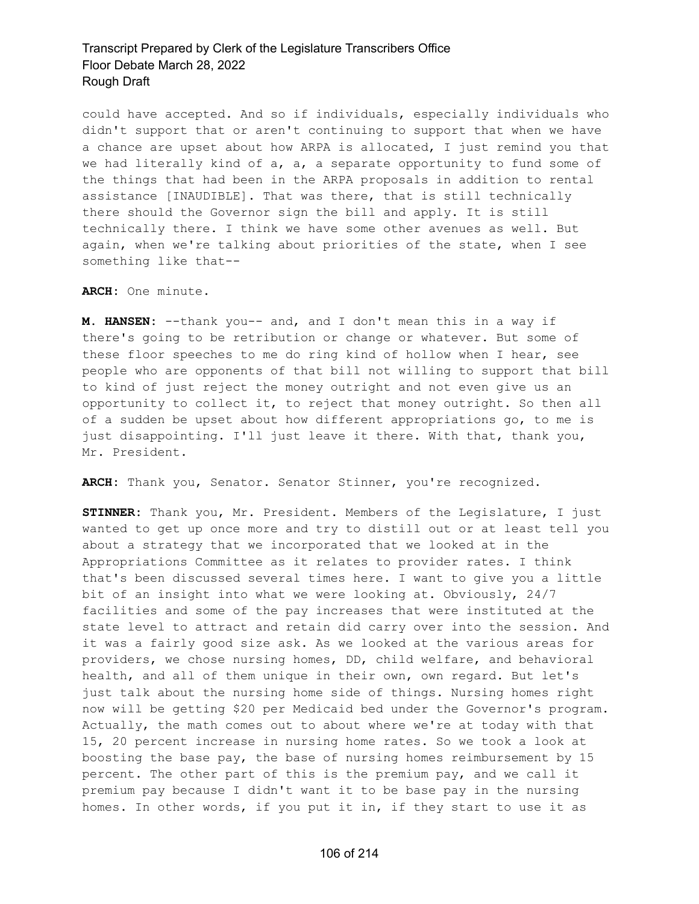could have accepted. And so if individuals, especially individuals who didn't support that or aren't continuing to support that when we have a chance are upset about how ARPA is allocated, I just remind you that we had literally kind of a, a, a separate opportunity to fund some of the things that had been in the ARPA proposals in addition to rental assistance [INAUDIBLE]. That was there, that is still technically there should the Governor sign the bill and apply. It is still technically there. I think we have some other avenues as well. But again, when we're talking about priorities of the state, when I see something like that--

#### **ARCH:** One minute.

**M. HANSEN:** --thank you-- and, and I don't mean this in a way if there's going to be retribution or change or whatever. But some of these floor speeches to me do ring kind of hollow when I hear, see people who are opponents of that bill not willing to support that bill to kind of just reject the money outright and not even give us an opportunity to collect it, to reject that money outright. So then all of a sudden be upset about how different appropriations go, to me is just disappointing. I'll just leave it there. With that, thank you, Mr. President.

**ARCH:** Thank you, Senator. Senator Stinner, you're recognized.

**STINNER:** Thank you, Mr. President. Members of the Legislature, I just wanted to get up once more and try to distill out or at least tell you about a strategy that we incorporated that we looked at in the Appropriations Committee as it relates to provider rates. I think that's been discussed several times here. I want to give you a little bit of an insight into what we were looking at. Obviously, 24/7 facilities and some of the pay increases that were instituted at the state level to attract and retain did carry over into the session. And it was a fairly good size ask. As we looked at the various areas for providers, we chose nursing homes, DD, child welfare, and behavioral health, and all of them unique in their own, own regard. But let's just talk about the nursing home side of things. Nursing homes right now will be getting \$20 per Medicaid bed under the Governor's program. Actually, the math comes out to about where we're at today with that 15, 20 percent increase in nursing home rates. So we took a look at boosting the base pay, the base of nursing homes reimbursement by 15 percent. The other part of this is the premium pay, and we call it premium pay because I didn't want it to be base pay in the nursing homes. In other words, if you put it in, if they start to use it as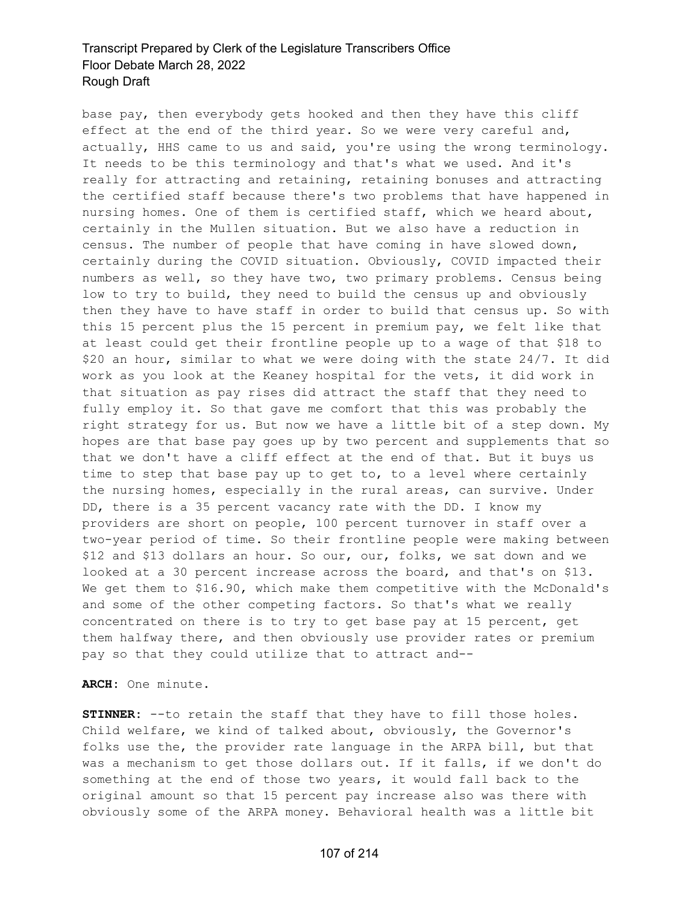base pay, then everybody gets hooked and then they have this cliff effect at the end of the third year. So we were very careful and, actually, HHS came to us and said, you're using the wrong terminology. It needs to be this terminology and that's what we used. And it's really for attracting and retaining, retaining bonuses and attracting the certified staff because there's two problems that have happened in nursing homes. One of them is certified staff, which we heard about, certainly in the Mullen situation. But we also have a reduction in census. The number of people that have coming in have slowed down, certainly during the COVID situation. Obviously, COVID impacted their numbers as well, so they have two, two primary problems. Census being low to try to build, they need to build the census up and obviously then they have to have staff in order to build that census up. So with this 15 percent plus the 15 percent in premium pay, we felt like that at least could get their frontline people up to a wage of that \$18 to \$20 an hour, similar to what we were doing with the state 24/7. It did work as you look at the Keaney hospital for the vets, it did work in that situation as pay rises did attract the staff that they need to fully employ it. So that gave me comfort that this was probably the right strategy for us. But now we have a little bit of a step down. My hopes are that base pay goes up by two percent and supplements that so that we don't have a cliff effect at the end of that. But it buys us time to step that base pay up to get to, to a level where certainly the nursing homes, especially in the rural areas, can survive. Under DD, there is a 35 percent vacancy rate with the DD. I know my providers are short on people, 100 percent turnover in staff over a two-year period of time. So their frontline people were making between \$12 and \$13 dollars an hour. So our, our, folks, we sat down and we looked at a 30 percent increase across the board, and that's on \$13. We get them to \$16.90, which make them competitive with the McDonald's and some of the other competing factors. So that's what we really concentrated on there is to try to get base pay at 15 percent, get them halfway there, and then obviously use provider rates or premium pay so that they could utilize that to attract and--

**ARCH:** One minute.

**STINNER:** --to retain the staff that they have to fill those holes. Child welfare, we kind of talked about, obviously, the Governor's folks use the, the provider rate language in the ARPA bill, but that was a mechanism to get those dollars out. If it falls, if we don't do something at the end of those two years, it would fall back to the original amount so that 15 percent pay increase also was there with obviously some of the ARPA money. Behavioral health was a little bit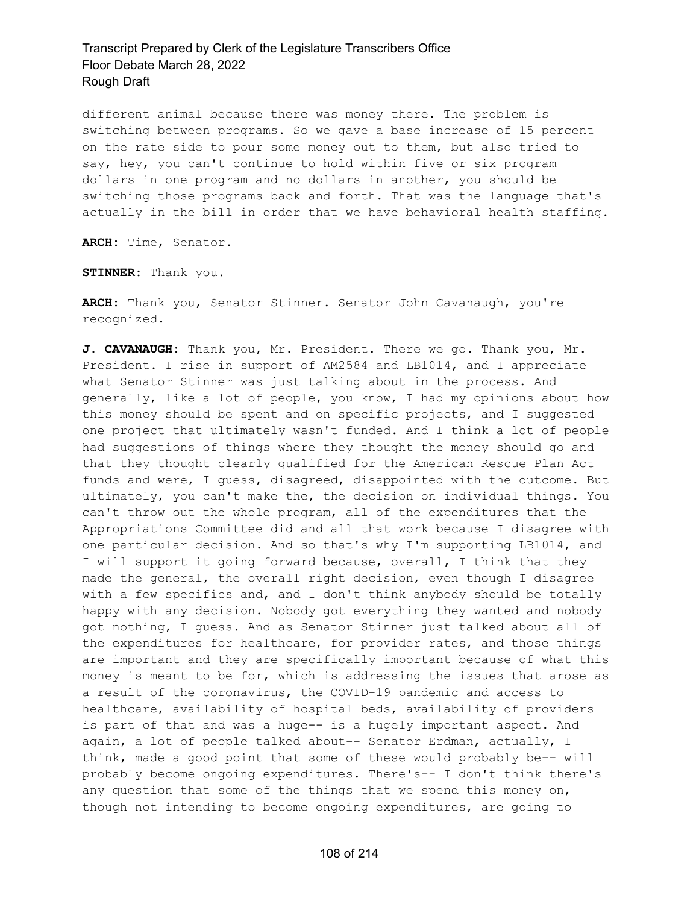different animal because there was money there. The problem is switching between programs. So we gave a base increase of 15 percent on the rate side to pour some money out to them, but also tried to say, hey, you can't continue to hold within five or six program dollars in one program and no dollars in another, you should be switching those programs back and forth. That was the language that's actually in the bill in order that we have behavioral health staffing.

**ARCH:** Time, Senator.

**STINNER:** Thank you.

**ARCH:** Thank you, Senator Stinner. Senator John Cavanaugh, you're recognized.

**J. CAVANAUGH:** Thank you, Mr. President. There we go. Thank you, Mr. President. I rise in support of AM2584 and LB1014, and I appreciate what Senator Stinner was just talking about in the process. And generally, like a lot of people, you know, I had my opinions about how this money should be spent and on specific projects, and I suggested one project that ultimately wasn't funded. And I think a lot of people had suggestions of things where they thought the money should go and that they thought clearly qualified for the American Rescue Plan Act funds and were, I guess, disagreed, disappointed with the outcome. But ultimately, you can't make the, the decision on individual things. You can't throw out the whole program, all of the expenditures that the Appropriations Committee did and all that work because I disagree with one particular decision. And so that's why I'm supporting LB1014, and I will support it going forward because, overall, I think that they made the general, the overall right decision, even though I disagree with a few specifics and, and I don't think anybody should be totally happy with any decision. Nobody got everything they wanted and nobody got nothing, I guess. And as Senator Stinner just talked about all of the expenditures for healthcare, for provider rates, and those things are important and they are specifically important because of what this money is meant to be for, which is addressing the issues that arose as a result of the coronavirus, the COVID-19 pandemic and access to healthcare, availability of hospital beds, availability of providers is part of that and was a huge-- is a hugely important aspect. And again, a lot of people talked about-- Senator Erdman, actually, I think, made a good point that some of these would probably be-- will probably become ongoing expenditures. There's-- I don't think there's any question that some of the things that we spend this money on, though not intending to become ongoing expenditures, are going to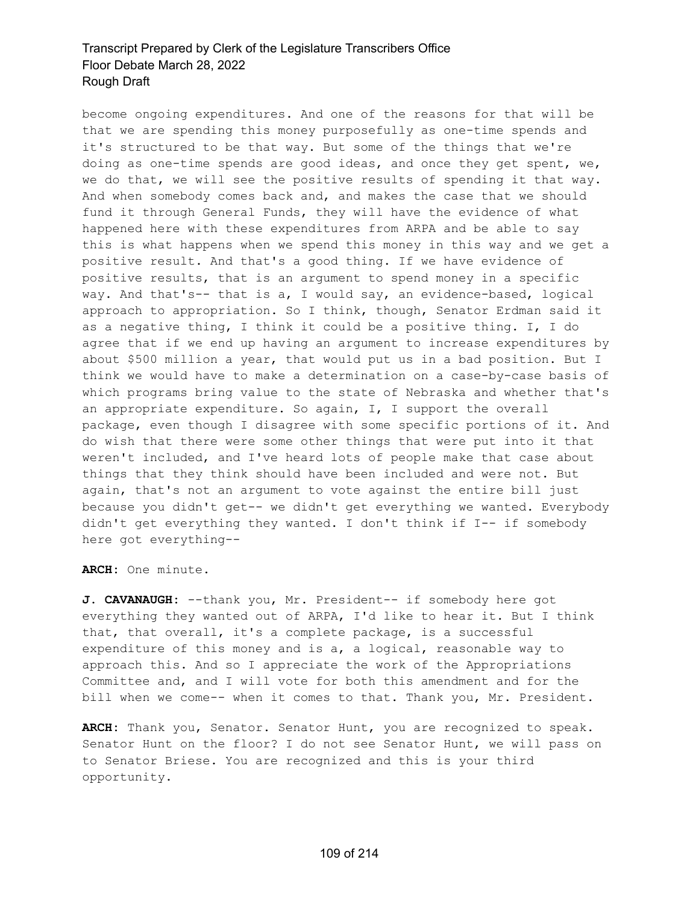become ongoing expenditures. And one of the reasons for that will be that we are spending this money purposefully as one-time spends and it's structured to be that way. But some of the things that we're doing as one-time spends are good ideas, and once they get spent, we, we do that, we will see the positive results of spending it that way. And when somebody comes back and, and makes the case that we should fund it through General Funds, they will have the evidence of what happened here with these expenditures from ARPA and be able to say this is what happens when we spend this money in this way and we get a positive result. And that's a good thing. If we have evidence of positive results, that is an argument to spend money in a specific way. And that's-- that is a, I would say, an evidence-based, logical approach to appropriation. So I think, though, Senator Erdman said it as a negative thing, I think it could be a positive thing. I, I do agree that if we end up having an argument to increase expenditures by about \$500 million a year, that would put us in a bad position. But I think we would have to make a determination on a case-by-case basis of which programs bring value to the state of Nebraska and whether that's an appropriate expenditure. So again, I, I support the overall package, even though I disagree with some specific portions of it. And do wish that there were some other things that were put into it that weren't included, and I've heard lots of people make that case about things that they think should have been included and were not. But again, that's not an argument to vote against the entire bill just because you didn't get-- we didn't get everything we wanted. Everybody didn't get everything they wanted. I don't think if I-- if somebody here got everything--

**ARCH:** One minute.

**J. CAVANAUGH:** --thank you, Mr. President-- if somebody here got everything they wanted out of ARPA, I'd like to hear it. But I think that, that overall, it's a complete package, is a successful expenditure of this money and is a, a logical, reasonable way to approach this. And so I appreciate the work of the Appropriations Committee and, and I will vote for both this amendment and for the bill when we come-- when it comes to that. Thank you, Mr. President.

**ARCH:** Thank you, Senator. Senator Hunt, you are recognized to speak. Senator Hunt on the floor? I do not see Senator Hunt, we will pass on to Senator Briese. You are recognized and this is your third opportunity.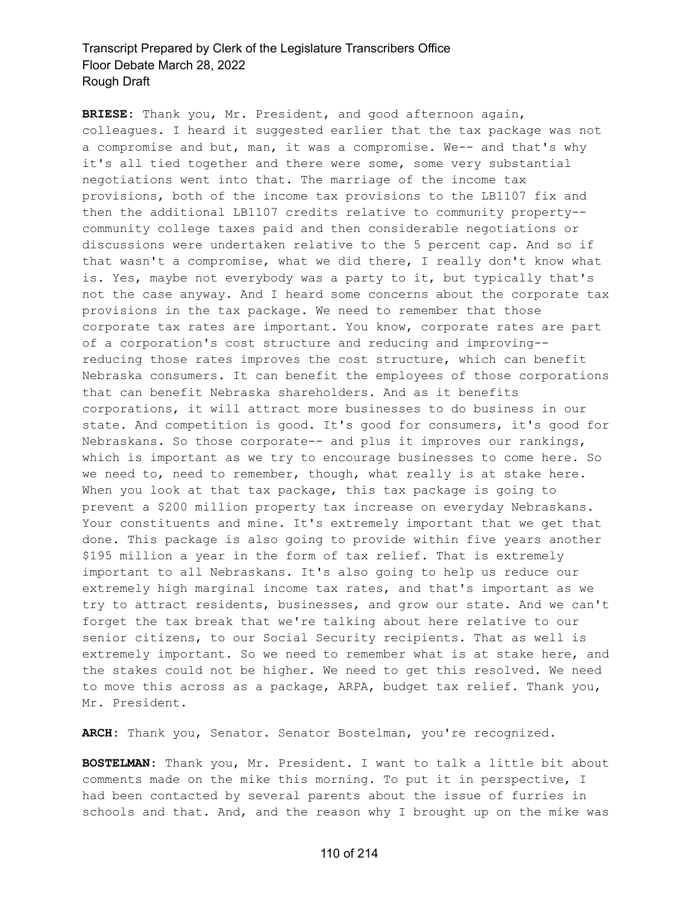**BRIESE:** Thank you, Mr. President, and good afternoon again, colleagues. I heard it suggested earlier that the tax package was not a compromise and but, man, it was a compromise. We-- and that's why it's all tied together and there were some, some very substantial negotiations went into that. The marriage of the income tax provisions, both of the income tax provisions to the LB1107 fix and then the additional LB1107 credits relative to community property- community college taxes paid and then considerable negotiations or discussions were undertaken relative to the 5 percent cap. And so if that wasn't a compromise, what we did there, I really don't know what is. Yes, maybe not everybody was a party to it, but typically that's not the case anyway. And I heard some concerns about the corporate tax provisions in the tax package. We need to remember that those corporate tax rates are important. You know, corporate rates are part of a corporation's cost structure and reducing and improving- reducing those rates improves the cost structure, which can benefit Nebraska consumers. It can benefit the employees of those corporations that can benefit Nebraska shareholders. And as it benefits corporations, it will attract more businesses to do business in our state. And competition is good. It's good for consumers, it's good for Nebraskans. So those corporate-- and plus it improves our rankings, which is important as we try to encourage businesses to come here. So we need to, need to remember, though, what really is at stake here. When you look at that tax package, this tax package is going to prevent a \$200 million property tax increase on everyday Nebraskans. Your constituents and mine. It's extremely important that we get that done. This package is also going to provide within five years another \$195 million a year in the form of tax relief. That is extremely important to all Nebraskans. It's also going to help us reduce our extremely high marginal income tax rates, and that's important as we try to attract residents, businesses, and grow our state. And we can't forget the tax break that we're talking about here relative to our senior citizens, to our Social Security recipients. That as well is extremely important. So we need to remember what is at stake here, and the stakes could not be higher. We need to get this resolved. We need to move this across as a package, ARPA, budget tax relief. Thank you, Mr. President.

**ARCH:** Thank you, Senator. Senator Bostelman, you're recognized.

**BOSTELMAN:** Thank you, Mr. President. I want to talk a little bit about comments made on the mike this morning. To put it in perspective, I had been contacted by several parents about the issue of furries in schools and that. And, and the reason why I brought up on the mike was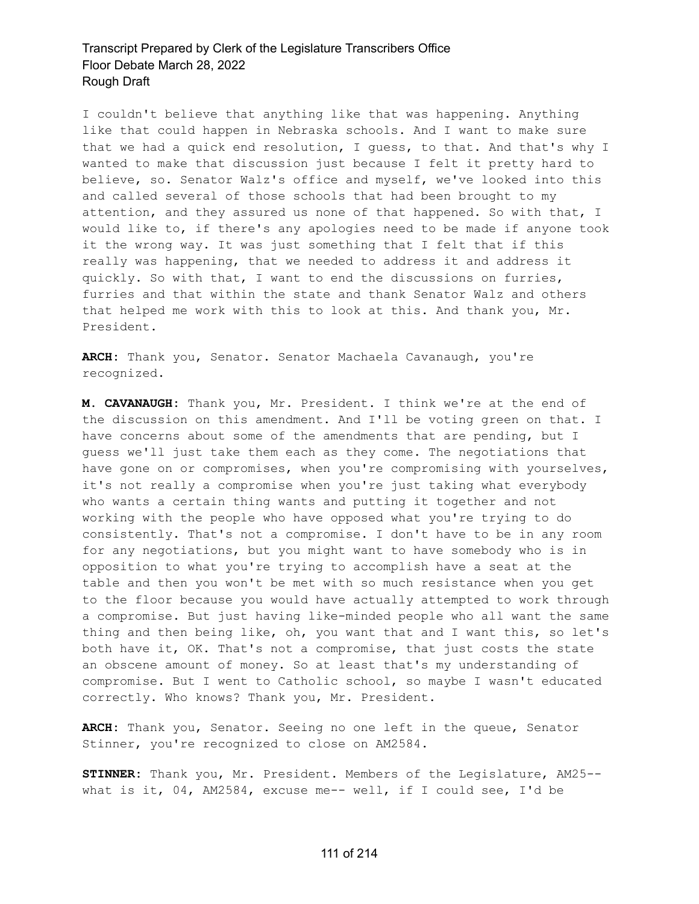I couldn't believe that anything like that was happening. Anything like that could happen in Nebraska schools. And I want to make sure that we had a quick end resolution, I guess, to that. And that's why I wanted to make that discussion just because I felt it pretty hard to believe, so. Senator Walz's office and myself, we've looked into this and called several of those schools that had been brought to my attention, and they assured us none of that happened. So with that, I would like to, if there's any apologies need to be made if anyone took it the wrong way. It was just something that I felt that if this really was happening, that we needed to address it and address it quickly. So with that, I want to end the discussions on furries, furries and that within the state and thank Senator Walz and others that helped me work with this to look at this. And thank you, Mr. President.

**ARCH:** Thank you, Senator. Senator Machaela Cavanaugh, you're recognized.

**M. CAVANAUGH:** Thank you, Mr. President. I think we're at the end of the discussion on this amendment. And I'll be voting green on that. I have concerns about some of the amendments that are pending, but I guess we'll just take them each as they come. The negotiations that have gone on or compromises, when you're compromising with yourselves, it's not really a compromise when you're just taking what everybody who wants a certain thing wants and putting it together and not working with the people who have opposed what you're trying to do consistently. That's not a compromise. I don't have to be in any room for any negotiations, but you might want to have somebody who is in opposition to what you're trying to accomplish have a seat at the table and then you won't be met with so much resistance when you get to the floor because you would have actually attempted to work through a compromise. But just having like-minded people who all want the same thing and then being like, oh, you want that and I want this, so let's both have it, OK. That's not a compromise, that just costs the state an obscene amount of money. So at least that's my understanding of compromise. But I went to Catholic school, so maybe I wasn't educated correctly. Who knows? Thank you, Mr. President.

**ARCH:** Thank you, Senator. Seeing no one left in the queue, Senator Stinner, you're recognized to close on AM2584.

**STINNER:** Thank you, Mr. President. Members of the Legislature, AM25- what is it, 04, AM2584, excuse me-- well, if I could see, I'd be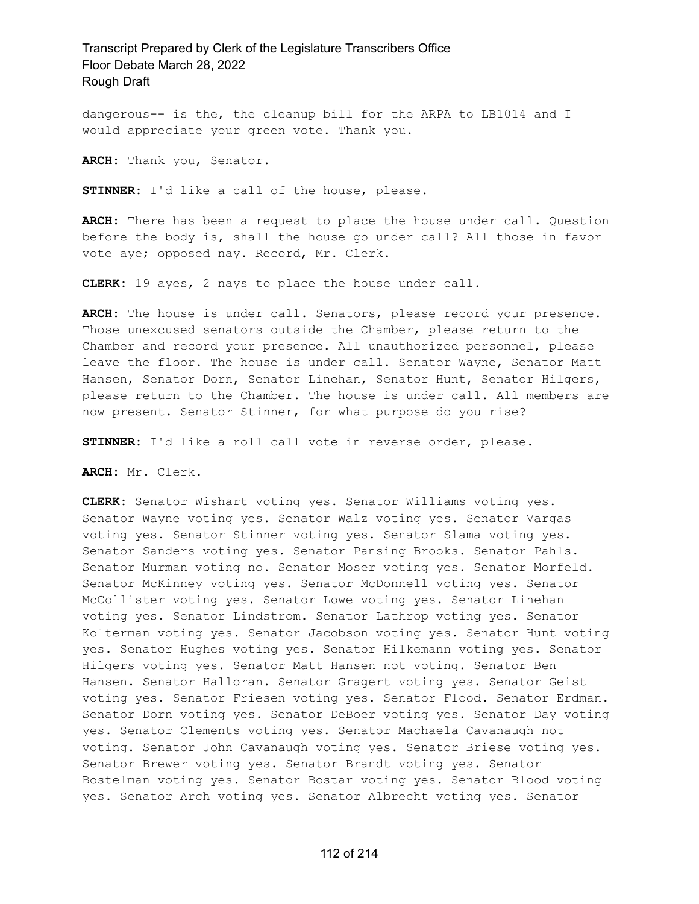dangerous-- is the, the cleanup bill for the ARPA to LB1014 and I would appreciate your green vote. Thank you.

**ARCH:** Thank you, Senator.

**STINNER:** I'd like a call of the house, please.

**ARCH:** There has been a request to place the house under call. Question before the body is, shall the house go under call? All those in favor vote aye; opposed nay. Record, Mr. Clerk.

**CLERK:** 19 ayes, 2 nays to place the house under call.

**ARCH:** The house is under call. Senators, please record your presence. Those unexcused senators outside the Chamber, please return to the Chamber and record your presence. All unauthorized personnel, please leave the floor. The house is under call. Senator Wayne, Senator Matt Hansen, Senator Dorn, Senator Linehan, Senator Hunt, Senator Hilgers, please return to the Chamber. The house is under call. All members are now present. Senator Stinner, for what purpose do you rise?

**STINNER:** I'd like a roll call vote in reverse order, please.

**ARCH:** Mr. Clerk.

**CLERK:** Senator Wishart voting yes. Senator Williams voting yes. Senator Wayne voting yes. Senator Walz voting yes. Senator Vargas voting yes. Senator Stinner voting yes. Senator Slama voting yes. Senator Sanders voting yes. Senator Pansing Brooks. Senator Pahls. Senator Murman voting no. Senator Moser voting yes. Senator Morfeld. Senator McKinney voting yes. Senator McDonnell voting yes. Senator McCollister voting yes. Senator Lowe voting yes. Senator Linehan voting yes. Senator Lindstrom. Senator Lathrop voting yes. Senator Kolterman voting yes. Senator Jacobson voting yes. Senator Hunt voting yes. Senator Hughes voting yes. Senator Hilkemann voting yes. Senator Hilgers voting yes. Senator Matt Hansen not voting. Senator Ben Hansen. Senator Halloran. Senator Gragert voting yes. Senator Geist voting yes. Senator Friesen voting yes. Senator Flood. Senator Erdman. Senator Dorn voting yes. Senator DeBoer voting yes. Senator Day voting yes. Senator Clements voting yes. Senator Machaela Cavanaugh not voting. Senator John Cavanaugh voting yes. Senator Briese voting yes. Senator Brewer voting yes. Senator Brandt voting yes. Senator Bostelman voting yes. Senator Bostar voting yes. Senator Blood voting yes. Senator Arch voting yes. Senator Albrecht voting yes. Senator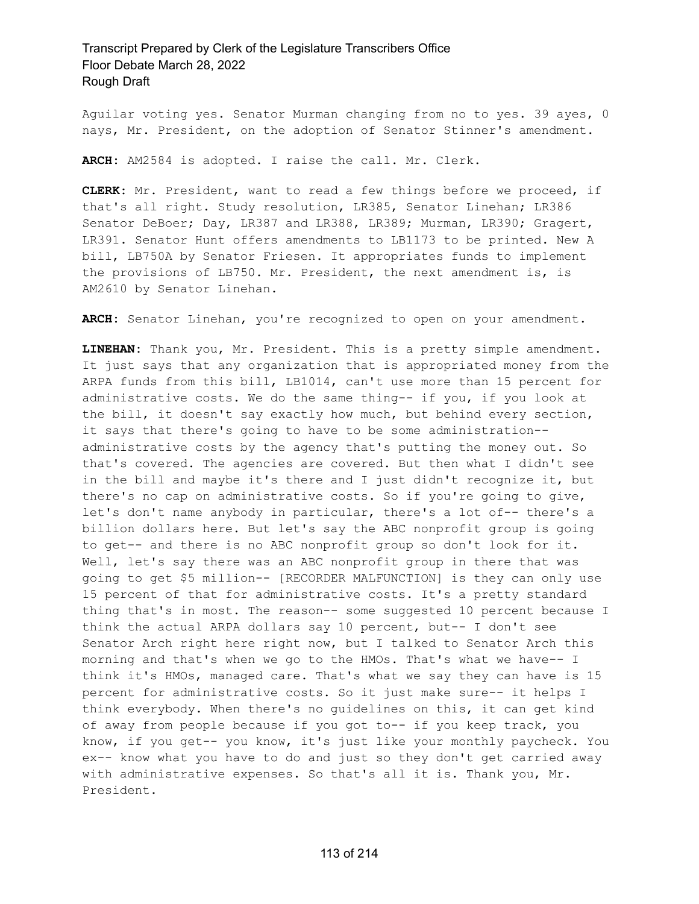Aguilar voting yes. Senator Murman changing from no to yes. 39 ayes, 0 nays, Mr. President, on the adoption of Senator Stinner's amendment.

**ARCH:** AM2584 is adopted. I raise the call. Mr. Clerk.

**CLERK:** Mr. President, want to read a few things before we proceed, if that's all right. Study resolution, LR385, Senator Linehan; LR386 Senator DeBoer; Day, LR387 and LR388, LR389; Murman, LR390; Gragert, LR391. Senator Hunt offers amendments to LB1173 to be printed. New A bill, LB750A by Senator Friesen. It appropriates funds to implement the provisions of LB750. Mr. President, the next amendment is, is AM2610 by Senator Linehan.

**ARCH:** Senator Linehan, you're recognized to open on your amendment.

**LINEHAN:** Thank you, Mr. President. This is a pretty simple amendment. It just says that any organization that is appropriated money from the ARPA funds from this bill, LB1014, can't use more than 15 percent for administrative costs. We do the same thing-- if you, if you look at the bill, it doesn't say exactly how much, but behind every section, it says that there's going to have to be some administration- administrative costs by the agency that's putting the money out. So that's covered. The agencies are covered. But then what I didn't see in the bill and maybe it's there and I just didn't recognize it, but there's no cap on administrative costs. So if you're going to give, let's don't name anybody in particular, there's a lot of-- there's a billion dollars here. But let's say the ABC nonprofit group is going to get-- and there is no ABC nonprofit group so don't look for it. Well, let's say there was an ABC nonprofit group in there that was going to get \$5 million-- [RECORDER MALFUNCTION] is they can only use 15 percent of that for administrative costs. It's a pretty standard thing that's in most. The reason-- some suggested 10 percent because I think the actual ARPA dollars say 10 percent, but-- I don't see Senator Arch right here right now, but I talked to Senator Arch this morning and that's when we go to the HMOs. That's what we have-- I think it's HMOs, managed care. That's what we say they can have is 15 percent for administrative costs. So it just make sure-- it helps I think everybody. When there's no guidelines on this, it can get kind of away from people because if you got to-- if you keep track, you know, if you get-- you know, it's just like your monthly paycheck. You ex-- know what you have to do and just so they don't get carried away with administrative expenses. So that's all it is. Thank you, Mr. President.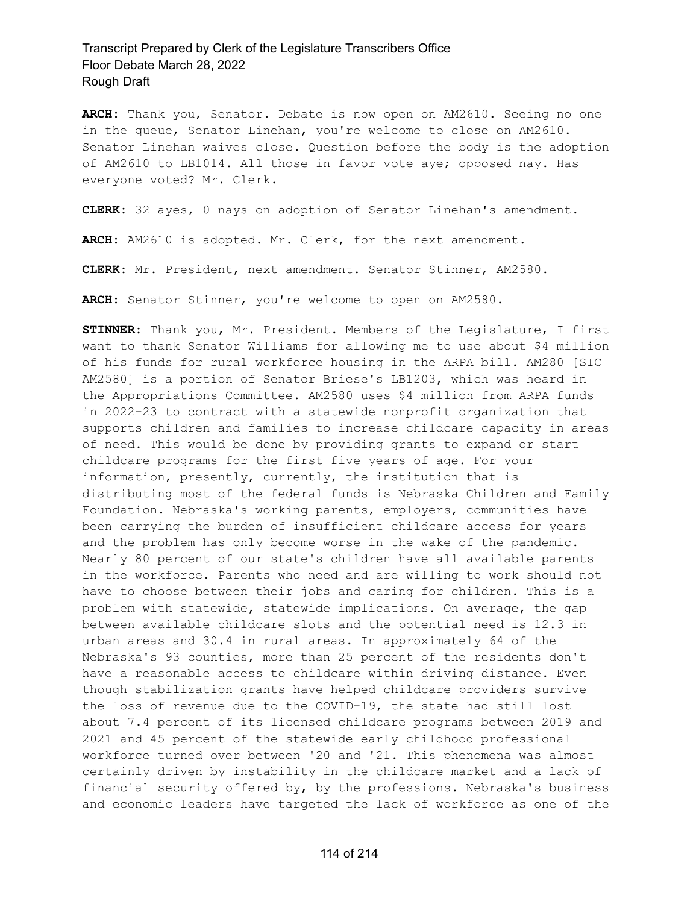**ARCH:** Thank you, Senator. Debate is now open on AM2610. Seeing no one in the queue, Senator Linehan, you're welcome to close on AM2610. Senator Linehan waives close. Question before the body is the adoption of AM2610 to LB1014. All those in favor vote aye; opposed nay. Has everyone voted? Mr. Clerk.

**CLERK:** 32 ayes, 0 nays on adoption of Senator Linehan's amendment.

**ARCH:** AM2610 is adopted. Mr. Clerk, for the next amendment.

**CLERK:** Mr. President, next amendment. Senator Stinner, AM2580.

**ARCH:** Senator Stinner, you're welcome to open on AM2580.

**STINNER:** Thank you, Mr. President. Members of the Legislature, I first want to thank Senator Williams for allowing me to use about \$4 million of his funds for rural workforce housing in the ARPA bill. AM280 [SIC AM2580] is a portion of Senator Briese's LB1203, which was heard in the Appropriations Committee. AM2580 uses \$4 million from ARPA funds in 2022-23 to contract with a statewide nonprofit organization that supports children and families to increase childcare capacity in areas of need. This would be done by providing grants to expand or start childcare programs for the first five years of age. For your information, presently, currently, the institution that is distributing most of the federal funds is Nebraska Children and Family Foundation. Nebraska's working parents, employers, communities have been carrying the burden of insufficient childcare access for years and the problem has only become worse in the wake of the pandemic. Nearly 80 percent of our state's children have all available parents in the workforce. Parents who need and are willing to work should not have to choose between their jobs and caring for children. This is a problem with statewide, statewide implications. On average, the gap between available childcare slots and the potential need is 12.3 in urban areas and 30.4 in rural areas. In approximately 64 of the Nebraska's 93 counties, more than 25 percent of the residents don't have a reasonable access to childcare within driving distance. Even though stabilization grants have helped childcare providers survive the loss of revenue due to the COVID-19, the state had still lost about 7.4 percent of its licensed childcare programs between 2019 and 2021 and 45 percent of the statewide early childhood professional workforce turned over between '20 and '21. This phenomena was almost certainly driven by instability in the childcare market and a lack of financial security offered by, by the professions. Nebraska's business and economic leaders have targeted the lack of workforce as one of the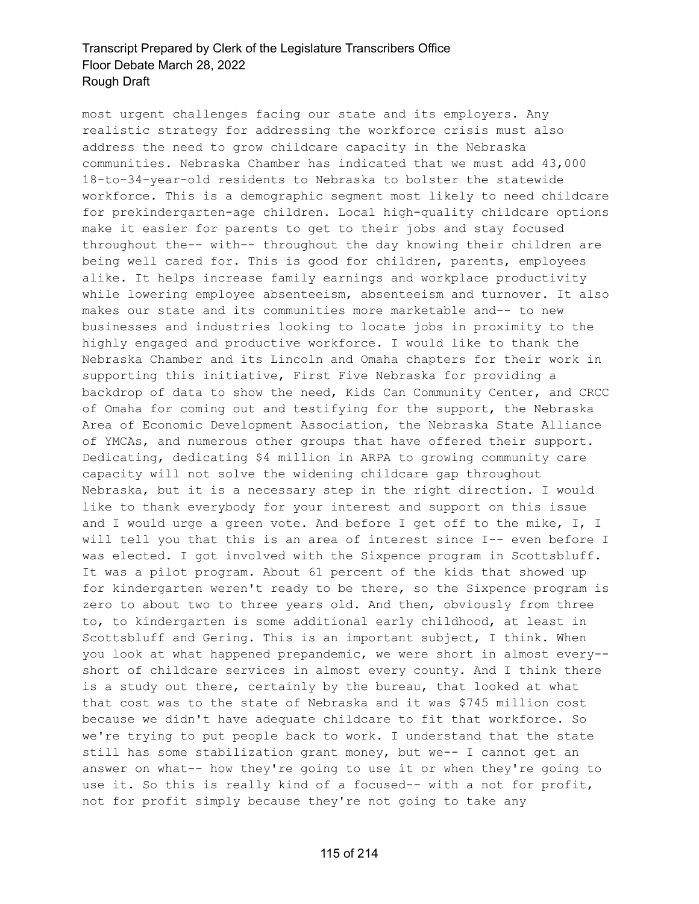most urgent challenges facing our state and its employers. Any realistic strategy for addressing the workforce crisis must also address the need to grow childcare capacity in the Nebraska communities. Nebraska Chamber has indicated that we must add 43,000 18-to-34-year-old residents to Nebraska to bolster the statewide workforce. This is a demographic segment most likely to need childcare for prekindergarten-age children. Local high-quality childcare options make it easier for parents to get to their jobs and stay focused throughout the-- with-- throughout the day knowing their children are being well cared for. This is good for children, parents, employees alike. It helps increase family earnings and workplace productivity while lowering employee absenteeism, absenteeism and turnover. It also makes our state and its communities more marketable and-- to new businesses and industries looking to locate jobs in proximity to the highly engaged and productive workforce. I would like to thank the Nebraska Chamber and its Lincoln and Omaha chapters for their work in supporting this initiative, First Five Nebraska for providing a backdrop of data to show the need, Kids Can Community Center, and CRCC of Omaha for coming out and testifying for the support, the Nebraska Area of Economic Development Association, the Nebraska State Alliance of YMCAs, and numerous other groups that have offered their support. Dedicating, dedicating \$4 million in ARPA to growing community care capacity will not solve the widening childcare gap throughout Nebraska, but it is a necessary step in the right direction. I would like to thank everybody for your interest and support on this issue and I would urge a green vote. And before I get off to the mike, I, I will tell you that this is an area of interest since I-- even before I was elected. I got involved with the Sixpence program in Scottsbluff. It was a pilot program. About 61 percent of the kids that showed up for kindergarten weren't ready to be there, so the Sixpence program is zero to about two to three years old. And then, obviously from three to, to kindergarten is some additional early childhood, at least in Scottsbluff and Gering. This is an important subject, I think. When you look at what happened prepandemic, we were short in almost every- short of childcare services in almost every county. And I think there is a study out there, certainly by the bureau, that looked at what that cost was to the state of Nebraska and it was \$745 million cost because we didn't have adequate childcare to fit that workforce. So we're trying to put people back to work. I understand that the state still has some stabilization grant money, but we-- I cannot get an answer on what-- how they're going to use it or when they're going to use it. So this is really kind of a focused-- with a not for profit, not for profit simply because they're not going to take any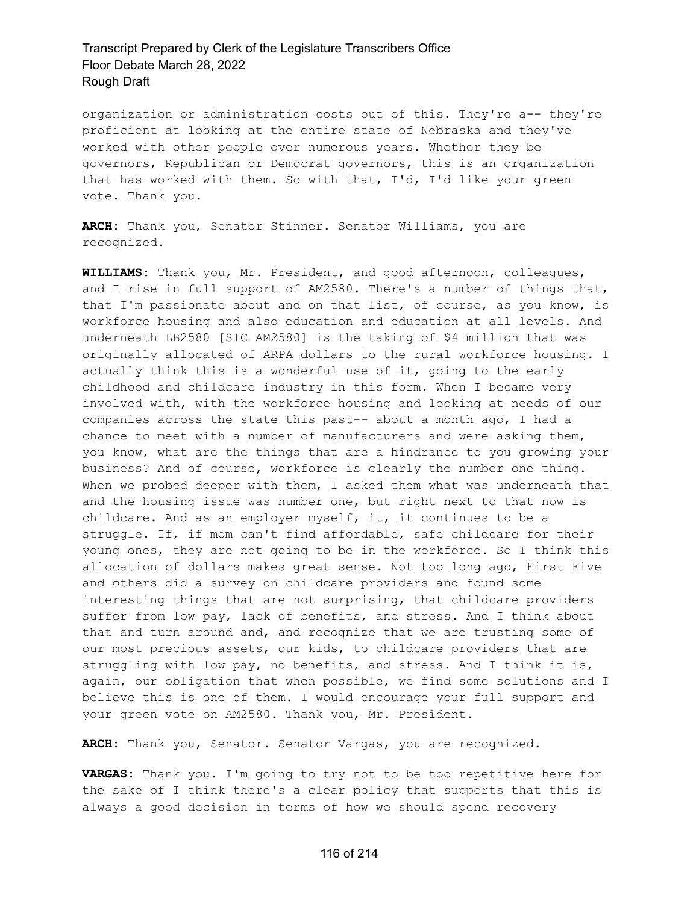organization or administration costs out of this. They're a-- they're proficient at looking at the entire state of Nebraska and they've worked with other people over numerous years. Whether they be governors, Republican or Democrat governors, this is an organization that has worked with them. So with that, I'd, I'd like your green vote. Thank you.

**ARCH:** Thank you, Senator Stinner. Senator Williams, you are recognized.

**WILLIAMS:** Thank you, Mr. President, and good afternoon, colleagues, and I rise in full support of AM2580. There's a number of things that, that I'm passionate about and on that list, of course, as you know, is workforce housing and also education and education at all levels. And underneath LB2580 [SIC AM2580] is the taking of \$4 million that was originally allocated of ARPA dollars to the rural workforce housing. I actually think this is a wonderful use of it, going to the early childhood and childcare industry in this form. When I became very involved with, with the workforce housing and looking at needs of our companies across the state this past-- about a month ago, I had a chance to meet with a number of manufacturers and were asking them, you know, what are the things that are a hindrance to you growing your business? And of course, workforce is clearly the number one thing. When we probed deeper with them, I asked them what was underneath that and the housing issue was number one, but right next to that now is childcare. And as an employer myself, it, it continues to be a struggle. If, if mom can't find affordable, safe childcare for their young ones, they are not going to be in the workforce. So I think this allocation of dollars makes great sense. Not too long ago, First Five and others did a survey on childcare providers and found some interesting things that are not surprising, that childcare providers suffer from low pay, lack of benefits, and stress. And I think about that and turn around and, and recognize that we are trusting some of our most precious assets, our kids, to childcare providers that are struggling with low pay, no benefits, and stress. And I think it is, again, our obligation that when possible, we find some solutions and I believe this is one of them. I would encourage your full support and your green vote on AM2580. Thank you, Mr. President.

**ARCH:** Thank you, Senator. Senator Vargas, you are recognized.

**VARGAS:** Thank you. I'm going to try not to be too repetitive here for the sake of I think there's a clear policy that supports that this is always a good decision in terms of how we should spend recovery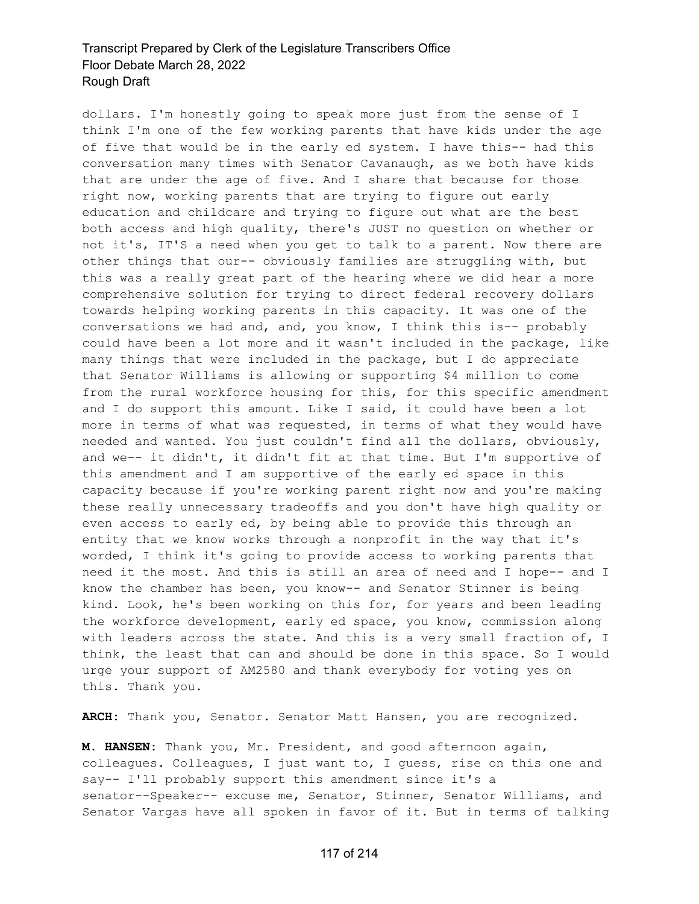dollars. I'm honestly going to speak more just from the sense of I think I'm one of the few working parents that have kids under the age of five that would be in the early ed system. I have this-- had this conversation many times with Senator Cavanaugh, as we both have kids that are under the age of five. And I share that because for those right now, working parents that are trying to figure out early education and childcare and trying to figure out what are the best both access and high quality, there's JUST no question on whether or not it's, IT'S a need when you get to talk to a parent. Now there are other things that our-- obviously families are struggling with, but this was a really great part of the hearing where we did hear a more comprehensive solution for trying to direct federal recovery dollars towards helping working parents in this capacity. It was one of the conversations we had and, and, you know, I think this is-- probably could have been a lot more and it wasn't included in the package, like many things that were included in the package, but I do appreciate that Senator Williams is allowing or supporting \$4 million to come from the rural workforce housing for this, for this specific amendment and I do support this amount. Like I said, it could have been a lot more in terms of what was requested, in terms of what they would have needed and wanted. You just couldn't find all the dollars, obviously, and we-- it didn't, it didn't fit at that time. But I'm supportive of this amendment and I am supportive of the early ed space in this capacity because if you're working parent right now and you're making these really unnecessary tradeoffs and you don't have high quality or even access to early ed, by being able to provide this through an entity that we know works through a nonprofit in the way that it's worded, I think it's going to provide access to working parents that need it the most. And this is still an area of need and I hope-- and I know the chamber has been, you know-- and Senator Stinner is being kind. Look, he's been working on this for, for years and been leading the workforce development, early ed space, you know, commission along with leaders across the state. And this is a very small fraction of, I think, the least that can and should be done in this space. So I would urge your support of AM2580 and thank everybody for voting yes on this. Thank you.

**ARCH:** Thank you, Senator. Senator Matt Hansen, you are recognized.

**M. HANSEN:** Thank you, Mr. President, and good afternoon again, colleagues. Colleagues, I just want to, I guess, rise on this one and say-- I'll probably support this amendment since it's a senator--Speaker-- excuse me, Senator, Stinner, Senator Williams, and Senator Vargas have all spoken in favor of it. But in terms of talking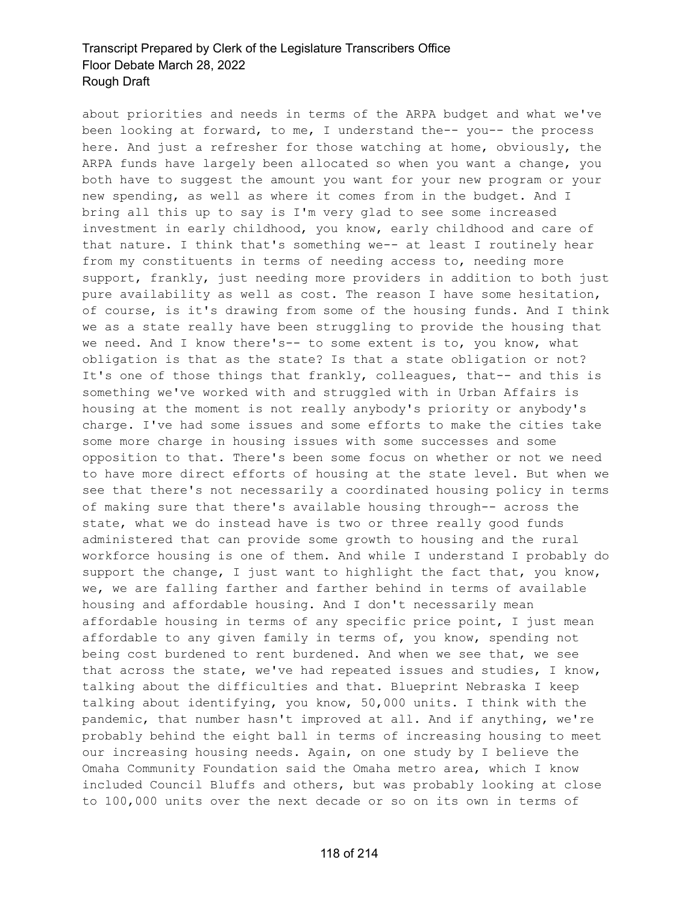about priorities and needs in terms of the ARPA budget and what we've been looking at forward, to me, I understand the-- you-- the process here. And just a refresher for those watching at home, obviously, the ARPA funds have largely been allocated so when you want a change, you both have to suggest the amount you want for your new program or your new spending, as well as where it comes from in the budget. And I bring all this up to say is I'm very glad to see some increased investment in early childhood, you know, early childhood and care of that nature. I think that's something we-- at least I routinely hear from my constituents in terms of needing access to, needing more support, frankly, just needing more providers in addition to both just pure availability as well as cost. The reason I have some hesitation, of course, is it's drawing from some of the housing funds. And I think we as a state really have been struggling to provide the housing that we need. And I know there's-- to some extent is to, you know, what obligation is that as the state? Is that a state obligation or not? It's one of those things that frankly, colleagues, that-- and this is something we've worked with and struggled with in Urban Affairs is housing at the moment is not really anybody's priority or anybody's charge. I've had some issues and some efforts to make the cities take some more charge in housing issues with some successes and some opposition to that. There's been some focus on whether or not we need to have more direct efforts of housing at the state level. But when we see that there's not necessarily a coordinated housing policy in terms of making sure that there's available housing through-- across the state, what we do instead have is two or three really good funds administered that can provide some growth to housing and the rural workforce housing is one of them. And while I understand I probably do support the change, I just want to highlight the fact that, you know, we, we are falling farther and farther behind in terms of available housing and affordable housing. And I don't necessarily mean affordable housing in terms of any specific price point, I just mean affordable to any given family in terms of, you know, spending not being cost burdened to rent burdened. And when we see that, we see that across the state, we've had repeated issues and studies, I know, talking about the difficulties and that. Blueprint Nebraska I keep talking about identifying, you know, 50,000 units. I think with the pandemic, that number hasn't improved at all. And if anything, we're probably behind the eight ball in terms of increasing housing to meet our increasing housing needs. Again, on one study by I believe the Omaha Community Foundation said the Omaha metro area, which I know included Council Bluffs and others, but was probably looking at close to 100,000 units over the next decade or so on its own in terms of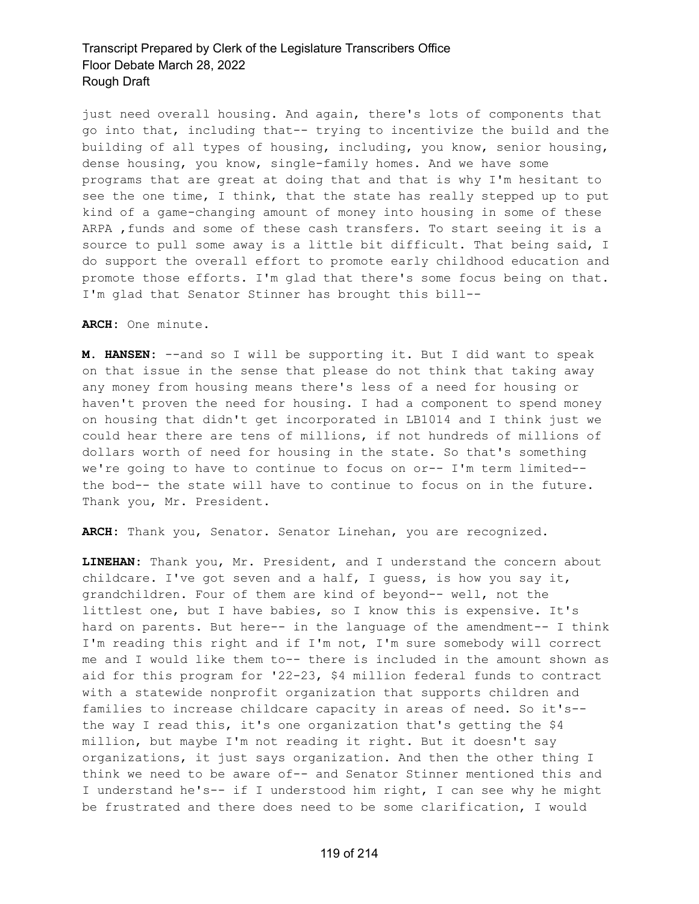just need overall housing. And again, there's lots of components that go into that, including that-- trying to incentivize the build and the building of all types of housing, including, you know, senior housing, dense housing, you know, single-family homes. And we have some programs that are great at doing that and that is why I'm hesitant to see the one time, I think, that the state has really stepped up to put kind of a game-changing amount of money into housing in some of these ARPA ,funds and some of these cash transfers. To start seeing it is a source to pull some away is a little bit difficult. That being said, I do support the overall effort to promote early childhood education and promote those efforts. I'm glad that there's some focus being on that. I'm glad that Senator Stinner has brought this bill--

**ARCH:** One minute.

**M. HANSEN:** --and so I will be supporting it. But I did want to speak on that issue in the sense that please do not think that taking away any money from housing means there's less of a need for housing or haven't proven the need for housing. I had a component to spend money on housing that didn't get incorporated in LB1014 and I think just we could hear there are tens of millions, if not hundreds of millions of dollars worth of need for housing in the state. So that's something we're going to have to continue to focus on or-- I'm term limited- the bod-- the state will have to continue to focus on in the future. Thank you, Mr. President.

**ARCH:** Thank you, Senator. Senator Linehan, you are recognized.

**LINEHAN:** Thank you, Mr. President, and I understand the concern about childcare. I've got seven and a half, I guess, is how you say it, grandchildren. Four of them are kind of beyond-- well, not the littlest one, but I have babies, so I know this is expensive. It's hard on parents. But here-- in the language of the amendment-- I think I'm reading this right and if I'm not, I'm sure somebody will correct me and I would like them to-- there is included in the amount shown as aid for this program for '22-23, \$4 million federal funds to contract with a statewide nonprofit organization that supports children and families to increase childcare capacity in areas of need. So it's- the way I read this, it's one organization that's getting the \$4 million, but maybe I'm not reading it right. But it doesn't say organizations, it just says organization. And then the other thing I think we need to be aware of-- and Senator Stinner mentioned this and I understand he's-- if I understood him right, I can see why he might be frustrated and there does need to be some clarification, I would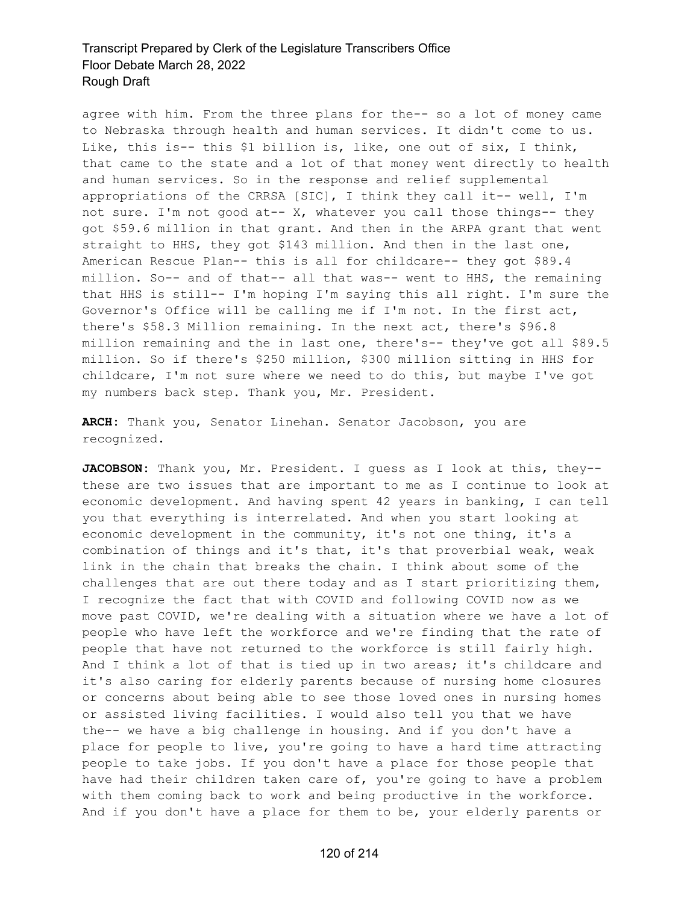agree with him. From the three plans for the-- so a lot of money came to Nebraska through health and human services. It didn't come to us. Like, this is-- this \$1 billion is, like, one out of six, I think, that came to the state and a lot of that money went directly to health and human services. So in the response and relief supplemental appropriations of the CRRSA [SIC], I think they call it-- well, I'm not sure. I'm not good at-- X, whatever you call those things-- they got \$59.6 million in that grant. And then in the ARPA grant that went straight to HHS, they got \$143 million. And then in the last one, American Rescue Plan-- this is all for childcare-- they got \$89.4 million. So-- and of that-- all that was-- went to HHS, the remaining that HHS is still-- I'm hoping I'm saying this all right. I'm sure the Governor's Office will be calling me if I'm not. In the first act, there's \$58.3 Million remaining. In the next act, there's \$96.8 million remaining and the in last one, there's-- they've got all \$89.5 million. So if there's \$250 million, \$300 million sitting in HHS for childcare, I'm not sure where we need to do this, but maybe I've got my numbers back step. Thank you, Mr. President.

**ARCH:** Thank you, Senator Linehan. Senator Jacobson, you are recognized.

**JACOBSON:** Thank you, Mr. President. I guess as I look at this, they-these are two issues that are important to me as I continue to look at economic development. And having spent 42 years in banking, I can tell you that everything is interrelated. And when you start looking at economic development in the community, it's not one thing, it's a combination of things and it's that, it's that proverbial weak, weak link in the chain that breaks the chain. I think about some of the challenges that are out there today and as I start prioritizing them, I recognize the fact that with COVID and following COVID now as we move past COVID, we're dealing with a situation where we have a lot of people who have left the workforce and we're finding that the rate of people that have not returned to the workforce is still fairly high. And I think a lot of that is tied up in two areas; it's childcare and it's also caring for elderly parents because of nursing home closures or concerns about being able to see those loved ones in nursing homes or assisted living facilities. I would also tell you that we have the-- we have a big challenge in housing. And if you don't have a place for people to live, you're going to have a hard time attracting people to take jobs. If you don't have a place for those people that have had their children taken care of, you're going to have a problem with them coming back to work and being productive in the workforce. And if you don't have a place for them to be, your elderly parents or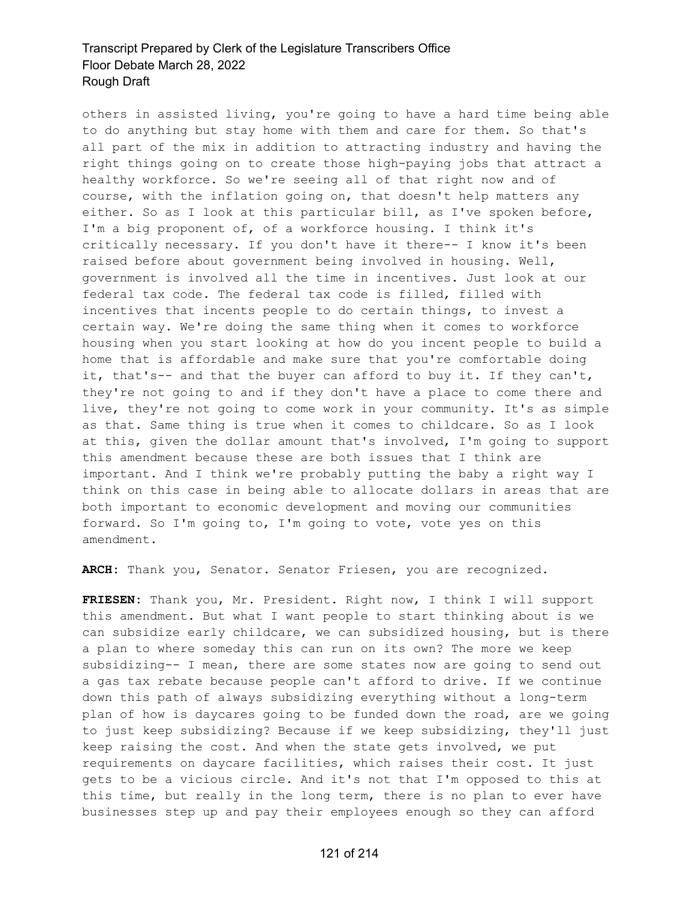others in assisted living, you're going to have a hard time being able to do anything but stay home with them and care for them. So that's all part of the mix in addition to attracting industry and having the right things going on to create those high-paying jobs that attract a healthy workforce. So we're seeing all of that right now and of course, with the inflation going on, that doesn't help matters any either. So as I look at this particular bill, as I've spoken before, I'm a big proponent of, of a workforce housing. I think it's critically necessary. If you don't have it there-- I know it's been raised before about government being involved in housing. Well, government is involved all the time in incentives. Just look at our federal tax code. The federal tax code is filled, filled with incentives that incents people to do certain things, to invest a certain way. We're doing the same thing when it comes to workforce housing when you start looking at how do you incent people to build a home that is affordable and make sure that you're comfortable doing it, that's-- and that the buyer can afford to buy it. If they can't, they're not going to and if they don't have a place to come there and live, they're not going to come work in your community. It's as simple as that. Same thing is true when it comes to childcare. So as I look at this, given the dollar amount that's involved, I'm going to support this amendment because these are both issues that I think are important. And I think we're probably putting the baby a right way I think on this case in being able to allocate dollars in areas that are both important to economic development and moving our communities forward. So I'm going to, I'm going to vote, vote yes on this amendment.

**ARCH:** Thank you, Senator. Senator Friesen, you are recognized.

**FRIESEN:** Thank you, Mr. President. Right now, I think I will support this amendment. But what I want people to start thinking about is we can subsidize early childcare, we can subsidized housing, but is there a plan to where someday this can run on its own? The more we keep subsidizing-- I mean, there are some states now are going to send out a gas tax rebate because people can't afford to drive. If we continue down this path of always subsidizing everything without a long-term plan of how is daycares going to be funded down the road, are we going to just keep subsidizing? Because if we keep subsidizing, they'll just keep raising the cost. And when the state gets involved, we put requirements on daycare facilities, which raises their cost. It just gets to be a vicious circle. And it's not that I'm opposed to this at this time, but really in the long term, there is no plan to ever have businesses step up and pay their employees enough so they can afford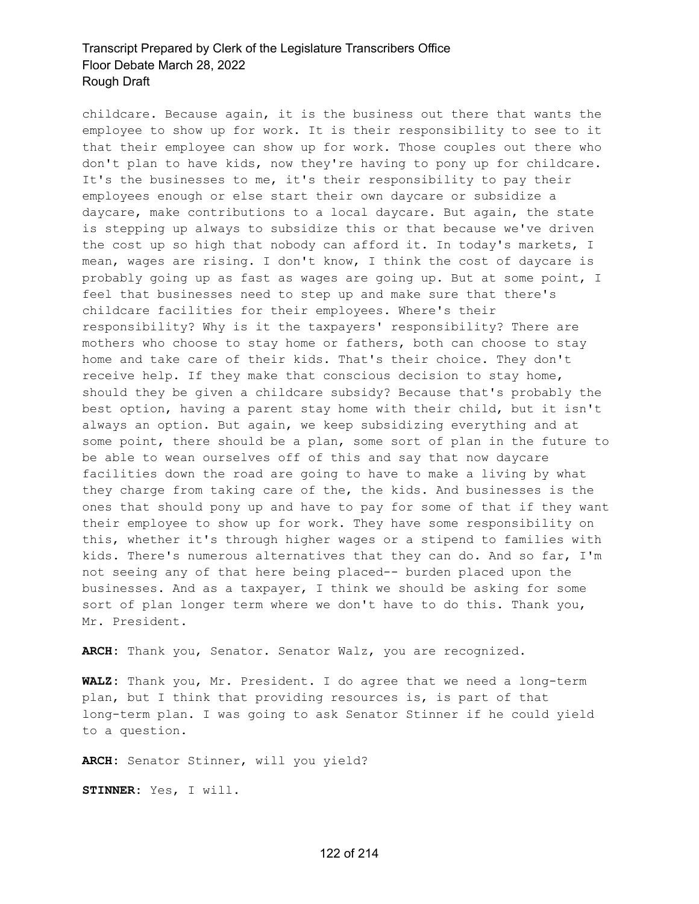childcare. Because again, it is the business out there that wants the employee to show up for work. It is their responsibility to see to it that their employee can show up for work. Those couples out there who don't plan to have kids, now they're having to pony up for childcare. It's the businesses to me, it's their responsibility to pay their employees enough or else start their own daycare or subsidize a daycare, make contributions to a local daycare. But again, the state is stepping up always to subsidize this or that because we've driven the cost up so high that nobody can afford it. In today's markets, I mean, wages are rising. I don't know, I think the cost of daycare is probably going up as fast as wages are going up. But at some point, I feel that businesses need to step up and make sure that there's childcare facilities for their employees. Where's their responsibility? Why is it the taxpayers' responsibility? There are mothers who choose to stay home or fathers, both can choose to stay home and take care of their kids. That's their choice. They don't receive help. If they make that conscious decision to stay home, should they be given a childcare subsidy? Because that's probably the best option, having a parent stay home with their child, but it isn't always an option. But again, we keep subsidizing everything and at some point, there should be a plan, some sort of plan in the future to be able to wean ourselves off of this and say that now daycare facilities down the road are going to have to make a living by what they charge from taking care of the, the kids. And businesses is the ones that should pony up and have to pay for some of that if they want their employee to show up for work. They have some responsibility on this, whether it's through higher wages or a stipend to families with kids. There's numerous alternatives that they can do. And so far, I'm not seeing any of that here being placed-- burden placed upon the businesses. And as a taxpayer, I think we should be asking for some sort of plan longer term where we don't have to do this. Thank you, Mr. President.

**ARCH:** Thank you, Senator. Senator Walz, you are recognized.

**WALZ:** Thank you, Mr. President. I do agree that we need a long-term plan, but I think that providing resources is, is part of that long-term plan. I was going to ask Senator Stinner if he could yield to a question.

**ARCH:** Senator Stinner, will you yield?

**STINNER:** Yes, I will.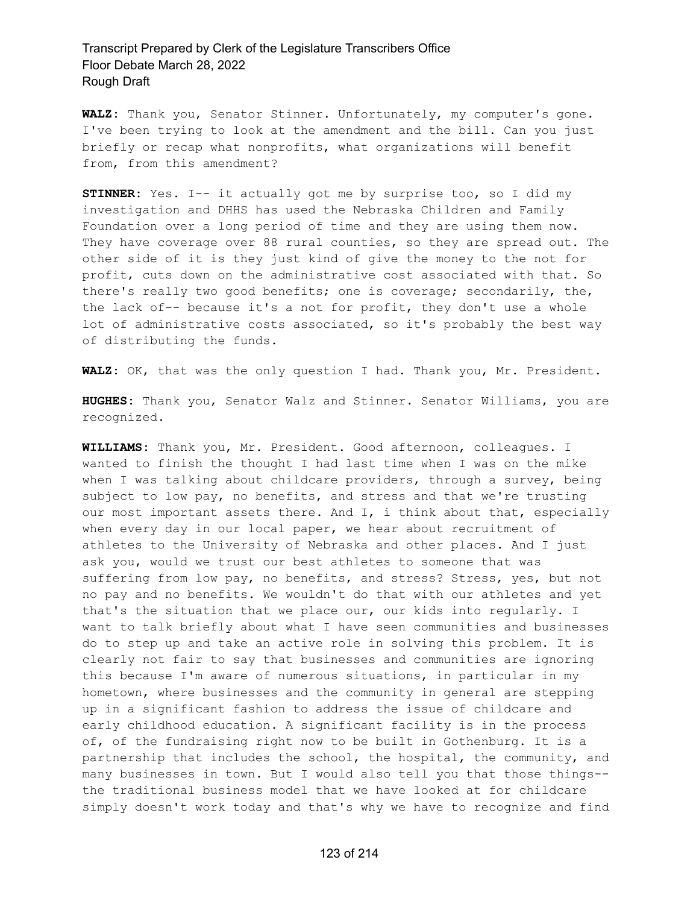**WALZ:** Thank you, Senator Stinner. Unfortunately, my computer's gone. I've been trying to look at the amendment and the bill. Can you just briefly or recap what nonprofits, what organizations will benefit from, from this amendment?

**STINNER:** Yes. I-- it actually got me by surprise too, so I did my investigation and DHHS has used the Nebraska Children and Family Foundation over a long period of time and they are using them now. They have coverage over 88 rural counties, so they are spread out. The other side of it is they just kind of give the money to the not for profit, cuts down on the administrative cost associated with that. So there's really two good benefits; one is coverage; secondarily, the, the lack of-- because it's a not for profit, they don't use a whole lot of administrative costs associated, so it's probably the best way of distributing the funds.

**WALZ:** OK, that was the only question I had. Thank you, Mr. President.

**HUGHES:** Thank you, Senator Walz and Stinner. Senator Williams, you are recognized.

**WILLIAMS:** Thank you, Mr. President. Good afternoon, colleagues. I wanted to finish the thought I had last time when I was on the mike when I was talking about childcare providers, through a survey, being subject to low pay, no benefits, and stress and that we're trusting our most important assets there. And I, i think about that, especially when every day in our local paper, we hear about recruitment of athletes to the University of Nebraska and other places. And I just ask you, would we trust our best athletes to someone that was suffering from low pay, no benefits, and stress? Stress, yes, but not no pay and no benefits. We wouldn't do that with our athletes and yet that's the situation that we place our, our kids into regularly. I want to talk briefly about what I have seen communities and businesses do to step up and take an active role in solving this problem. It is clearly not fair to say that businesses and communities are ignoring this because I'm aware of numerous situations, in particular in my hometown, where businesses and the community in general are stepping up in a significant fashion to address the issue of childcare and early childhood education. A significant facility is in the process of, of the fundraising right now to be built in Gothenburg. It is a partnership that includes the school, the hospital, the community, and many businesses in town. But I would also tell you that those things- the traditional business model that we have looked at for childcare simply doesn't work today and that's why we have to recognize and find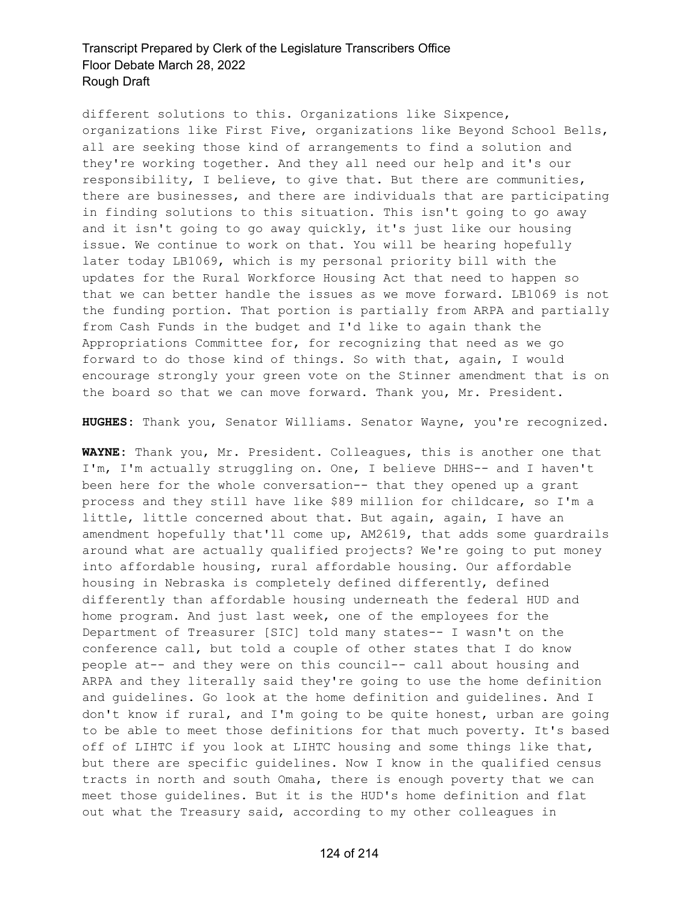different solutions to this. Organizations like Sixpence, organizations like First Five, organizations like Beyond School Bells, all are seeking those kind of arrangements to find a solution and they're working together. And they all need our help and it's our responsibility, I believe, to give that. But there are communities, there are businesses, and there are individuals that are participating in finding solutions to this situation. This isn't going to go away and it isn't going to go away quickly, it's just like our housing issue. We continue to work on that. You will be hearing hopefully later today LB1069, which is my personal priority bill with the updates for the Rural Workforce Housing Act that need to happen so that we can better handle the issues as we move forward. LB1069 is not the funding portion. That portion is partially from ARPA and partially from Cash Funds in the budget and I'd like to again thank the Appropriations Committee for, for recognizing that need as we go forward to do those kind of things. So with that, again, I would encourage strongly your green vote on the Stinner amendment that is on the board so that we can move forward. Thank you, Mr. President.

**HUGHES:** Thank you, Senator Williams. Senator Wayne, you're recognized.

**WAYNE:** Thank you, Mr. President. Colleagues, this is another one that I'm, I'm actually struggling on. One, I believe DHHS-- and I haven't been here for the whole conversation-- that they opened up a grant process and they still have like \$89 million for childcare, so I'm a little, little concerned about that. But again, again, I have an amendment hopefully that'll come up, AM2619, that adds some guardrails around what are actually qualified projects? We're going to put money into affordable housing, rural affordable housing. Our affordable housing in Nebraska is completely defined differently, defined differently than affordable housing underneath the federal HUD and home program. And just last week, one of the employees for the Department of Treasurer [SIC] told many states-- I wasn't on the conference call, but told a couple of other states that I do know people at-- and they were on this council-- call about housing and ARPA and they literally said they're going to use the home definition and guidelines. Go look at the home definition and guidelines. And I don't know if rural, and I'm going to be quite honest, urban are going to be able to meet those definitions for that much poverty. It's based off of LIHTC if you look at LIHTC housing and some things like that, but there are specific guidelines. Now I know in the qualified census tracts in north and south Omaha, there is enough poverty that we can meet those guidelines. But it is the HUD's home definition and flat out what the Treasury said, according to my other colleagues in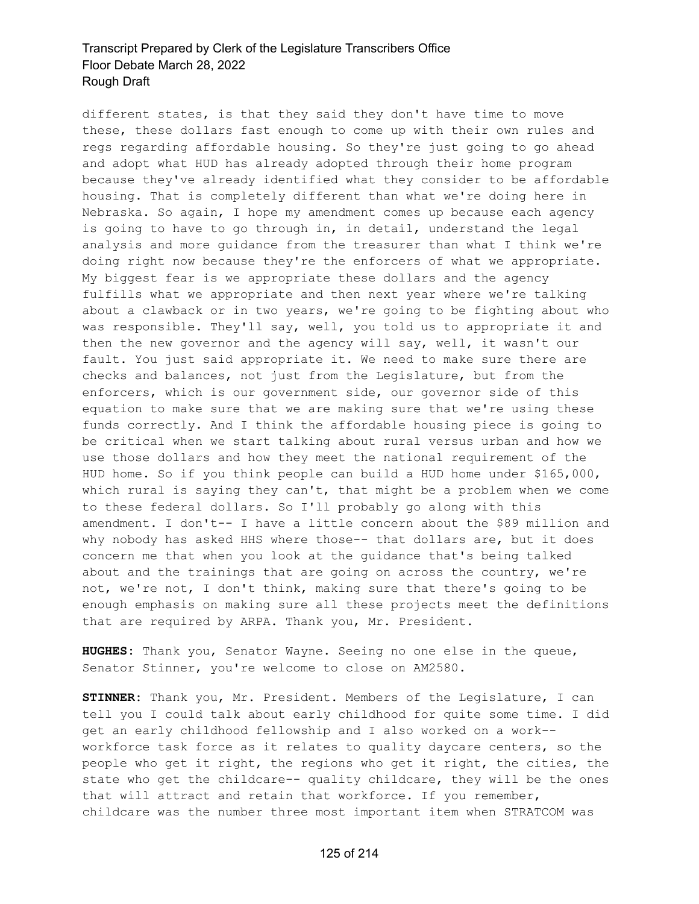different states, is that they said they don't have time to move these, these dollars fast enough to come up with their own rules and regs regarding affordable housing. So they're just going to go ahead and adopt what HUD has already adopted through their home program because they've already identified what they consider to be affordable housing. That is completely different than what we're doing here in Nebraska. So again, I hope my amendment comes up because each agency is going to have to go through in, in detail, understand the legal analysis and more guidance from the treasurer than what I think we're doing right now because they're the enforcers of what we appropriate. My biggest fear is we appropriate these dollars and the agency fulfills what we appropriate and then next year where we're talking about a clawback or in two years, we're going to be fighting about who was responsible. They'll say, well, you told us to appropriate it and then the new governor and the agency will say, well, it wasn't our fault. You just said appropriate it. We need to make sure there are checks and balances, not just from the Legislature, but from the enforcers, which is our government side, our governor side of this equation to make sure that we are making sure that we're using these funds correctly. And I think the affordable housing piece is going to be critical when we start talking about rural versus urban and how we use those dollars and how they meet the national requirement of the HUD home. So if you think people can build a HUD home under \$165,000, which rural is saying they can't, that might be a problem when we come to these federal dollars. So I'll probably go along with this amendment. I don't-- I have a little concern about the \$89 million and why nobody has asked HHS where those-- that dollars are, but it does concern me that when you look at the guidance that's being talked about and the trainings that are going on across the country, we're not, we're not, I don't think, making sure that there's going to be enough emphasis on making sure all these projects meet the definitions that are required by ARPA. Thank you, Mr. President.

**HUGHES:** Thank you, Senator Wayne. Seeing no one else in the queue, Senator Stinner, you're welcome to close on AM2580.

**STINNER:** Thank you, Mr. President. Members of the Legislature, I can tell you I could talk about early childhood for quite some time. I did get an early childhood fellowship and I also worked on a work- workforce task force as it relates to quality daycare centers, so the people who get it right, the regions who get it right, the cities, the state who get the childcare-- quality childcare, they will be the ones that will attract and retain that workforce. If you remember, childcare was the number three most important item when STRATCOM was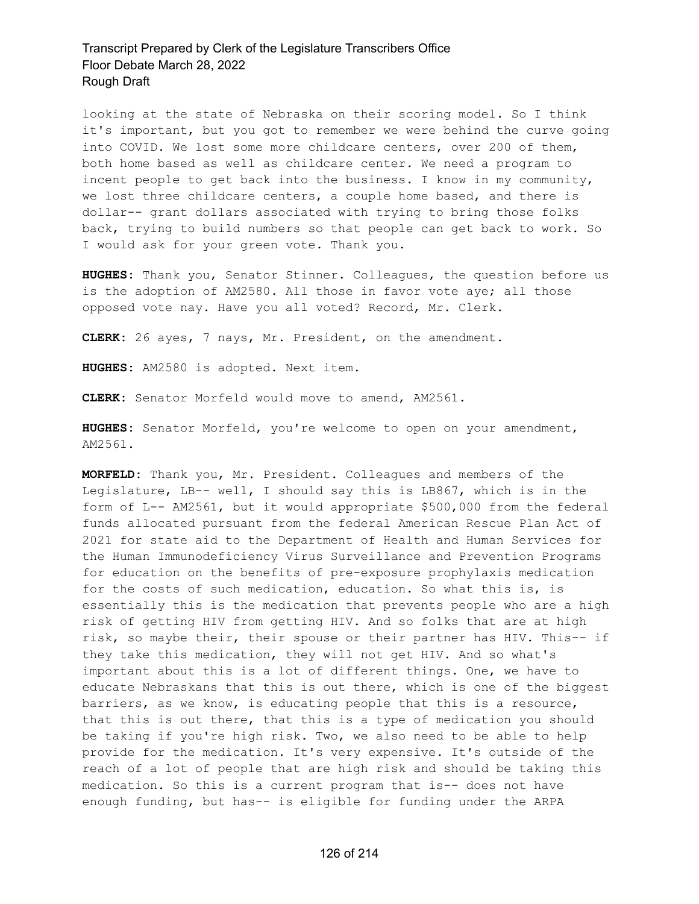looking at the state of Nebraska on their scoring model. So I think it's important, but you got to remember we were behind the curve going into COVID. We lost some more childcare centers, over 200 of them, both home based as well as childcare center. We need a program to incent people to get back into the business. I know in my community, we lost three childcare centers, a couple home based, and there is dollar-- grant dollars associated with trying to bring those folks back, trying to build numbers so that people can get back to work. So I would ask for your green vote. Thank you.

**HUGHES:** Thank you, Senator Stinner. Colleagues, the question before us is the adoption of AM2580. All those in favor vote aye; all those opposed vote nay. Have you all voted? Record, Mr. Clerk.

**CLERK:** 26 ayes, 7 nays, Mr. President, on the amendment.

**HUGHES:** AM2580 is adopted. Next item.

**CLERK:** Senator Morfeld would move to amend, AM2561.

**HUGHES:** Senator Morfeld, you're welcome to open on your amendment, AM2561.

**MORFELD:** Thank you, Mr. President. Colleagues and members of the Legislature, LB-- well, I should say this is LB867, which is in the form of L-- AM2561, but it would appropriate \$500,000 from the federal funds allocated pursuant from the federal American Rescue Plan Act of 2021 for state aid to the Department of Health and Human Services for the Human Immunodeficiency Virus Surveillance and Prevention Programs for education on the benefits of pre-exposure prophylaxis medication for the costs of such medication, education. So what this is, is essentially this is the medication that prevents people who are a high risk of getting HIV from getting HIV. And so folks that are at high risk, so maybe their, their spouse or their partner has HIV. This-- if they take this medication, they will not get HIV. And so what's important about this is a lot of different things. One, we have to educate Nebraskans that this is out there, which is one of the biggest barriers, as we know, is educating people that this is a resource, that this is out there, that this is a type of medication you should be taking if you're high risk. Two, we also need to be able to help provide for the medication. It's very expensive. It's outside of the reach of a lot of people that are high risk and should be taking this medication. So this is a current program that is-- does not have enough funding, but has-- is eligible for funding under the ARPA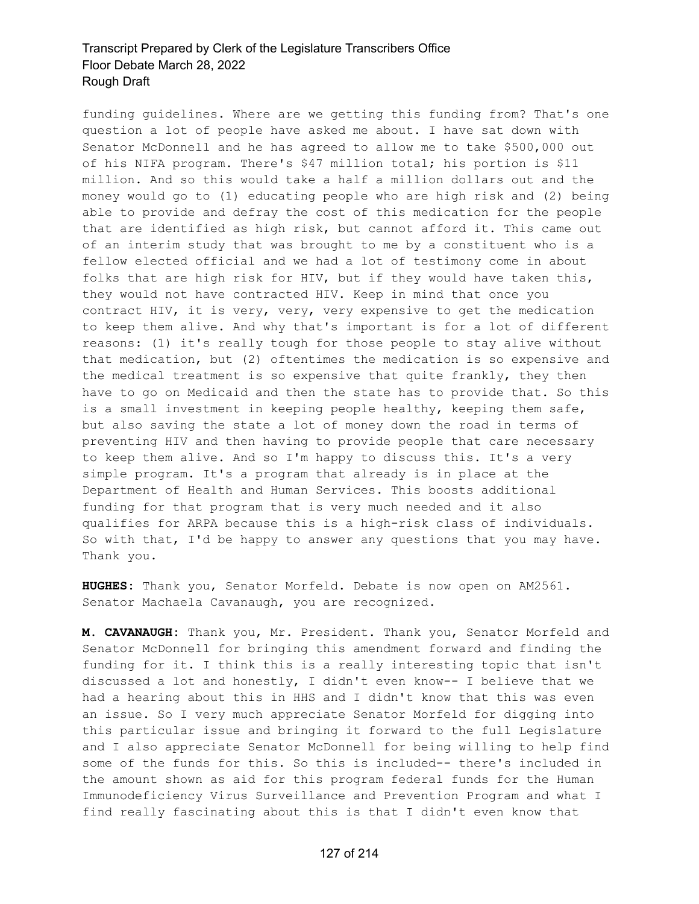funding guidelines. Where are we getting this funding from? That's one question a lot of people have asked me about. I have sat down with Senator McDonnell and he has agreed to allow me to take \$500,000 out of his NIFA program. There's \$47 million total; his portion is \$11 million. And so this would take a half a million dollars out and the money would go to (1) educating people who are high risk and (2) being able to provide and defray the cost of this medication for the people that are identified as high risk, but cannot afford it. This came out of an interim study that was brought to me by a constituent who is a fellow elected official and we had a lot of testimony come in about folks that are high risk for HIV, but if they would have taken this, they would not have contracted HIV. Keep in mind that once you contract HIV, it is very, very, very expensive to get the medication to keep them alive. And why that's important is for a lot of different reasons: (1) it's really tough for those people to stay alive without that medication, but (2) oftentimes the medication is so expensive and the medical treatment is so expensive that quite frankly, they then have to go on Medicaid and then the state has to provide that. So this is a small investment in keeping people healthy, keeping them safe, but also saving the state a lot of money down the road in terms of preventing HIV and then having to provide people that care necessary to keep them alive. And so I'm happy to discuss this. It's a very simple program. It's a program that already is in place at the Department of Health and Human Services. This boosts additional funding for that program that is very much needed and it also qualifies for ARPA because this is a high-risk class of individuals. So with that, I'd be happy to answer any questions that you may have. Thank you.

**HUGHES:** Thank you, Senator Morfeld. Debate is now open on AM2561. Senator Machaela Cavanaugh, you are recognized.

**M. CAVANAUGH:** Thank you, Mr. President. Thank you, Senator Morfeld and Senator McDonnell for bringing this amendment forward and finding the funding for it. I think this is a really interesting topic that isn't discussed a lot and honestly, I didn't even know-- I believe that we had a hearing about this in HHS and I didn't know that this was even an issue. So I very much appreciate Senator Morfeld for digging into this particular issue and bringing it forward to the full Legislature and I also appreciate Senator McDonnell for being willing to help find some of the funds for this. So this is included-- there's included in the amount shown as aid for this program federal funds for the Human Immunodeficiency Virus Surveillance and Prevention Program and what I find really fascinating about this is that I didn't even know that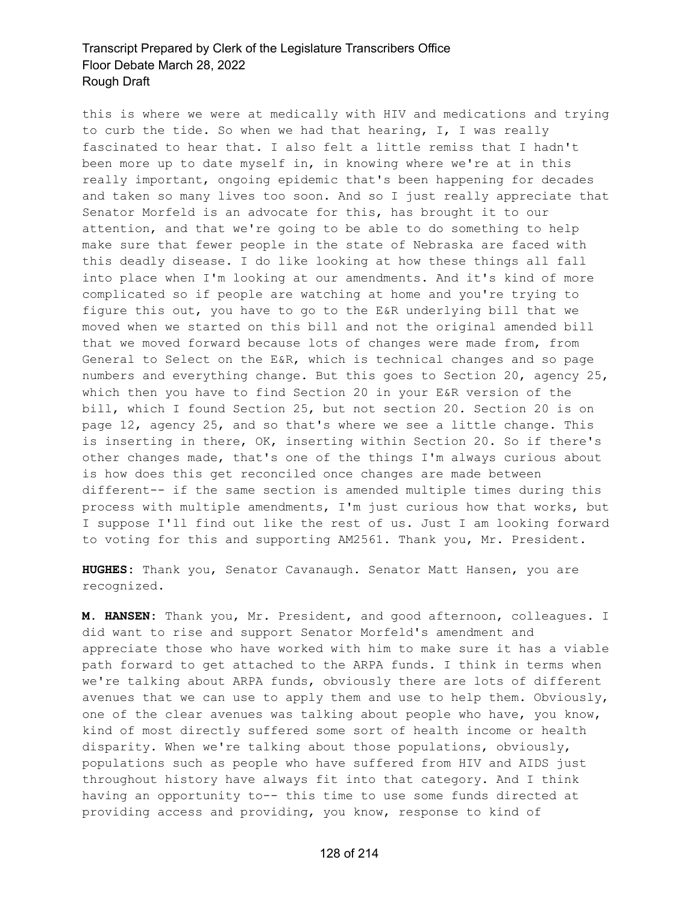this is where we were at medically with HIV and medications and trying to curb the tide. So when we had that hearing, I, I was really fascinated to hear that. I also felt a little remiss that I hadn't been more up to date myself in, in knowing where we're at in this really important, ongoing epidemic that's been happening for decades and taken so many lives too soon. And so I just really appreciate that Senator Morfeld is an advocate for this, has brought it to our attention, and that we're going to be able to do something to help make sure that fewer people in the state of Nebraska are faced with this deadly disease. I do like looking at how these things all fall into place when I'm looking at our amendments. And it's kind of more complicated so if people are watching at home and you're trying to figure this out, you have to go to the E&R underlying bill that we moved when we started on this bill and not the original amended bill that we moved forward because lots of changes were made from, from General to Select on the E&R, which is technical changes and so page numbers and everything change. But this goes to Section 20, agency 25, which then you have to find Section 20 in your E&R version of the bill, which I found Section 25, but not section 20. Section 20 is on page 12, agency 25, and so that's where we see a little change. This is inserting in there, OK, inserting within Section 20. So if there's other changes made, that's one of the things I'm always curious about is how does this get reconciled once changes are made between different-- if the same section is amended multiple times during this process with multiple amendments, I'm just curious how that works, but I suppose I'll find out like the rest of us. Just I am looking forward to voting for this and supporting AM2561. Thank you, Mr. President.

**HUGHES:** Thank you, Senator Cavanaugh. Senator Matt Hansen, you are recognized.

**M. HANSEN:** Thank you, Mr. President, and good afternoon, colleagues. I did want to rise and support Senator Morfeld's amendment and appreciate those who have worked with him to make sure it has a viable path forward to get attached to the ARPA funds. I think in terms when we're talking about ARPA funds, obviously there are lots of different avenues that we can use to apply them and use to help them. Obviously, one of the clear avenues was talking about people who have, you know, kind of most directly suffered some sort of health income or health disparity. When we're talking about those populations, obviously, populations such as people who have suffered from HIV and AIDS just throughout history have always fit into that category. And I think having an opportunity to-- this time to use some funds directed at providing access and providing, you know, response to kind of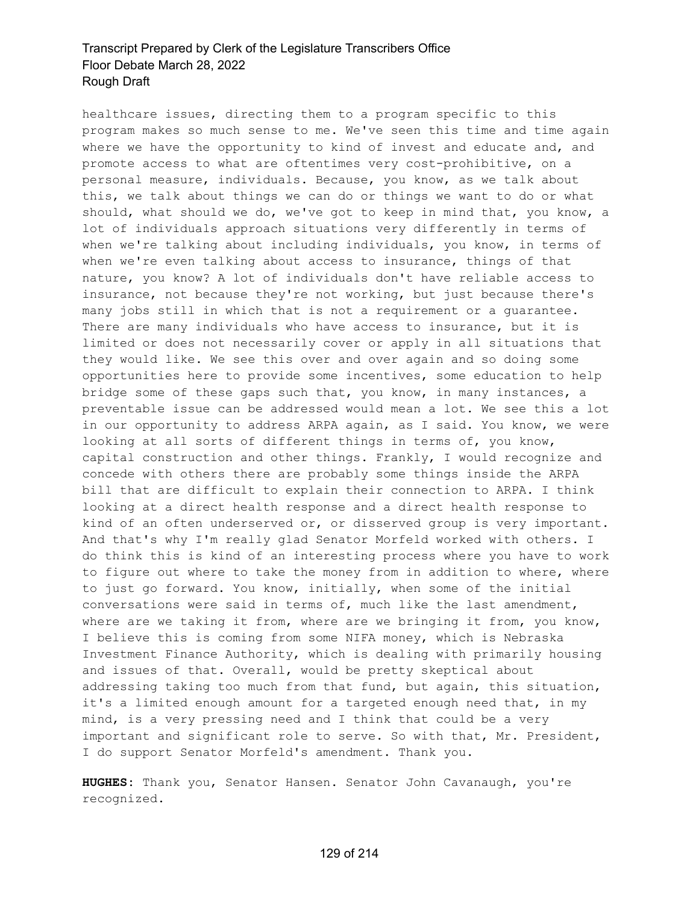healthcare issues, directing them to a program specific to this program makes so much sense to me. We've seen this time and time again where we have the opportunity to kind of invest and educate and, and promote access to what are oftentimes very cost-prohibitive, on a personal measure, individuals. Because, you know, as we talk about this, we talk about things we can do or things we want to do or what should, what should we do, we've got to keep in mind that, you know, a lot of individuals approach situations very differently in terms of when we're talking about including individuals, you know, in terms of when we're even talking about access to insurance, things of that nature, you know? A lot of individuals don't have reliable access to insurance, not because they're not working, but just because there's many jobs still in which that is not a requirement or a guarantee. There are many individuals who have access to insurance, but it is limited or does not necessarily cover or apply in all situations that they would like. We see this over and over again and so doing some opportunities here to provide some incentives, some education to help bridge some of these gaps such that, you know, in many instances, a preventable issue can be addressed would mean a lot. We see this a lot in our opportunity to address ARPA again, as I said. You know, we were looking at all sorts of different things in terms of, you know, capital construction and other things. Frankly, I would recognize and concede with others there are probably some things inside the ARPA bill that are difficult to explain their connection to ARPA. I think looking at a direct health response and a direct health response to kind of an often underserved or, or disserved group is very important. And that's why I'm really glad Senator Morfeld worked with others. I do think this is kind of an interesting process where you have to work to figure out where to take the money from in addition to where, where to just go forward. You know, initially, when some of the initial conversations were said in terms of, much like the last amendment, where are we taking it from, where are we bringing it from, you know, I believe this is coming from some NIFA money, which is Nebraska Investment Finance Authority, which is dealing with primarily housing and issues of that. Overall, would be pretty skeptical about addressing taking too much from that fund, but again, this situation, it's a limited enough amount for a targeted enough need that, in my mind, is a very pressing need and I think that could be a very important and significant role to serve. So with that, Mr. President, I do support Senator Morfeld's amendment. Thank you.

**HUGHES:** Thank you, Senator Hansen. Senator John Cavanaugh, you're recognized.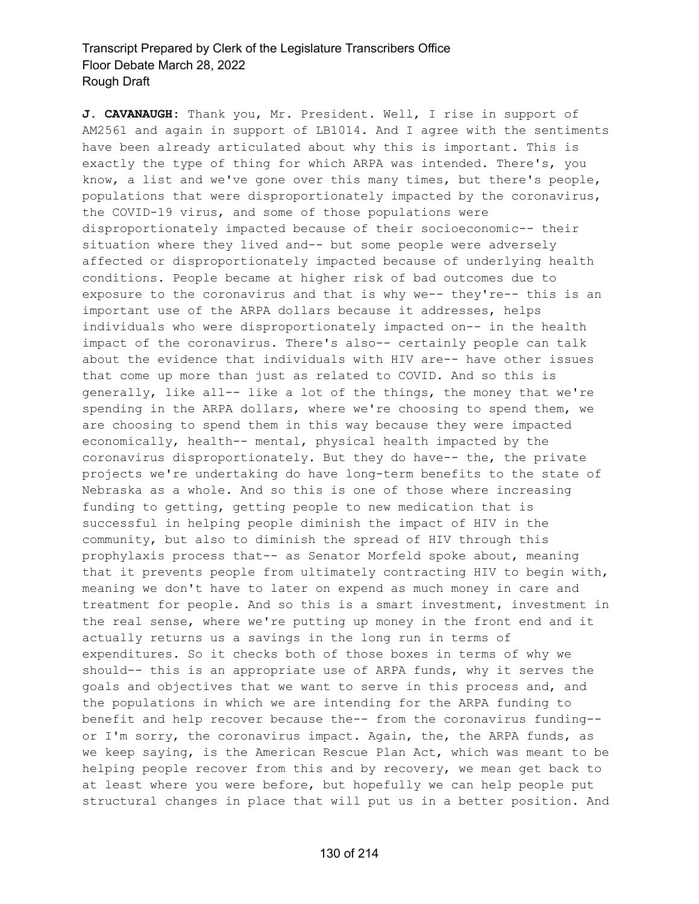**J. CAVANAUGH:** Thank you, Mr. President. Well, I rise in support of AM2561 and again in support of LB1014. And I agree with the sentiments have been already articulated about why this is important. This is exactly the type of thing for which ARPA was intended. There's, you know, a list and we've gone over this many times, but there's people, populations that were disproportionately impacted by the coronavirus, the COVID-19 virus, and some of those populations were disproportionately impacted because of their socioeconomic-- their situation where they lived and-- but some people were adversely affected or disproportionately impacted because of underlying health conditions. People became at higher risk of bad outcomes due to exposure to the coronavirus and that is why we-- they're-- this is an important use of the ARPA dollars because it addresses, helps individuals who were disproportionately impacted on-- in the health impact of the coronavirus. There's also-- certainly people can talk about the evidence that individuals with HIV are-- have other issues that come up more than just as related to COVID. And so this is generally, like all-- like a lot of the things, the money that we're spending in the ARPA dollars, where we're choosing to spend them, we are choosing to spend them in this way because they were impacted economically, health-- mental, physical health impacted by the coronavirus disproportionately. But they do have-- the, the private projects we're undertaking do have long-term benefits to the state of Nebraska as a whole. And so this is one of those where increasing funding to getting, getting people to new medication that is successful in helping people diminish the impact of HIV in the community, but also to diminish the spread of HIV through this prophylaxis process that-- as Senator Morfeld spoke about, meaning that it prevents people from ultimately contracting HIV to begin with, meaning we don't have to later on expend as much money in care and treatment for people. And so this is a smart investment, investment in the real sense, where we're putting up money in the front end and it actually returns us a savings in the long run in terms of expenditures. So it checks both of those boxes in terms of why we should-- this is an appropriate use of ARPA funds, why it serves the goals and objectives that we want to serve in this process and, and the populations in which we are intending for the ARPA funding to benefit and help recover because the-- from the coronavirus funding- or I'm sorry, the coronavirus impact. Again, the, the ARPA funds, as we keep saying, is the American Rescue Plan Act, which was meant to be helping people recover from this and by recovery, we mean get back to at least where you were before, but hopefully we can help people put structural changes in place that will put us in a better position. And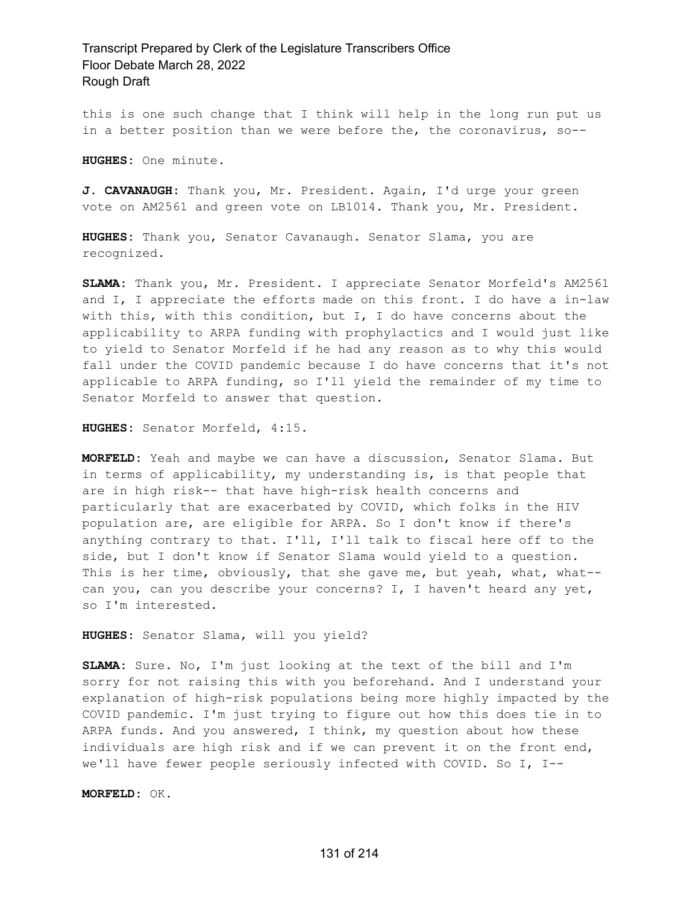this is one such change that I think will help in the long run put us in a better position than we were before the, the coronavirus, so--

**HUGHES:** One minute.

**J. CAVANAUGH:** Thank you, Mr. President. Again, I'd urge your green vote on AM2561 and green vote on LB1014. Thank you, Mr. President.

**HUGHES:** Thank you, Senator Cavanaugh. Senator Slama, you are recognized.

**SLAMA:** Thank you, Mr. President. I appreciate Senator Morfeld's AM2561 and I, I appreciate the efforts made on this front. I do have a in-law with this, with this condition, but I, I do have concerns about the applicability to ARPA funding with prophylactics and I would just like to yield to Senator Morfeld if he had any reason as to why this would fall under the COVID pandemic because I do have concerns that it's not applicable to ARPA funding, so I'll yield the remainder of my time to Senator Morfeld to answer that question.

**HUGHES:** Senator Morfeld, 4:15.

**MORFELD:** Yeah and maybe we can have a discussion, Senator Slama. But in terms of applicability, my understanding is, is that people that are in high risk-- that have high-risk health concerns and particularly that are exacerbated by COVID, which folks in the HIV population are, are eligible for ARPA. So I don't know if there's anything contrary to that. I'll, I'll talk to fiscal here off to the side, but I don't know if Senator Slama would yield to a question. This is her time, obviously, that she gave me, but yeah, what, what-can you, can you describe your concerns? I, I haven't heard any yet, so I'm interested.

**HUGHES:** Senator Slama, will you yield?

**SLAMA:** Sure. No, I'm just looking at the text of the bill and I'm sorry for not raising this with you beforehand. And I understand your explanation of high-risk populations being more highly impacted by the COVID pandemic. I'm just trying to figure out how this does tie in to ARPA funds. And you answered, I think, my question about how these individuals are high risk and if we can prevent it on the front end, we'll have fewer people seriously infected with COVID. So I, I--

**MORFELD:** OK.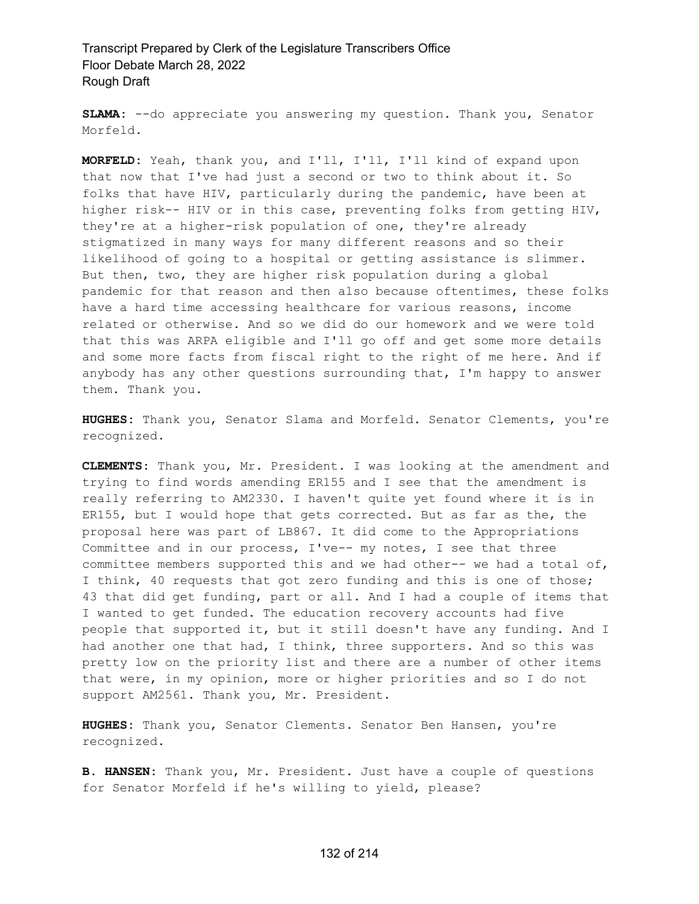**SLAMA:** --do appreciate you answering my question. Thank you, Senator Morfeld.

**MORFELD:** Yeah, thank you, and I'll, I'll, I'll kind of expand upon that now that I've had just a second or two to think about it. So folks that have HIV, particularly during the pandemic, have been at higher risk-- HIV or in this case, preventing folks from getting HIV, they're at a higher-risk population of one, they're already stigmatized in many ways for many different reasons and so their likelihood of going to a hospital or getting assistance is slimmer. But then, two, they are higher risk population during a global pandemic for that reason and then also because oftentimes, these folks have a hard time accessing healthcare for various reasons, income related or otherwise. And so we did do our homework and we were told that this was ARPA eligible and I'll go off and get some more details and some more facts from fiscal right to the right of me here. And if anybody has any other questions surrounding that, I'm happy to answer them. Thank you.

**HUGHES:** Thank you, Senator Slama and Morfeld. Senator Clements, you're recognized.

**CLEMENTS:** Thank you, Mr. President. I was looking at the amendment and trying to find words amending ER155 and I see that the amendment is really referring to AM2330. I haven't quite yet found where it is in ER155, but I would hope that gets corrected. But as far as the, the proposal here was part of LB867. It did come to the Appropriations Committee and in our process, I've-- my notes, I see that three committee members supported this and we had other-- we had a total of, I think, 40 requests that got zero funding and this is one of those; 43 that did get funding, part or all. And I had a couple of items that I wanted to get funded. The education recovery accounts had five people that supported it, but it still doesn't have any funding. And I had another one that had, I think, three supporters. And so this was pretty low on the priority list and there are a number of other items that were, in my opinion, more or higher priorities and so I do not support AM2561. Thank you, Mr. President.

**HUGHES:** Thank you, Senator Clements. Senator Ben Hansen, you're recognized.

**B. HANSEN:** Thank you, Mr. President. Just have a couple of questions for Senator Morfeld if he's willing to yield, please?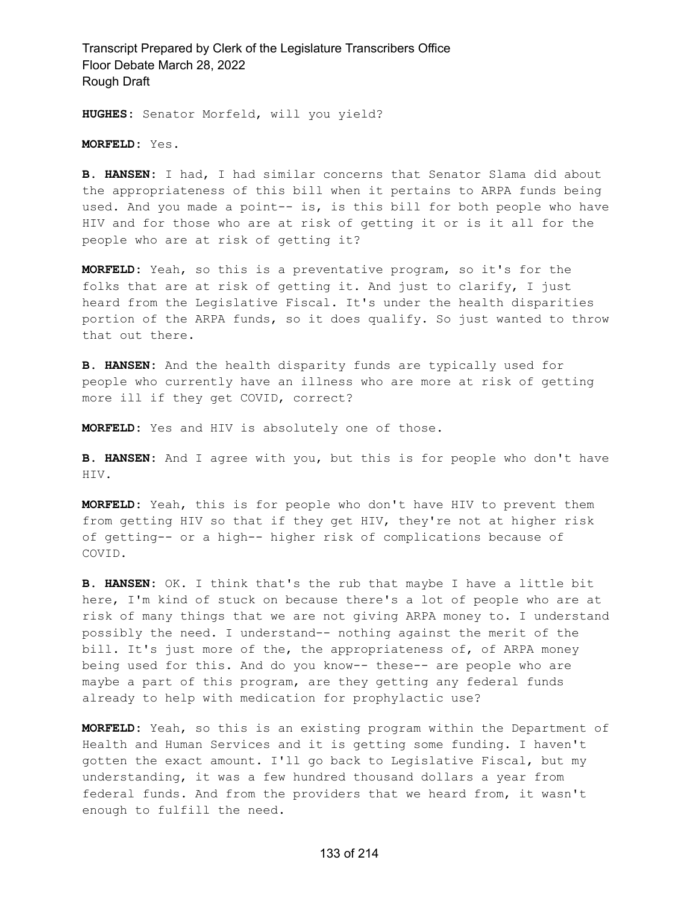**HUGHES:** Senator Morfeld, will you yield?

**MORFELD:** Yes.

**B. HANSEN:** I had, I had similar concerns that Senator Slama did about the appropriateness of this bill when it pertains to ARPA funds being used. And you made a point-- is, is this bill for both people who have HIV and for those who are at risk of getting it or is it all for the people who are at risk of getting it?

**MORFELD:** Yeah, so this is a preventative program, so it's for the folks that are at risk of getting it. And just to clarify, I just heard from the Legislative Fiscal. It's under the health disparities portion of the ARPA funds, so it does qualify. So just wanted to throw that out there.

**B. HANSEN:** And the health disparity funds are typically used for people who currently have an illness who are more at risk of getting more ill if they get COVID, correct?

**MORFELD:** Yes and HIV is absolutely one of those.

**B. HANSEN:** And I agree with you, but this is for people who don't have HIV.

**MORFELD:** Yeah, this is for people who don't have HIV to prevent them from getting HIV so that if they get HIV, they're not at higher risk of getting-- or a high-- higher risk of complications because of COVID.

**B. HANSEN:** OK. I think that's the rub that maybe I have a little bit here, I'm kind of stuck on because there's a lot of people who are at risk of many things that we are not giving ARPA money to. I understand possibly the need. I understand-- nothing against the merit of the bill. It's just more of the, the appropriateness of, of ARPA money being used for this. And do you know-- these-- are people who are maybe a part of this program, are they getting any federal funds already to help with medication for prophylactic use?

**MORFELD:** Yeah, so this is an existing program within the Department of Health and Human Services and it is getting some funding. I haven't gotten the exact amount. I'll go back to Legislative Fiscal, but my understanding, it was a few hundred thousand dollars a year from federal funds. And from the providers that we heard from, it wasn't enough to fulfill the need.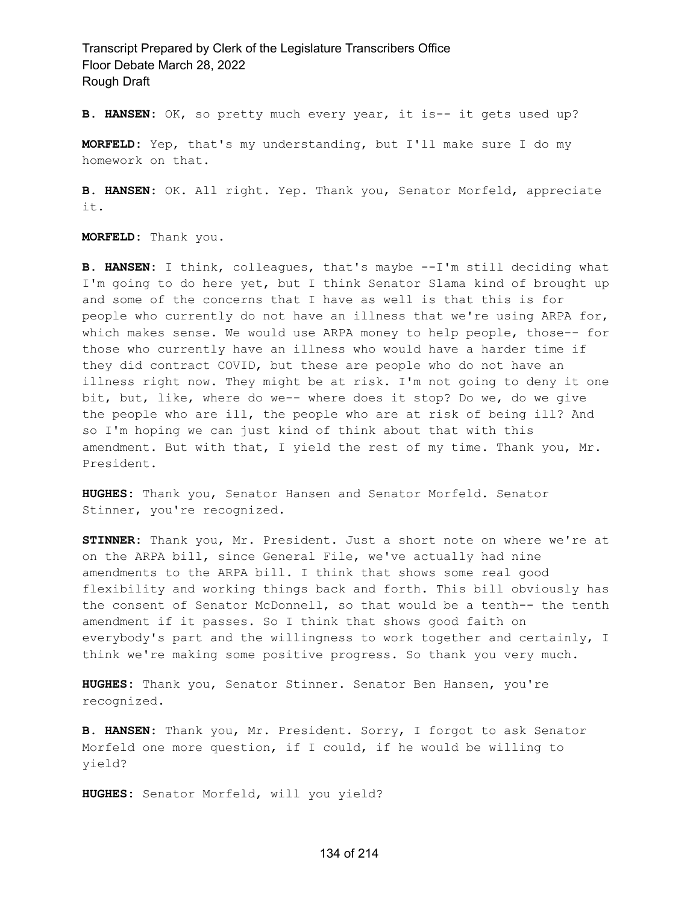**B. HANSEN:** OK, so pretty much every year, it is-- it gets used up?

**MORFELD:** Yep, that's my understanding, but I'll make sure I do my homework on that.

**B. HANSEN:** OK. All right. Yep. Thank you, Senator Morfeld, appreciate it.

**MORFELD:** Thank you.

**B. HANSEN:** I think, colleagues, that's maybe --I'm still deciding what I'm going to do here yet, but I think Senator Slama kind of brought up and some of the concerns that I have as well is that this is for people who currently do not have an illness that we're using ARPA for, which makes sense. We would use ARPA money to help people, those-- for those who currently have an illness who would have a harder time if they did contract COVID, but these are people who do not have an illness right now. They might be at risk. I'm not going to deny it one bit, but, like, where do we-- where does it stop? Do we, do we give the people who are ill, the people who are at risk of being ill? And so I'm hoping we can just kind of think about that with this amendment. But with that, I yield the rest of my time. Thank you, Mr. President.

**HUGHES:** Thank you, Senator Hansen and Senator Morfeld. Senator Stinner, you're recognized.

**STINNER:** Thank you, Mr. President. Just a short note on where we're at on the ARPA bill, since General File, we've actually had nine amendments to the ARPA bill. I think that shows some real good flexibility and working things back and forth. This bill obviously has the consent of Senator McDonnell, so that would be a tenth-- the tenth amendment if it passes. So I think that shows good faith on everybody's part and the willingness to work together and certainly, I think we're making some positive progress. So thank you very much.

**HUGHES:** Thank you, Senator Stinner. Senator Ben Hansen, you're recognized.

**B. HANSEN:** Thank you, Mr. President. Sorry, I forgot to ask Senator Morfeld one more question, if I could, if he would be willing to yield?

**HUGHES:** Senator Morfeld, will you yield?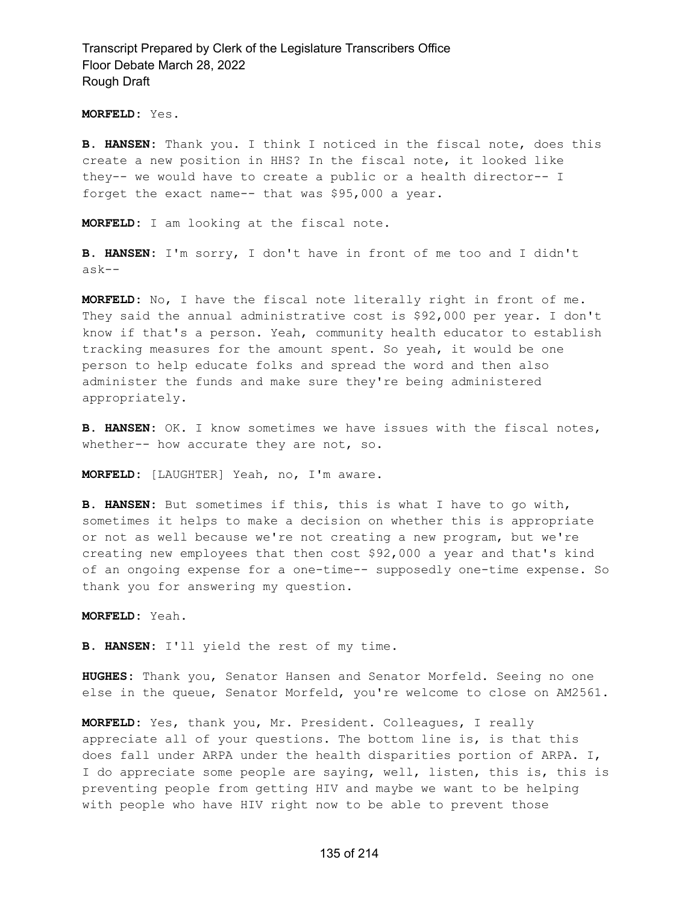**MORFELD:** Yes.

**B. HANSEN:** Thank you. I think I noticed in the fiscal note, does this create a new position in HHS? In the fiscal note, it looked like they-- we would have to create a public or a health director-- I forget the exact name-- that was \$95,000 a year.

**MORFELD:** I am looking at the fiscal note.

**B. HANSEN:** I'm sorry, I don't have in front of me too and I didn't ask--

**MORFELD:** No, I have the fiscal note literally right in front of me. They said the annual administrative cost is \$92,000 per year. I don't know if that's a person. Yeah, community health educator to establish tracking measures for the amount spent. So yeah, it would be one person to help educate folks and spread the word and then also administer the funds and make sure they're being administered appropriately.

**B. HANSEN:** OK. I know sometimes we have issues with the fiscal notes, whether-- how accurate they are not, so.

**MORFELD:** [LAUGHTER] Yeah, no, I'm aware.

**B. HANSEN:** But sometimes if this, this is what I have to go with, sometimes it helps to make a decision on whether this is appropriate or not as well because we're not creating a new program, but we're creating new employees that then cost \$92,000 a year and that's kind of an ongoing expense for a one-time-- supposedly one-time expense. So thank you for answering my question.

**MORFELD:** Yeah.

**B. HANSEN:** I'll yield the rest of my time.

**HUGHES:** Thank you, Senator Hansen and Senator Morfeld. Seeing no one else in the queue, Senator Morfeld, you're welcome to close on AM2561.

**MORFELD:** Yes, thank you, Mr. President. Colleagues, I really appreciate all of your questions. The bottom line is, is that this does fall under ARPA under the health disparities portion of ARPA. I, I do appreciate some people are saying, well, listen, this is, this is preventing people from getting HIV and maybe we want to be helping with people who have HIV right now to be able to prevent those

#### 135 of 214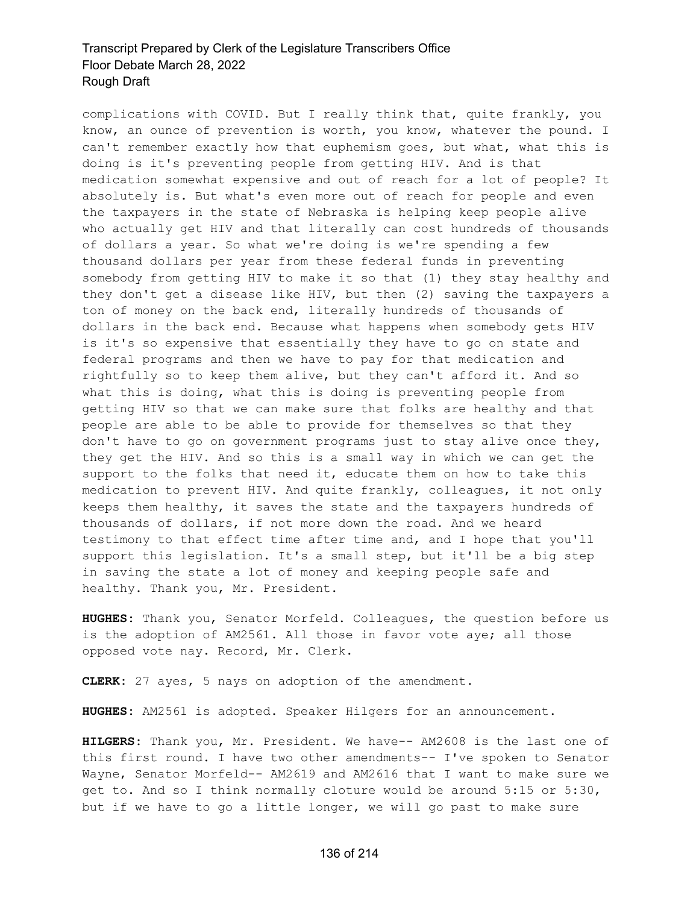complications with COVID. But I really think that, quite frankly, you know, an ounce of prevention is worth, you know, whatever the pound. I can't remember exactly how that euphemism goes, but what, what this is doing is it's preventing people from getting HIV. And is that medication somewhat expensive and out of reach for a lot of people? It absolutely is. But what's even more out of reach for people and even the taxpayers in the state of Nebraska is helping keep people alive who actually get HIV and that literally can cost hundreds of thousands of dollars a year. So what we're doing is we're spending a few thousand dollars per year from these federal funds in preventing somebody from getting HIV to make it so that (1) they stay healthy and they don't get a disease like HIV, but then (2) saving the taxpayers a ton of money on the back end, literally hundreds of thousands of dollars in the back end. Because what happens when somebody gets HIV is it's so expensive that essentially they have to go on state and federal programs and then we have to pay for that medication and rightfully so to keep them alive, but they can't afford it. And so what this is doing, what this is doing is preventing people from getting HIV so that we can make sure that folks are healthy and that people are able to be able to provide for themselves so that they don't have to go on government programs just to stay alive once they, they get the HIV. And so this is a small way in which we can get the support to the folks that need it, educate them on how to take this medication to prevent HIV. And quite frankly, colleagues, it not only keeps them healthy, it saves the state and the taxpayers hundreds of thousands of dollars, if not more down the road. And we heard testimony to that effect time after time and, and I hope that you'll support this legislation. It's a small step, but it'll be a big step in saving the state a lot of money and keeping people safe and healthy. Thank you, Mr. President.

**HUGHES:** Thank you, Senator Morfeld. Colleagues, the question before us is the adoption of AM2561. All those in favor vote aye; all those opposed vote nay. Record, Mr. Clerk.

**CLERK:** 27 ayes, 5 nays on adoption of the amendment.

**HUGHES:** AM2561 is adopted. Speaker Hilgers for an announcement.

**HILGERS:** Thank you, Mr. President. We have-- AM2608 is the last one of this first round. I have two other amendments-- I've spoken to Senator Wayne, Senator Morfeld-- AM2619 and AM2616 that I want to make sure we get to. And so I think normally cloture would be around 5:15 or 5:30, but if we have to go a little longer, we will go past to make sure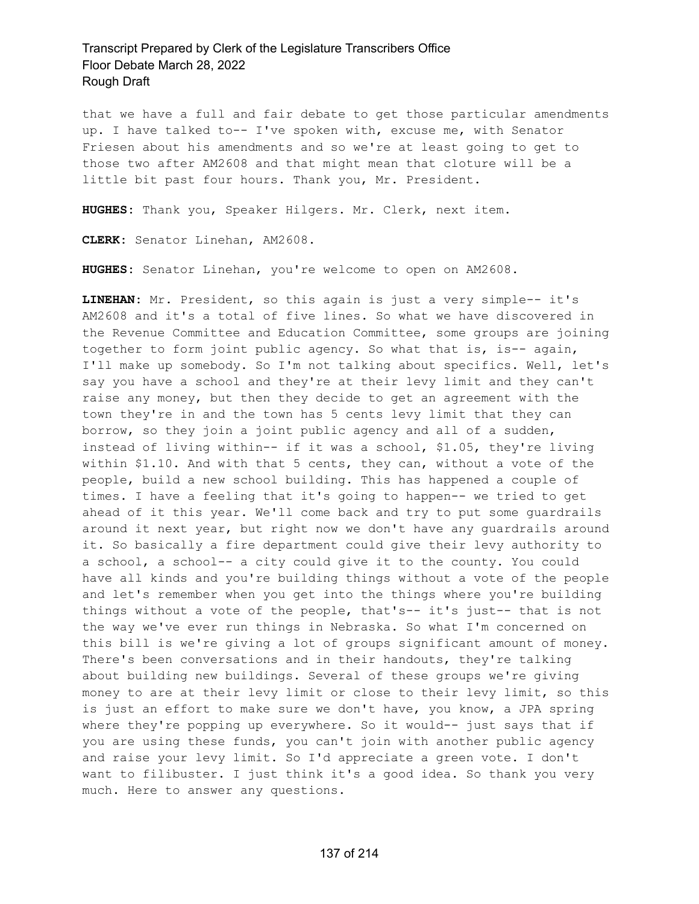that we have a full and fair debate to get those particular amendments up. I have talked to-- I've spoken with, excuse me, with Senator Friesen about his amendments and so we're at least going to get to those two after AM2608 and that might mean that cloture will be a little bit past four hours. Thank you, Mr. President.

**HUGHES:** Thank you, Speaker Hilgers. Mr. Clerk, next item.

**CLERK:** Senator Linehan, AM2608.

**HUGHES:** Senator Linehan, you're welcome to open on AM2608.

**LINEHAN:** Mr. President, so this again is just a very simple-- it's AM2608 and it's a total of five lines. So what we have discovered in the Revenue Committee and Education Committee, some groups are joining together to form joint public agency. So what that is, is-- again, I'll make up somebody. So I'm not talking about specifics. Well, let's say you have a school and they're at their levy limit and they can't raise any money, but then they decide to get an agreement with the town they're in and the town has 5 cents levy limit that they can borrow, so they join a joint public agency and all of a sudden, instead of living within-- if it was a school, \$1.05, they're living within \$1.10. And with that 5 cents, they can, without a vote of the people, build a new school building. This has happened a couple of times. I have a feeling that it's going to happen-- we tried to get ahead of it this year. We'll come back and try to put some guardrails around it next year, but right now we don't have any guardrails around it. So basically a fire department could give their levy authority to a school, a school-- a city could give it to the county. You could have all kinds and you're building things without a vote of the people and let's remember when you get into the things where you're building things without a vote of the people, that's-- it's just-- that is not the way we've ever run things in Nebraska. So what I'm concerned on this bill is we're giving a lot of groups significant amount of money. There's been conversations and in their handouts, they're talking about building new buildings. Several of these groups we're giving money to are at their levy limit or close to their levy limit, so this is just an effort to make sure we don't have, you know, a JPA spring where they're popping up everywhere. So it would-- just says that if you are using these funds, you can't join with another public agency and raise your levy limit. So I'd appreciate a green vote. I don't want to filibuster. I just think it's a good idea. So thank you very much. Here to answer any questions.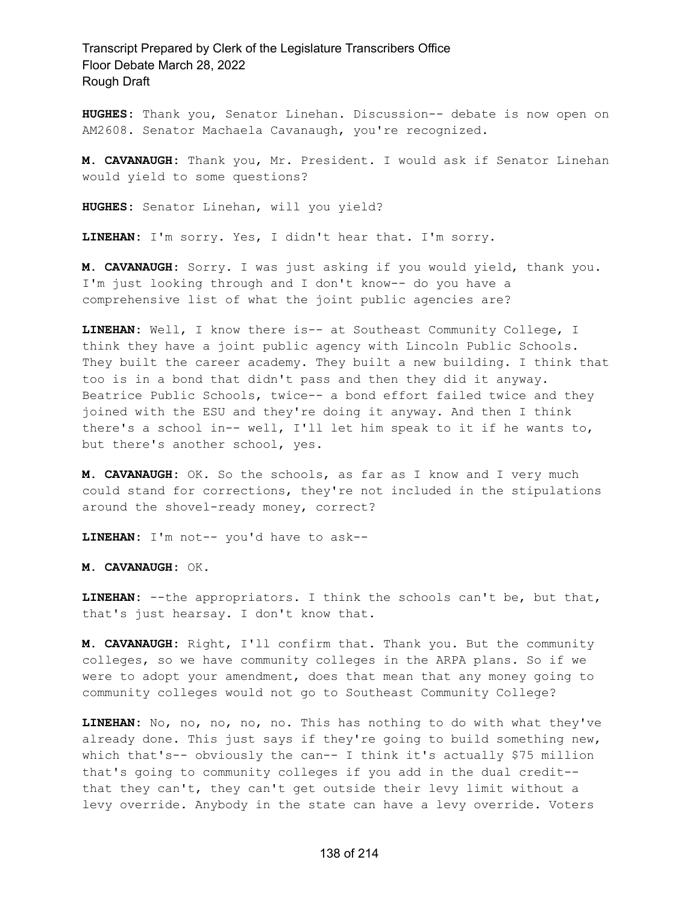**HUGHES:** Thank you, Senator Linehan. Discussion-- debate is now open on AM2608. Senator Machaela Cavanaugh, you're recognized.

**M. CAVANAUGH:** Thank you, Mr. President. I would ask if Senator Linehan would yield to some questions?

**HUGHES:** Senator Linehan, will you yield?

**LINEHAN:** I'm sorry. Yes, I didn't hear that. I'm sorry.

**M. CAVANAUGH:** Sorry. I was just asking if you would yield, thank you. I'm just looking through and I don't know-- do you have a comprehensive list of what the joint public agencies are?

**LINEHAN:** Well, I know there is-- at Southeast Community College, I think they have a joint public agency with Lincoln Public Schools. They built the career academy. They built a new building. I think that too is in a bond that didn't pass and then they did it anyway. Beatrice Public Schools, twice-- a bond effort failed twice and they joined with the ESU and they're doing it anyway. And then I think there's a school in-- well, I'll let him speak to it if he wants to, but there's another school, yes.

**M. CAVANAUGH:** OK. So the schools, as far as I know and I very much could stand for corrections, they're not included in the stipulations around the shovel-ready money, correct?

**LINEHAN:** I'm not-- you'd have to ask--

**M. CAVANAUGH:** OK.

**LINEHAN:** --the appropriators. I think the schools can't be, but that, that's just hearsay. I don't know that.

**M. CAVANAUGH:** Right, I'll confirm that. Thank you. But the community colleges, so we have community colleges in the ARPA plans. So if we were to adopt your amendment, does that mean that any money going to community colleges would not go to Southeast Community College?

**LINEHAN:** No, no, no, no, no. This has nothing to do with what they've already done. This just says if they're going to build something new, which that's-- obviously the can-- I think it's actually \$75 million that's going to community colleges if you add in the dual credit- that they can't, they can't get outside their levy limit without a levy override. Anybody in the state can have a levy override. Voters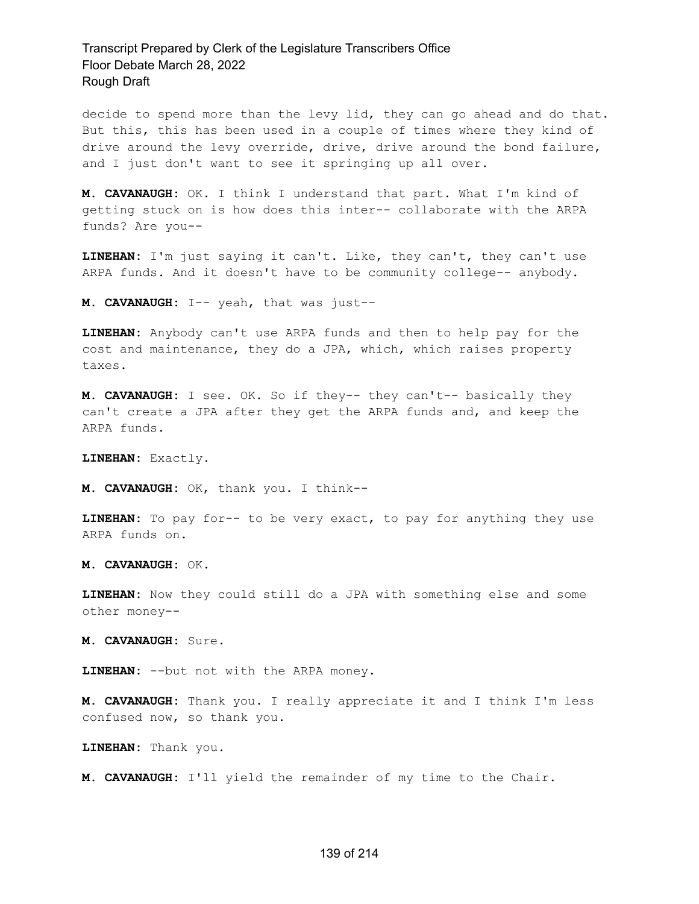decide to spend more than the levy lid, they can go ahead and do that. But this, this has been used in a couple of times where they kind of drive around the levy override, drive, drive around the bond failure, and I just don't want to see it springing up all over.

**M. CAVANAUGH:** OK. I think I understand that part. What I'm kind of getting stuck on is how does this inter-- collaborate with the ARPA funds? Are you--

**LINEHAN:** I'm just saying it can't. Like, they can't, they can't use ARPA funds. And it doesn't have to be community college-- anybody.

**M. CAVANAUGH:** I-- yeah, that was just--

**LINEHAN:** Anybody can't use ARPA funds and then to help pay for the cost and maintenance, they do a JPA, which, which raises property taxes.

**M. CAVANAUGH:** I see. OK. So if they-- they can't-- basically they can't create a JPA after they get the ARPA funds and, and keep the ARPA funds.

**LINEHAN:** Exactly.

**M. CAVANAUGH:** OK, thank you. I think--

**LINEHAN:** To pay for-- to be very exact, to pay for anything they use ARPA funds on.

**M. CAVANAUGH:** OK.

**LINEHAN:** Now they could still do a JPA with something else and some other money--

**M. CAVANAUGH:** Sure.

**LINEHAN:** --but not with the ARPA money.

**M. CAVANAUGH:** Thank you. I really appreciate it and I think I'm less confused now, so thank you.

**LINEHAN:** Thank you.

**M. CAVANAUGH:** I'll yield the remainder of my time to the Chair.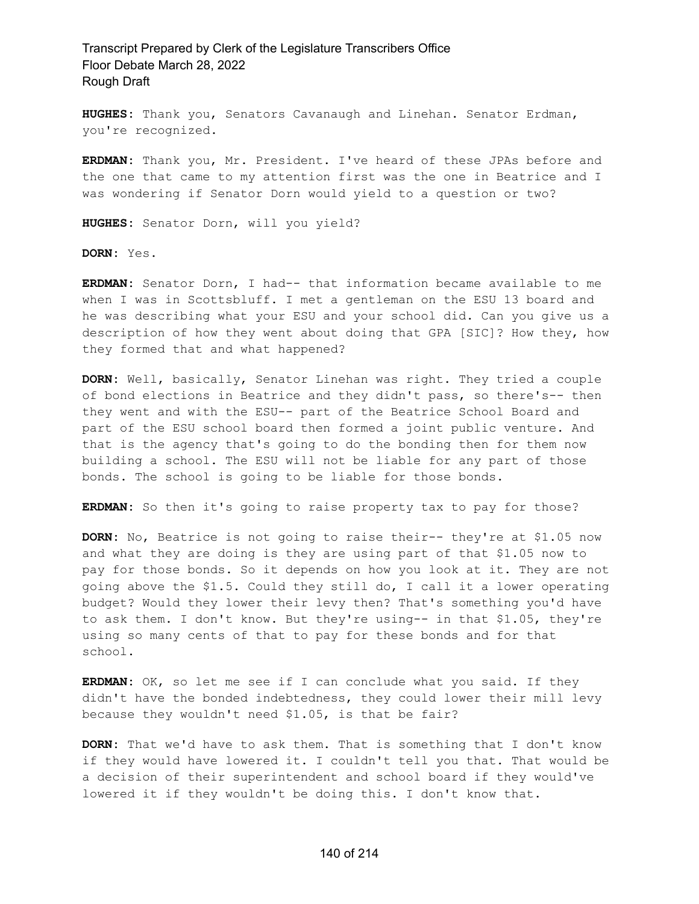**HUGHES:** Thank you, Senators Cavanaugh and Linehan. Senator Erdman, you're recognized.

**ERDMAN:** Thank you, Mr. President. I've heard of these JPAs before and the one that came to my attention first was the one in Beatrice and I was wondering if Senator Dorn would yield to a question or two?

**HUGHES:** Senator Dorn, will you yield?

**DORN:** Yes.

**ERDMAN:** Senator Dorn, I had-- that information became available to me when I was in Scottsbluff. I met a gentleman on the ESU 13 board and he was describing what your ESU and your school did. Can you give us a description of how they went about doing that GPA [SIC]? How they, how they formed that and what happened?

**DORN:** Well, basically, Senator Linehan was right. They tried a couple of bond elections in Beatrice and they didn't pass, so there's-- then they went and with the ESU-- part of the Beatrice School Board and part of the ESU school board then formed a joint public venture. And that is the agency that's going to do the bonding then for them now building a school. The ESU will not be liable for any part of those bonds. The school is going to be liable for those bonds.

**ERDMAN:** So then it's going to raise property tax to pay for those?

**DORN:** No, Beatrice is not going to raise their-- they're at \$1.05 now and what they are doing is they are using part of that \$1.05 now to pay for those bonds. So it depends on how you look at it. They are not going above the \$1.5. Could they still do, I call it a lower operating budget? Would they lower their levy then? That's something you'd have to ask them. I don't know. But they're using-- in that \$1.05, they're using so many cents of that to pay for these bonds and for that school.

**ERDMAN:** OK, so let me see if I can conclude what you said. If they didn't have the bonded indebtedness, they could lower their mill levy because they wouldn't need \$1.05, is that be fair?

**DORN:** That we'd have to ask them. That is something that I don't know if they would have lowered it. I couldn't tell you that. That would be a decision of their superintendent and school board if they would've lowered it if they wouldn't be doing this. I don't know that.

#### 140 of 214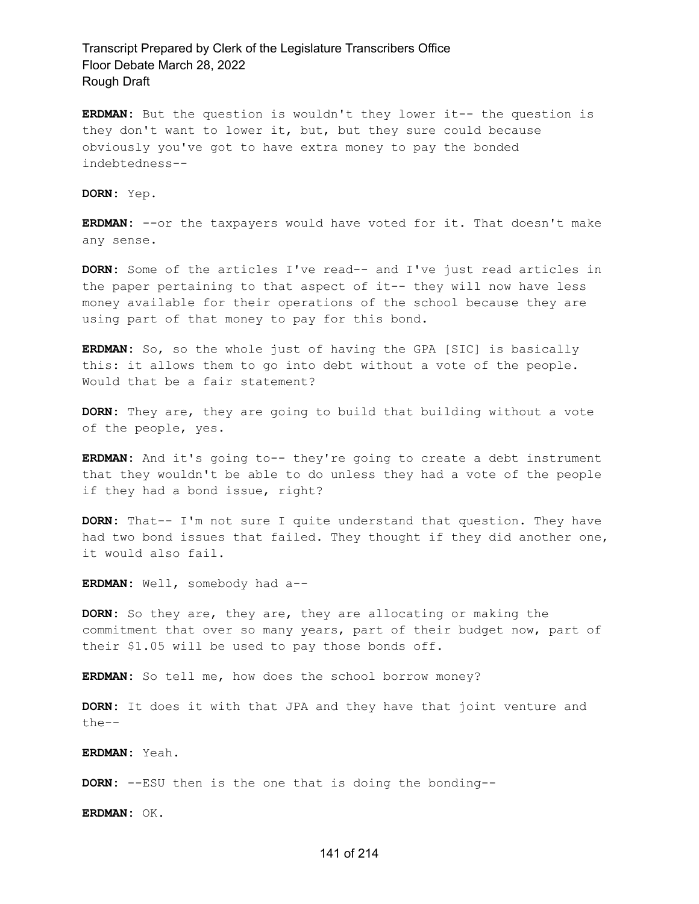**ERDMAN:** But the question is wouldn't they lower it-- the question is they don't want to lower it, but, but they sure could because obviously you've got to have extra money to pay the bonded indebtedness--

**DORN:** Yep.

**ERDMAN:** --or the taxpayers would have voted for it. That doesn't make any sense.

**DORN:** Some of the articles I've read-- and I've just read articles in the paper pertaining to that aspect of it-- they will now have less money available for their operations of the school because they are using part of that money to pay for this bond.

**ERDMAN:** So, so the whole just of having the GPA [SIC] is basically this: it allows them to go into debt without a vote of the people. Would that be a fair statement?

**DORN:** They are, they are going to build that building without a vote of the people, yes.

**ERDMAN:** And it's going to-- they're going to create a debt instrument that they wouldn't be able to do unless they had a vote of the people if they had a bond issue, right?

**DORN:** That-- I'm not sure I quite understand that question. They have had two bond issues that failed. They thought if they did another one, it would also fail.

**ERDMAN:** Well, somebody had a--

**DORN:** So they are, they are, they are allocating or making the commitment that over so many years, part of their budget now, part of their \$1.05 will be used to pay those bonds off.

**ERDMAN:** So tell me, how does the school borrow money?

**DORN:** It does it with that JPA and they have that joint venture and the--

**ERDMAN:** Yeah.

**DORN:** --ESU then is the one that is doing the bonding--

**ERDMAN:** OK.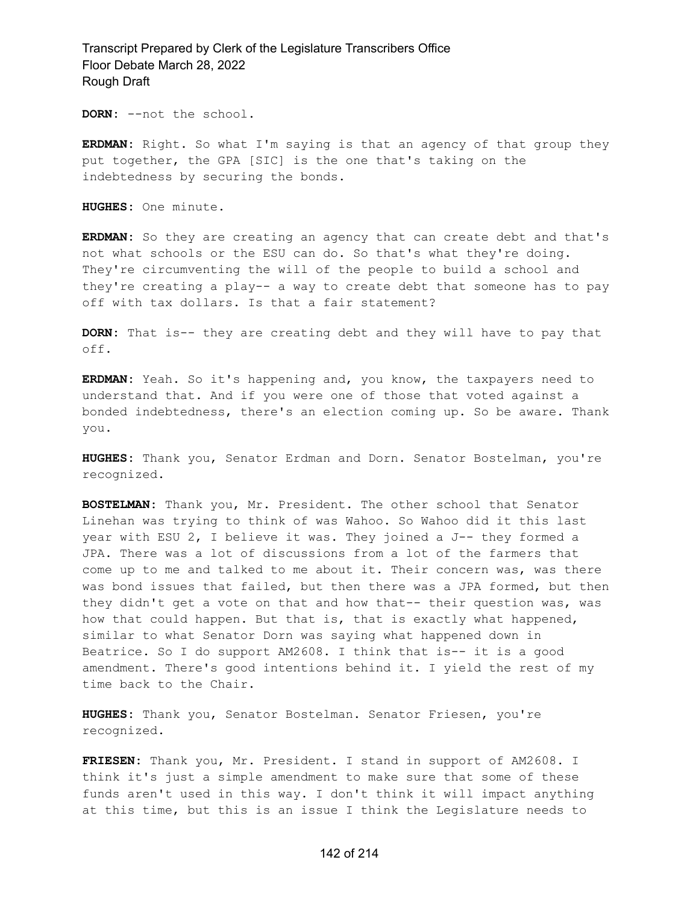**DORN:** --not the school.

**ERDMAN:** Right. So what I'm saying is that an agency of that group they put together, the GPA [SIC] is the one that's taking on the indebtedness by securing the bonds.

**HUGHES:** One minute.

**ERDMAN:** So they are creating an agency that can create debt and that's not what schools or the ESU can do. So that's what they're doing. They're circumventing the will of the people to build a school and they're creating a play-- a way to create debt that someone has to pay off with tax dollars. Is that a fair statement?

**DORN:** That is-- they are creating debt and they will have to pay that off.

**ERDMAN:** Yeah. So it's happening and, you know, the taxpayers need to understand that. And if you were one of those that voted against a bonded indebtedness, there's an election coming up. So be aware. Thank you.

**HUGHES:** Thank you, Senator Erdman and Dorn. Senator Bostelman, you're recognized.

**BOSTELMAN:** Thank you, Mr. President. The other school that Senator Linehan was trying to think of was Wahoo. So Wahoo did it this last year with ESU 2, I believe it was. They joined a J-- they formed a JPA. There was a lot of discussions from a lot of the farmers that come up to me and talked to me about it. Their concern was, was there was bond issues that failed, but then there was a JPA formed, but then they didn't get a vote on that and how that-- their question was, was how that could happen. But that is, that is exactly what happened, similar to what Senator Dorn was saying what happened down in Beatrice. So I do support AM2608. I think that is-- it is a good amendment. There's good intentions behind it. I yield the rest of my time back to the Chair.

**HUGHES:** Thank you, Senator Bostelman. Senator Friesen, you're recognized.

**FRIESEN:** Thank you, Mr. President. I stand in support of AM2608. I think it's just a simple amendment to make sure that some of these funds aren't used in this way. I don't think it will impact anything at this time, but this is an issue I think the Legislature needs to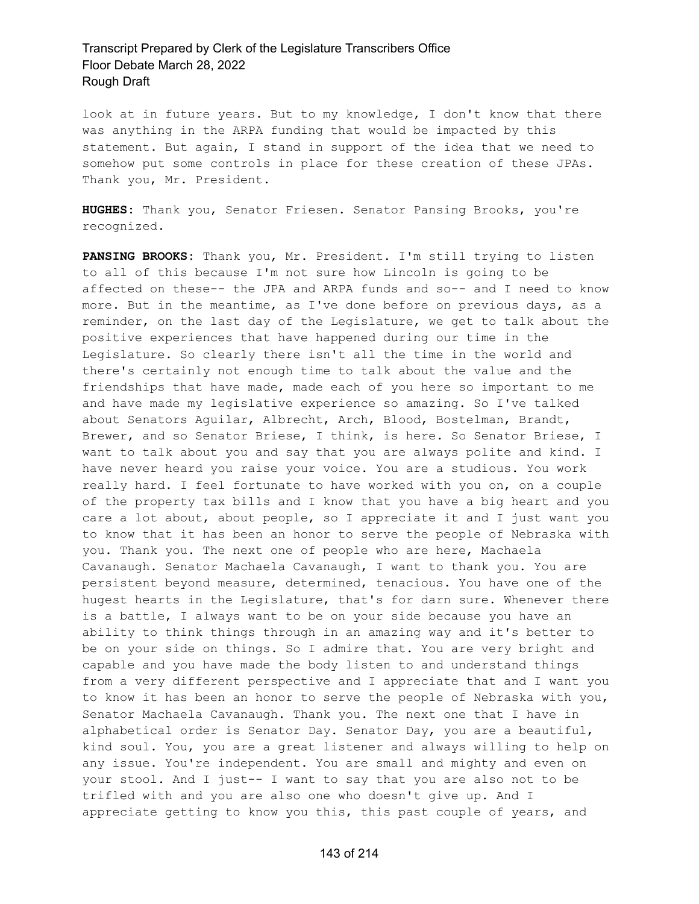look at in future years. But to my knowledge, I don't know that there was anything in the ARPA funding that would be impacted by this statement. But again, I stand in support of the idea that we need to somehow put some controls in place for these creation of these JPAs. Thank you, Mr. President.

**HUGHES:** Thank you, Senator Friesen. Senator Pansing Brooks, you're recognized.

**PANSING BROOKS:** Thank you, Mr. President. I'm still trying to listen to all of this because I'm not sure how Lincoln is going to be affected on these-- the JPA and ARPA funds and so-- and I need to know more. But in the meantime, as I've done before on previous days, as a reminder, on the last day of the Legislature, we get to talk about the positive experiences that have happened during our time in the Legislature. So clearly there isn't all the time in the world and there's certainly not enough time to talk about the value and the friendships that have made, made each of you here so important to me and have made my legislative experience so amazing. So I've talked about Senators Aguilar, Albrecht, Arch, Blood, Bostelman, Brandt, Brewer, and so Senator Briese, I think, is here. So Senator Briese, I want to talk about you and say that you are always polite and kind. I have never heard you raise your voice. You are a studious. You work really hard. I feel fortunate to have worked with you on, on a couple of the property tax bills and I know that you have a big heart and you care a lot about, about people, so I appreciate it and I just want you to know that it has been an honor to serve the people of Nebraska with you. Thank you. The next one of people who are here, Machaela Cavanaugh. Senator Machaela Cavanaugh, I want to thank you. You are persistent beyond measure, determined, tenacious. You have one of the hugest hearts in the Legislature, that's for darn sure. Whenever there is a battle, I always want to be on your side because you have an ability to think things through in an amazing way and it's better to be on your side on things. So I admire that. You are very bright and capable and you have made the body listen to and understand things from a very different perspective and I appreciate that and I want you to know it has been an honor to serve the people of Nebraska with you, Senator Machaela Cavanaugh. Thank you. The next one that I have in alphabetical order is Senator Day. Senator Day, you are a beautiful, kind soul. You, you are a great listener and always willing to help on any issue. You're independent. You are small and mighty and even on your stool. And I just-- I want to say that you are also not to be trifled with and you are also one who doesn't give up. And I appreciate getting to know you this, this past couple of years, and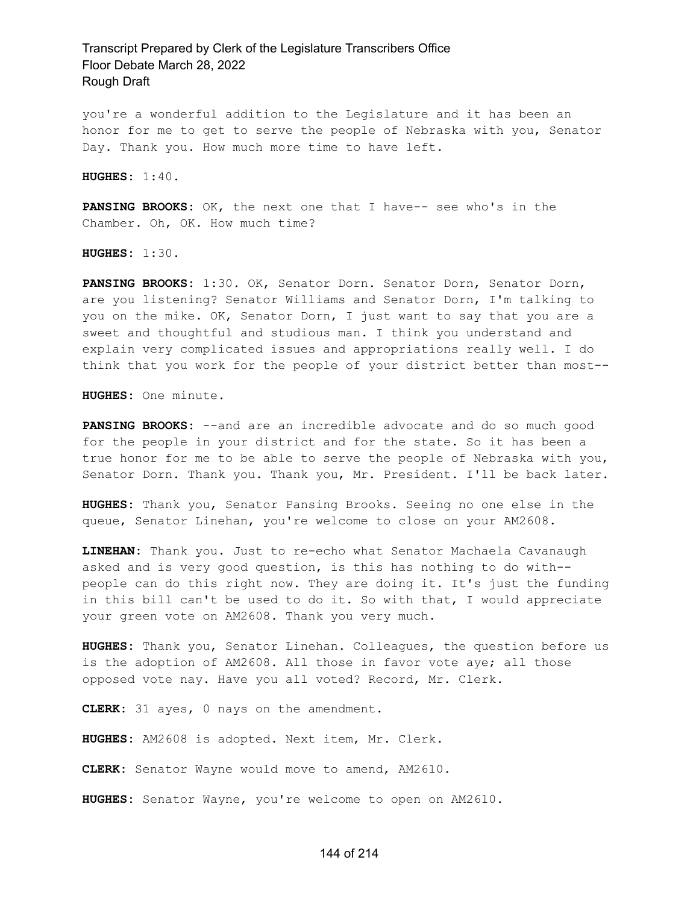you're a wonderful addition to the Legislature and it has been an honor for me to get to serve the people of Nebraska with you, Senator Day. Thank you. How much more time to have left.

**HUGHES:** 1:40.

**PANSING BROOKS:** OK, the next one that I have-- see who's in the Chamber. Oh, OK. How much time?

**HUGHES:** 1:30.

**PANSING BROOKS:** 1:30. OK, Senator Dorn. Senator Dorn, Senator Dorn, are you listening? Senator Williams and Senator Dorn, I'm talking to you on the mike. OK, Senator Dorn, I just want to say that you are a sweet and thoughtful and studious man. I think you understand and explain very complicated issues and appropriations really well. I do think that you work for the people of your district better than most--

**HUGHES:** One minute.

**PANSING BROOKS:** --and are an incredible advocate and do so much good for the people in your district and for the state. So it has been a true honor for me to be able to serve the people of Nebraska with you, Senator Dorn. Thank you. Thank you, Mr. President. I'll be back later.

**HUGHES:** Thank you, Senator Pansing Brooks. Seeing no one else in the queue, Senator Linehan, you're welcome to close on your AM2608.

**LINEHAN:** Thank you. Just to re-echo what Senator Machaela Cavanaugh asked and is very good question, is this has nothing to do with- people can do this right now. They are doing it. It's just the funding in this bill can't be used to do it. So with that, I would appreciate your green vote on AM2608. Thank you very much.

**HUGHES:** Thank you, Senator Linehan. Colleagues, the question before us is the adoption of AM2608. All those in favor vote aye; all those opposed vote nay. Have you all voted? Record, Mr. Clerk.

**CLERK:** 31 ayes, 0 nays on the amendment.

**HUGHES:** AM2608 is adopted. Next item, Mr. Clerk.

**CLERK:** Senator Wayne would move to amend, AM2610.

**HUGHES:** Senator Wayne, you're welcome to open on AM2610.

#### 144 of 214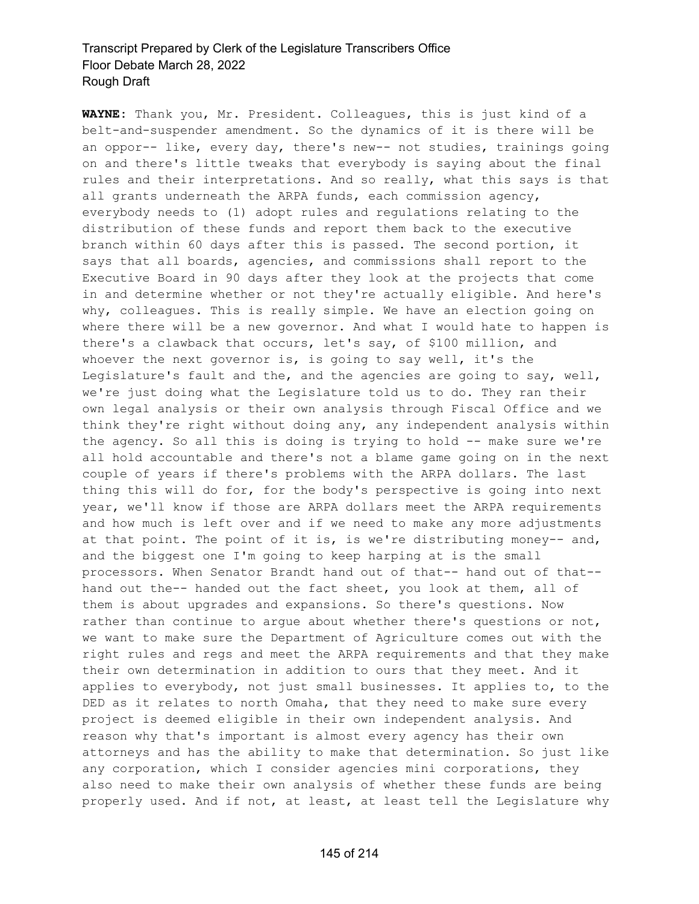**WAYNE:** Thank you, Mr. President. Colleagues, this is just kind of a belt-and-suspender amendment. So the dynamics of it is there will be an oppor-- like, every day, there's new-- not studies, trainings going on and there's little tweaks that everybody is saying about the final rules and their interpretations. And so really, what this says is that all grants underneath the ARPA funds, each commission agency, everybody needs to (1) adopt rules and regulations relating to the distribution of these funds and report them back to the executive branch within 60 days after this is passed. The second portion, it says that all boards, agencies, and commissions shall report to the Executive Board in 90 days after they look at the projects that come in and determine whether or not they're actually eligible. And here's why, colleagues. This is really simple. We have an election going on where there will be a new governor. And what I would hate to happen is there's a clawback that occurs, let's say, of \$100 million, and whoever the next governor is, is going to say well, it's the Legislature's fault and the, and the agencies are going to say, well, we're just doing what the Legislature told us to do. They ran their own legal analysis or their own analysis through Fiscal Office and we think they're right without doing any, any independent analysis within the agency. So all this is doing is trying to hold -- make sure we're all hold accountable and there's not a blame game going on in the next couple of years if there's problems with the ARPA dollars. The last thing this will do for, for the body's perspective is going into next year, we'll know if those are ARPA dollars meet the ARPA requirements and how much is left over and if we need to make any more adjustments at that point. The point of it is, is we're distributing money-- and, and the biggest one I'm going to keep harping at is the small processors. When Senator Brandt hand out of that-- hand out of that- hand out the-- handed out the fact sheet, you look at them, all of them is about upgrades and expansions. So there's questions. Now rather than continue to argue about whether there's questions or not, we want to make sure the Department of Agriculture comes out with the right rules and regs and meet the ARPA requirements and that they make their own determination in addition to ours that they meet. And it applies to everybody, not just small businesses. It applies to, to the DED as it relates to north Omaha, that they need to make sure every project is deemed eligible in their own independent analysis. And reason why that's important is almost every agency has their own attorneys and has the ability to make that determination. So just like any corporation, which I consider agencies mini corporations, they also need to make their own analysis of whether these funds are being properly used. And if not, at least, at least tell the Legislature why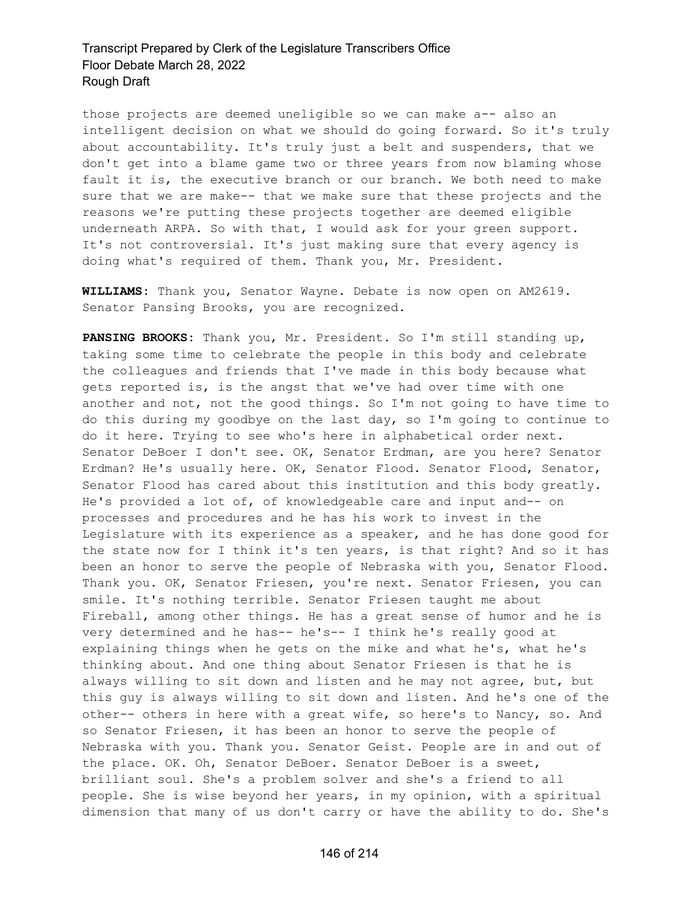those projects are deemed uneligible so we can make a-- also an intelligent decision on what we should do going forward. So it's truly about accountability. It's truly just a belt and suspenders, that we don't get into a blame game two or three years from now blaming whose fault it is, the executive branch or our branch. We both need to make sure that we are make-- that we make sure that these projects and the reasons we're putting these projects together are deemed eligible underneath ARPA. So with that, I would ask for your green support. It's not controversial. It's just making sure that every agency is doing what's required of them. Thank you, Mr. President.

**WILLIAMS:** Thank you, Senator Wayne. Debate is now open on AM2619. Senator Pansing Brooks, you are recognized.

**PANSING BROOKS:** Thank you, Mr. President. So I'm still standing up, taking some time to celebrate the people in this body and celebrate the colleagues and friends that I've made in this body because what gets reported is, is the angst that we've had over time with one another and not, not the good things. So I'm not going to have time to do this during my goodbye on the last day, so I'm going to continue to do it here. Trying to see who's here in alphabetical order next. Senator DeBoer I don't see. OK, Senator Erdman, are you here? Senator Erdman? He's usually here. OK, Senator Flood. Senator Flood, Senator, Senator Flood has cared about this institution and this body greatly. He's provided a lot of, of knowledgeable care and input and-- on processes and procedures and he has his work to invest in the Legislature with its experience as a speaker, and he has done good for the state now for I think it's ten years, is that right? And so it has been an honor to serve the people of Nebraska with you, Senator Flood. Thank you. OK, Senator Friesen, you're next. Senator Friesen, you can smile. It's nothing terrible. Senator Friesen taught me about Fireball, among other things. He has a great sense of humor and he is very determined and he has-- he's-- I think he's really good at explaining things when he gets on the mike and what he's, what he's thinking about. And one thing about Senator Friesen is that he is always willing to sit down and listen and he may not agree, but, but this guy is always willing to sit down and listen. And he's one of the other-- others in here with a great wife, so here's to Nancy, so. And so Senator Friesen, it has been an honor to serve the people of Nebraska with you. Thank you. Senator Geist. People are in and out of the place. OK. Oh, Senator DeBoer. Senator DeBoer is a sweet, brilliant soul. She's a problem solver and she's a friend to all people. She is wise beyond her years, in my opinion, with a spiritual dimension that many of us don't carry or have the ability to do. She's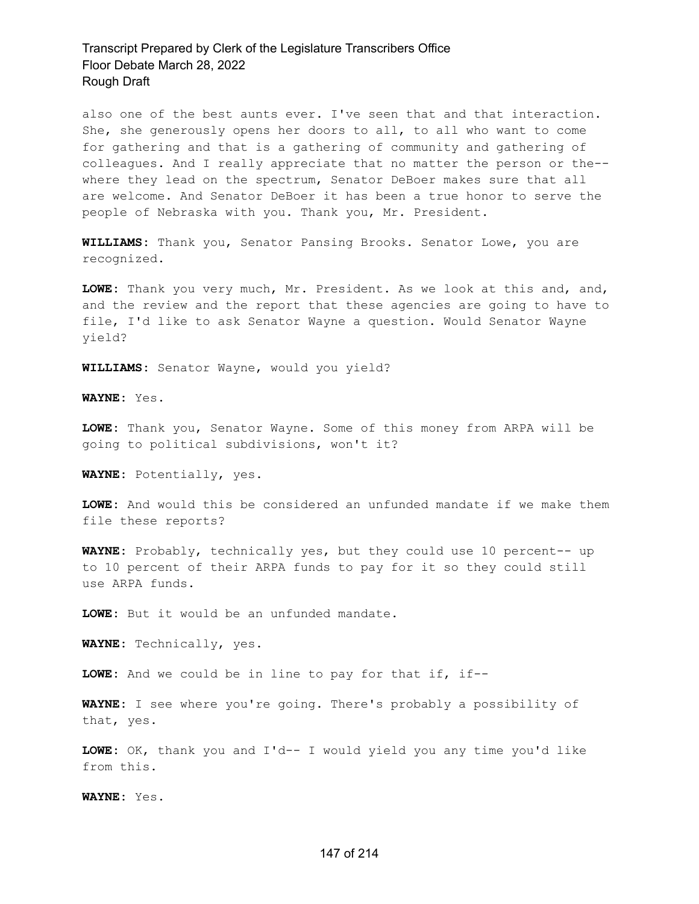also one of the best aunts ever. I've seen that and that interaction. She, she generously opens her doors to all, to all who want to come for gathering and that is a gathering of community and gathering of colleagues. And I really appreciate that no matter the person or the- where they lead on the spectrum, Senator DeBoer makes sure that all are welcome. And Senator DeBoer it has been a true honor to serve the people of Nebraska with you. Thank you, Mr. President.

**WILLIAMS:** Thank you, Senator Pansing Brooks. Senator Lowe, you are recognized.

**LOWE:** Thank you very much, Mr. President. As we look at this and, and, and the review and the report that these agencies are going to have to file, I'd like to ask Senator Wayne a question. Would Senator Wayne yield?

**WILLIAMS:** Senator Wayne, would you yield?

**WAYNE:** Yes.

**LOWE:** Thank you, Senator Wayne. Some of this money from ARPA will be going to political subdivisions, won't it?

**WAYNE:** Potentially, yes.

**LOWE:** And would this be considered an unfunded mandate if we make them file these reports?

**WAYNE:** Probably, technically yes, but they could use 10 percent-- up to 10 percent of their ARPA funds to pay for it so they could still use ARPA funds.

**LOWE:** But it would be an unfunded mandate.

**WAYNE:** Technically, yes.

**LOWE:** And we could be in line to pay for that if, if--

**WAYNE:** I see where you're going. There's probably a possibility of that, yes.

**LOWE:** OK, thank you and I'd-- I would yield you any time you'd like from this.

**WAYNE:** Yes.

#### 147 of 214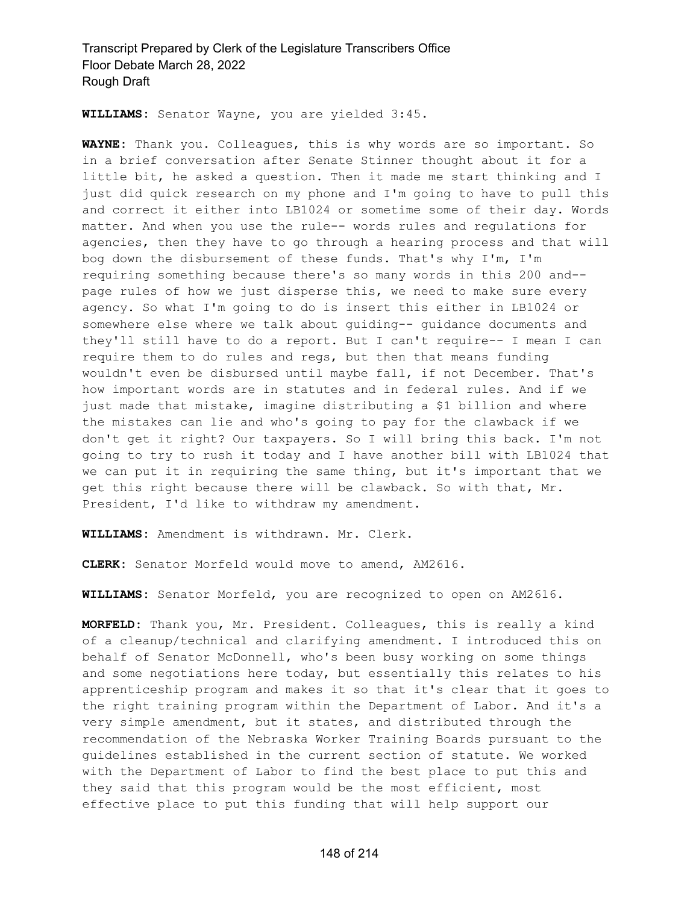**WILLIAMS:** Senator Wayne, you are yielded 3:45.

**WAYNE:** Thank you. Colleagues, this is why words are so important. So in a brief conversation after Senate Stinner thought about it for a little bit, he asked a question. Then it made me start thinking and I just did quick research on my phone and I'm going to have to pull this and correct it either into LB1024 or sometime some of their day. Words matter. And when you use the rule-- words rules and regulations for agencies, then they have to go through a hearing process and that will bog down the disbursement of these funds. That's why I'm, I'm requiring something because there's so many words in this 200 and- page rules of how we just disperse this, we need to make sure every agency. So what I'm going to do is insert this either in LB1024 or somewhere else where we talk about guiding-- guidance documents and they'll still have to do a report. But I can't require-- I mean I can require them to do rules and regs, but then that means funding wouldn't even be disbursed until maybe fall, if not December. That's how important words are in statutes and in federal rules. And if we just made that mistake, imagine distributing a \$1 billion and where the mistakes can lie and who's going to pay for the clawback if we don't get it right? Our taxpayers. So I will bring this back. I'm not going to try to rush it today and I have another bill with LB1024 that we can put it in requiring the same thing, but it's important that we get this right because there will be clawback. So with that, Mr. President, I'd like to withdraw my amendment.

**WILLIAMS:** Amendment is withdrawn. Mr. Clerk.

**CLERK:** Senator Morfeld would move to amend, AM2616.

**WILLIAMS:** Senator Morfeld, you are recognized to open on AM2616.

**MORFELD:** Thank you, Mr. President. Colleagues, this is really a kind of a cleanup/technical and clarifying amendment. I introduced this on behalf of Senator McDonnell, who's been busy working on some things and some negotiations here today, but essentially this relates to his apprenticeship program and makes it so that it's clear that it goes to the right training program within the Department of Labor. And it's a very simple amendment, but it states, and distributed through the recommendation of the Nebraska Worker Training Boards pursuant to the guidelines established in the current section of statute. We worked with the Department of Labor to find the best place to put this and they said that this program would be the most efficient, most effective place to put this funding that will help support our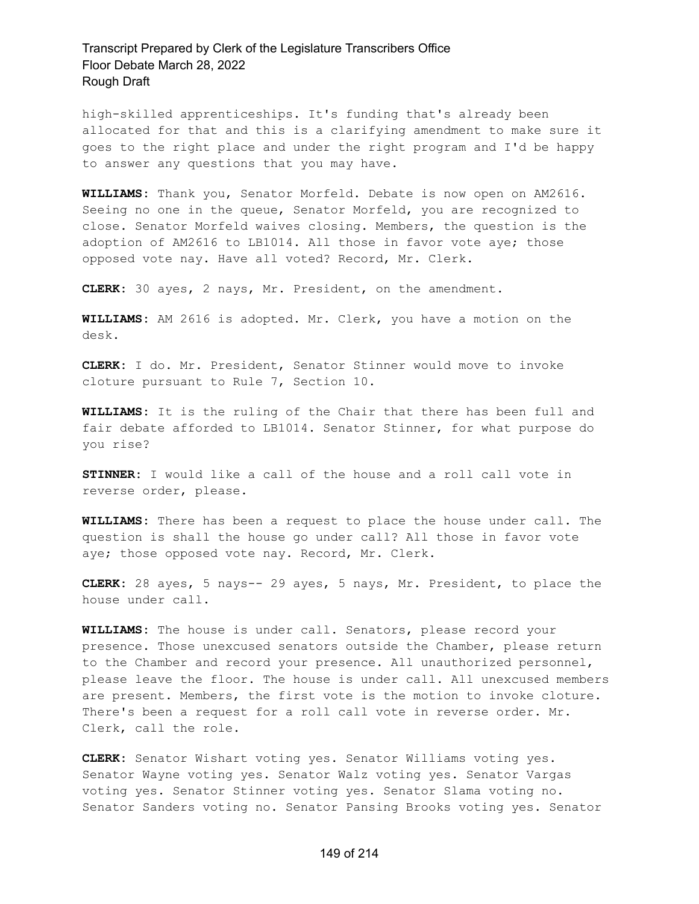high-skilled apprenticeships. It's funding that's already been allocated for that and this is a clarifying amendment to make sure it goes to the right place and under the right program and I'd be happy to answer any questions that you may have.

**WILLIAMS:** Thank you, Senator Morfeld. Debate is now open on AM2616. Seeing no one in the queue, Senator Morfeld, you are recognized to close. Senator Morfeld waives closing. Members, the question is the adoption of AM2616 to LB1014. All those in favor vote aye; those opposed vote nay. Have all voted? Record, Mr. Clerk.

**CLERK:** 30 ayes, 2 nays, Mr. President, on the amendment.

**WILLIAMS:** AM 2616 is adopted. Mr. Clerk, you have a motion on the desk.

**CLERK:** I do. Mr. President, Senator Stinner would move to invoke cloture pursuant to Rule 7, Section 10.

**WILLIAMS:** It is the ruling of the Chair that there has been full and fair debate afforded to LB1014. Senator Stinner, for what purpose do you rise?

**STINNER:** I would like a call of the house and a roll call vote in reverse order, please.

**WILLIAMS:** There has been a request to place the house under call. The question is shall the house go under call? All those in favor vote aye; those opposed vote nay. Record, Mr. Clerk.

**CLERK:** 28 ayes, 5 nays-- 29 ayes, 5 nays, Mr. President, to place the house under call.

**WILLIAMS:** The house is under call. Senators, please record your presence. Those unexcused senators outside the Chamber, please return to the Chamber and record your presence. All unauthorized personnel, please leave the floor. The house is under call. All unexcused members are present. Members, the first vote is the motion to invoke cloture. There's been a request for a roll call vote in reverse order. Mr. Clerk, call the role.

**CLERK:** Senator Wishart voting yes. Senator Williams voting yes. Senator Wayne voting yes. Senator Walz voting yes. Senator Vargas voting yes. Senator Stinner voting yes. Senator Slama voting no. Senator Sanders voting no. Senator Pansing Brooks voting yes. Senator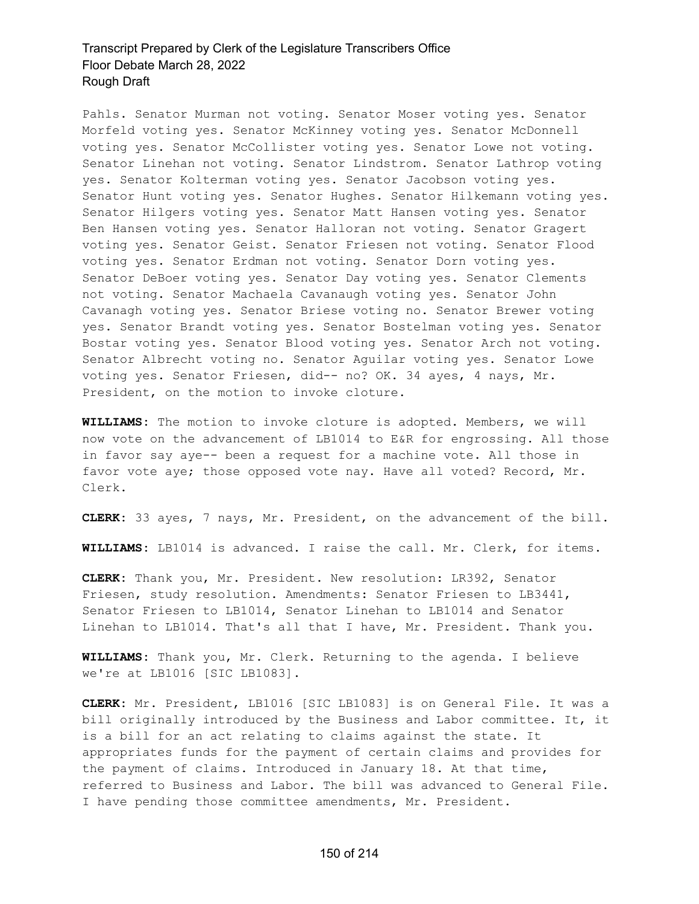Pahls. Senator Murman not voting. Senator Moser voting yes. Senator Morfeld voting yes. Senator McKinney voting yes. Senator McDonnell voting yes. Senator McCollister voting yes. Senator Lowe not voting. Senator Linehan not voting. Senator Lindstrom. Senator Lathrop voting yes. Senator Kolterman voting yes. Senator Jacobson voting yes. Senator Hunt voting yes. Senator Hughes. Senator Hilkemann voting yes. Senator Hilgers voting yes. Senator Matt Hansen voting yes. Senator Ben Hansen voting yes. Senator Halloran not voting. Senator Gragert voting yes. Senator Geist. Senator Friesen not voting. Senator Flood voting yes. Senator Erdman not voting. Senator Dorn voting yes. Senator DeBoer voting yes. Senator Day voting yes. Senator Clements not voting. Senator Machaela Cavanaugh voting yes. Senator John Cavanagh voting yes. Senator Briese voting no. Senator Brewer voting yes. Senator Brandt voting yes. Senator Bostelman voting yes. Senator Bostar voting yes. Senator Blood voting yes. Senator Arch not voting. Senator Albrecht voting no. Senator Aguilar voting yes. Senator Lowe voting yes. Senator Friesen, did-- no? OK. 34 ayes, 4 nays, Mr. President, on the motion to invoke cloture.

**WILLIAMS:** The motion to invoke cloture is adopted. Members, we will now vote on the advancement of LB1014 to E&R for engrossing. All those in favor say aye-- been a request for a machine vote. All those in favor vote aye; those opposed vote nay. Have all voted? Record, Mr. Clerk.

**CLERK:** 33 ayes, 7 nays, Mr. President, on the advancement of the bill.

**WILLIAMS:** LB1014 is advanced. I raise the call. Mr. Clerk, for items.

**CLERK:** Thank you, Mr. President. New resolution: LR392, Senator Friesen, study resolution. Amendments: Senator Friesen to LB3441, Senator Friesen to LB1014, Senator Linehan to LB1014 and Senator Linehan to LB1014. That's all that I have, Mr. President. Thank you.

**WILLIAMS:** Thank you, Mr. Clerk. Returning to the agenda. I believe we're at LB1016 [SIC LB1083].

**CLERK:** Mr. President, LB1016 [SIC LB1083] is on General File. It was a bill originally introduced by the Business and Labor committee. It, it is a bill for an act relating to claims against the state. It appropriates funds for the payment of certain claims and provides for the payment of claims. Introduced in January 18. At that time, referred to Business and Labor. The bill was advanced to General File. I have pending those committee amendments, Mr. President.

#### 150 of 214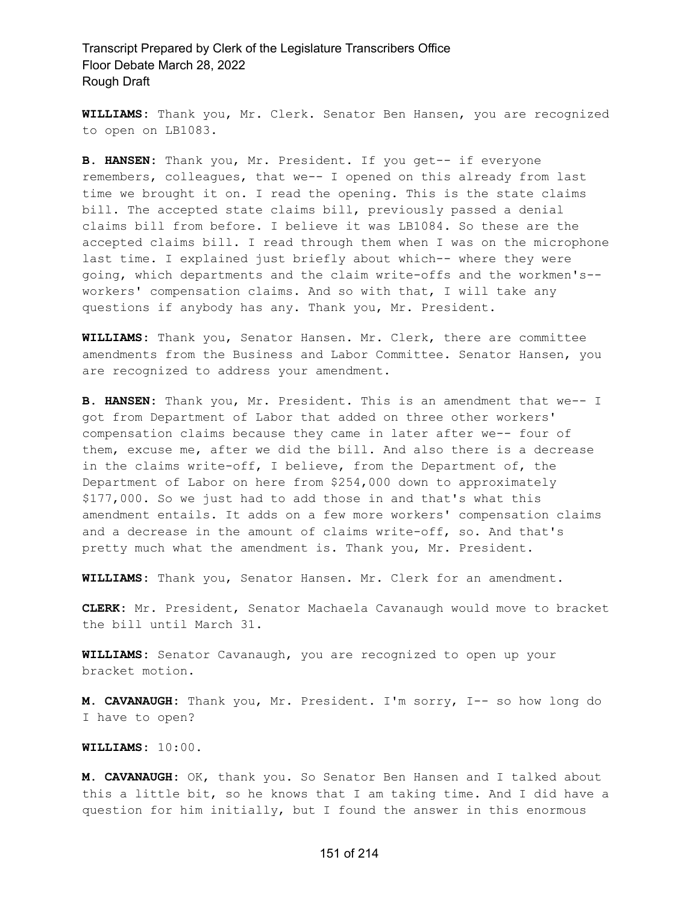**WILLIAMS:** Thank you, Mr. Clerk. Senator Ben Hansen, you are recognized to open on LB1083.

**B. HANSEN:** Thank you, Mr. President. If you get-- if everyone remembers, colleagues, that we-- I opened on this already from last time we brought it on. I read the opening. This is the state claims bill. The accepted state claims bill, previously passed a denial claims bill from before. I believe it was LB1084. So these are the accepted claims bill. I read through them when I was on the microphone last time. I explained just briefly about which-- where they were going, which departments and the claim write-offs and the workmen's- workers' compensation claims. And so with that, I will take any questions if anybody has any. Thank you, Mr. President.

**WILLIAMS:** Thank you, Senator Hansen. Mr. Clerk, there are committee amendments from the Business and Labor Committee. Senator Hansen, you are recognized to address your amendment.

**B. HANSEN:** Thank you, Mr. President. This is an amendment that we-- I got from Department of Labor that added on three other workers' compensation claims because they came in later after we-- four of them, excuse me, after we did the bill. And also there is a decrease in the claims write-off, I believe, from the Department of, the Department of Labor on here from \$254,000 down to approximately \$177,000. So we just had to add those in and that's what this amendment entails. It adds on a few more workers' compensation claims and a decrease in the amount of claims write-off, so. And that's pretty much what the amendment is. Thank you, Mr. President.

**WILLIAMS:** Thank you, Senator Hansen. Mr. Clerk for an amendment.

**CLERK:** Mr. President, Senator Machaela Cavanaugh would move to bracket the bill until March 31.

**WILLIAMS:** Senator Cavanaugh, you are recognized to open up your bracket motion.

**M. CAVANAUGH:** Thank you, Mr. President. I'm sorry, I-- so how long do I have to open?

**WILLIAMS:** 10:00.

**M. CAVANAUGH:** OK, thank you. So Senator Ben Hansen and I talked about this a little bit, so he knows that I am taking time. And I did have a question for him initially, but I found the answer in this enormous

#### 151 of 214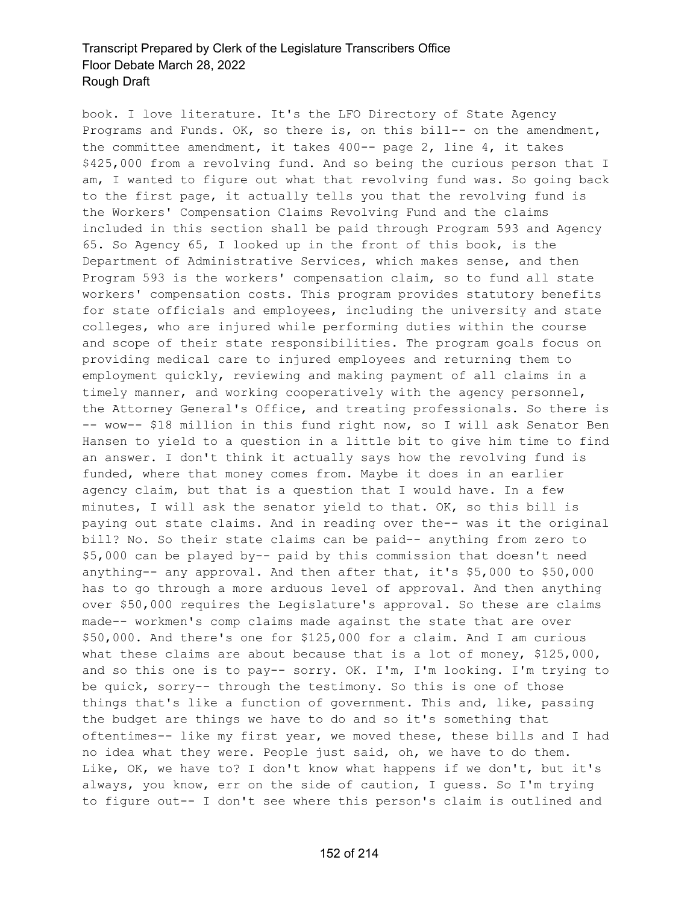book. I love literature. It's the LFO Directory of State Agency Programs and Funds. OK, so there is, on this bill-- on the amendment, the committee amendment, it takes 400-- page 2, line 4, it takes \$425,000 from a revolving fund. And so being the curious person that I am, I wanted to figure out what that revolving fund was. So going back to the first page, it actually tells you that the revolving fund is the Workers' Compensation Claims Revolving Fund and the claims included in this section shall be paid through Program 593 and Agency 65. So Agency 65, I looked up in the front of this book, is the Department of Administrative Services, which makes sense, and then Program 593 is the workers' compensation claim, so to fund all state workers' compensation costs. This program provides statutory benefits for state officials and employees, including the university and state colleges, who are injured while performing duties within the course and scope of their state responsibilities. The program goals focus on providing medical care to injured employees and returning them to employment quickly, reviewing and making payment of all claims in a timely manner, and working cooperatively with the agency personnel, the Attorney General's Office, and treating professionals. So there is -- wow-- \$18 million in this fund right now, so I will ask Senator Ben Hansen to yield to a question in a little bit to give him time to find an answer. I don't think it actually says how the revolving fund is funded, where that money comes from. Maybe it does in an earlier agency claim, but that is a question that I would have. In a few minutes, I will ask the senator yield to that. OK, so this bill is paying out state claims. And in reading over the-- was it the original bill? No. So their state claims can be paid-- anything from zero to \$5,000 can be played by-- paid by this commission that doesn't need anything-- any approval. And then after that, it's \$5,000 to \$50,000 has to go through a more arduous level of approval. And then anything over \$50,000 requires the Legislature's approval. So these are claims made-- workmen's comp claims made against the state that are over \$50,000. And there's one for \$125,000 for a claim. And I am curious what these claims are about because that is a lot of money, \$125,000, and so this one is to pay-- sorry. OK. I'm, I'm looking. I'm trying to be quick, sorry-- through the testimony. So this is one of those things that's like a function of government. This and, like, passing the budget are things we have to do and so it's something that oftentimes-- like my first year, we moved these, these bills and I had no idea what they were. People just said, oh, we have to do them. Like, OK, we have to? I don't know what happens if we don't, but it's always, you know, err on the side of caution, I guess. So I'm trying to figure out-- I don't see where this person's claim is outlined and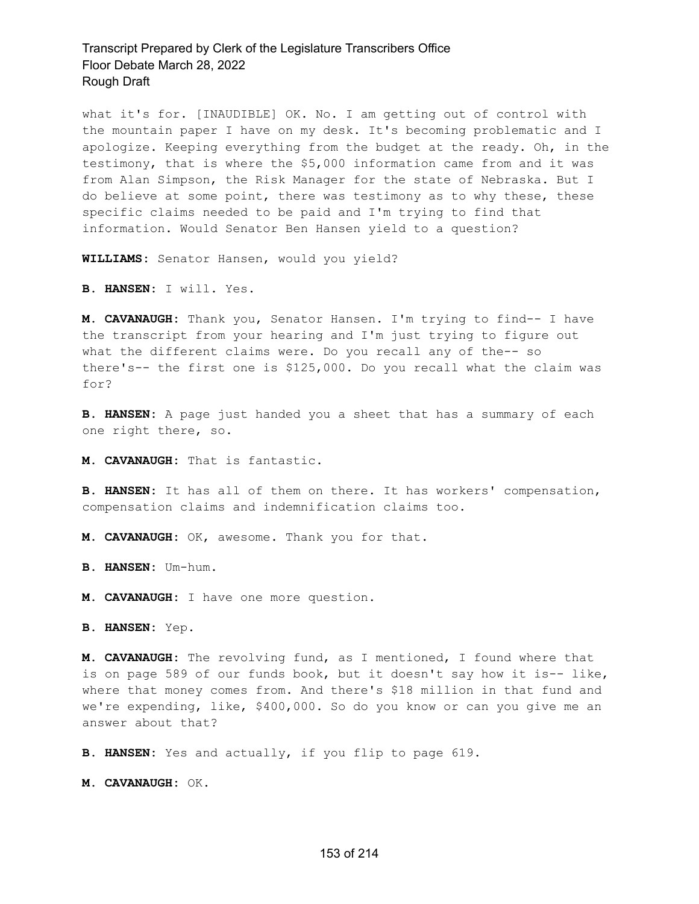what it's for. [INAUDIBLE] OK. No. I am getting out of control with the mountain paper I have on my desk. It's becoming problematic and I apologize. Keeping everything from the budget at the ready. Oh, in the testimony, that is where the \$5,000 information came from and it was from Alan Simpson, the Risk Manager for the state of Nebraska. But I do believe at some point, there was testimony as to why these, these specific claims needed to be paid and I'm trying to find that information. Would Senator Ben Hansen yield to a question?

**WILLIAMS:** Senator Hansen, would you yield?

**B. HANSEN:** I will. Yes.

**M. CAVANAUGH:** Thank you, Senator Hansen. I'm trying to find-- I have the transcript from your hearing and I'm just trying to figure out what the different claims were. Do you recall any of the-- so there's-- the first one is \$125,000. Do you recall what the claim was for?

**B. HANSEN:** A page just handed you a sheet that has a summary of each one right there, so.

**M. CAVANAUGH:** That is fantastic.

**B. HANSEN:** It has all of them on there. It has workers' compensation, compensation claims and indemnification claims too.

**M. CAVANAUGH:** OK, awesome. Thank you for that.

**B. HANSEN:** Um-hum.

**M. CAVANAUGH:** I have one more question.

**B. HANSEN:** Yep.

**M. CAVANAUGH:** The revolving fund, as I mentioned, I found where that is on page 589 of our funds book, but it doesn't say how it is-- like, where that money comes from. And there's \$18 million in that fund and we're expending, like, \$400,000. So do you know or can you give me an answer about that?

**B. HANSEN:** Yes and actually, if you flip to page 619.

**M. CAVANAUGH:** OK.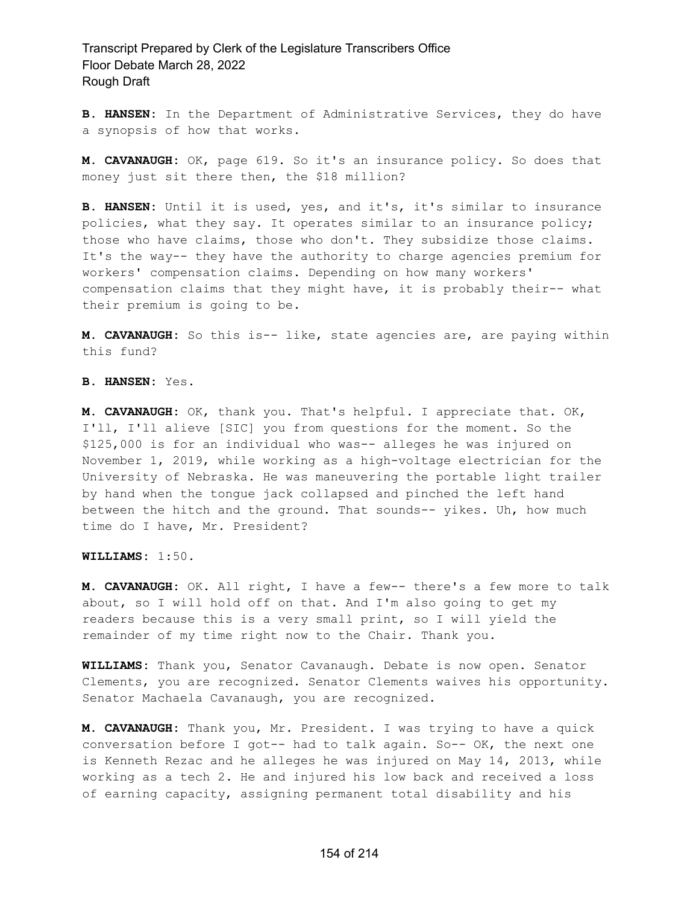**B. HANSEN:** In the Department of Administrative Services, they do have a synopsis of how that works.

**M. CAVANAUGH:** OK, page 619. So it's an insurance policy. So does that money just sit there then, the \$18 million?

**B. HANSEN:** Until it is used, yes, and it's, it's similar to insurance policies, what they say. It operates similar to an insurance policy; those who have claims, those who don't. They subsidize those claims. It's the way-- they have the authority to charge agencies premium for workers' compensation claims. Depending on how many workers' compensation claims that they might have, it is probably their-- what their premium is going to be.

**M. CAVANAUGH:** So this is-- like, state agencies are, are paying within this fund?

**B. HANSEN:** Yes.

**M. CAVANAUGH:** OK, thank you. That's helpful. I appreciate that. OK, I'll, I'll alieve [SIC] you from questions for the moment. So the \$125,000 is for an individual who was-- alleges he was injured on November 1, 2019, while working as a high-voltage electrician for the University of Nebraska. He was maneuvering the portable light trailer by hand when the tongue jack collapsed and pinched the left hand between the hitch and the ground. That sounds-- yikes. Uh, how much time do I have, Mr. President?

**WILLIAMS:** 1:50.

**M. CAVANAUGH:** OK. All right, I have a few-- there's a few more to talk about, so I will hold off on that. And I'm also going to get my readers because this is a very small print, so I will yield the remainder of my time right now to the Chair. Thank you.

**WILLIAMS:** Thank you, Senator Cavanaugh. Debate is now open. Senator Clements, you are recognized. Senator Clements waives his opportunity. Senator Machaela Cavanaugh, you are recognized.

**M. CAVANAUGH:** Thank you, Mr. President. I was trying to have a quick conversation before I got-- had to talk again. So-- OK, the next one is Kenneth Rezac and he alleges he was injured on May 14, 2013, while working as a tech 2. He and injured his low back and received a loss of earning capacity, assigning permanent total disability and his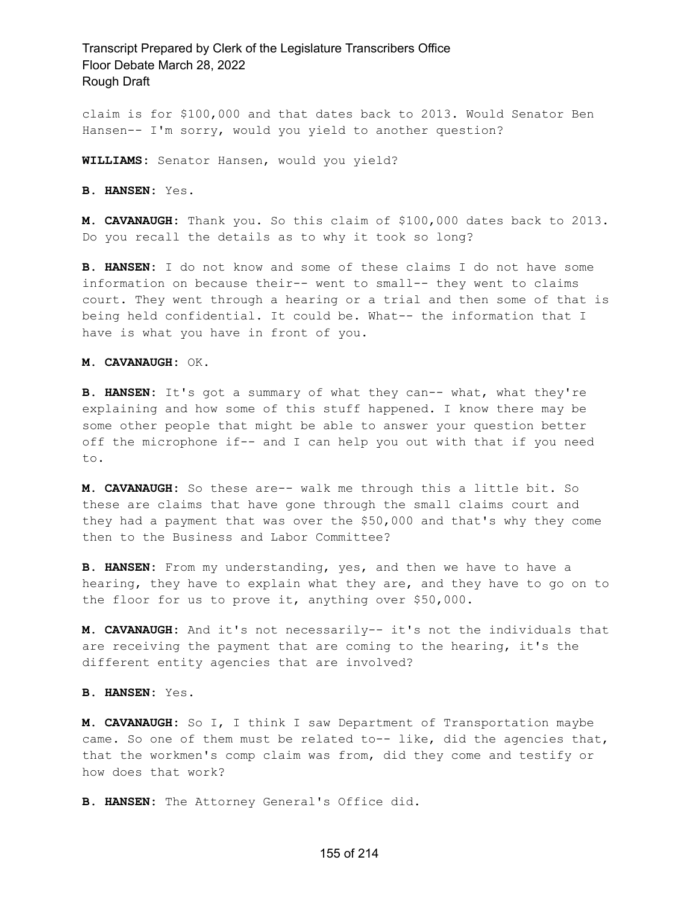claim is for \$100,000 and that dates back to 2013. Would Senator Ben Hansen-- I'm sorry, would you yield to another question?

**WILLIAMS:** Senator Hansen, would you yield?

**B. HANSEN:** Yes.

**M. CAVANAUGH:** Thank you. So this claim of \$100,000 dates back to 2013. Do you recall the details as to why it took so long?

**B. HANSEN:** I do not know and some of these claims I do not have some information on because their-- went to small-- they went to claims court. They went through a hearing or a trial and then some of that is being held confidential. It could be. What-- the information that I have is what you have in front of you.

**M. CAVANAUGH:** OK.

**B. HANSEN:** It's got a summary of what they can-- what, what they're explaining and how some of this stuff happened. I know there may be some other people that might be able to answer your question better off the microphone if-- and I can help you out with that if you need to.

**M. CAVANAUGH:** So these are-- walk me through this a little bit. So these are claims that have gone through the small claims court and they had a payment that was over the \$50,000 and that's why they come then to the Business and Labor Committee?

**B. HANSEN:** From my understanding, yes, and then we have to have a hearing, they have to explain what they are, and they have to go on to the floor for us to prove it, anything over \$50,000.

**M. CAVANAUGH:** And it's not necessarily-- it's not the individuals that are receiving the payment that are coming to the hearing, it's the different entity agencies that are involved?

**B. HANSEN:** Yes.

**M. CAVANAUGH:** So I, I think I saw Department of Transportation maybe came. So one of them must be related to-- like, did the agencies that, that the workmen's comp claim was from, did they come and testify or how does that work?

**B. HANSEN:** The Attorney General's Office did.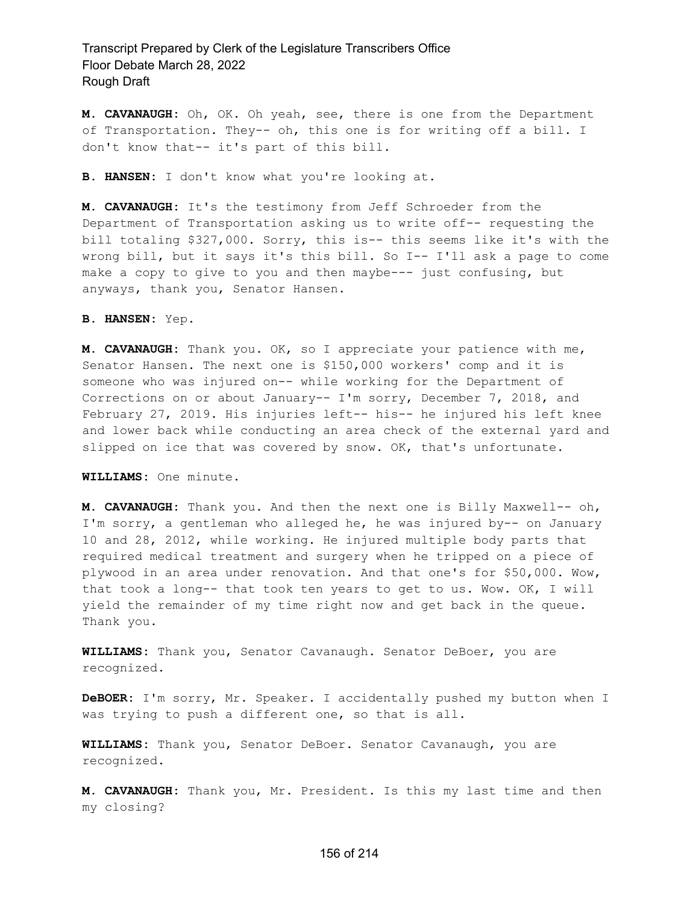**M. CAVANAUGH:** Oh, OK. Oh yeah, see, there is one from the Department of Transportation. They-- oh, this one is for writing off a bill. I don't know that-- it's part of this bill.

**B. HANSEN:** I don't know what you're looking at.

**M. CAVANAUGH:** It's the testimony from Jeff Schroeder from the Department of Transportation asking us to write off-- requesting the bill totaling \$327,000. Sorry, this is-- this seems like it's with the wrong bill, but it says it's this bill. So I-- I'll ask a page to come make a copy to give to you and then maybe--- just confusing, but anyways, thank you, Senator Hansen.

**B. HANSEN:** Yep.

**M. CAVANAUGH:** Thank you. OK, so I appreciate your patience with me, Senator Hansen. The next one is \$150,000 workers' comp and it is someone who was injured on-- while working for the Department of Corrections on or about January-- I'm sorry, December 7, 2018, and February 27, 2019. His injuries left-- his-- he injured his left knee and lower back while conducting an area check of the external yard and slipped on ice that was covered by snow. OK, that's unfortunate.

**WILLIAMS:** One minute.

**M. CAVANAUGH:** Thank you. And then the next one is Billy Maxwell-- oh, I'm sorry, a gentleman who alleged he, he was injured by-- on January 10 and 28, 2012, while working. He injured multiple body parts that required medical treatment and surgery when he tripped on a piece of plywood in an area under renovation. And that one's for \$50,000. Wow, that took a long-- that took ten years to get to us. Wow. OK, I will yield the remainder of my time right now and get back in the queue. Thank you.

**WILLIAMS:** Thank you, Senator Cavanaugh. Senator DeBoer, you are recognized.

**DeBOER:** I'm sorry, Mr. Speaker. I accidentally pushed my button when I was trying to push a different one, so that is all.

**WILLIAMS:** Thank you, Senator DeBoer. Senator Cavanaugh, you are recognized.

**M. CAVANAUGH:** Thank you, Mr. President. Is this my last time and then my closing?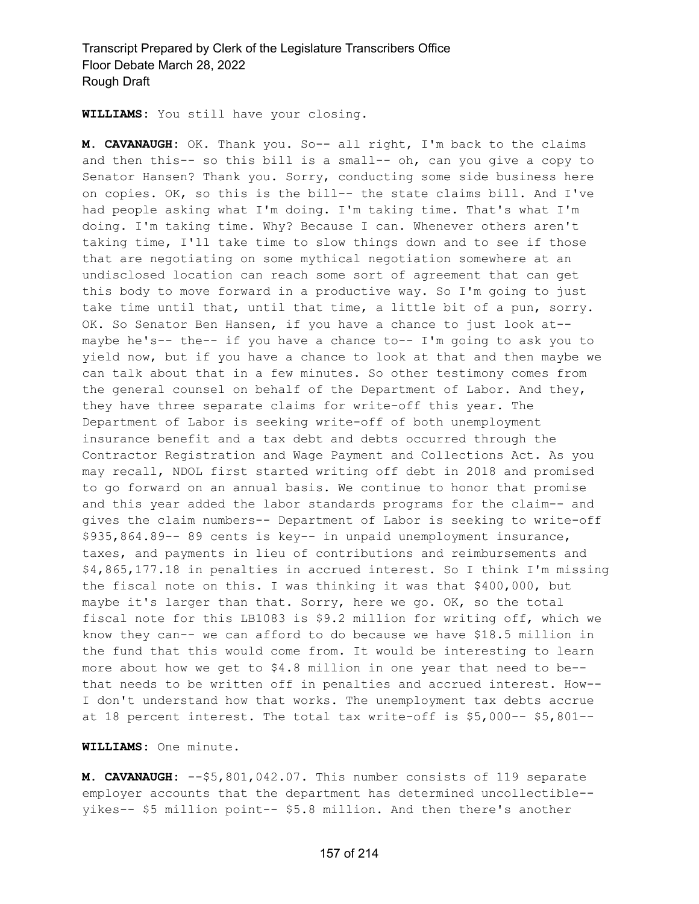**WILLIAMS:** You still have your closing.

**M. CAVANAUGH:** OK. Thank you. So-- all right, I'm back to the claims and then this-- so this bill is a small-- oh, can you give a copy to Senator Hansen? Thank you. Sorry, conducting some side business here on copies. OK, so this is the bill-- the state claims bill. And I've had people asking what I'm doing. I'm taking time. That's what I'm doing. I'm taking time. Why? Because I can. Whenever others aren't taking time, I'll take time to slow things down and to see if those that are negotiating on some mythical negotiation somewhere at an undisclosed location can reach some sort of agreement that can get this body to move forward in a productive way. So I'm going to just take time until that, until that time, a little bit of a pun, sorry. OK. So Senator Ben Hansen, if you have a chance to just look at- maybe he's-- the-- if you have a chance to-- I'm going to ask you to yield now, but if you have a chance to look at that and then maybe we can talk about that in a few minutes. So other testimony comes from the general counsel on behalf of the Department of Labor. And they, they have three separate claims for write-off this year. The Department of Labor is seeking write-off of both unemployment insurance benefit and a tax debt and debts occurred through the Contractor Registration and Wage Payment and Collections Act. As you may recall, NDOL first started writing off debt in 2018 and promised to go forward on an annual basis. We continue to honor that promise and this year added the labor standards programs for the claim-- and gives the claim numbers-- Department of Labor is seeking to write-off \$935,864.89-- 89 cents is key-- in unpaid unemployment insurance, taxes, and payments in lieu of contributions and reimbursements and \$4,865,177.18 in penalties in accrued interest. So I think I'm missing the fiscal note on this. I was thinking it was that \$400,000, but maybe it's larger than that. Sorry, here we go. OK, so the total fiscal note for this LB1083 is \$9.2 million for writing off, which we know they can-- we can afford to do because we have \$18.5 million in the fund that this would come from. It would be interesting to learn more about how we get to \$4.8 million in one year that need to be- that needs to be written off in penalties and accrued interest. How-- I don't understand how that works. The unemployment tax debts accrue at 18 percent interest. The total tax write-off is \$5,000-- \$5,801--

#### **WILLIAMS:** One minute.

**M. CAVANAUGH:** --\$5,801,042.07. This number consists of 119 separate employer accounts that the department has determined uncollectible- yikes-- \$5 million point-- \$5.8 million. And then there's another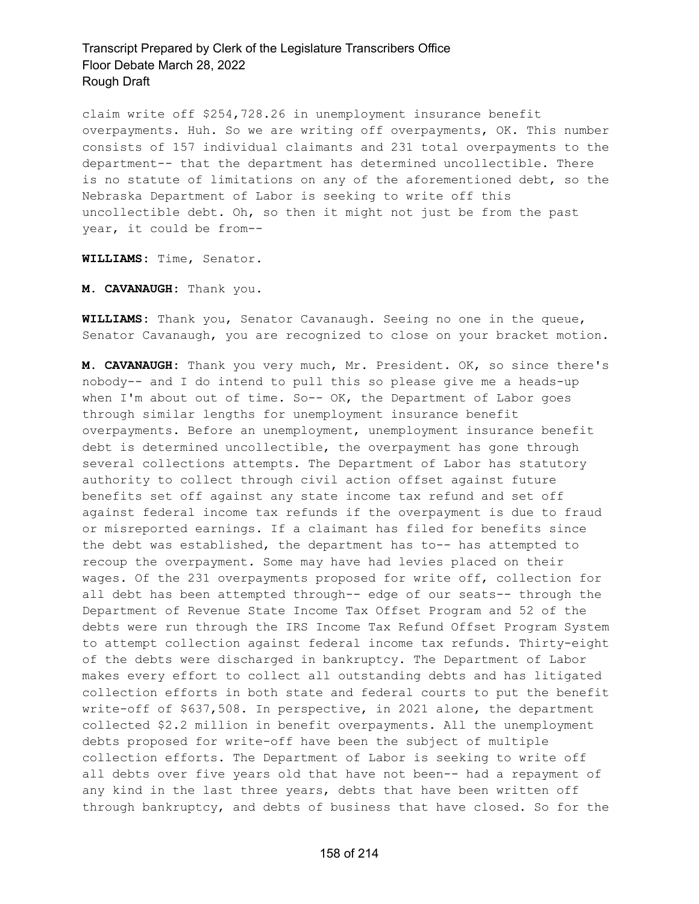claim write off \$254,728.26 in unemployment insurance benefit overpayments. Huh. So we are writing off overpayments, OK. This number consists of 157 individual claimants and 231 total overpayments to the department-- that the department has determined uncollectible. There is no statute of limitations on any of the aforementioned debt, so the Nebraska Department of Labor is seeking to write off this uncollectible debt. Oh, so then it might not just be from the past year, it could be from--

**WILLIAMS:** Time, Senator.

**M. CAVANAUGH:** Thank you.

**WILLIAMS:** Thank you, Senator Cavanaugh. Seeing no one in the queue, Senator Cavanaugh, you are recognized to close on your bracket motion.

**M. CAVANAUGH:** Thank you very much, Mr. President. OK, so since there's nobody-- and I do intend to pull this so please give me a heads-up when I'm about out of time. So-- OK, the Department of Labor goes through similar lengths for unemployment insurance benefit overpayments. Before an unemployment, unemployment insurance benefit debt is determined uncollectible, the overpayment has gone through several collections attempts. The Department of Labor has statutory authority to collect through civil action offset against future benefits set off against any state income tax refund and set off against federal income tax refunds if the overpayment is due to fraud or misreported earnings. If a claimant has filed for benefits since the debt was established, the department has to-- has attempted to recoup the overpayment. Some may have had levies placed on their wages. Of the 231 overpayments proposed for write off, collection for all debt has been attempted through-- edge of our seats-- through the Department of Revenue State Income Tax Offset Program and 52 of the debts were run through the IRS Income Tax Refund Offset Program System to attempt collection against federal income tax refunds. Thirty-eight of the debts were discharged in bankruptcy. The Department of Labor makes every effort to collect all outstanding debts and has litigated collection efforts in both state and federal courts to put the benefit write-off of \$637,508. In perspective, in 2021 alone, the department collected \$2.2 million in benefit overpayments. All the unemployment debts proposed for write-off have been the subject of multiple collection efforts. The Department of Labor is seeking to write off all debts over five years old that have not been-- had a repayment of any kind in the last three years, debts that have been written off through bankruptcy, and debts of business that have closed. So for the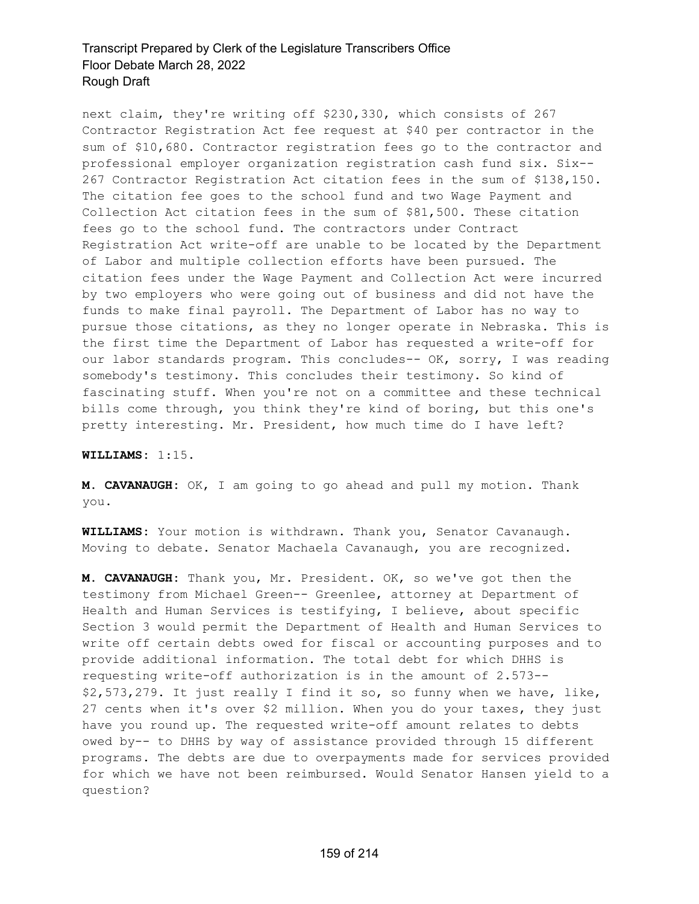next claim, they're writing off \$230,330, which consists of 267 Contractor Registration Act fee request at \$40 per contractor in the sum of \$10,680. Contractor registration fees go to the contractor and professional employer organization registration cash fund six. Six-- 267 Contractor Registration Act citation fees in the sum of \$138,150. The citation fee goes to the school fund and two Wage Payment and Collection Act citation fees in the sum of \$81,500. These citation fees go to the school fund. The contractors under Contract Registration Act write-off are unable to be located by the Department of Labor and multiple collection efforts have been pursued. The citation fees under the Wage Payment and Collection Act were incurred by two employers who were going out of business and did not have the funds to make final payroll. The Department of Labor has no way to pursue those citations, as they no longer operate in Nebraska. This is the first time the Department of Labor has requested a write-off for our labor standards program. This concludes-- OK, sorry, I was reading somebody's testimony. This concludes their testimony. So kind of fascinating stuff. When you're not on a committee and these technical bills come through, you think they're kind of boring, but this one's pretty interesting. Mr. President, how much time do I have left?

#### **WILLIAMS:** 1:15.

**M. CAVANAUGH:** OK, I am going to go ahead and pull my motion. Thank you.

**WILLIAMS:** Your motion is withdrawn. Thank you, Senator Cavanaugh. Moving to debate. Senator Machaela Cavanaugh, you are recognized.

**M. CAVANAUGH:** Thank you, Mr. President. OK, so we've got then the testimony from Michael Green-- Greenlee, attorney at Department of Health and Human Services is testifying, I believe, about specific Section 3 would permit the Department of Health and Human Services to write off certain debts owed for fiscal or accounting purposes and to provide additional information. The total debt for which DHHS is requesting write-off authorization is in the amount of 2.573-- \$2,573,279. It just really I find it so, so funny when we have, like, 27 cents when it's over \$2 million. When you do your taxes, they just have you round up. The requested write-off amount relates to debts owed by-- to DHHS by way of assistance provided through 15 different programs. The debts are due to overpayments made for services provided for which we have not been reimbursed. Would Senator Hansen yield to a question?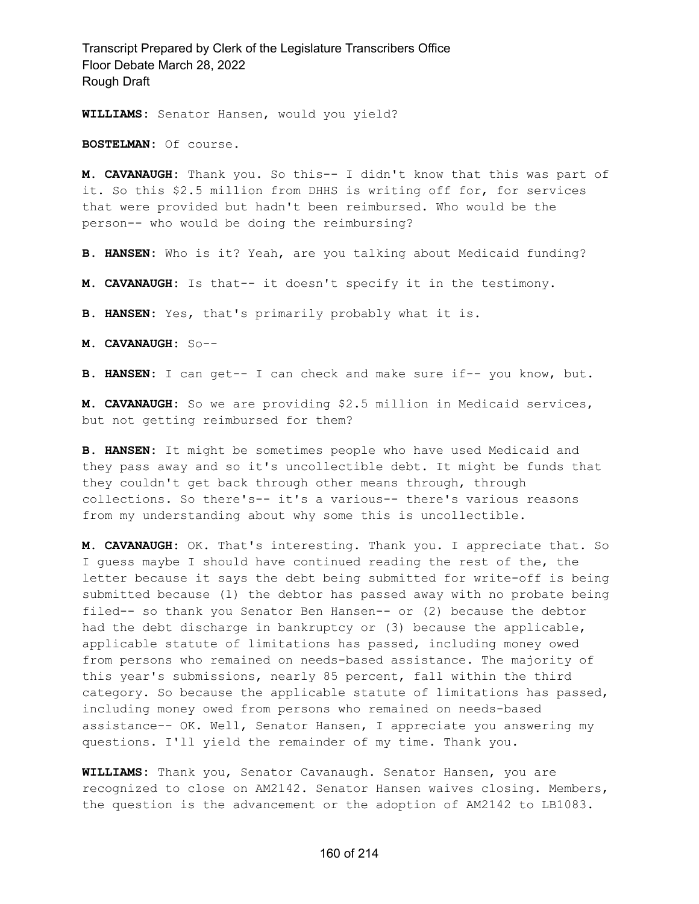**WILLIAMS:** Senator Hansen, would you yield?

**BOSTELMAN:** Of course.

**M. CAVANAUGH:** Thank you. So this-- I didn't know that this was part of it. So this \$2.5 million from DHHS is writing off for, for services that were provided but hadn't been reimbursed. Who would be the person-- who would be doing the reimbursing?

**B. HANSEN:** Who is it? Yeah, are you talking about Medicaid funding?

**M. CAVANAUGH:** Is that-- it doesn't specify it in the testimony.

**B. HANSEN:** Yes, that's primarily probably what it is.

**M. CAVANAUGH:** So--

**B. HANSEN:** I can get-- I can check and make sure if-- you know, but.

**M. CAVANAUGH:** So we are providing \$2.5 million in Medicaid services, but not getting reimbursed for them?

**B. HANSEN:** It might be sometimes people who have used Medicaid and they pass away and so it's uncollectible debt. It might be funds that they couldn't get back through other means through, through collections. So there's-- it's a various-- there's various reasons from my understanding about why some this is uncollectible.

**M. CAVANAUGH:** OK. That's interesting. Thank you. I appreciate that. So I guess maybe I should have continued reading the rest of the, the letter because it says the debt being submitted for write-off is being submitted because (1) the debtor has passed away with no probate being filed-- so thank you Senator Ben Hansen-- or (2) because the debtor had the debt discharge in bankruptcy or (3) because the applicable, applicable statute of limitations has passed, including money owed from persons who remained on needs-based assistance. The majority of this year's submissions, nearly 85 percent, fall within the third category. So because the applicable statute of limitations has passed, including money owed from persons who remained on needs-based assistance-- OK. Well, Senator Hansen, I appreciate you answering my questions. I'll yield the remainder of my time. Thank you.

**WILLIAMS:** Thank you, Senator Cavanaugh. Senator Hansen, you are recognized to close on AM2142. Senator Hansen waives closing. Members, the question is the advancement or the adoption of AM2142 to LB1083.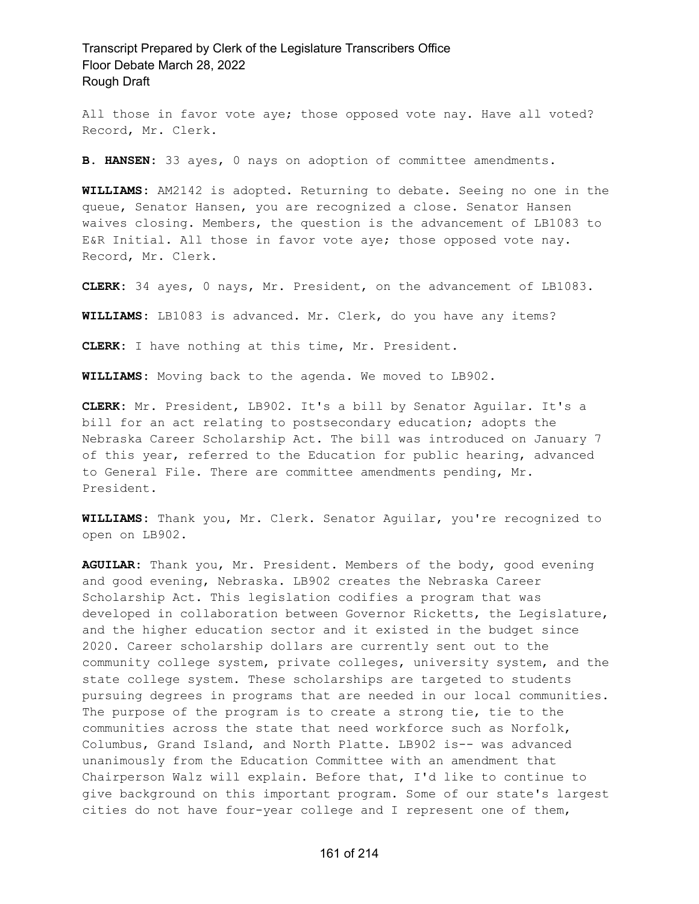All those in favor vote aye; those opposed vote nay. Have all voted? Record, Mr. Clerk.

**B. HANSEN:** 33 ayes, 0 nays on adoption of committee amendments.

**WILLIAMS:** AM2142 is adopted. Returning to debate. Seeing no one in the queue, Senator Hansen, you are recognized a close. Senator Hansen waives closing. Members, the question is the advancement of LB1083 to E&R Initial. All those in favor vote aye; those opposed vote nay. Record, Mr. Clerk.

**CLERK:** 34 ayes, 0 nays, Mr. President, on the advancement of LB1083.

**WILLIAMS:** LB1083 is advanced. Mr. Clerk, do you have any items?

**CLERK:** I have nothing at this time, Mr. President.

**WILLIAMS:** Moving back to the agenda. We moved to LB902.

**CLERK:** Mr. President, LB902. It's a bill by Senator Aguilar. It's a bill for an act relating to postsecondary education; adopts the Nebraska Career Scholarship Act. The bill was introduced on January 7 of this year, referred to the Education for public hearing, advanced to General File. There are committee amendments pending, Mr. President.

**WILLIAMS:** Thank you, Mr. Clerk. Senator Aguilar, you're recognized to open on LB902.

**AGUILAR:** Thank you, Mr. President. Members of the body, good evening and good evening, Nebraska. LB902 creates the Nebraska Career Scholarship Act. This legislation codifies a program that was developed in collaboration between Governor Ricketts, the Legislature, and the higher education sector and it existed in the budget since 2020. Career scholarship dollars are currently sent out to the community college system, private colleges, university system, and the state college system. These scholarships are targeted to students pursuing degrees in programs that are needed in our local communities. The purpose of the program is to create a strong tie, tie to the communities across the state that need workforce such as Norfolk, Columbus, Grand Island, and North Platte. LB902 is-- was advanced unanimously from the Education Committee with an amendment that Chairperson Walz will explain. Before that, I'd like to continue to give background on this important program. Some of our state's largest cities do not have four-year college and I represent one of them,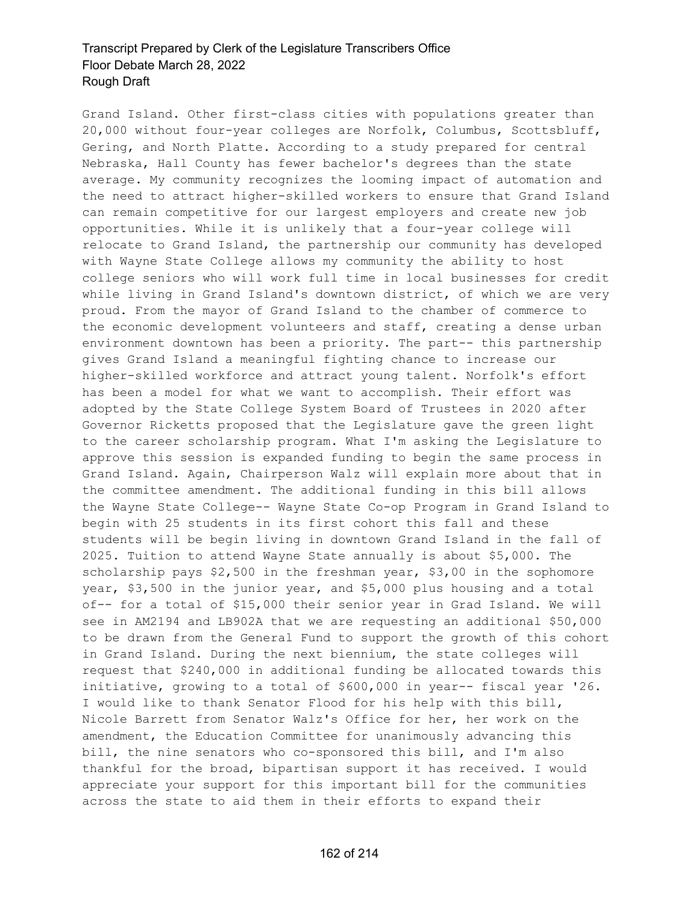Grand Island. Other first-class cities with populations greater than 20,000 without four-year colleges are Norfolk, Columbus, Scottsbluff, Gering, and North Platte. According to a study prepared for central Nebraska, Hall County has fewer bachelor's degrees than the state average. My community recognizes the looming impact of automation and the need to attract higher-skilled workers to ensure that Grand Island can remain competitive for our largest employers and create new job opportunities. While it is unlikely that a four-year college will relocate to Grand Island, the partnership our community has developed with Wayne State College allows my community the ability to host college seniors who will work full time in local businesses for credit while living in Grand Island's downtown district, of which we are very proud. From the mayor of Grand Island to the chamber of commerce to the economic development volunteers and staff, creating a dense urban environment downtown has been a priority. The part-- this partnership gives Grand Island a meaningful fighting chance to increase our higher-skilled workforce and attract young talent. Norfolk's effort has been a model for what we want to accomplish. Their effort was adopted by the State College System Board of Trustees in 2020 after Governor Ricketts proposed that the Legislature gave the green light to the career scholarship program. What I'm asking the Legislature to approve this session is expanded funding to begin the same process in Grand Island. Again, Chairperson Walz will explain more about that in the committee amendment. The additional funding in this bill allows the Wayne State College-- Wayne State Co-op Program in Grand Island to begin with 25 students in its first cohort this fall and these students will be begin living in downtown Grand Island in the fall of 2025. Tuition to attend Wayne State annually is about \$5,000. The scholarship pays \$2,500 in the freshman year, \$3,00 in the sophomore year, \$3,500 in the junior year, and \$5,000 plus housing and a total of-- for a total of \$15,000 their senior year in Grad Island. We will see in AM2194 and LB902A that we are requesting an additional \$50,000 to be drawn from the General Fund to support the growth of this cohort in Grand Island. During the next biennium, the state colleges will request that \$240,000 in additional funding be allocated towards this initiative, growing to a total of \$600,000 in year-- fiscal year '26. I would like to thank Senator Flood for his help with this bill, Nicole Barrett from Senator Walz's Office for her, her work on the amendment, the Education Committee for unanimously advancing this bill, the nine senators who co-sponsored this bill, and I'm also thankful for the broad, bipartisan support it has received. I would appreciate your support for this important bill for the communities across the state to aid them in their efforts to expand their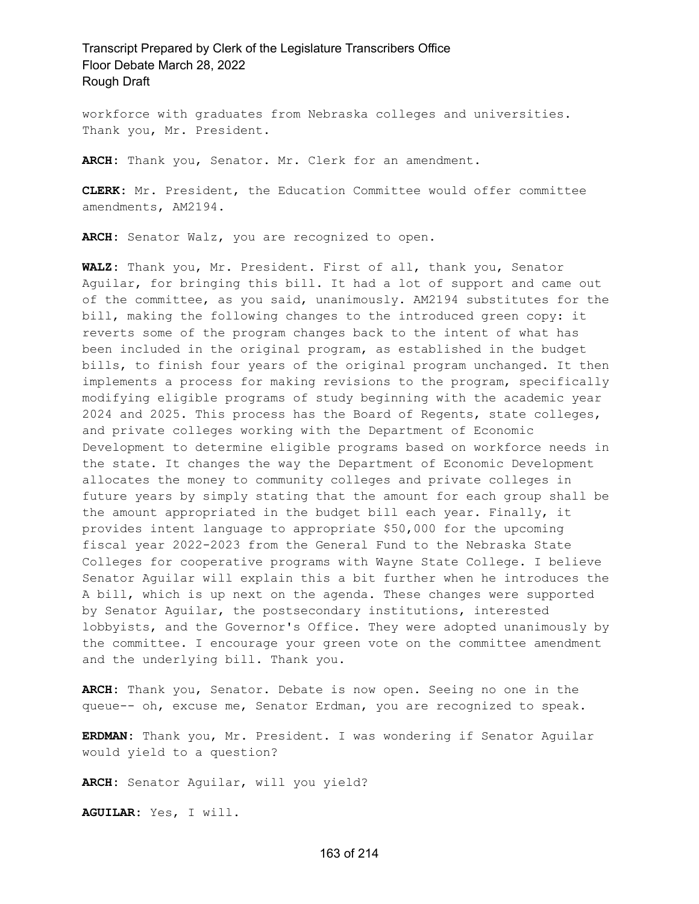workforce with graduates from Nebraska colleges and universities. Thank you, Mr. President.

**ARCH:** Thank you, Senator. Mr. Clerk for an amendment.

**CLERK:** Mr. President, the Education Committee would offer committee amendments, AM2194.

**ARCH:** Senator Walz, you are recognized to open.

**WALZ:** Thank you, Mr. President. First of all, thank you, Senator Aguilar, for bringing this bill. It had a lot of support and came out of the committee, as you said, unanimously. AM2194 substitutes for the bill, making the following changes to the introduced green copy: it reverts some of the program changes back to the intent of what has been included in the original program, as established in the budget bills, to finish four years of the original program unchanged. It then implements a process for making revisions to the program, specifically modifying eligible programs of study beginning with the academic year 2024 and 2025. This process has the Board of Regents, state colleges, and private colleges working with the Department of Economic Development to determine eligible programs based on workforce needs in the state. It changes the way the Department of Economic Development allocates the money to community colleges and private colleges in future years by simply stating that the amount for each group shall be the amount appropriated in the budget bill each year. Finally, it provides intent language to appropriate \$50,000 for the upcoming fiscal year 2022-2023 from the General Fund to the Nebraska State Colleges for cooperative programs with Wayne State College. I believe Senator Aguilar will explain this a bit further when he introduces the A bill, which is up next on the agenda. These changes were supported by Senator Aguilar, the postsecondary institutions, interested lobbyists, and the Governor's Office. They were adopted unanimously by the committee. I encourage your green vote on the committee amendment and the underlying bill. Thank you.

**ARCH:** Thank you, Senator. Debate is now open. Seeing no one in the queue-- oh, excuse me, Senator Erdman, you are recognized to speak.

**ERDMAN:** Thank you, Mr. President. I was wondering if Senator Aguilar would yield to a question?

**ARCH:** Senator Aguilar, will you yield?

**AGUILAR:** Yes, I will.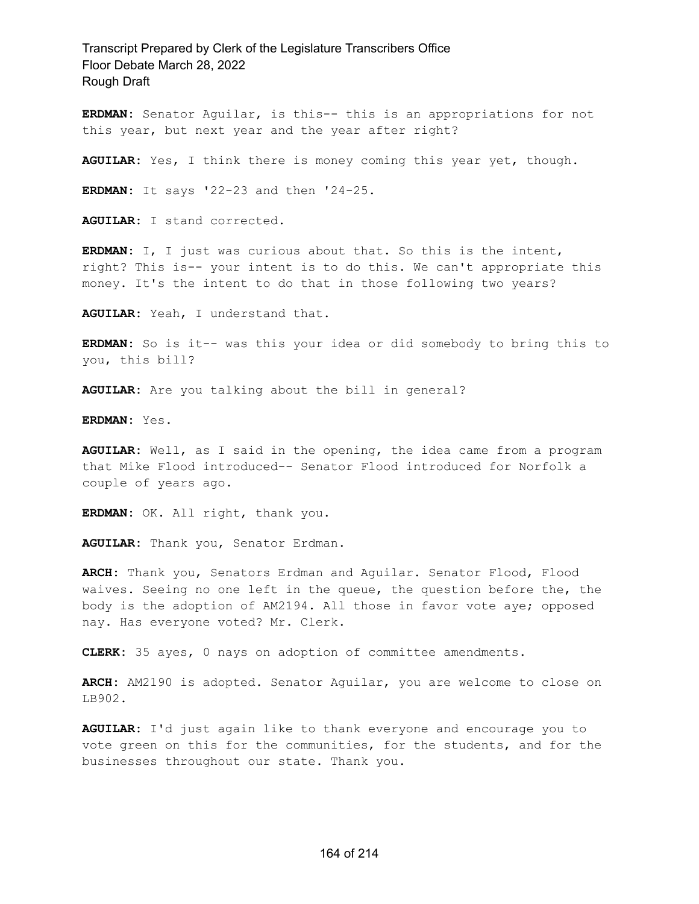**ERDMAN:** Senator Aguilar, is this-- this is an appropriations for not this year, but next year and the year after right?

**AGUILAR:** Yes, I think there is money coming this year yet, though.

**ERDMAN:** It says '22-23 and then '24-25.

**AGUILAR:** I stand corrected.

**ERDMAN:** I, I just was curious about that. So this is the intent, right? This is-- your intent is to do this. We can't appropriate this money. It's the intent to do that in those following two years?

**AGUILAR:** Yeah, I understand that.

**ERDMAN:** So is it-- was this your idea or did somebody to bring this to you, this bill?

**AGUILAR:** Are you talking about the bill in general?

**ERDMAN:** Yes.

**AGUILAR:** Well, as I said in the opening, the idea came from a program that Mike Flood introduced-- Senator Flood introduced for Norfolk a couple of years ago.

**ERDMAN:** OK. All right, thank you.

**AGUILAR:** Thank you, Senator Erdman.

**ARCH:** Thank you, Senators Erdman and Aguilar. Senator Flood, Flood waives. Seeing no one left in the queue, the question before the, the body is the adoption of AM2194. All those in favor vote aye; opposed nay. Has everyone voted? Mr. Clerk.

**CLERK:** 35 ayes, 0 nays on adoption of committee amendments.

**ARCH:** AM2190 is adopted. Senator Aguilar, you are welcome to close on LB902.

**AGUILAR:** I'd just again like to thank everyone and encourage you to vote green on this for the communities, for the students, and for the businesses throughout our state. Thank you.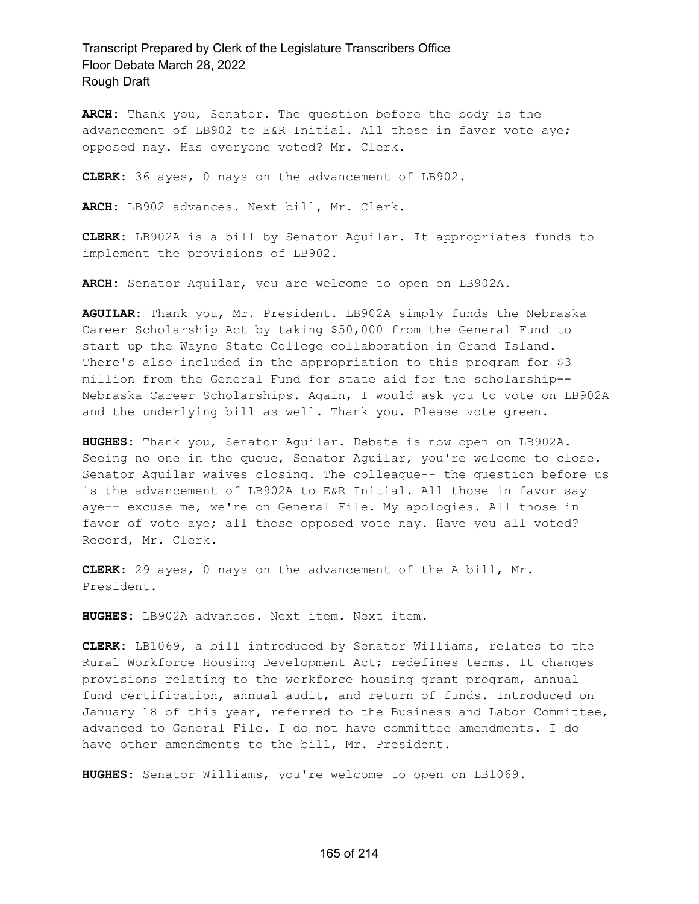**ARCH:** Thank you, Senator. The question before the body is the advancement of LB902 to E&R Initial. All those in favor vote aye; opposed nay. Has everyone voted? Mr. Clerk.

**CLERK:** 36 ayes, 0 nays on the advancement of LB902.

**ARCH:** LB902 advances. Next bill, Mr. Clerk.

**CLERK:** LB902A is a bill by Senator Aguilar. It appropriates funds to implement the provisions of LB902.

**ARCH:** Senator Aguilar, you are welcome to open on LB902A.

**AGUILAR:** Thank you, Mr. President. LB902A simply funds the Nebraska Career Scholarship Act by taking \$50,000 from the General Fund to start up the Wayne State College collaboration in Grand Island. There's also included in the appropriation to this program for \$3 million from the General Fund for state aid for the scholarship-- Nebraska Career Scholarships. Again, I would ask you to vote on LB902A and the underlying bill as well. Thank you. Please vote green.

**HUGHES:** Thank you, Senator Aguilar. Debate is now open on LB902A. Seeing no one in the queue, Senator Aguilar, you're welcome to close. Senator Aguilar waives closing. The colleague-- the question before us is the advancement of LB902A to E&R Initial. All those in favor say aye-- excuse me, we're on General File. My apologies. All those in favor of vote aye; all those opposed vote nay. Have you all voted? Record, Mr. Clerk.

**CLERK:** 29 ayes, 0 nays on the advancement of the A bill, Mr. President.

**HUGHES:** LB902A advances. Next item. Next item.

**CLERK:** LB1069, a bill introduced by Senator Williams, relates to the Rural Workforce Housing Development Act; redefines terms. It changes provisions relating to the workforce housing grant program, annual fund certification, annual audit, and return of funds. Introduced on January 18 of this year, referred to the Business and Labor Committee, advanced to General File. I do not have committee amendments. I do have other amendments to the bill, Mr. President.

**HUGHES:** Senator Williams, you're welcome to open on LB1069.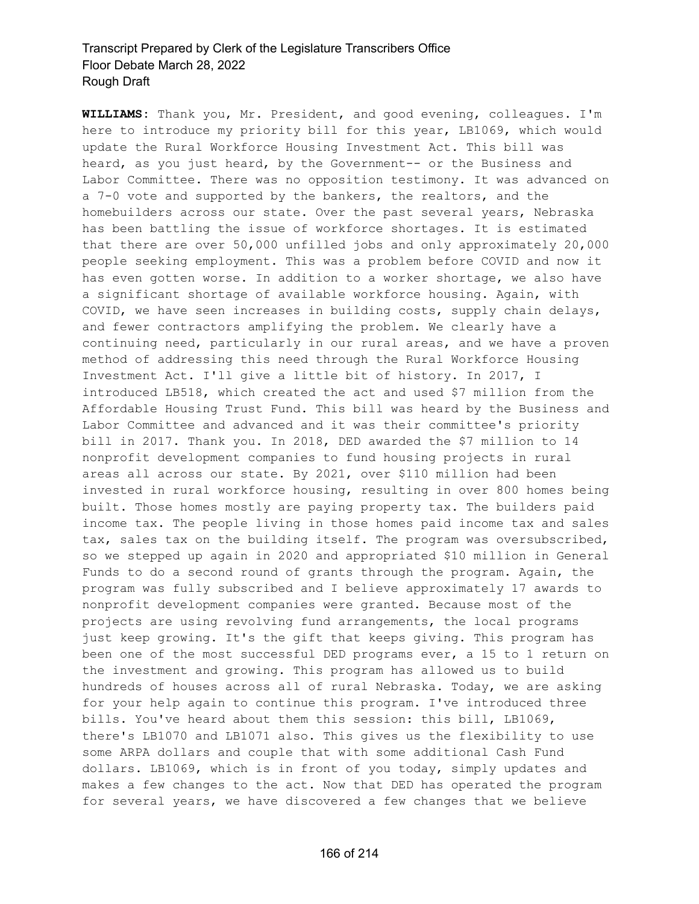**WILLIAMS:** Thank you, Mr. President, and good evening, colleagues. I'm here to introduce my priority bill for this year, LB1069, which would update the Rural Workforce Housing Investment Act. This bill was heard, as you just heard, by the Government-- or the Business and Labor Committee. There was no opposition testimony. It was advanced on a 7-0 vote and supported by the bankers, the realtors, and the homebuilders across our state. Over the past several years, Nebraska has been battling the issue of workforce shortages. It is estimated that there are over 50,000 unfilled jobs and only approximately 20,000 people seeking employment. This was a problem before COVID and now it has even gotten worse. In addition to a worker shortage, we also have a significant shortage of available workforce housing. Again, with COVID, we have seen increases in building costs, supply chain delays, and fewer contractors amplifying the problem. We clearly have a continuing need, particularly in our rural areas, and we have a proven method of addressing this need through the Rural Workforce Housing Investment Act. I'll give a little bit of history. In 2017, I introduced LB518, which created the act and used \$7 million from the Affordable Housing Trust Fund. This bill was heard by the Business and Labor Committee and advanced and it was their committee's priority bill in 2017. Thank you. In 2018, DED awarded the \$7 million to 14 nonprofit development companies to fund housing projects in rural areas all across our state. By 2021, over \$110 million had been invested in rural workforce housing, resulting in over 800 homes being built. Those homes mostly are paying property tax. The builders paid income tax. The people living in those homes paid income tax and sales tax, sales tax on the building itself. The program was oversubscribed, so we stepped up again in 2020 and appropriated \$10 million in General Funds to do a second round of grants through the program. Again, the program was fully subscribed and I believe approximately 17 awards to nonprofit development companies were granted. Because most of the projects are using revolving fund arrangements, the local programs just keep growing. It's the gift that keeps giving. This program has been one of the most successful DED programs ever, a 15 to 1 return on the investment and growing. This program has allowed us to build hundreds of houses across all of rural Nebraska. Today, we are asking for your help again to continue this program. I've introduced three bills. You've heard about them this session: this bill, LB1069, there's LB1070 and LB1071 also. This gives us the flexibility to use some ARPA dollars and couple that with some additional Cash Fund dollars. LB1069, which is in front of you today, simply updates and makes a few changes to the act. Now that DED has operated the program for several years, we have discovered a few changes that we believe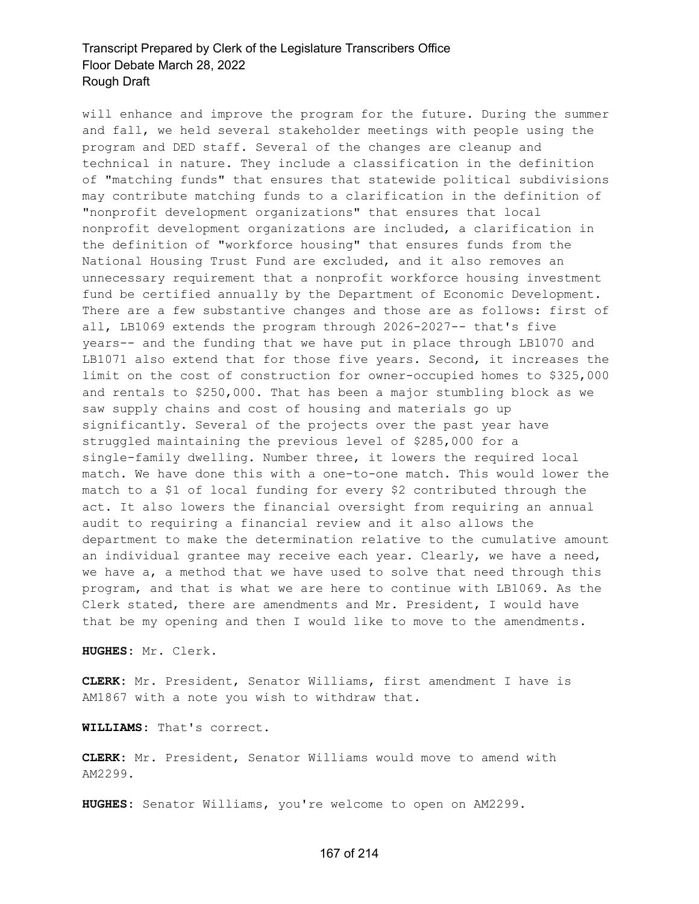will enhance and improve the program for the future. During the summer and fall, we held several stakeholder meetings with people using the program and DED staff. Several of the changes are cleanup and technical in nature. They include a classification in the definition of "matching funds" that ensures that statewide political subdivisions may contribute matching funds to a clarification in the definition of "nonprofit development organizations" that ensures that local nonprofit development organizations are included, a clarification in the definition of "workforce housing" that ensures funds from the National Housing Trust Fund are excluded, and it also removes an unnecessary requirement that a nonprofit workforce housing investment fund be certified annually by the Department of Economic Development. There are a few substantive changes and those are as follows: first of all, LB1069 extends the program through 2026-2027-- that's five years-- and the funding that we have put in place through LB1070 and LB1071 also extend that for those five years. Second, it increases the limit on the cost of construction for owner-occupied homes to \$325,000 and rentals to \$250,000. That has been a major stumbling block as we saw supply chains and cost of housing and materials go up significantly. Several of the projects over the past year have struggled maintaining the previous level of \$285,000 for a single-family dwelling. Number three, it lowers the required local match. We have done this with a one-to-one match. This would lower the match to a \$1 of local funding for every \$2 contributed through the act. It also lowers the financial oversight from requiring an annual audit to requiring a financial review and it also allows the department to make the determination relative to the cumulative amount an individual grantee may receive each year. Clearly, we have a need, we have a, a method that we have used to solve that need through this program, and that is what we are here to continue with LB1069. As the Clerk stated, there are amendments and Mr. President, I would have that be my opening and then I would like to move to the amendments.

**HUGHES:** Mr. Clerk.

**CLERK:** Mr. President, Senator Williams, first amendment I have is AM1867 with a note you wish to withdraw that.

**WILLIAMS:** That's correct.

**CLERK:** Mr. President, Senator Williams would move to amend with AM2299.

**HUGHES:** Senator Williams, you're welcome to open on AM2299.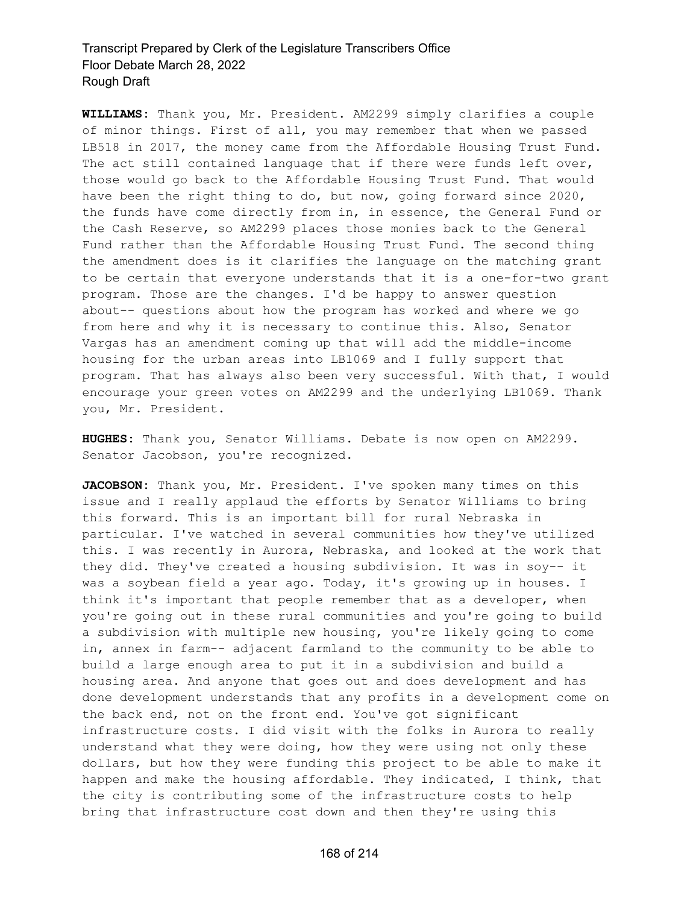**WILLIAMS:** Thank you, Mr. President. AM2299 simply clarifies a couple of minor things. First of all, you may remember that when we passed LB518 in 2017, the money came from the Affordable Housing Trust Fund. The act still contained language that if there were funds left over, those would go back to the Affordable Housing Trust Fund. That would have been the right thing to do, but now, going forward since 2020, the funds have come directly from in, in essence, the General Fund or the Cash Reserve, so AM2299 places those monies back to the General Fund rather than the Affordable Housing Trust Fund. The second thing the amendment does is it clarifies the language on the matching grant to be certain that everyone understands that it is a one-for-two grant program. Those are the changes. I'd be happy to answer question about-- questions about how the program has worked and where we go from here and why it is necessary to continue this. Also, Senator Vargas has an amendment coming up that will add the middle-income housing for the urban areas into LB1069 and I fully support that program. That has always also been very successful. With that, I would encourage your green votes on AM2299 and the underlying LB1069. Thank you, Mr. President.

**HUGHES:** Thank you, Senator Williams. Debate is now open on AM2299. Senator Jacobson, you're recognized.

**JACOBSON:** Thank you, Mr. President. I've spoken many times on this issue and I really applaud the efforts by Senator Williams to bring this forward. This is an important bill for rural Nebraska in particular. I've watched in several communities how they've utilized this. I was recently in Aurora, Nebraska, and looked at the work that they did. They've created a housing subdivision. It was in soy-- it was a soybean field a year ago. Today, it's growing up in houses. I think it's important that people remember that as a developer, when you're going out in these rural communities and you're going to build a subdivision with multiple new housing, you're likely going to come in, annex in farm-- adjacent farmland to the community to be able to build a large enough area to put it in a subdivision and build a housing area. And anyone that goes out and does development and has done development understands that any profits in a development come on the back end, not on the front end. You've got significant infrastructure costs. I did visit with the folks in Aurora to really understand what they were doing, how they were using not only these dollars, but how they were funding this project to be able to make it happen and make the housing affordable. They indicated, I think, that the city is contributing some of the infrastructure costs to help bring that infrastructure cost down and then they're using this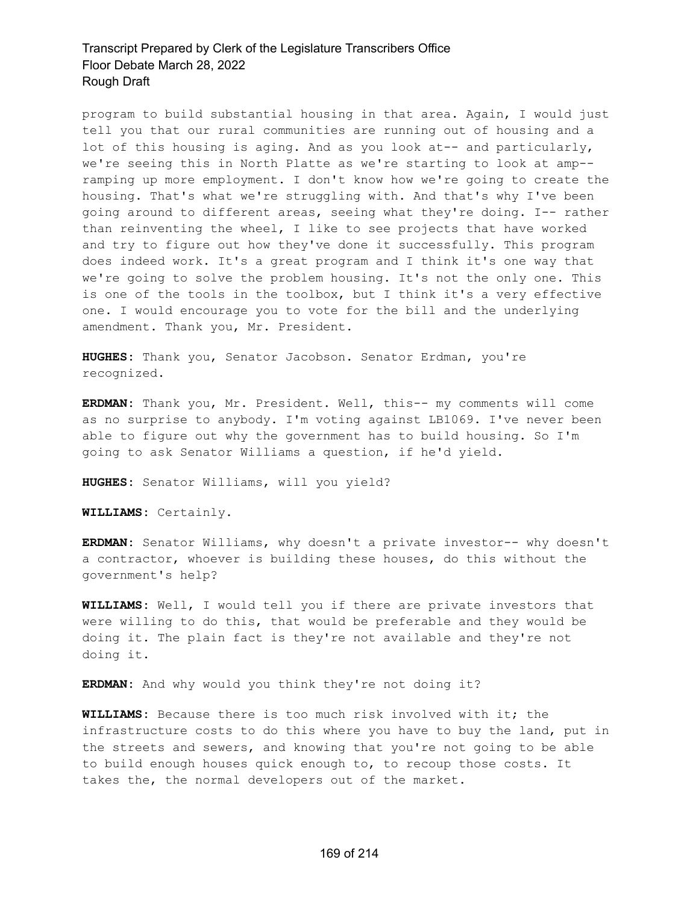program to build substantial housing in that area. Again, I would just tell you that our rural communities are running out of housing and a lot of this housing is aging. And as you look at-- and particularly, we're seeing this in North Platte as we're starting to look at amp- ramping up more employment. I don't know how we're going to create the housing. That's what we're struggling with. And that's why I've been going around to different areas, seeing what they're doing. I-- rather than reinventing the wheel, I like to see projects that have worked and try to figure out how they've done it successfully. This program does indeed work. It's a great program and I think it's one way that we're going to solve the problem housing. It's not the only one. This is one of the tools in the toolbox, but I think it's a very effective one. I would encourage you to vote for the bill and the underlying amendment. Thank you, Mr. President.

**HUGHES:** Thank you, Senator Jacobson. Senator Erdman, you're recognized.

**ERDMAN:** Thank you, Mr. President. Well, this-- my comments will come as no surprise to anybody. I'm voting against LB1069. I've never been able to figure out why the government has to build housing. So I'm going to ask Senator Williams a question, if he'd yield.

**HUGHES:** Senator Williams, will you yield?

**WILLIAMS:** Certainly.

**ERDMAN:** Senator Williams, why doesn't a private investor-- why doesn't a contractor, whoever is building these houses, do this without the government's help?

**WILLIAMS:** Well, I would tell you if there are private investors that were willing to do this, that would be preferable and they would be doing it. The plain fact is they're not available and they're not doing it.

**ERDMAN:** And why would you think they're not doing it?

**WILLIAMS:** Because there is too much risk involved with it; the infrastructure costs to do this where you have to buy the land, put in the streets and sewers, and knowing that you're not going to be able to build enough houses quick enough to, to recoup those costs. It takes the, the normal developers out of the market.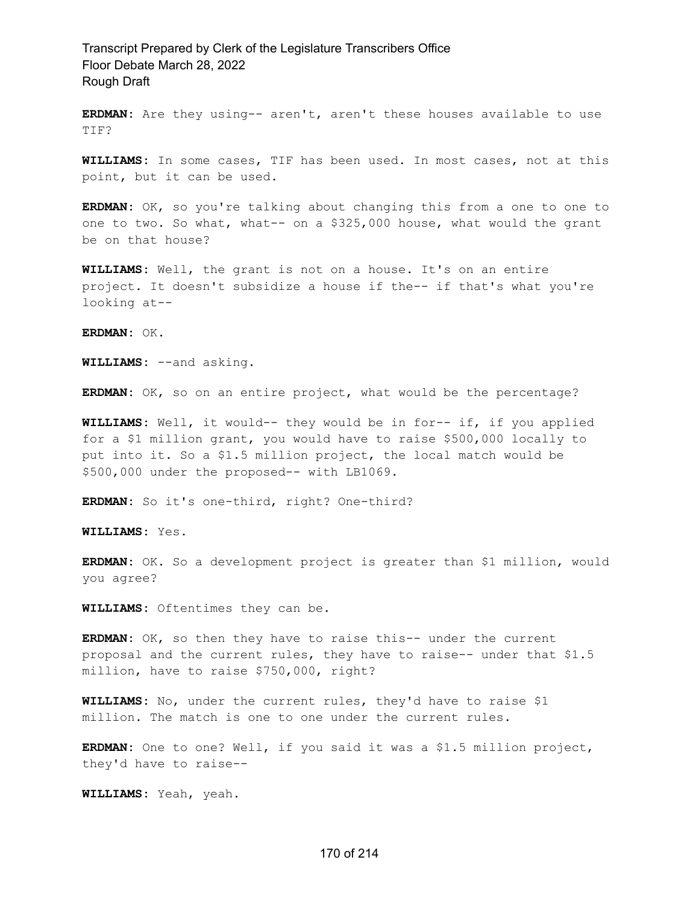**ERDMAN:** Are they using-- aren't, aren't these houses available to use TIF?

**WILLIAMS:** In some cases, TIF has been used. In most cases, not at this point, but it can be used.

**ERDMAN:** OK, so you're talking about changing this from a one to one to one to two. So what, what-- on a \$325,000 house, what would the grant be on that house?

**WILLIAMS:** Well, the grant is not on a house. It's on an entire project. It doesn't subsidize a house if the-- if that's what you're looking at--

**ERDMAN:** OK.

**WILLIAMS:** --and asking.

**ERDMAN:** OK, so on an entire project, what would be the percentage?

**WILLIAMS:** Well, it would-- they would be in for-- if, if you applied for a \$1 million grant, you would have to raise \$500,000 locally to put into it. So a \$1.5 million project, the local match would be \$500,000 under the proposed-- with LB1069.

**ERDMAN:** So it's one-third, right? One-third?

**WILLIAMS:** Yes.

**ERDMAN:** OK. So a development project is greater than \$1 million, would you agree?

**WILLIAMS:** Oftentimes they can be.

**ERDMAN:** OK, so then they have to raise this-- under the current proposal and the current rules, they have to raise-- under that \$1.5 million, have to raise \$750,000, right?

**WILLIAMS:** No, under the current rules, they'd have to raise \$1 million. The match is one to one under the current rules.

**ERDMAN:** One to one? Well, if you said it was a \$1.5 million project, they'd have to raise--

**WILLIAMS:** Yeah, yeah.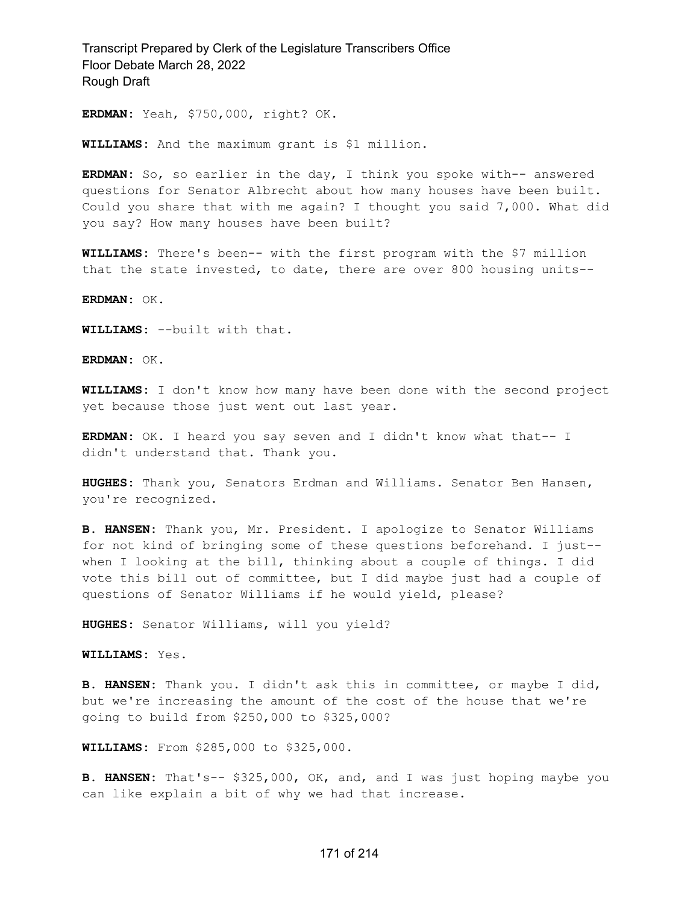**ERDMAN:** Yeah, \$750,000, right? OK.

**WILLIAMS:** And the maximum grant is \$1 million.

**ERDMAN:** So, so earlier in the day, I think you spoke with-- answered questions for Senator Albrecht about how many houses have been built. Could you share that with me again? I thought you said 7,000. What did you say? How many houses have been built?

**WILLIAMS:** There's been-- with the first program with the \$7 million that the state invested, to date, there are over 800 housing units--

**ERDMAN:** OK.

**WILLIAMS:** --built with that.

**ERDMAN:** OK.

**WILLIAMS:** I don't know how many have been done with the second project yet because those just went out last year.

**ERDMAN:** OK. I heard you say seven and I didn't know what that-- I didn't understand that. Thank you.

**HUGHES:** Thank you, Senators Erdman and Williams. Senator Ben Hansen, you're recognized.

**B. HANSEN:** Thank you, Mr. President. I apologize to Senator Williams for not kind of bringing some of these questions beforehand. I just- when I looking at the bill, thinking about a couple of things. I did vote this bill out of committee, but I did maybe just had a couple of questions of Senator Williams if he would yield, please?

**HUGHES:** Senator Williams, will you yield?

**WILLIAMS:** Yes.

**B. HANSEN:** Thank you. I didn't ask this in committee, or maybe I did, but we're increasing the amount of the cost of the house that we're going to build from \$250,000 to \$325,000?

**WILLIAMS:** From \$285,000 to \$325,000.

**B. HANSEN:** That's-- \$325,000, OK, and, and I was just hoping maybe you can like explain a bit of why we had that increase.

#### 171 of 214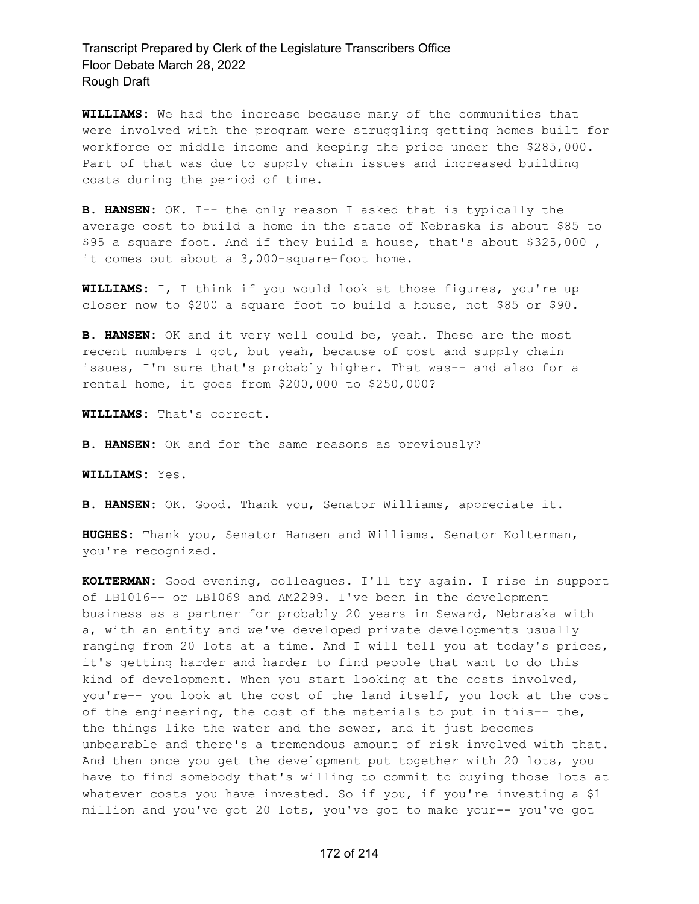**WILLIAMS:** We had the increase because many of the communities that were involved with the program were struggling getting homes built for workforce or middle income and keeping the price under the \$285,000. Part of that was due to supply chain issues and increased building costs during the period of time.

**B. HANSEN:** OK. I-- the only reason I asked that is typically the average cost to build a home in the state of Nebraska is about \$85 to \$95 a square foot. And if they build a house, that's about \$325,000 , it comes out about a 3,000-square-foot home.

**WILLIAMS:** I, I think if you would look at those figures, you're up closer now to \$200 a square foot to build a house, not \$85 or \$90.

**B. HANSEN:** OK and it very well could be, yeah. These are the most recent numbers I got, but yeah, because of cost and supply chain issues, I'm sure that's probably higher. That was-- and also for a rental home, it goes from \$200,000 to \$250,000?

**WILLIAMS:** That's correct.

**B. HANSEN:** OK and for the same reasons as previously?

**WILLIAMS:** Yes.

**B. HANSEN:** OK. Good. Thank you, Senator Williams, appreciate it.

**HUGHES:** Thank you, Senator Hansen and Williams. Senator Kolterman, you're recognized.

**KOLTERMAN:** Good evening, colleagues. I'll try again. I rise in support of LB1016-- or LB1069 and AM2299. I've been in the development business as a partner for probably 20 years in Seward, Nebraska with a, with an entity and we've developed private developments usually ranging from 20 lots at a time. And I will tell you at today's prices, it's getting harder and harder to find people that want to do this kind of development. When you start looking at the costs involved, you're-- you look at the cost of the land itself, you look at the cost of the engineering, the cost of the materials to put in this-- the, the things like the water and the sewer, and it just becomes unbearable and there's a tremendous amount of risk involved with that. And then once you get the development put together with 20 lots, you have to find somebody that's willing to commit to buying those lots at whatever costs you have invested. So if you, if you're investing a \$1 million and you've got 20 lots, you've got to make your-- you've got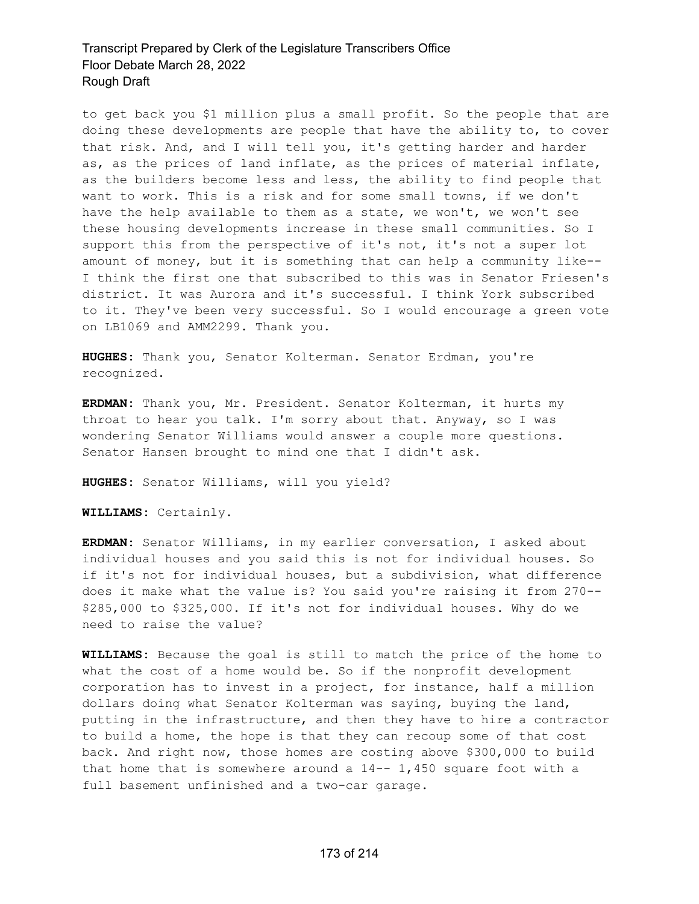to get back you \$1 million plus a small profit. So the people that are doing these developments are people that have the ability to, to cover that risk. And, and I will tell you, it's getting harder and harder as, as the prices of land inflate, as the prices of material inflate, as the builders become less and less, the ability to find people that want to work. This is a risk and for some small towns, if we don't have the help available to them as a state, we won't, we won't see these housing developments increase in these small communities. So I support this from the perspective of it's not, it's not a super lot amount of money, but it is something that can help a community like-- I think the first one that subscribed to this was in Senator Friesen's district. It was Aurora and it's successful. I think York subscribed to it. They've been very successful. So I would encourage a green vote on LB1069 and AMM2299. Thank you.

**HUGHES:** Thank you, Senator Kolterman. Senator Erdman, you're recognized.

**ERDMAN:** Thank you, Mr. President. Senator Kolterman, it hurts my throat to hear you talk. I'm sorry about that. Anyway, so I was wondering Senator Williams would answer a couple more questions. Senator Hansen brought to mind one that I didn't ask.

**HUGHES:** Senator Williams, will you yield?

**WILLIAMS:** Certainly.

**ERDMAN:** Senator Williams, in my earlier conversation, I asked about individual houses and you said this is not for individual houses. So if it's not for individual houses, but a subdivision, what difference does it make what the value is? You said you're raising it from 270-- \$285,000 to \$325,000. If it's not for individual houses. Why do we need to raise the value?

**WILLIAMS:** Because the goal is still to match the price of the home to what the cost of a home would be. So if the nonprofit development corporation has to invest in a project, for instance, half a million dollars doing what Senator Kolterman was saying, buying the land, putting in the infrastructure, and then they have to hire a contractor to build a home, the hope is that they can recoup some of that cost back. And right now, those homes are costing above \$300,000 to build that home that is somewhere around a  $14--1,450$  square foot with a full basement unfinished and a two-car garage.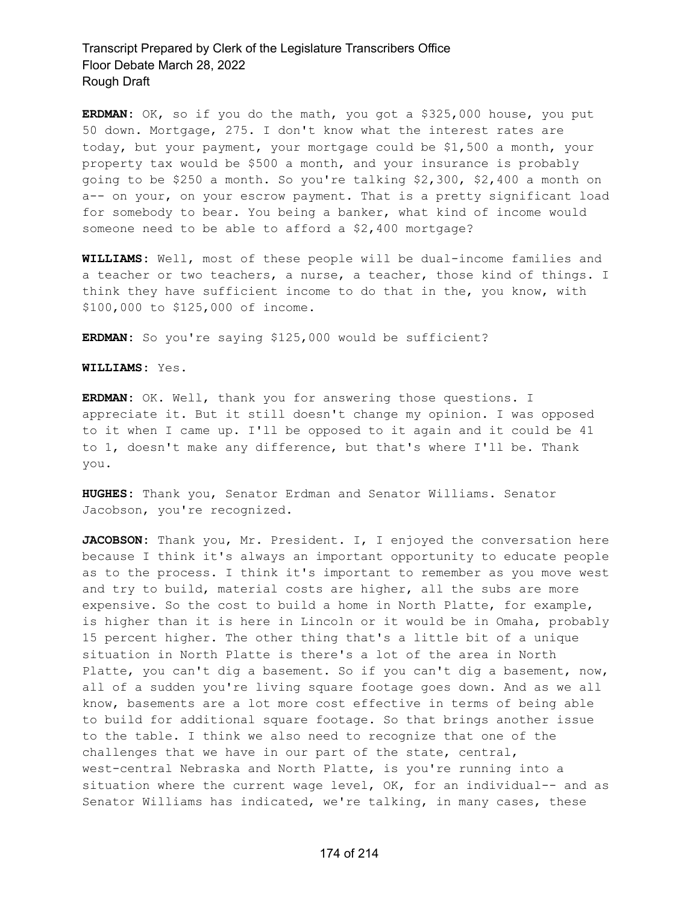**ERDMAN:** OK, so if you do the math, you got a \$325,000 house, you put 50 down. Mortgage, 275. I don't know what the interest rates are today, but your payment, your mortgage could be \$1,500 a month, your property tax would be \$500 a month, and your insurance is probably going to be \$250 a month. So you're talking \$2,300, \$2,400 a month on a-- on your, on your escrow payment. That is a pretty significant load for somebody to bear. You being a banker, what kind of income would someone need to be able to afford a \$2,400 mortgage?

**WILLIAMS:** Well, most of these people will be dual-income families and a teacher or two teachers, a nurse, a teacher, those kind of things. I think they have sufficient income to do that in the, you know, with \$100,000 to \$125,000 of income.

**ERDMAN:** So you're saying \$125,000 would be sufficient?

**WILLIAMS:** Yes.

**ERDMAN:** OK. Well, thank you for answering those questions. I appreciate it. But it still doesn't change my opinion. I was opposed to it when I came up. I'll be opposed to it again and it could be 41 to 1, doesn't make any difference, but that's where I'll be. Thank you.

**HUGHES:** Thank you, Senator Erdman and Senator Williams. Senator Jacobson, you're recognized.

JACOBSON: Thank you, Mr. President. I, I enjoyed the conversation here because I think it's always an important opportunity to educate people as to the process. I think it's important to remember as you move west and try to build, material costs are higher, all the subs are more expensive. So the cost to build a home in North Platte, for example, is higher than it is here in Lincoln or it would be in Omaha, probably 15 percent higher. The other thing that's a little bit of a unique situation in North Platte is there's a lot of the area in North Platte, you can't dig a basement. So if you can't dig a basement, now, all of a sudden you're living square footage goes down. And as we all know, basements are a lot more cost effective in terms of being able to build for additional square footage. So that brings another issue to the table. I think we also need to recognize that one of the challenges that we have in our part of the state, central, west-central Nebraska and North Platte, is you're running into a situation where the current wage level, OK, for an individual-- and as Senator Williams has indicated, we're talking, in many cases, these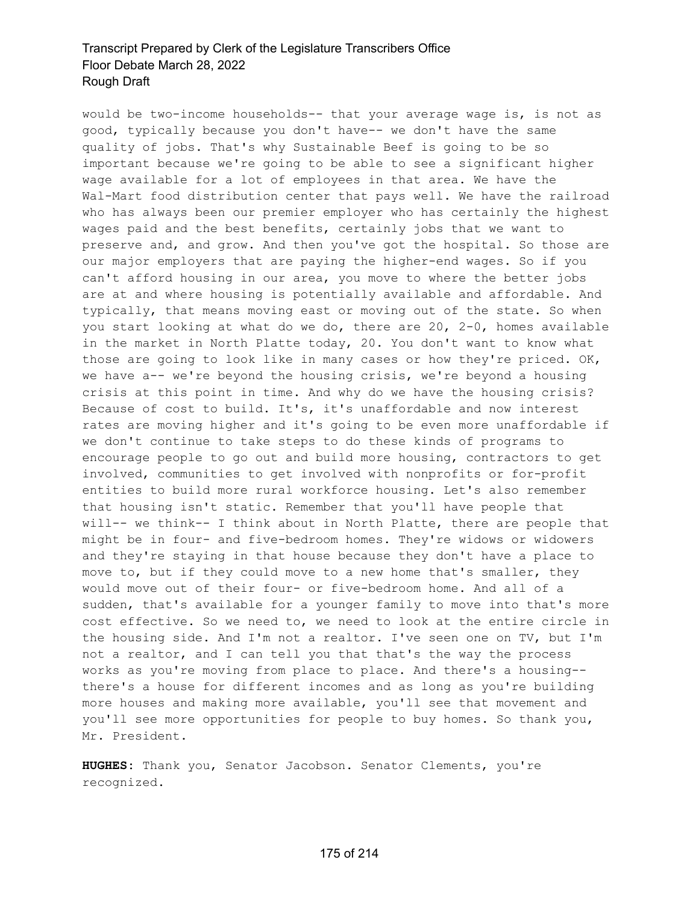would be two-income households-- that your average wage is, is not as good, typically because you don't have-- we don't have the same quality of jobs. That's why Sustainable Beef is going to be so important because we're going to be able to see a significant higher wage available for a lot of employees in that area. We have the Wal-Mart food distribution center that pays well. We have the railroad who has always been our premier employer who has certainly the highest wages paid and the best benefits, certainly jobs that we want to preserve and, and grow. And then you've got the hospital. So those are our major employers that are paying the higher-end wages. So if you can't afford housing in our area, you move to where the better jobs are at and where housing is potentially available and affordable. And typically, that means moving east or moving out of the state. So when you start looking at what do we do, there are 20, 2-0, homes available in the market in North Platte today, 20. You don't want to know what those are going to look like in many cases or how they're priced. OK, we have a-- we're beyond the housing crisis, we're beyond a housing crisis at this point in time. And why do we have the housing crisis? Because of cost to build. It's, it's unaffordable and now interest rates are moving higher and it's going to be even more unaffordable if we don't continue to take steps to do these kinds of programs to encourage people to go out and build more housing, contractors to get involved, communities to get involved with nonprofits or for-profit entities to build more rural workforce housing. Let's also remember that housing isn't static. Remember that you'll have people that will-- we think-- I think about in North Platte, there are people that might be in four- and five-bedroom homes. They're widows or widowers and they're staying in that house because they don't have a place to move to, but if they could move to a new home that's smaller, they would move out of their four- or five-bedroom home. And all of a sudden, that's available for a younger family to move into that's more cost effective. So we need to, we need to look at the entire circle in the housing side. And I'm not a realtor. I've seen one on TV, but I'm not a realtor, and I can tell you that that's the way the process works as you're moving from place to place. And there's a housing- there's a house for different incomes and as long as you're building more houses and making more available, you'll see that movement and you'll see more opportunities for people to buy homes. So thank you, Mr. President.

**HUGHES:** Thank you, Senator Jacobson. Senator Clements, you're recognized.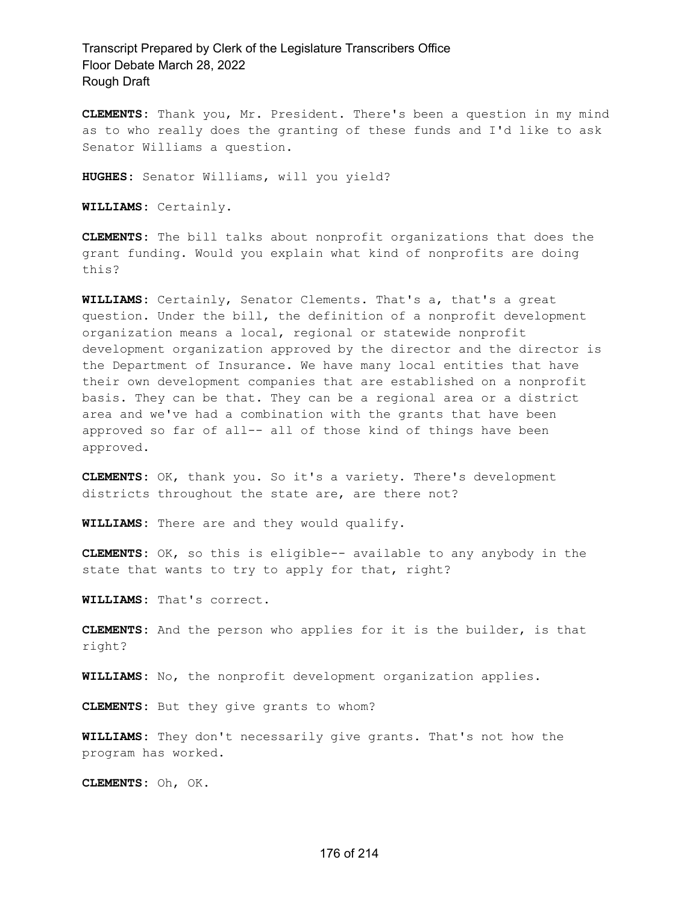**CLEMENTS:** Thank you, Mr. President. There's been a question in my mind as to who really does the granting of these funds and I'd like to ask Senator Williams a question.

**HUGHES:** Senator Williams, will you yield?

**WILLIAMS:** Certainly.

**CLEMENTS:** The bill talks about nonprofit organizations that does the grant funding. Would you explain what kind of nonprofits are doing this?

**WILLIAMS:** Certainly, Senator Clements. That's a, that's a great question. Under the bill, the definition of a nonprofit development organization means a local, regional or statewide nonprofit development organization approved by the director and the director is the Department of Insurance. We have many local entities that have their own development companies that are established on a nonprofit basis. They can be that. They can be a regional area or a district area and we've had a combination with the grants that have been approved so far of all-- all of those kind of things have been approved.

**CLEMENTS:** OK, thank you. So it's a variety. There's development districts throughout the state are, are there not?

**WILLIAMS:** There are and they would qualify.

**CLEMENTS:** OK, so this is eligible-- available to any anybody in the state that wants to try to apply for that, right?

**WILLIAMS:** That's correct.

**CLEMENTS:** And the person who applies for it is the builder, is that right?

**WILLIAMS:** No, the nonprofit development organization applies.

**CLEMENTS:** But they give grants to whom?

**WILLIAMS:** They don't necessarily give grants. That's not how the program has worked.

**CLEMENTS:** Oh, OK.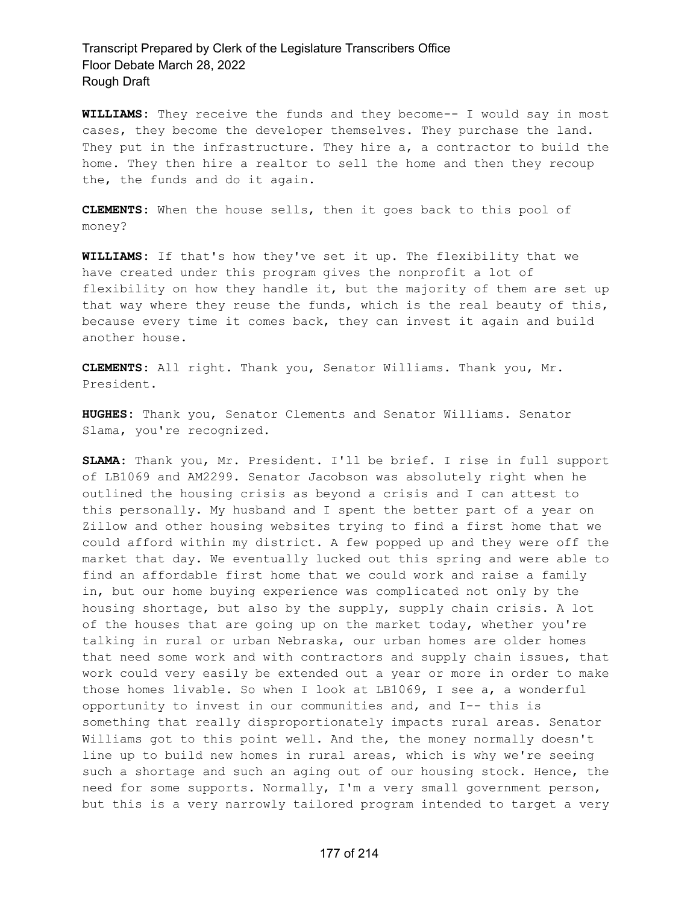**WILLIAMS:** They receive the funds and they become-- I would say in most cases, they become the developer themselves. They purchase the land. They put in the infrastructure. They hire a, a contractor to build the home. They then hire a realtor to sell the home and then they recoup the, the funds and do it again.

**CLEMENTS:** When the house sells, then it goes back to this pool of money?

**WILLIAMS:** If that's how they've set it up. The flexibility that we have created under this program gives the nonprofit a lot of flexibility on how they handle it, but the majority of them are set up that way where they reuse the funds, which is the real beauty of this, because every time it comes back, they can invest it again and build another house.

**CLEMENTS:** All right. Thank you, Senator Williams. Thank you, Mr. President.

**HUGHES:** Thank you, Senator Clements and Senator Williams. Senator Slama, you're recognized.

**SLAMA:** Thank you, Mr. President. I'll be brief. I rise in full support of LB1069 and AM2299. Senator Jacobson was absolutely right when he outlined the housing crisis as beyond a crisis and I can attest to this personally. My husband and I spent the better part of a year on Zillow and other housing websites trying to find a first home that we could afford within my district. A few popped up and they were off the market that day. We eventually lucked out this spring and were able to find an affordable first home that we could work and raise a family in, but our home buying experience was complicated not only by the housing shortage, but also by the supply, supply chain crisis. A lot of the houses that are going up on the market today, whether you're talking in rural or urban Nebraska, our urban homes are older homes that need some work and with contractors and supply chain issues, that work could very easily be extended out a year or more in order to make those homes livable. So when I look at LB1069, I see a, a wonderful opportunity to invest in our communities and, and I-- this is something that really disproportionately impacts rural areas. Senator Williams got to this point well. And the, the money normally doesn't line up to build new homes in rural areas, which is why we're seeing such a shortage and such an aging out of our housing stock. Hence, the need for some supports. Normally, I'm a very small government person, but this is a very narrowly tailored program intended to target a very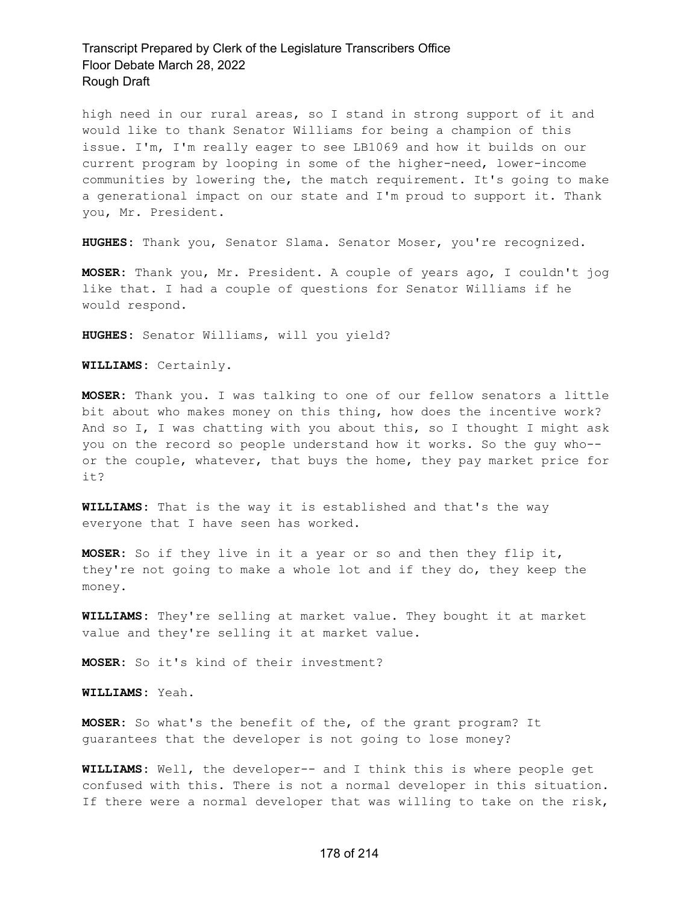high need in our rural areas, so I stand in strong support of it and would like to thank Senator Williams for being a champion of this issue. I'm, I'm really eager to see LB1069 and how it builds on our current program by looping in some of the higher-need, lower-income communities by lowering the, the match requirement. It's going to make a generational impact on our state and I'm proud to support it. Thank you, Mr. President.

**HUGHES:** Thank you, Senator Slama. Senator Moser, you're recognized.

**MOSER:** Thank you, Mr. President. A couple of years ago, I couldn't jog like that. I had a couple of questions for Senator Williams if he would respond.

**HUGHES:** Senator Williams, will you yield?

**WILLIAMS:** Certainly.

**MOSER:** Thank you. I was talking to one of our fellow senators a little bit about who makes money on this thing, how does the incentive work? And so I, I was chatting with you about this, so I thought I might ask you on the record so people understand how it works. So the guy who- or the couple, whatever, that buys the home, they pay market price for it?

**WILLIAMS:** That is the way it is established and that's the way everyone that I have seen has worked.

**MOSER:** So if they live in it a year or so and then they flip it, they're not going to make a whole lot and if they do, they keep the money.

**WILLIAMS:** They're selling at market value. They bought it at market value and they're selling it at market value.

**MOSER:** So it's kind of their investment?

**WILLIAMS:** Yeah.

**MOSER:** So what's the benefit of the, of the grant program? It guarantees that the developer is not going to lose money?

**WILLIAMS:** Well, the developer-- and I think this is where people get confused with this. There is not a normal developer in this situation. If there were a normal developer that was willing to take on the risk,

#### 178 of 214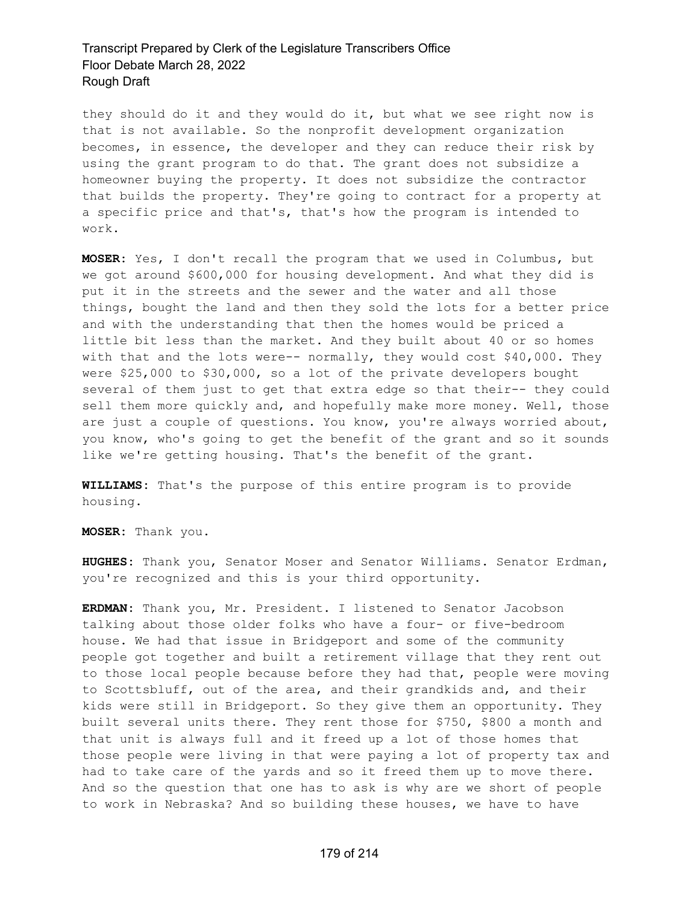they should do it and they would do it, but what we see right now is that is not available. So the nonprofit development organization becomes, in essence, the developer and they can reduce their risk by using the grant program to do that. The grant does not subsidize a homeowner buying the property. It does not subsidize the contractor that builds the property. They're going to contract for a property at a specific price and that's, that's how the program is intended to work.

**MOSER:** Yes, I don't recall the program that we used in Columbus, but we got around \$600,000 for housing development. And what they did is put it in the streets and the sewer and the water and all those things, bought the land and then they sold the lots for a better price and with the understanding that then the homes would be priced a little bit less than the market. And they built about 40 or so homes with that and the lots were-- normally, they would cost \$40,000. They were \$25,000 to \$30,000, so a lot of the private developers bought several of them just to get that extra edge so that their-- they could sell them more quickly and, and hopefully make more money. Well, those are just a couple of questions. You know, you're always worried about, you know, who's going to get the benefit of the grant and so it sounds like we're getting housing. That's the benefit of the grant.

**WILLIAMS:** That's the purpose of this entire program is to provide housing.

**MOSER:** Thank you.

**HUGHES:** Thank you, Senator Moser and Senator Williams. Senator Erdman, you're recognized and this is your third opportunity.

**ERDMAN:** Thank you, Mr. President. I listened to Senator Jacobson talking about those older folks who have a four- or five-bedroom house. We had that issue in Bridgeport and some of the community people got together and built a retirement village that they rent out to those local people because before they had that, people were moving to Scottsbluff, out of the area, and their grandkids and, and their kids were still in Bridgeport. So they give them an opportunity. They built several units there. They rent those for \$750, \$800 a month and that unit is always full and it freed up a lot of those homes that those people were living in that were paying a lot of property tax and had to take care of the yards and so it freed them up to move there. And so the question that one has to ask is why are we short of people to work in Nebraska? And so building these houses, we have to have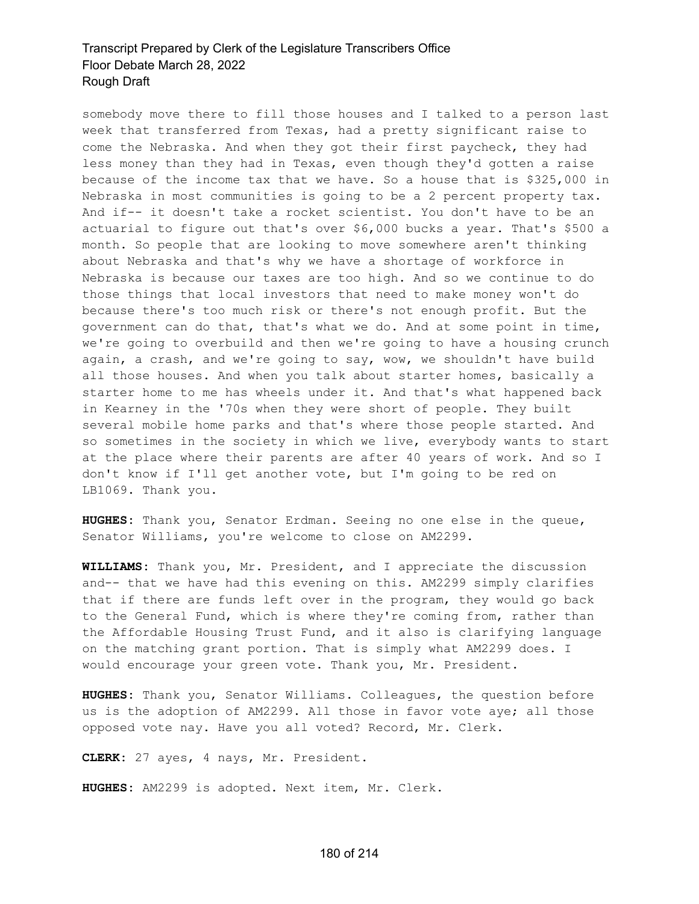somebody move there to fill those houses and I talked to a person last week that transferred from Texas, had a pretty significant raise to come the Nebraska. And when they got their first paycheck, they had less money than they had in Texas, even though they'd gotten a raise because of the income tax that we have. So a house that is \$325,000 in Nebraska in most communities is going to be a 2 percent property tax. And if-- it doesn't take a rocket scientist. You don't have to be an actuarial to figure out that's over \$6,000 bucks a year. That's \$500 a month. So people that are looking to move somewhere aren't thinking about Nebraska and that's why we have a shortage of workforce in Nebraska is because our taxes are too high. And so we continue to do those things that local investors that need to make money won't do because there's too much risk or there's not enough profit. But the government can do that, that's what we do. And at some point in time, we're going to overbuild and then we're going to have a housing crunch again, a crash, and we're going to say, wow, we shouldn't have build all those houses. And when you talk about starter homes, basically a starter home to me has wheels under it. And that's what happened back in Kearney in the '70s when they were short of people. They built several mobile home parks and that's where those people started. And so sometimes in the society in which we live, everybody wants to start at the place where their parents are after 40 years of work. And so I don't know if I'll get another vote, but I'm going to be red on LB1069. Thank you.

**HUGHES:** Thank you, Senator Erdman. Seeing no one else in the queue, Senator Williams, you're welcome to close on AM2299.

**WILLIAMS:** Thank you, Mr. President, and I appreciate the discussion and-- that we have had this evening on this. AM2299 simply clarifies that if there are funds left over in the program, they would go back to the General Fund, which is where they're coming from, rather than the Affordable Housing Trust Fund, and it also is clarifying language on the matching grant portion. That is simply what AM2299 does. I would encourage your green vote. Thank you, Mr. President.

**HUGHES:** Thank you, Senator Williams. Colleagues, the question before us is the adoption of AM2299. All those in favor vote aye; all those opposed vote nay. Have you all voted? Record, Mr. Clerk.

**CLERK:** 27 ayes, 4 nays, Mr. President.

**HUGHES:** AM2299 is adopted. Next item, Mr. Clerk.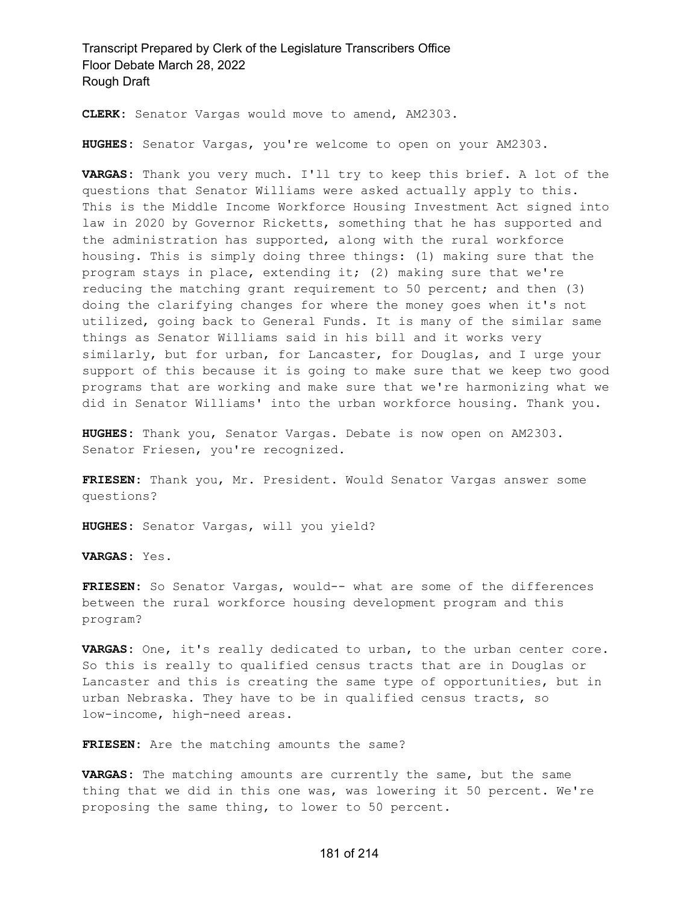**CLERK:** Senator Vargas would move to amend, AM2303.

**HUGHES:** Senator Vargas, you're welcome to open on your AM2303.

**VARGAS:** Thank you very much. I'll try to keep this brief. A lot of the questions that Senator Williams were asked actually apply to this. This is the Middle Income Workforce Housing Investment Act signed into law in 2020 by Governor Ricketts, something that he has supported and the administration has supported, along with the rural workforce housing. This is simply doing three things: (1) making sure that the program stays in place, extending it; (2) making sure that we're reducing the matching grant requirement to 50 percent; and then (3) doing the clarifying changes for where the money goes when it's not utilized, going back to General Funds. It is many of the similar same things as Senator Williams said in his bill and it works very similarly, but for urban, for Lancaster, for Douglas, and I urge your support of this because it is going to make sure that we keep two good programs that are working and make sure that we're harmonizing what we did in Senator Williams' into the urban workforce housing. Thank you.

**HUGHES:** Thank you, Senator Vargas. Debate is now open on AM2303. Senator Friesen, you're recognized.

**FRIESEN:** Thank you, Mr. President. Would Senator Vargas answer some questions?

**HUGHES:** Senator Vargas, will you yield?

**VARGAS:** Yes.

**FRIESEN:** So Senator Vargas, would-- what are some of the differences between the rural workforce housing development program and this program?

**VARGAS:** One, it's really dedicated to urban, to the urban center core. So this is really to qualified census tracts that are in Douglas or Lancaster and this is creating the same type of opportunities, but in urban Nebraska. They have to be in qualified census tracts, so low-income, high-need areas.

**FRIESEN:** Are the matching amounts the same?

**VARGAS:** The matching amounts are currently the same, but the same thing that we did in this one was, was lowering it 50 percent. We're proposing the same thing, to lower to 50 percent.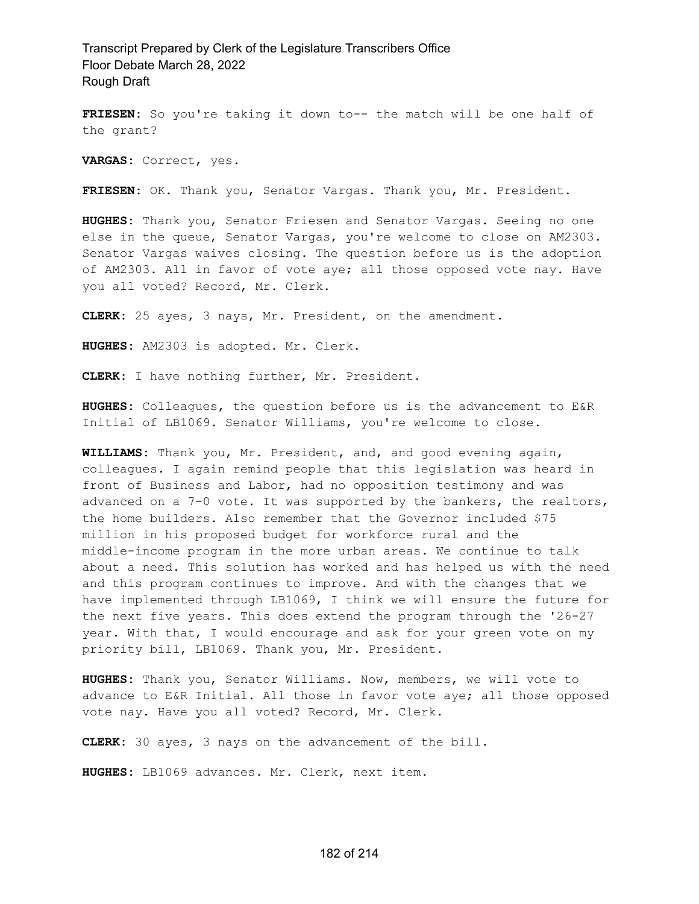**FRIESEN:** So you're taking it down to-- the match will be one half of the grant?

**VARGAS:** Correct, yes.

**FRIESEN:** OK. Thank you, Senator Vargas. Thank you, Mr. President.

**HUGHES:** Thank you, Senator Friesen and Senator Vargas. Seeing no one else in the queue, Senator Vargas, you're welcome to close on AM2303. Senator Vargas waives closing. The question before us is the adoption of AM2303. All in favor of vote aye; all those opposed vote nay. Have you all voted? Record, Mr. Clerk.

**CLERK:** 25 ayes, 3 nays, Mr. President, on the amendment.

**HUGHES:** AM2303 is adopted. Mr. Clerk.

**CLERK:** I have nothing further, Mr. President.

**HUGHES:** Colleagues, the question before us is the advancement to E&R Initial of LB1069. Senator Williams, you're welcome to close.

**WILLIAMS:** Thank you, Mr. President, and, and good evening again, colleagues. I again remind people that this legislation was heard in front of Business and Labor, had no opposition testimony and was advanced on a 7-0 vote. It was supported by the bankers, the realtors, the home builders. Also remember that the Governor included \$75 million in his proposed budget for workforce rural and the middle-income program in the more urban areas. We continue to talk about a need. This solution has worked and has helped us with the need and this program continues to improve. And with the changes that we have implemented through LB1069, I think we will ensure the future for the next five years. This does extend the program through the '26-27 year. With that, I would encourage and ask for your green vote on my priority bill, LB1069. Thank you, Mr. President.

**HUGHES:** Thank you, Senator Williams. Now, members, we will vote to advance to E&R Initial. All those in favor vote aye; all those opposed vote nay. Have you all voted? Record, Mr. Clerk.

**CLERK:** 30 ayes, 3 nays on the advancement of the bill.

**HUGHES:** LB1069 advances. Mr. Clerk, next item.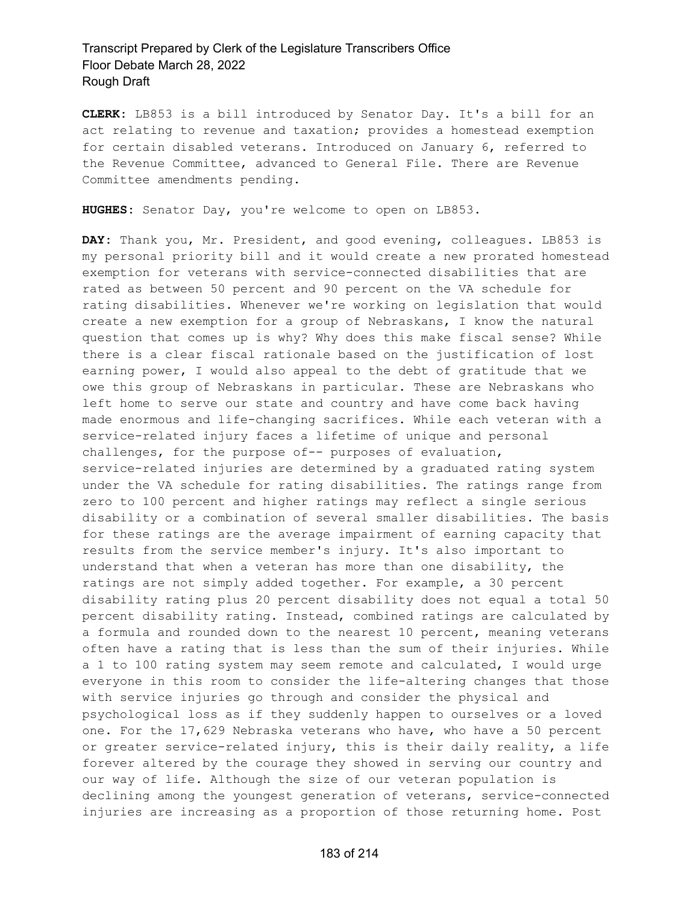**CLERK:** LB853 is a bill introduced by Senator Day. It's a bill for an act relating to revenue and taxation; provides a homestead exemption for certain disabled veterans. Introduced on January 6, referred to the Revenue Committee, advanced to General File. There are Revenue Committee amendments pending.

**HUGHES:** Senator Day, you're welcome to open on LB853.

**DAY:** Thank you, Mr. President, and good evening, colleagues. LB853 is my personal priority bill and it would create a new prorated homestead exemption for veterans with service-connected disabilities that are rated as between 50 percent and 90 percent on the VA schedule for rating disabilities. Whenever we're working on legislation that would create a new exemption for a group of Nebraskans, I know the natural question that comes up is why? Why does this make fiscal sense? While there is a clear fiscal rationale based on the justification of lost earning power, I would also appeal to the debt of gratitude that we owe this group of Nebraskans in particular. These are Nebraskans who left home to serve our state and country and have come back having made enormous and life-changing sacrifices. While each veteran with a service-related injury faces a lifetime of unique and personal challenges, for the purpose of-- purposes of evaluation, service-related injuries are determined by a graduated rating system under the VA schedule for rating disabilities. The ratings range from zero to 100 percent and higher ratings may reflect a single serious disability or a combination of several smaller disabilities. The basis for these ratings are the average impairment of earning capacity that results from the service member's injury. It's also important to understand that when a veteran has more than one disability, the ratings are not simply added together. For example, a 30 percent disability rating plus 20 percent disability does not equal a total 50 percent disability rating. Instead, combined ratings are calculated by a formula and rounded down to the nearest 10 percent, meaning veterans often have a rating that is less than the sum of their injuries. While a 1 to 100 rating system may seem remote and calculated, I would urge everyone in this room to consider the life-altering changes that those with service injuries go through and consider the physical and psychological loss as if they suddenly happen to ourselves or a loved one. For the 17,629 Nebraska veterans who have, who have a 50 percent or greater service-related injury, this is their daily reality, a life forever altered by the courage they showed in serving our country and our way of life. Although the size of our veteran population is declining among the youngest generation of veterans, service-connected injuries are increasing as a proportion of those returning home. Post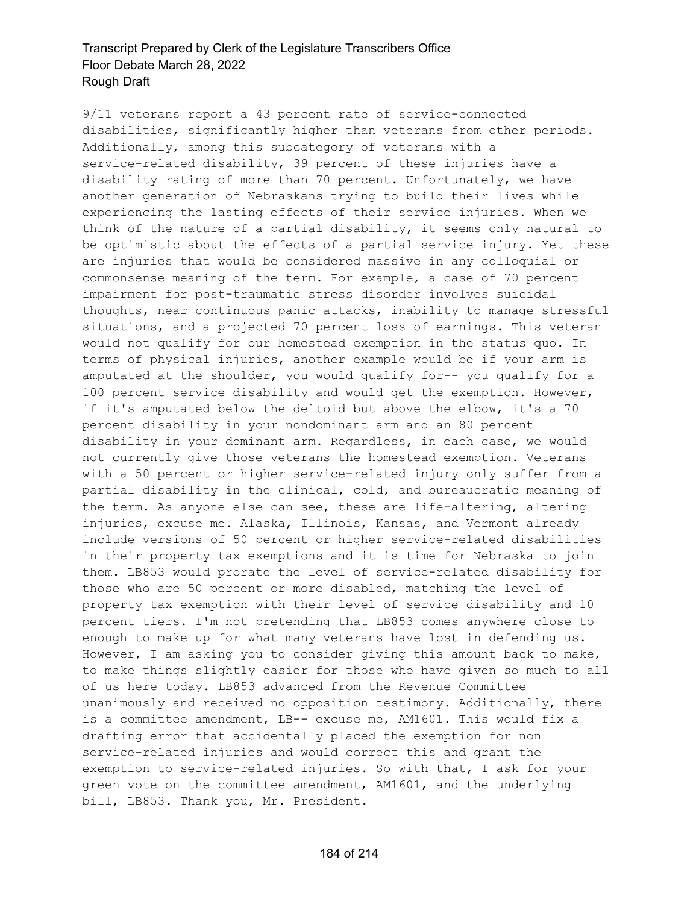9/11 veterans report a 43 percent rate of service-connected disabilities, significantly higher than veterans from other periods. Additionally, among this subcategory of veterans with a service-related disability, 39 percent of these injuries have a disability rating of more than 70 percent. Unfortunately, we have another generation of Nebraskans trying to build their lives while experiencing the lasting effects of their service injuries. When we think of the nature of a partial disability, it seems only natural to be optimistic about the effects of a partial service injury. Yet these are injuries that would be considered massive in any colloquial or commonsense meaning of the term. For example, a case of 70 percent impairment for post-traumatic stress disorder involves suicidal thoughts, near continuous panic attacks, inability to manage stressful situations, and a projected 70 percent loss of earnings. This veteran would not qualify for our homestead exemption in the status quo. In terms of physical injuries, another example would be if your arm is amputated at the shoulder, you would qualify for-- you qualify for a 100 percent service disability and would get the exemption. However, if it's amputated below the deltoid but above the elbow, it's a 70 percent disability in your nondominant arm and an 80 percent disability in your dominant arm. Regardless, in each case, we would not currently give those veterans the homestead exemption. Veterans with a 50 percent or higher service-related injury only suffer from a partial disability in the clinical, cold, and bureaucratic meaning of the term. As anyone else can see, these are life-altering, altering injuries, excuse me. Alaska, Illinois, Kansas, and Vermont already include versions of 50 percent or higher service-related disabilities in their property tax exemptions and it is time for Nebraska to join them. LB853 would prorate the level of service-related disability for those who are 50 percent or more disabled, matching the level of property tax exemption with their level of service disability and 10 percent tiers. I'm not pretending that LB853 comes anywhere close to enough to make up for what many veterans have lost in defending us. However, I am asking you to consider giving this amount back to make, to make things slightly easier for those who have given so much to all of us here today. LB853 advanced from the Revenue Committee unanimously and received no opposition testimony. Additionally, there is a committee amendment, LB-- excuse me, AM1601. This would fix a drafting error that accidentally placed the exemption for non service-related injuries and would correct this and grant the exemption to service-related injuries. So with that, I ask for your green vote on the committee amendment, AM1601, and the underlying bill, LB853. Thank you, Mr. President.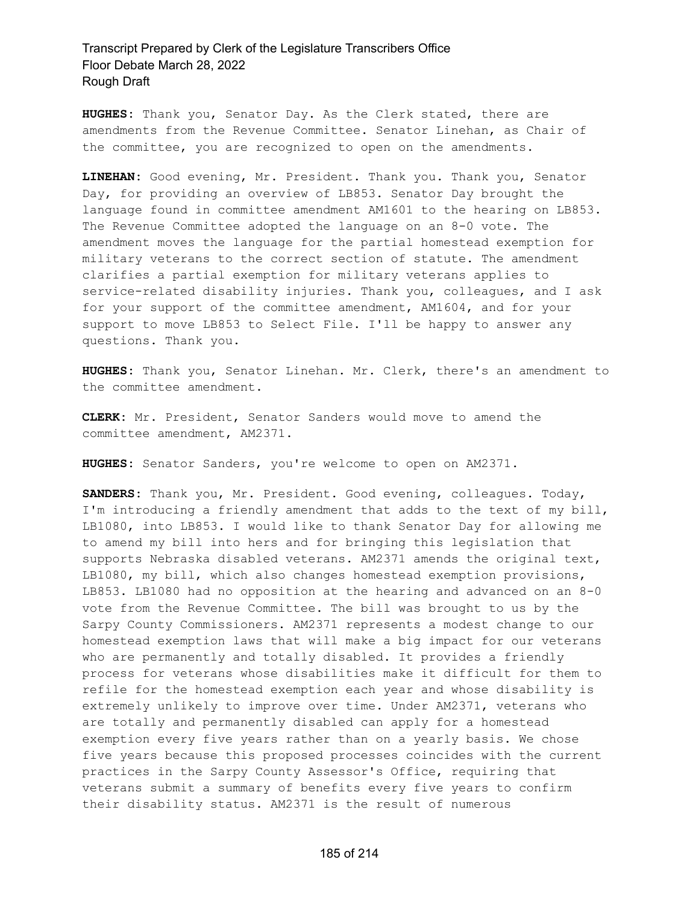**HUGHES:** Thank you, Senator Day. As the Clerk stated, there are amendments from the Revenue Committee. Senator Linehan, as Chair of the committee, you are recognized to open on the amendments.

**LINEHAN:** Good evening, Mr. President. Thank you. Thank you, Senator Day, for providing an overview of LB853. Senator Day brought the language found in committee amendment AM1601 to the hearing on LB853. The Revenue Committee adopted the language on an 8-0 vote. The amendment moves the language for the partial homestead exemption for military veterans to the correct section of statute. The amendment clarifies a partial exemption for military veterans applies to service-related disability injuries. Thank you, colleagues, and I ask for your support of the committee amendment, AM1604, and for your support to move LB853 to Select File. I'll be happy to answer any questions. Thank you.

**HUGHES:** Thank you, Senator Linehan. Mr. Clerk, there's an amendment to the committee amendment.

**CLERK:** Mr. President, Senator Sanders would move to amend the committee amendment, AM2371.

**HUGHES:** Senator Sanders, you're welcome to open on AM2371.

**SANDERS:** Thank you, Mr. President. Good evening, colleagues. Today, I'm introducing a friendly amendment that adds to the text of my bill, LB1080, into LB853. I would like to thank Senator Day for allowing me to amend my bill into hers and for bringing this legislation that supports Nebraska disabled veterans. AM2371 amends the original text, LB1080, my bill, which also changes homestead exemption provisions, LB853. LB1080 had no opposition at the hearing and advanced on an 8-0 vote from the Revenue Committee. The bill was brought to us by the Sarpy County Commissioners. AM2371 represents a modest change to our homestead exemption laws that will make a big impact for our veterans who are permanently and totally disabled. It provides a friendly process for veterans whose disabilities make it difficult for them to refile for the homestead exemption each year and whose disability is extremely unlikely to improve over time. Under AM2371, veterans who are totally and permanently disabled can apply for a homestead exemption every five years rather than on a yearly basis. We chose five years because this proposed processes coincides with the current practices in the Sarpy County Assessor's Office, requiring that veterans submit a summary of benefits every five years to confirm their disability status. AM2371 is the result of numerous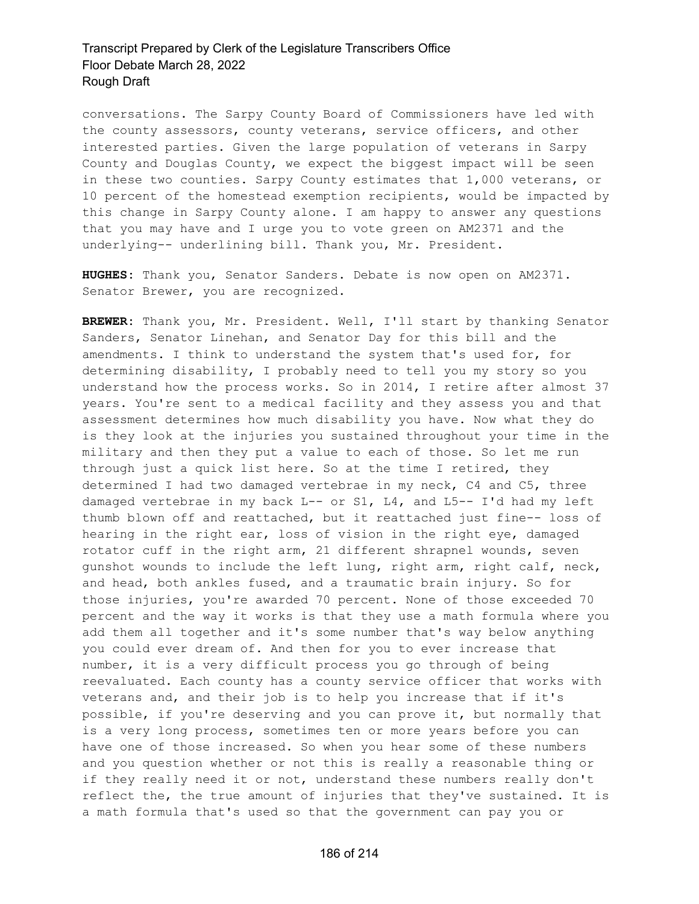conversations. The Sarpy County Board of Commissioners have led with the county assessors, county veterans, service officers, and other interested parties. Given the large population of veterans in Sarpy County and Douglas County, we expect the biggest impact will be seen in these two counties. Sarpy County estimates that 1,000 veterans, or 10 percent of the homestead exemption recipients, would be impacted by this change in Sarpy County alone. I am happy to answer any questions that you may have and I urge you to vote green on AM2371 and the underlying-- underlining bill. Thank you, Mr. President.

**HUGHES:** Thank you, Senator Sanders. Debate is now open on AM2371. Senator Brewer, you are recognized.

**BREWER:** Thank you, Mr. President. Well, I'll start by thanking Senator Sanders, Senator Linehan, and Senator Day for this bill and the amendments. I think to understand the system that's used for, for determining disability, I probably need to tell you my story so you understand how the process works. So in 2014, I retire after almost 37 years. You're sent to a medical facility and they assess you and that assessment determines how much disability you have. Now what they do is they look at the injuries you sustained throughout your time in the military and then they put a value to each of those. So let me run through just a quick list here. So at the time I retired, they determined I had two damaged vertebrae in my neck, C4 and C5, three damaged vertebrae in my back L-- or S1, L4, and L5-- I'd had my left thumb blown off and reattached, but it reattached just fine-- loss of hearing in the right ear, loss of vision in the right eye, damaged rotator cuff in the right arm, 21 different shrapnel wounds, seven gunshot wounds to include the left lung, right arm, right calf, neck, and head, both ankles fused, and a traumatic brain injury. So for those injuries, you're awarded 70 percent. None of those exceeded 70 percent and the way it works is that they use a math formula where you add them all together and it's some number that's way below anything you could ever dream of. And then for you to ever increase that number, it is a very difficult process you go through of being reevaluated. Each county has a county service officer that works with veterans and, and their job is to help you increase that if it's possible, if you're deserving and you can prove it, but normally that is a very long process, sometimes ten or more years before you can have one of those increased. So when you hear some of these numbers and you question whether or not this is really a reasonable thing or if they really need it or not, understand these numbers really don't reflect the, the true amount of injuries that they've sustained. It is a math formula that's used so that the government can pay you or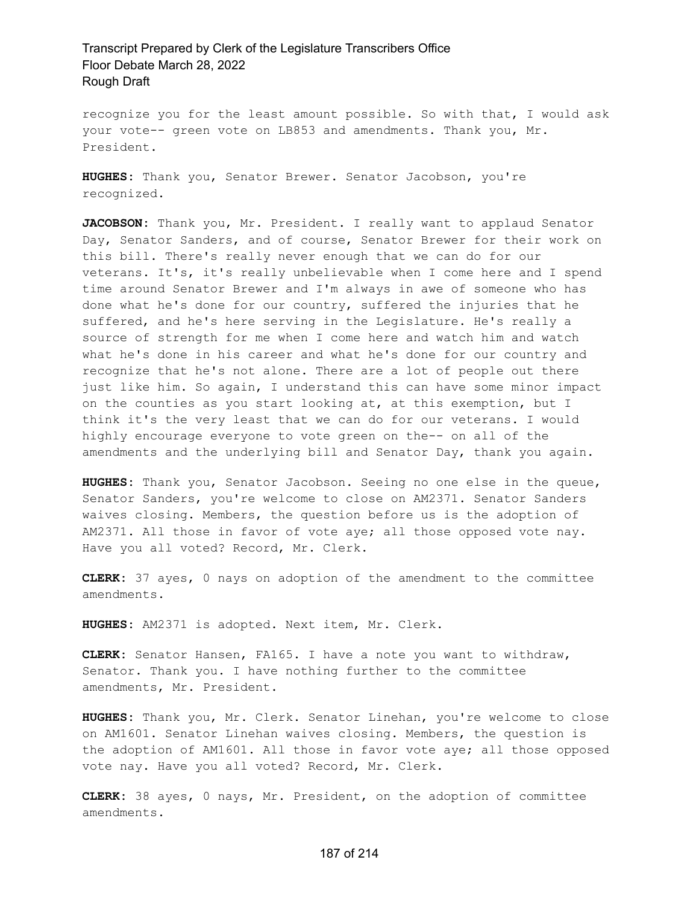recognize you for the least amount possible. So with that, I would ask your vote-- green vote on LB853 and amendments. Thank you, Mr. President.

**HUGHES:** Thank you, Senator Brewer. Senator Jacobson, you're recognized.

**JACOBSON:** Thank you, Mr. President. I really want to applaud Senator Day, Senator Sanders, and of course, Senator Brewer for their work on this bill. There's really never enough that we can do for our veterans. It's, it's really unbelievable when I come here and I spend time around Senator Brewer and I'm always in awe of someone who has done what he's done for our country, suffered the injuries that he suffered, and he's here serving in the Legislature. He's really a source of strength for me when I come here and watch him and watch what he's done in his career and what he's done for our country and recognize that he's not alone. There are a lot of people out there just like him. So again, I understand this can have some minor impact on the counties as you start looking at, at this exemption, but I think it's the very least that we can do for our veterans. I would highly encourage everyone to vote green on the-- on all of the amendments and the underlying bill and Senator Day, thank you again.

**HUGHES:** Thank you, Senator Jacobson. Seeing no one else in the queue, Senator Sanders, you're welcome to close on AM2371. Senator Sanders waives closing. Members, the question before us is the adoption of AM2371. All those in favor of vote aye; all those opposed vote nay. Have you all voted? Record, Mr. Clerk.

**CLERK:** 37 ayes, 0 nays on adoption of the amendment to the committee amendments.

**HUGHES:** AM2371 is adopted. Next item, Mr. Clerk.

**CLERK:** Senator Hansen, FA165. I have a note you want to withdraw, Senator. Thank you. I have nothing further to the committee amendments, Mr. President.

**HUGHES:** Thank you, Mr. Clerk. Senator Linehan, you're welcome to close on AM1601. Senator Linehan waives closing. Members, the question is the adoption of AM1601. All those in favor vote aye; all those opposed vote nay. Have you all voted? Record, Mr. Clerk.

**CLERK:** 38 ayes, 0 nays, Mr. President, on the adoption of committee amendments.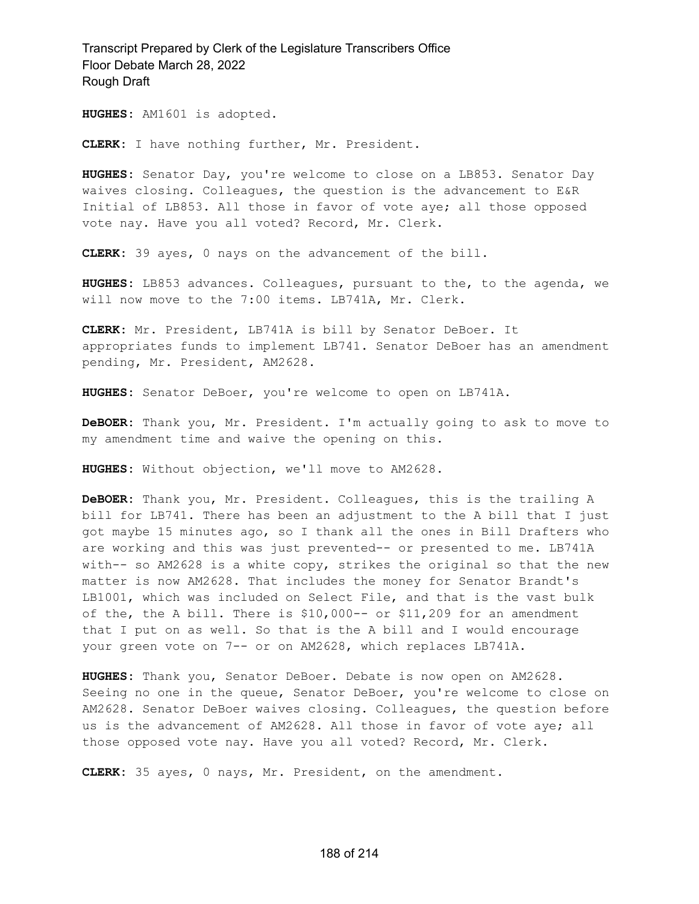**HUGHES:** AM1601 is adopted.

**CLERK:** I have nothing further, Mr. President.

**HUGHES:** Senator Day, you're welcome to close on a LB853. Senator Day waives closing. Colleagues, the question is the advancement to E&R Initial of LB853. All those in favor of vote aye; all those opposed vote nay. Have you all voted? Record, Mr. Clerk.

**CLERK:** 39 ayes, 0 nays on the advancement of the bill.

**HUGHES:** LB853 advances. Colleagues, pursuant to the, to the agenda, we will now move to the 7:00 items. LB741A, Mr. Clerk.

**CLERK:** Mr. President, LB741A is bill by Senator DeBoer. It appropriates funds to implement LB741. Senator DeBoer has an amendment pending, Mr. President, AM2628.

**HUGHES:** Senator DeBoer, you're welcome to open on LB741A.

**DeBOER:** Thank you, Mr. President. I'm actually going to ask to move to my amendment time and waive the opening on this.

**HUGHES:** Without objection, we'll move to AM2628.

**DeBOER:** Thank you, Mr. President. Colleagues, this is the trailing A bill for LB741. There has been an adjustment to the A bill that I just got maybe 15 minutes ago, so I thank all the ones in Bill Drafters who are working and this was just prevented-- or presented to me. LB741A with-- so AM2628 is a white copy, strikes the original so that the new matter is now AM2628. That includes the money for Senator Brandt's LB1001, which was included on Select File, and that is the vast bulk of the, the A bill. There is \$10,000-- or \$11,209 for an amendment that I put on as well. So that is the A bill and I would encourage your green vote on 7-- or on AM2628, which replaces LB741A.

**HUGHES:** Thank you, Senator DeBoer. Debate is now open on AM2628. Seeing no one in the queue, Senator DeBoer, you're welcome to close on AM2628. Senator DeBoer waives closing. Colleagues, the question before us is the advancement of AM2628. All those in favor of vote aye; all those opposed vote nay. Have you all voted? Record, Mr. Clerk.

**CLERK:** 35 ayes, 0 nays, Mr. President, on the amendment.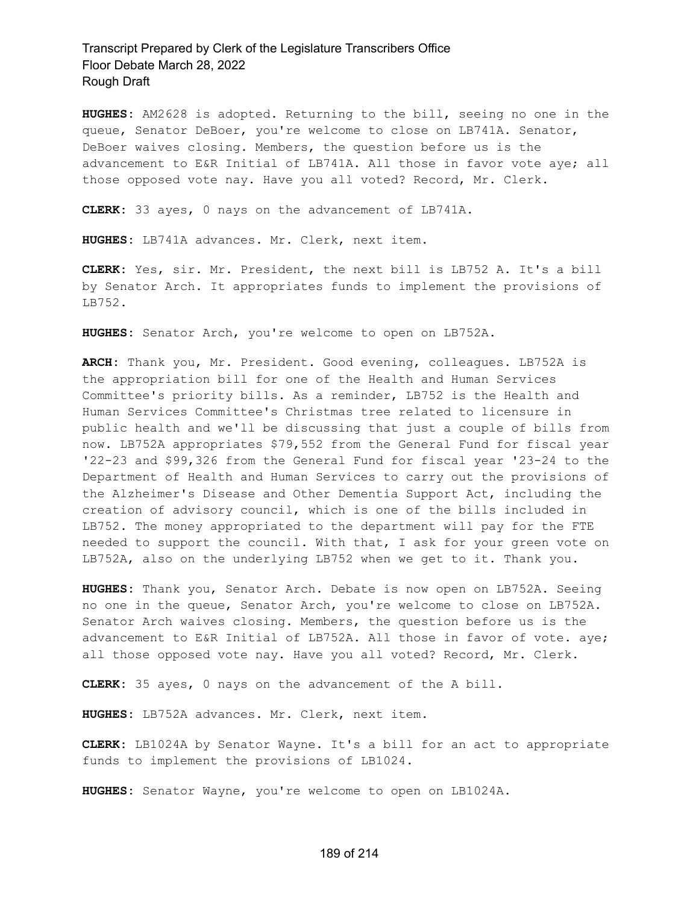**HUGHES:** AM2628 is adopted. Returning to the bill, seeing no one in the queue, Senator DeBoer, you're welcome to close on LB741A. Senator, DeBoer waives closing. Members, the question before us is the advancement to E&R Initial of LB741A. All those in favor vote aye; all those opposed vote nay. Have you all voted? Record, Mr. Clerk.

**CLERK:** 33 ayes, 0 nays on the advancement of LB741A.

**HUGHES:** LB741A advances. Mr. Clerk, next item.

**CLERK:** Yes, sir. Mr. President, the next bill is LB752 A. It's a bill by Senator Arch. It appropriates funds to implement the provisions of LB752.

**HUGHES:** Senator Arch, you're welcome to open on LB752A.

**ARCH:** Thank you, Mr. President. Good evening, colleagues. LB752A is the appropriation bill for one of the Health and Human Services Committee's priority bills. As a reminder, LB752 is the Health and Human Services Committee's Christmas tree related to licensure in public health and we'll be discussing that just a couple of bills from now. LB752A appropriates \$79,552 from the General Fund for fiscal year '22-23 and \$99,326 from the General Fund for fiscal year '23-24 to the Department of Health and Human Services to carry out the provisions of the Alzheimer's Disease and Other Dementia Support Act, including the creation of advisory council, which is one of the bills included in LB752. The money appropriated to the department will pay for the FTE needed to support the council. With that, I ask for your green vote on LB752A, also on the underlying LB752 when we get to it. Thank you.

**HUGHES:** Thank you, Senator Arch. Debate is now open on LB752A. Seeing no one in the queue, Senator Arch, you're welcome to close on LB752A. Senator Arch waives closing. Members, the question before us is the advancement to E&R Initial of LB752A. All those in favor of vote. aye; all those opposed vote nay. Have you all voted? Record, Mr. Clerk.

**CLERK:** 35 ayes, 0 nays on the advancement of the A bill.

**HUGHES:** LB752A advances. Mr. Clerk, next item.

**CLERK:** LB1024A by Senator Wayne. It's a bill for an act to appropriate funds to implement the provisions of LB1024.

**HUGHES:** Senator Wayne, you're welcome to open on LB1024A.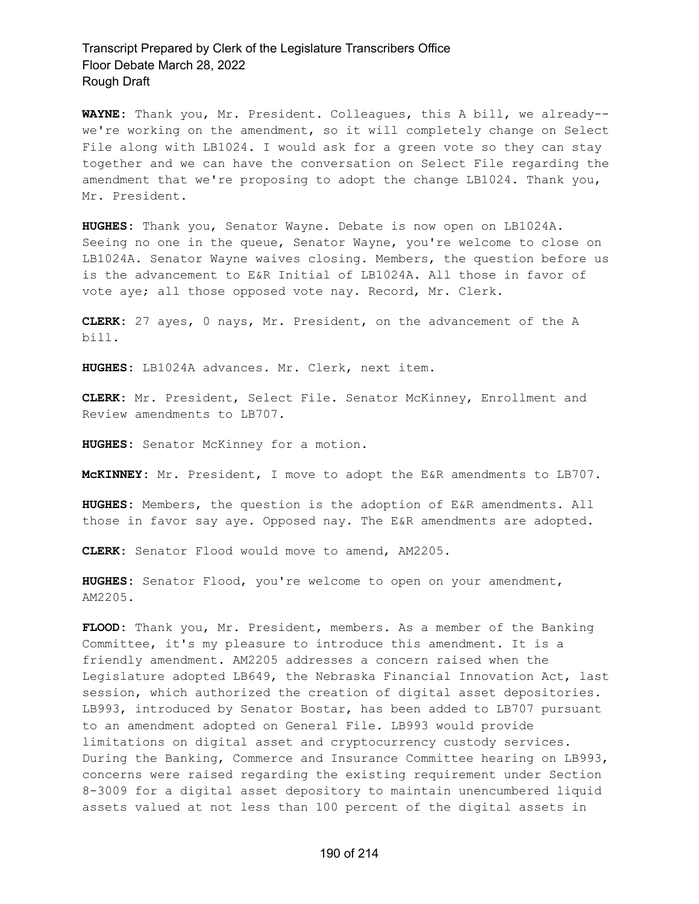**WAYNE:** Thank you, Mr. President. Colleagues, this A bill, we already- we're working on the amendment, so it will completely change on Select File along with LB1024. I would ask for a green vote so they can stay together and we can have the conversation on Select File regarding the amendment that we're proposing to adopt the change LB1024. Thank you, Mr. President.

**HUGHES:** Thank you, Senator Wayne. Debate is now open on LB1024A. Seeing no one in the queue, Senator Wayne, you're welcome to close on LB1024A. Senator Wayne waives closing. Members, the question before us is the advancement to E&R Initial of LB1024A. All those in favor of vote aye; all those opposed vote nay. Record, Mr. Clerk.

**CLERK:** 27 ayes, 0 nays, Mr. President, on the advancement of the A bill.

**HUGHES:** LB1024A advances. Mr. Clerk, next item.

**CLERK:** Mr. President, Select File. Senator McKinney, Enrollment and Review amendments to LB707.

**HUGHES:** Senator McKinney for a motion.

**McKINNEY:** Mr. President, I move to adopt the E&R amendments to LB707.

**HUGHES:** Members, the question is the adoption of E&R amendments. All those in favor say aye. Opposed nay. The E&R amendments are adopted.

**CLERK:** Senator Flood would move to amend, AM2205.

**HUGHES:** Senator Flood, you're welcome to open on your amendment, AM2205.

**FLOOD:** Thank you, Mr. President, members. As a member of the Banking Committee, it's my pleasure to introduce this amendment. It is a friendly amendment. AM2205 addresses a concern raised when the Legislature adopted LB649, the Nebraska Financial Innovation Act, last session, which authorized the creation of digital asset depositories. LB993, introduced by Senator Bostar, has been added to LB707 pursuant to an amendment adopted on General File. LB993 would provide limitations on digital asset and cryptocurrency custody services. During the Banking, Commerce and Insurance Committee hearing on LB993, concerns were raised regarding the existing requirement under Section 8-3009 for a digital asset depository to maintain unencumbered liquid assets valued at not less than 100 percent of the digital assets in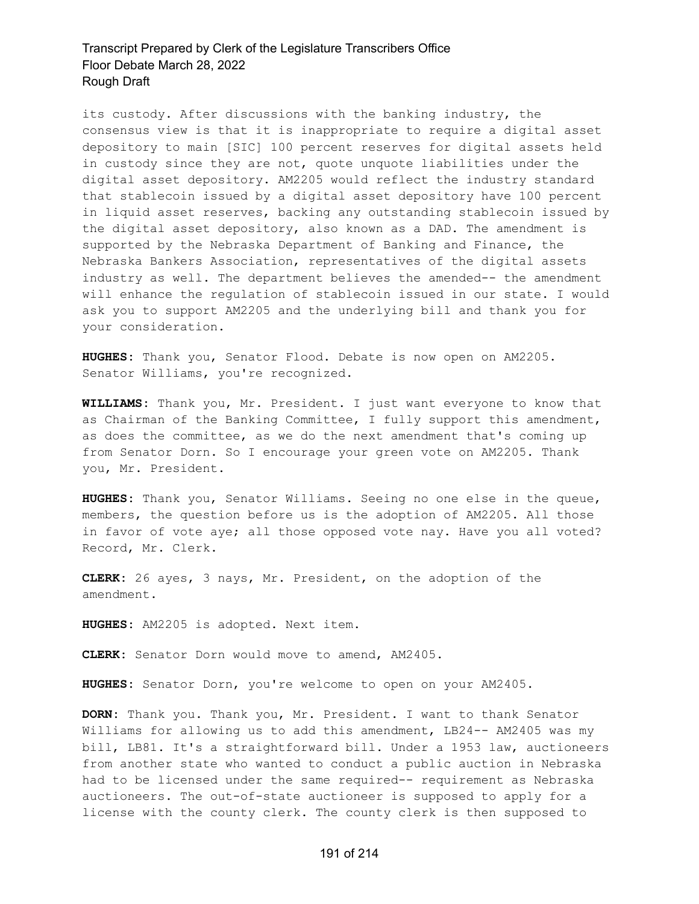its custody. After discussions with the banking industry, the consensus view is that it is inappropriate to require a digital asset depository to main [SIC] 100 percent reserves for digital assets held in custody since they are not, quote unquote liabilities under the digital asset depository. AM2205 would reflect the industry standard that stablecoin issued by a digital asset depository have 100 percent in liquid asset reserves, backing any outstanding stablecoin issued by the digital asset depository, also known as a DAD. The amendment is supported by the Nebraska Department of Banking and Finance, the Nebraska Bankers Association, representatives of the digital assets industry as well. The department believes the amended-- the amendment will enhance the regulation of stablecoin issued in our state. I would ask you to support AM2205 and the underlying bill and thank you for your consideration.

**HUGHES:** Thank you, Senator Flood. Debate is now open on AM2205. Senator Williams, you're recognized.

**WILLIAMS:** Thank you, Mr. President. I just want everyone to know that as Chairman of the Banking Committee, I fully support this amendment, as does the committee, as we do the next amendment that's coming up from Senator Dorn. So I encourage your green vote on AM2205. Thank you, Mr. President.

**HUGHES:** Thank you, Senator Williams. Seeing no one else in the queue, members, the question before us is the adoption of AM2205. All those in favor of vote aye; all those opposed vote nay. Have you all voted? Record, Mr. Clerk.

**CLERK:** 26 ayes, 3 nays, Mr. President, on the adoption of the amendment.

**HUGHES:** AM2205 is adopted. Next item.

**CLERK:** Senator Dorn would move to amend, AM2405.

**HUGHES:** Senator Dorn, you're welcome to open on your AM2405.

**DORN:** Thank you. Thank you, Mr. President. I want to thank Senator Williams for allowing us to add this amendment, LB24-- AM2405 was my bill, LB81. It's a straightforward bill. Under a 1953 law, auctioneers from another state who wanted to conduct a public auction in Nebraska had to be licensed under the same required-- requirement as Nebraska auctioneers. The out-of-state auctioneer is supposed to apply for a license with the county clerk. The county clerk is then supposed to

#### 191 of 214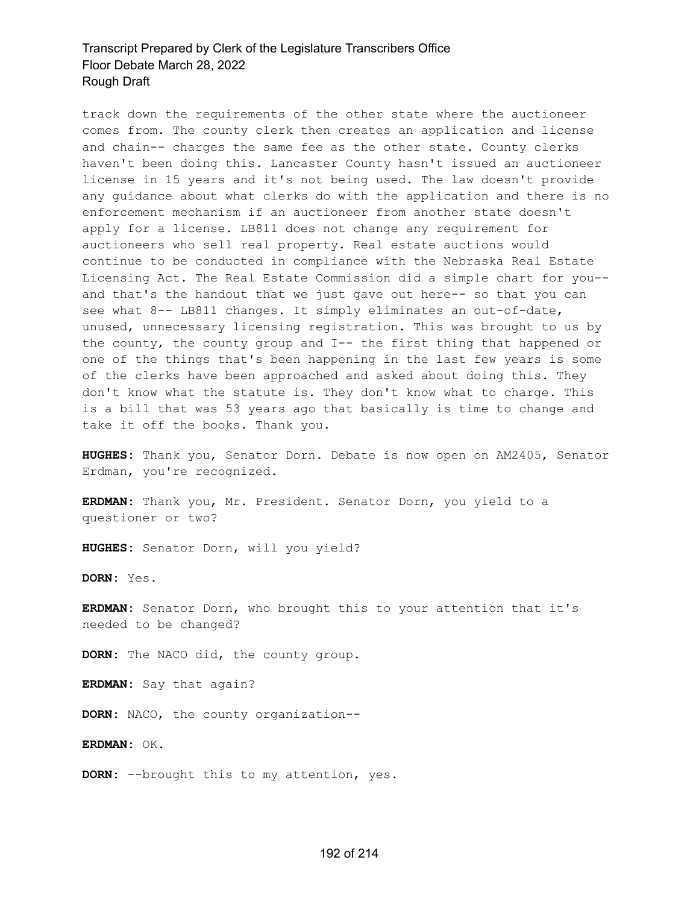track down the requirements of the other state where the auctioneer comes from. The county clerk then creates an application and license and chain-- charges the same fee as the other state. County clerks haven't been doing this. Lancaster County hasn't issued an auctioneer license in 15 years and it's not being used. The law doesn't provide any guidance about what clerks do with the application and there is no enforcement mechanism if an auctioneer from another state doesn't apply for a license. LB811 does not change any requirement for auctioneers who sell real property. Real estate auctions would continue to be conducted in compliance with the Nebraska Real Estate Licensing Act. The Real Estate Commission did a simple chart for you- and that's the handout that we just gave out here-- so that you can see what 8-- LB811 changes. It simply eliminates an out-of-date, unused, unnecessary licensing registration. This was brought to us by the county, the county group and I-- the first thing that happened or one of the things that's been happening in the last few years is some of the clerks have been approached and asked about doing this. They don't know what the statute is. They don't know what to charge. This is a bill that was 53 years ago that basically is time to change and take it off the books. Thank you.

**HUGHES:** Thank you, Senator Dorn. Debate is now open on AM2405, Senator Erdman, you're recognized.

**ERDMAN:** Thank you, Mr. President. Senator Dorn, you yield to a questioner or two?

**HUGHES:** Senator Dorn, will you yield?

**DORN:** Yes.

**ERDMAN:** Senator Dorn, who brought this to your attention that it's needed to be changed?

**DORN:** The NACO did, the county group.

**ERDMAN:** Say that again?

**DORN:** NACO, the county organization--

**ERDMAN:** OK.

**DORN:** --brought this to my attention, yes.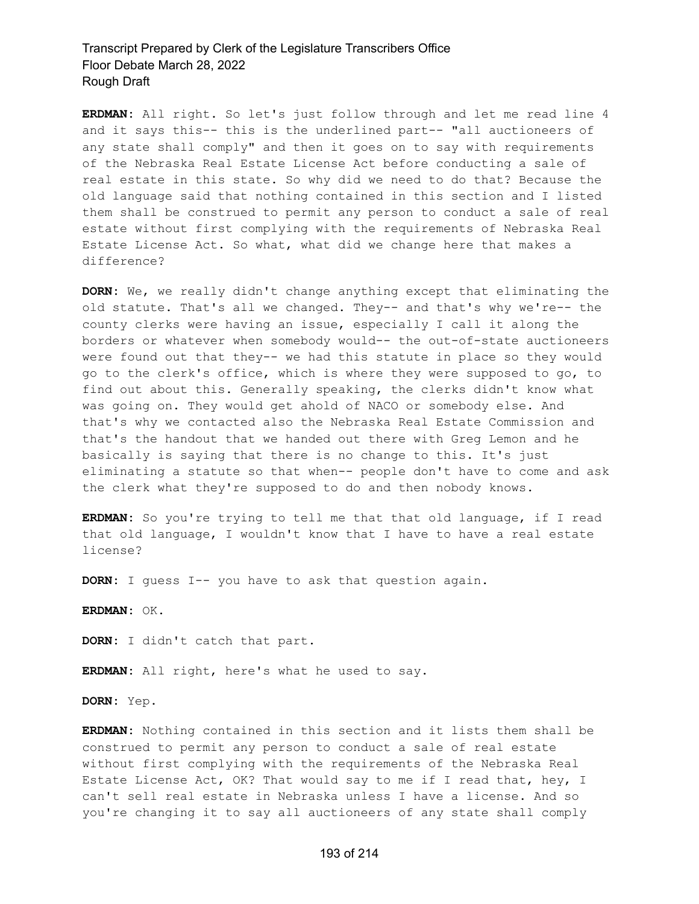**ERDMAN:** All right. So let's just follow through and let me read line 4 and it says this-- this is the underlined part-- "all auctioneers of any state shall comply" and then it goes on to say with requirements of the Nebraska Real Estate License Act before conducting a sale of real estate in this state. So why did we need to do that? Because the old language said that nothing contained in this section and I listed them shall be construed to permit any person to conduct a sale of real estate without first complying with the requirements of Nebraska Real Estate License Act. So what, what did we change here that makes a difference?

**DORN:** We, we really didn't change anything except that eliminating the old statute. That's all we changed. They-- and that's why we're-- the county clerks were having an issue, especially I call it along the borders or whatever when somebody would-- the out-of-state auctioneers were found out that they-- we had this statute in place so they would go to the clerk's office, which is where they were supposed to go, to find out about this. Generally speaking, the clerks didn't know what was going on. They would get ahold of NACO or somebody else. And that's why we contacted also the Nebraska Real Estate Commission and that's the handout that we handed out there with Greg Lemon and he basically is saying that there is no change to this. It's just eliminating a statute so that when-- people don't have to come and ask the clerk what they're supposed to do and then nobody knows.

**ERDMAN:** So you're trying to tell me that that old language, if I read that old language, I wouldn't know that I have to have a real estate license?

**DORN:** I guess I-- you have to ask that question again.

**ERDMAN:** OK.

**DORN:** I didn't catch that part.

**ERDMAN:** All right, here's what he used to say.

**DORN:** Yep.

**ERDMAN:** Nothing contained in this section and it lists them shall be construed to permit any person to conduct a sale of real estate without first complying with the requirements of the Nebraska Real Estate License Act, OK? That would say to me if I read that, hey, I can't sell real estate in Nebraska unless I have a license. And so you're changing it to say all auctioneers of any state shall comply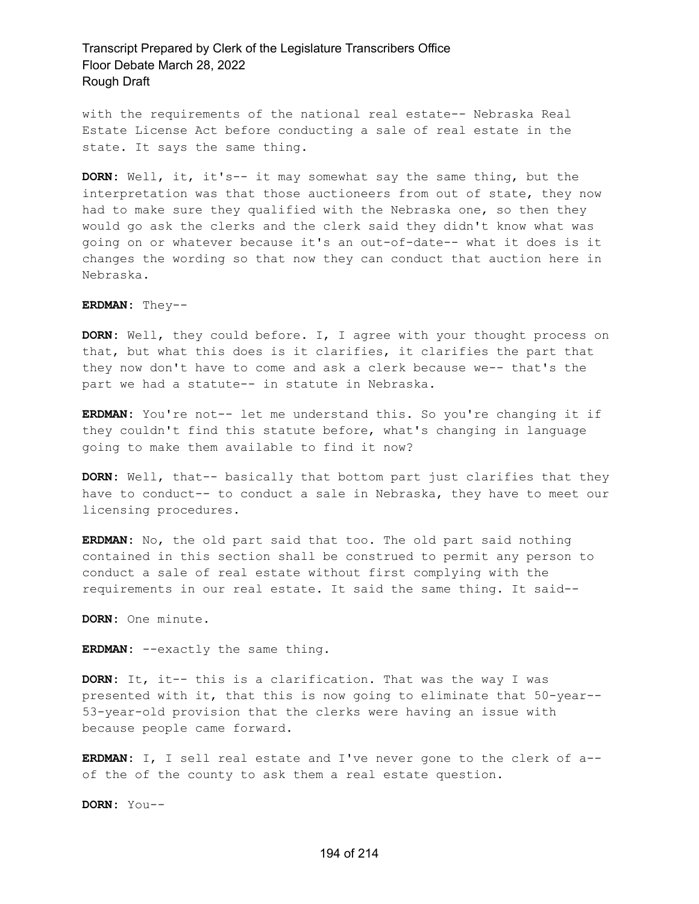with the requirements of the national real estate-- Nebraska Real Estate License Act before conducting a sale of real estate in the state. It says the same thing.

**DORN:** Well, it, it's-- it may somewhat say the same thing, but the interpretation was that those auctioneers from out of state, they now had to make sure they qualified with the Nebraska one, so then they would go ask the clerks and the clerk said they didn't know what was going on or whatever because it's an out-of-date-- what it does is it changes the wording so that now they can conduct that auction here in Nebraska.

#### **ERDMAN:** They--

**DORN:** Well, they could before. I, I agree with your thought process on that, but what this does is it clarifies, it clarifies the part that they now don't have to come and ask a clerk because we-- that's the part we had a statute-- in statute in Nebraska.

**ERDMAN:** You're not-- let me understand this. So you're changing it if they couldn't find this statute before, what's changing in language going to make them available to find it now?

**DORN:** Well, that-- basically that bottom part just clarifies that they have to conduct-- to conduct a sale in Nebraska, they have to meet our licensing procedures.

**ERDMAN:** No, the old part said that too. The old part said nothing contained in this section shall be construed to permit any person to conduct a sale of real estate without first complying with the requirements in our real estate. It said the same thing. It said--

**DORN:** One minute.

**ERDMAN:** --exactly the same thing.

**DORN:** It, it-- this is a clarification. That was the way I was presented with it, that this is now going to eliminate that 50-year-- 53-year-old provision that the clerks were having an issue with because people came forward.

**ERDMAN:** I, I sell real estate and I've never gone to the clerk of a- of the of the county to ask them a real estate question.

**DORN:** You--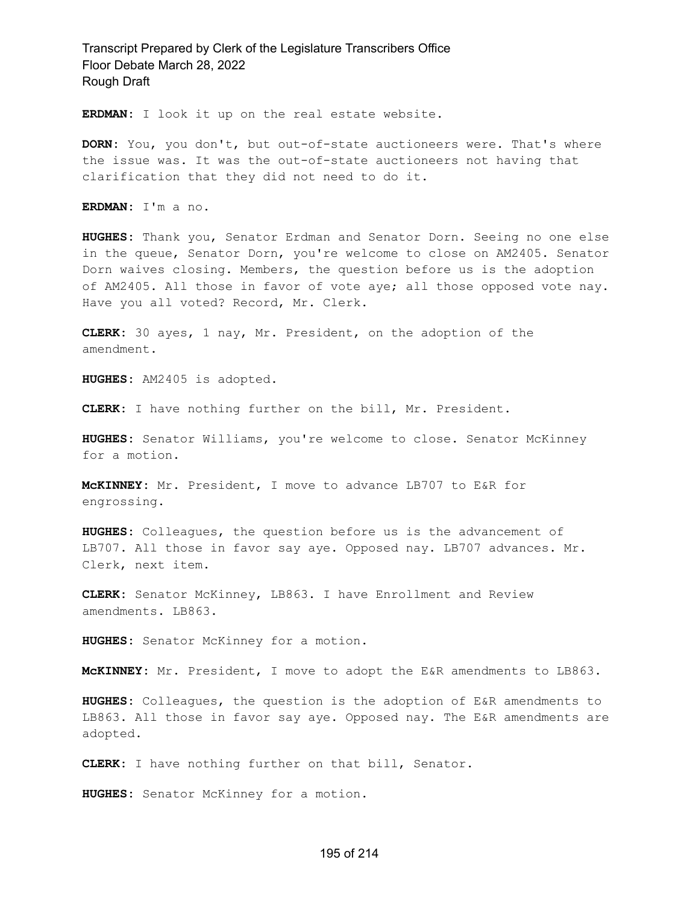**ERDMAN:** I look it up on the real estate website.

**DORN:** You, you don't, but out-of-state auctioneers were. That's where the issue was. It was the out-of-state auctioneers not having that clarification that they did not need to do it.

**ERDMAN:** I'm a no.

**HUGHES:** Thank you, Senator Erdman and Senator Dorn. Seeing no one else in the queue, Senator Dorn, you're welcome to close on AM2405. Senator Dorn waives closing. Members, the question before us is the adoption of AM2405. All those in favor of vote aye; all those opposed vote nay. Have you all voted? Record, Mr. Clerk.

**CLERK:** 30 ayes, 1 nay, Mr. President, on the adoption of the amendment.

**HUGHES:** AM2405 is adopted.

**CLERK:** I have nothing further on the bill, Mr. President.

**HUGHES:** Senator Williams, you're welcome to close. Senator McKinney for a motion.

**McKINNEY:** Mr. President, I move to advance LB707 to E&R for engrossing.

**HUGHES:** Colleagues, the question before us is the advancement of LB707. All those in favor say aye. Opposed nay. LB707 advances. Mr. Clerk, next item.

**CLERK:** Senator McKinney, LB863. I have Enrollment and Review amendments. LB863.

**HUGHES:** Senator McKinney for a motion.

**McKINNEY:** Mr. President, I move to adopt the E&R amendments to LB863.

**HUGHES:** Colleagues, the question is the adoption of E&R amendments to LB863. All those in favor say aye. Opposed nay. The E&R amendments are adopted.

**CLERK:** I have nothing further on that bill, Senator.

**HUGHES:** Senator McKinney for a motion.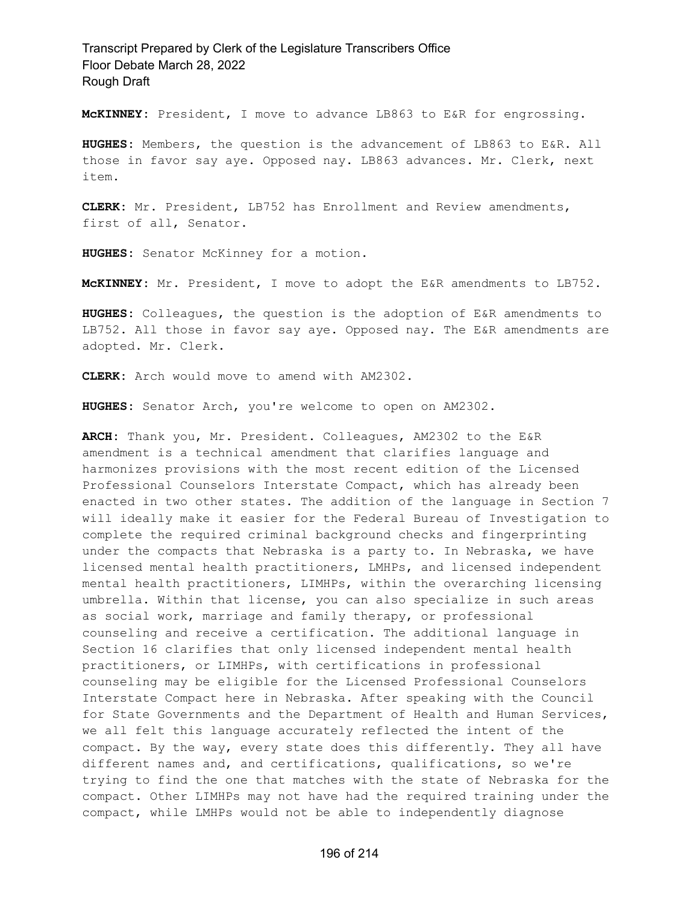**McKINNEY:** President, I move to advance LB863 to E&R for engrossing.

**HUGHES:** Members, the question is the advancement of LB863 to E&R. All those in favor say aye. Opposed nay. LB863 advances. Mr. Clerk, next item.

**CLERK:** Mr. President, LB752 has Enrollment and Review amendments, first of all, Senator.

**HUGHES:** Senator McKinney for a motion.

**McKINNEY:** Mr. President, I move to adopt the E&R amendments to LB752.

**HUGHES:** Colleagues, the question is the adoption of E&R amendments to LB752. All those in favor say aye. Opposed nay. The E&R amendments are adopted. Mr. Clerk.

**CLERK:** Arch would move to amend with AM2302.

**HUGHES:** Senator Arch, you're welcome to open on AM2302.

**ARCH:** Thank you, Mr. President. Colleagues, AM2302 to the E&R amendment is a technical amendment that clarifies language and harmonizes provisions with the most recent edition of the Licensed Professional Counselors Interstate Compact, which has already been enacted in two other states. The addition of the language in Section 7 will ideally make it easier for the Federal Bureau of Investigation to complete the required criminal background checks and fingerprinting under the compacts that Nebraska is a party to. In Nebraska, we have licensed mental health practitioners, LMHPs, and licensed independent mental health practitioners, LIMHPs, within the overarching licensing umbrella. Within that license, you can also specialize in such areas as social work, marriage and family therapy, or professional counseling and receive a certification. The additional language in Section 16 clarifies that only licensed independent mental health practitioners, or LIMHPs, with certifications in professional counseling may be eligible for the Licensed Professional Counselors Interstate Compact here in Nebraska. After speaking with the Council for State Governments and the Department of Health and Human Services, we all felt this language accurately reflected the intent of the compact. By the way, every state does this differently. They all have different names and, and certifications, qualifications, so we're trying to find the one that matches with the state of Nebraska for the compact. Other LIMHPs may not have had the required training under the compact, while LMHPs would not be able to independently diagnose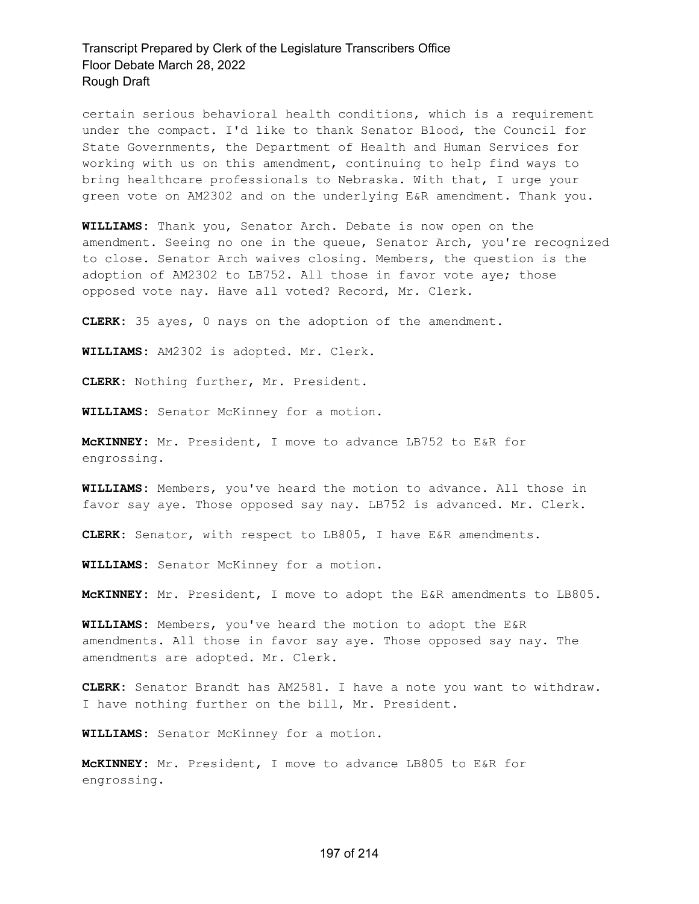certain serious behavioral health conditions, which is a requirement under the compact. I'd like to thank Senator Blood, the Council for State Governments, the Department of Health and Human Services for working with us on this amendment, continuing to help find ways to bring healthcare professionals to Nebraska. With that, I urge your green vote on AM2302 and on the underlying E&R amendment. Thank you.

**WILLIAMS:** Thank you, Senator Arch. Debate is now open on the amendment. Seeing no one in the queue, Senator Arch, you're recognized to close. Senator Arch waives closing. Members, the question is the adoption of AM2302 to LB752. All those in favor vote aye; those opposed vote nay. Have all voted? Record, Mr. Clerk.

**CLERK:** 35 ayes, 0 nays on the adoption of the amendment.

**WILLIAMS:** AM2302 is adopted. Mr. Clerk.

**CLERK:** Nothing further, Mr. President.

**WILLIAMS:** Senator McKinney for a motion.

**McKINNEY:** Mr. President, I move to advance LB752 to E&R for engrossing.

**WILLIAMS:** Members, you've heard the motion to advance. All those in favor say aye. Those opposed say nay. LB752 is advanced. Mr. Clerk.

**CLERK:** Senator, with respect to LB805, I have E&R amendments.

**WILLIAMS:** Senator McKinney for a motion.

**McKINNEY:** Mr. President, I move to adopt the E&R amendments to LB805.

**WILLIAMS:** Members, you've heard the motion to adopt the E&R amendments. All those in favor say aye. Those opposed say nay. The amendments are adopted. Mr. Clerk.

**CLERK:** Senator Brandt has AM2581. I have a note you want to withdraw. I have nothing further on the bill, Mr. President.

**WILLIAMS:** Senator McKinney for a motion.

**McKINNEY:** Mr. President, I move to advance LB805 to E&R for engrossing.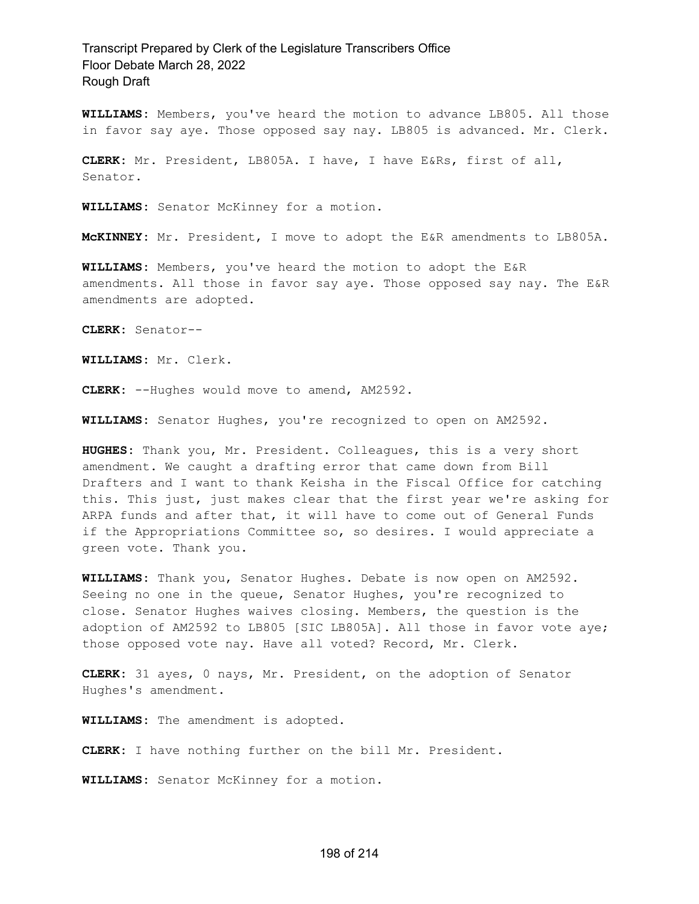**WILLIAMS:** Members, you've heard the motion to advance LB805. All those in favor say aye. Those opposed say nay. LB805 is advanced. Mr. Clerk.

**CLERK:** Mr. President, LB805A. I have, I have E&Rs, first of all, Senator.

**WILLIAMS:** Senator McKinney for a motion.

**McKINNEY:** Mr. President, I move to adopt the E&R amendments to LB805A.

**WILLIAMS:** Members, you've heard the motion to adopt the E&R amendments. All those in favor say aye. Those opposed say nay. The E&R amendments are adopted.

**CLERK:** Senator--

**WILLIAMS:** Mr. Clerk.

**CLERK:** --Hughes would move to amend, AM2592.

**WILLIAMS:** Senator Hughes, you're recognized to open on AM2592.

**HUGHES:** Thank you, Mr. President. Colleagues, this is a very short amendment. We caught a drafting error that came down from Bill Drafters and I want to thank Keisha in the Fiscal Office for catching this. This just, just makes clear that the first year we're asking for ARPA funds and after that, it will have to come out of General Funds if the Appropriations Committee so, so desires. I would appreciate a green vote. Thank you.

**WILLIAMS:** Thank you, Senator Hughes. Debate is now open on AM2592. Seeing no one in the queue, Senator Hughes, you're recognized to close. Senator Hughes waives closing. Members, the question is the adoption of AM2592 to LB805 [SIC LB805A]. All those in favor vote aye; those opposed vote nay. Have all voted? Record, Mr. Clerk.

**CLERK:** 31 ayes, 0 nays, Mr. President, on the adoption of Senator Hughes's amendment.

**WILLIAMS:** The amendment is adopted.

**CLERK:** I have nothing further on the bill Mr. President.

**WILLIAMS:** Senator McKinney for a motion.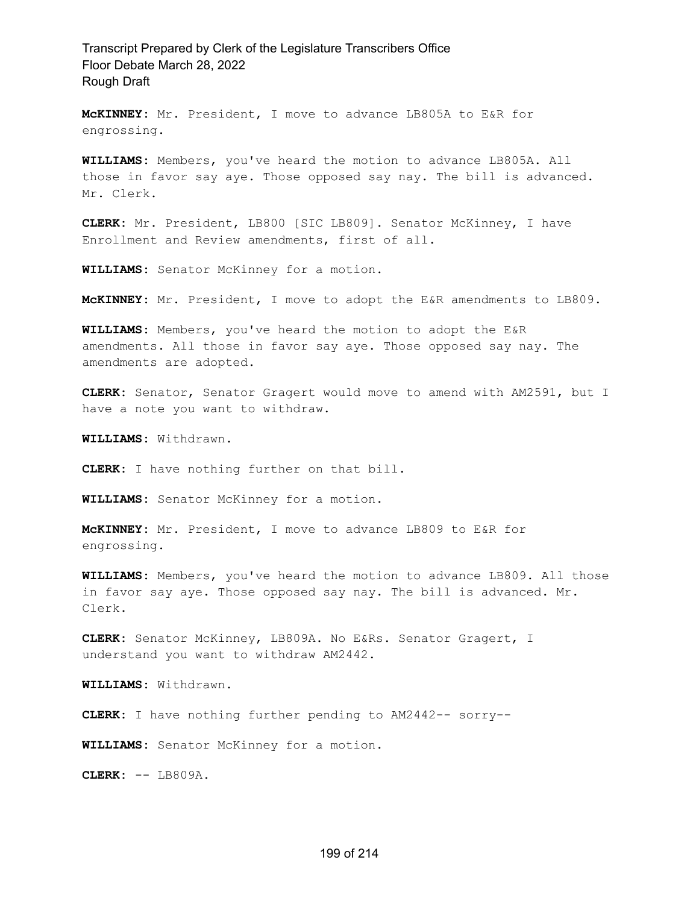**McKINNEY:** Mr. President, I move to advance LB805A to E&R for engrossing.

**WILLIAMS:** Members, you've heard the motion to advance LB805A. All those in favor say aye. Those opposed say nay. The bill is advanced. Mr. Clerk.

**CLERK:** Mr. President, LB800 [SIC LB809]. Senator McKinney, I have Enrollment and Review amendments, first of all.

**WILLIAMS:** Senator McKinney for a motion.

**McKINNEY:** Mr. President, I move to adopt the E&R amendments to LB809.

**WILLIAMS:** Members, you've heard the motion to adopt the E&R amendments. All those in favor say aye. Those opposed say nay. The amendments are adopted.

**CLERK:** Senator, Senator Gragert would move to amend with AM2591, but I have a note you want to withdraw.

**WILLIAMS:** Withdrawn.

**CLERK:** I have nothing further on that bill.

**WILLIAMS:** Senator McKinney for a motion.

**McKINNEY:** Mr. President, I move to advance LB809 to E&R for engrossing.

**WILLIAMS:** Members, you've heard the motion to advance LB809. All those in favor say aye. Those opposed say nay. The bill is advanced. Mr. Clerk.

**CLERK:** Senator McKinney, LB809A. No E&Rs. Senator Gragert, I understand you want to withdraw AM2442.

**WILLIAMS:** Withdrawn.

**CLERK:** I have nothing further pending to AM2442-- sorry--

**WILLIAMS:** Senator McKinney for a motion.

**CLERK:** -- LB809A.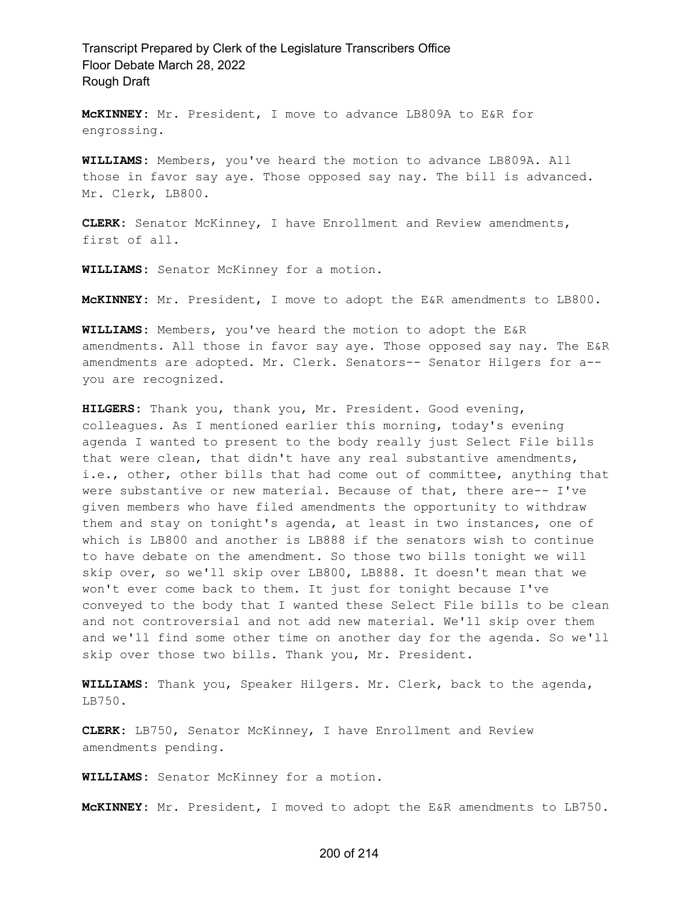**McKINNEY:** Mr. President, I move to advance LB809A to E&R for engrossing.

**WILLIAMS:** Members, you've heard the motion to advance LB809A. All those in favor say aye. Those opposed say nay. The bill is advanced. Mr. Clerk, LB800.

**CLERK:** Senator McKinney, I have Enrollment and Review amendments, first of all.

**WILLIAMS:** Senator McKinney for a motion.

**McKINNEY:** Mr. President, I move to adopt the E&R amendments to LB800.

**WILLIAMS:** Members, you've heard the motion to adopt the E&R amendments. All those in favor say aye. Those opposed say nay. The E&R amendments are adopted. Mr. Clerk. Senators-- Senator Hilgers for a- you are recognized.

**HILGERS:** Thank you, thank you, Mr. President. Good evening, colleagues. As I mentioned earlier this morning, today's evening agenda I wanted to present to the body really just Select File bills that were clean, that didn't have any real substantive amendments, i.e., other, other bills that had come out of committee, anything that were substantive or new material. Because of that, there are-- I've given members who have filed amendments the opportunity to withdraw them and stay on tonight's agenda, at least in two instances, one of which is LB800 and another is LB888 if the senators wish to continue to have debate on the amendment. So those two bills tonight we will skip over, so we'll skip over LB800, LB888. It doesn't mean that we won't ever come back to them. It just for tonight because I've conveyed to the body that I wanted these Select File bills to be clean and not controversial and not add new material. We'll skip over them and we'll find some other time on another day for the agenda. So we'll skip over those two bills. Thank you, Mr. President.

**WILLIAMS:** Thank you, Speaker Hilgers. Mr. Clerk, back to the agenda, LB750.

**CLERK:** LB750, Senator McKinney, I have Enrollment and Review amendments pending.

**WILLIAMS:** Senator McKinney for a motion.

**McKINNEY:** Mr. President, I moved to adopt the E&R amendments to LB750.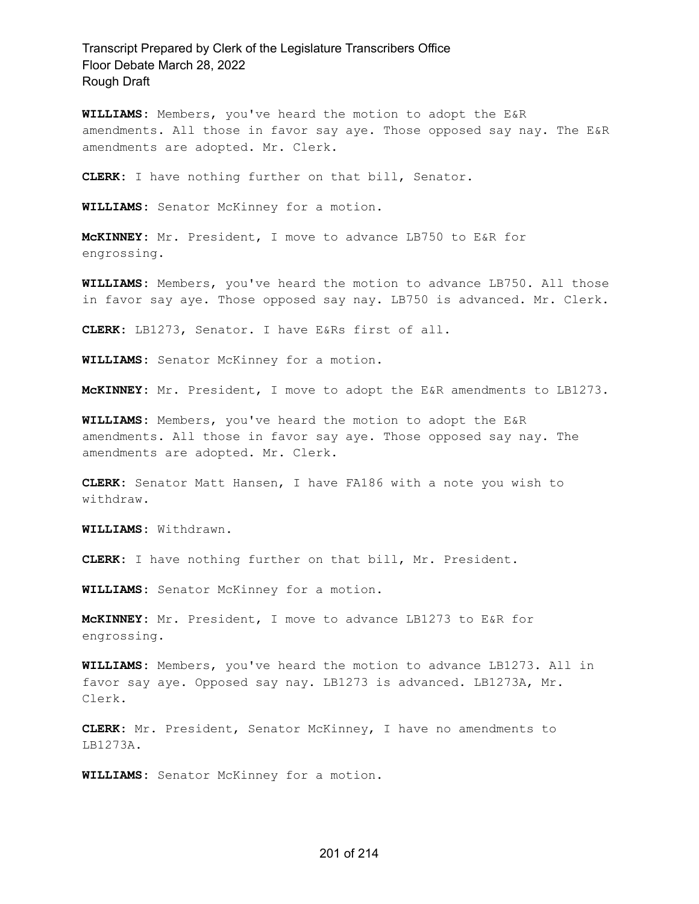**WILLIAMS:** Members, you've heard the motion to adopt the E&R amendments. All those in favor say aye. Those opposed say nay. The E&R amendments are adopted. Mr. Clerk.

**CLERK:** I have nothing further on that bill, Senator.

**WILLIAMS:** Senator McKinney for a motion.

**McKINNEY:** Mr. President, I move to advance LB750 to E&R for engrossing.

**WILLIAMS:** Members, you've heard the motion to advance LB750. All those in favor say aye. Those opposed say nay. LB750 is advanced. Mr. Clerk.

**CLERK:** LB1273, Senator. I have E&Rs first of all.

**WILLIAMS:** Senator McKinney for a motion.

**McKINNEY:** Mr. President, I move to adopt the E&R amendments to LB1273.

**WILLIAMS:** Members, you've heard the motion to adopt the E&R amendments. All those in favor say aye. Those opposed say nay. The amendments are adopted. Mr. Clerk.

**CLERK:** Senator Matt Hansen, I have FA186 with a note you wish to withdraw.

**WILLIAMS:** Withdrawn.

**CLERK:** I have nothing further on that bill, Mr. President.

**WILLIAMS:** Senator McKinney for a motion.

**McKINNEY:** Mr. President, I move to advance LB1273 to E&R for engrossing.

**WILLIAMS:** Members, you've heard the motion to advance LB1273. All in favor say aye. Opposed say nay. LB1273 is advanced. LB1273A, Mr. Clerk.

**CLERK:** Mr. President, Senator McKinney, I have no amendments to LB1273A.

**WILLIAMS:** Senator McKinney for a motion.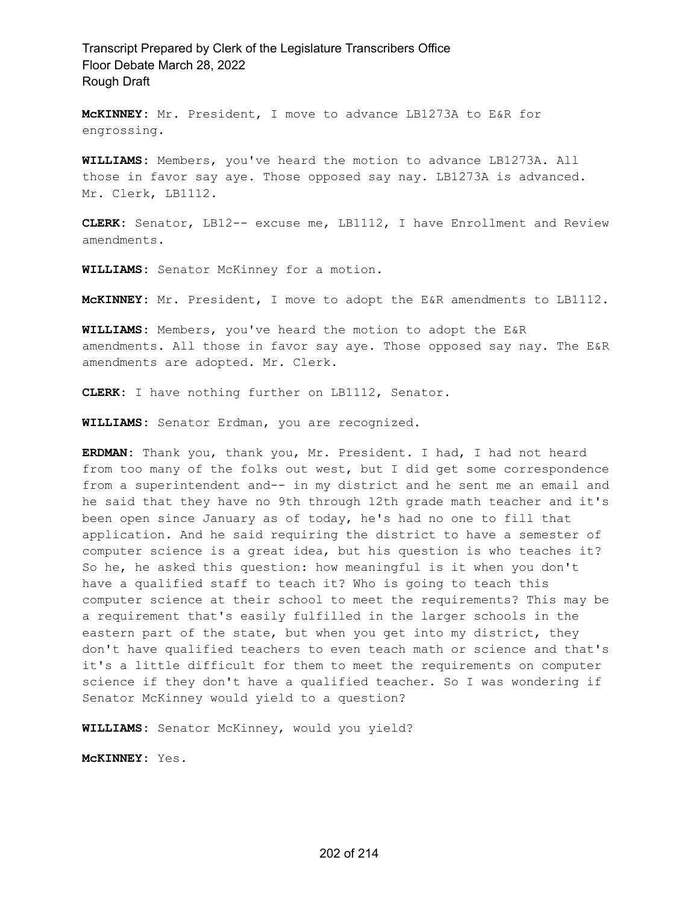**McKINNEY:** Mr. President, I move to advance LB1273A to E&R for engrossing.

**WILLIAMS:** Members, you've heard the motion to advance LB1273A. All those in favor say aye. Those opposed say nay. LB1273A is advanced. Mr. Clerk, LB1112.

**CLERK:** Senator, LB12-- excuse me, LB1112, I have Enrollment and Review amendments.

**WILLIAMS:** Senator McKinney for a motion.

**McKINNEY:** Mr. President, I move to adopt the E&R amendments to LB1112.

**WILLIAMS:** Members, you've heard the motion to adopt the E&R amendments. All those in favor say aye. Those opposed say nay. The E&R amendments are adopted. Mr. Clerk.

**CLERK:** I have nothing further on LB1112, Senator.

**WILLIAMS:** Senator Erdman, you are recognized.

**ERDMAN:** Thank you, thank you, Mr. President. I had, I had not heard from too many of the folks out west, but I did get some correspondence from a superintendent and-- in my district and he sent me an email and he said that they have no 9th through 12th grade math teacher and it's been open since January as of today, he's had no one to fill that application. And he said requiring the district to have a semester of computer science is a great idea, but his question is who teaches it? So he, he asked this question: how meaningful is it when you don't have a qualified staff to teach it? Who is going to teach this computer science at their school to meet the requirements? This may be a requirement that's easily fulfilled in the larger schools in the eastern part of the state, but when you get into my district, they don't have qualified teachers to even teach math or science and that's it's a little difficult for them to meet the requirements on computer science if they don't have a qualified teacher. So I was wondering if Senator McKinney would yield to a question?

**WILLIAMS:** Senator McKinney, would you yield?

**McKINNEY:** Yes.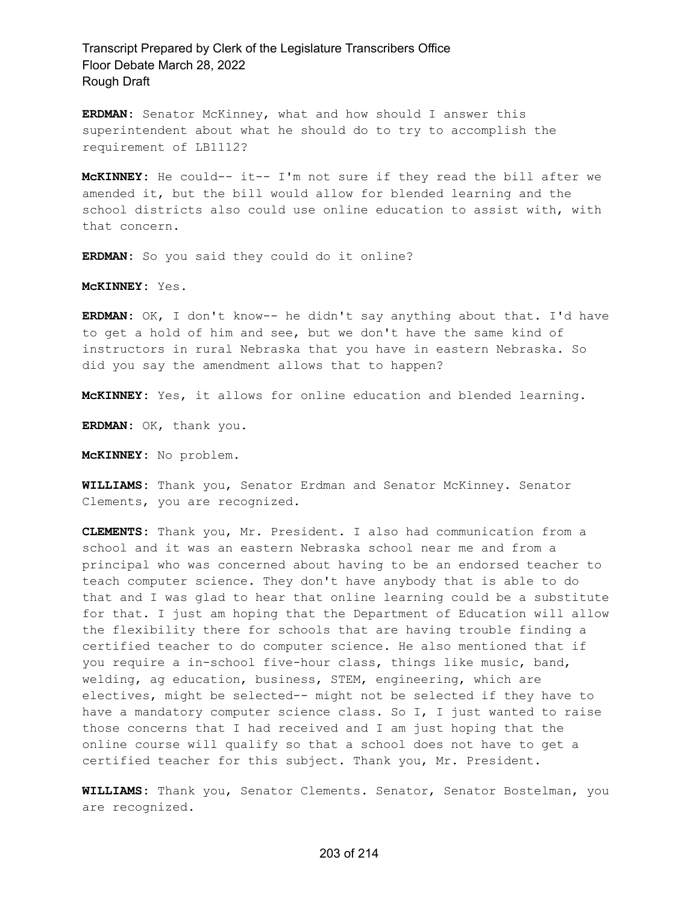**ERDMAN:** Senator McKinney, what and how should I answer this superintendent about what he should do to try to accomplish the requirement of LB1112?

**McKINNEY:** He could-- it-- I'm not sure if they read the bill after we amended it, but the bill would allow for blended learning and the school districts also could use online education to assist with, with that concern.

**ERDMAN:** So you said they could do it online?

**McKINNEY:** Yes.

**ERDMAN:** OK, I don't know-- he didn't say anything about that. I'd have to get a hold of him and see, but we don't have the same kind of instructors in rural Nebraska that you have in eastern Nebraska. So did you say the amendment allows that to happen?

**McKINNEY:** Yes, it allows for online education and blended learning.

**ERDMAN:** OK, thank you.

**McKINNEY:** No problem.

**WILLIAMS:** Thank you, Senator Erdman and Senator McKinney. Senator Clements, you are recognized.

**CLEMENTS:** Thank you, Mr. President. I also had communication from a school and it was an eastern Nebraska school near me and from a principal who was concerned about having to be an endorsed teacher to teach computer science. They don't have anybody that is able to do that and I was glad to hear that online learning could be a substitute for that. I just am hoping that the Department of Education will allow the flexibility there for schools that are having trouble finding a certified teacher to do computer science. He also mentioned that if you require a in-school five-hour class, things like music, band, welding, ag education, business, STEM, engineering, which are electives, might be selected-- might not be selected if they have to have a mandatory computer science class. So I, I just wanted to raise those concerns that I had received and I am just hoping that the online course will qualify so that a school does not have to get a certified teacher for this subject. Thank you, Mr. President.

**WILLIAMS:** Thank you, Senator Clements. Senator, Senator Bostelman, you are recognized.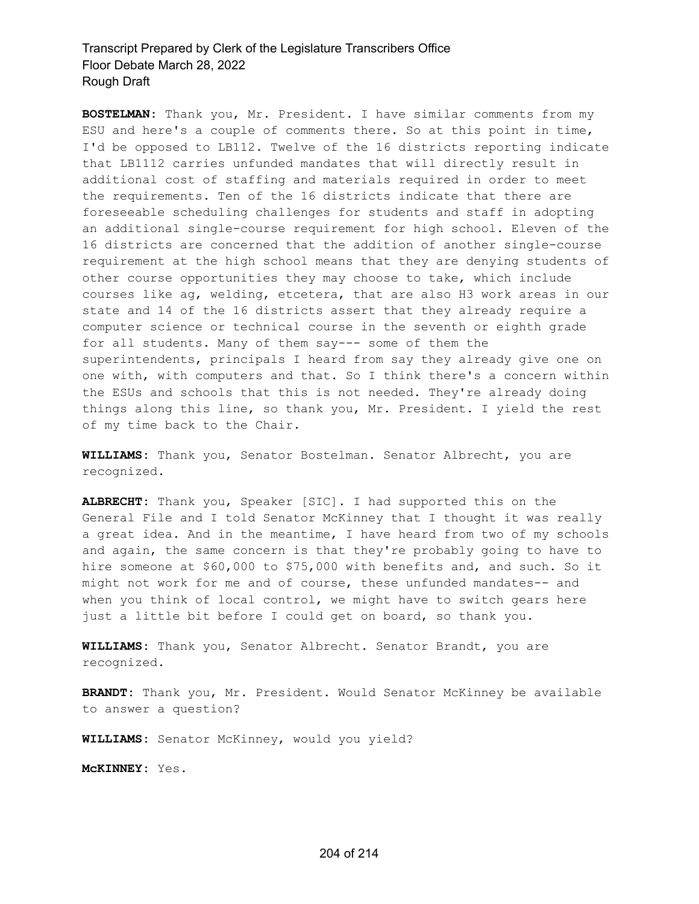**BOSTELMAN:** Thank you, Mr. President. I have similar comments from my ESU and here's a couple of comments there. So at this point in time, I'd be opposed to LB112. Twelve of the 16 districts reporting indicate that LB1112 carries unfunded mandates that will directly result in additional cost of staffing and materials required in order to meet the requirements. Ten of the 16 districts indicate that there are foreseeable scheduling challenges for students and staff in adopting an additional single-course requirement for high school. Eleven of the 16 districts are concerned that the addition of another single-course requirement at the high school means that they are denying students of other course opportunities they may choose to take, which include courses like ag, welding, etcetera, that are also H3 work areas in our state and 14 of the 16 districts assert that they already require a computer science or technical course in the seventh or eighth grade for all students. Many of them say--- some of them the superintendents, principals I heard from say they already give one on one with, with computers and that. So I think there's a concern within the ESUs and schools that this is not needed. They're already doing things along this line, so thank you, Mr. President. I yield the rest of my time back to the Chair.

**WILLIAMS:** Thank you, Senator Bostelman. Senator Albrecht, you are recognized.

**ALBRECHT:** Thank you, Speaker [SIC]. I had supported this on the General File and I told Senator McKinney that I thought it was really a great idea. And in the meantime, I have heard from two of my schools and again, the same concern is that they're probably going to have to hire someone at \$60,000 to \$75,000 with benefits and, and such. So it might not work for me and of course, these unfunded mandates-- and when you think of local control, we might have to switch gears here just a little bit before I could get on board, so thank you.

**WILLIAMS:** Thank you, Senator Albrecht. Senator Brandt, you are recognized.

**BRANDT:** Thank you, Mr. President. Would Senator McKinney be available to answer a question?

**WILLIAMS:** Senator McKinney, would you yield?

**McKINNEY:** Yes.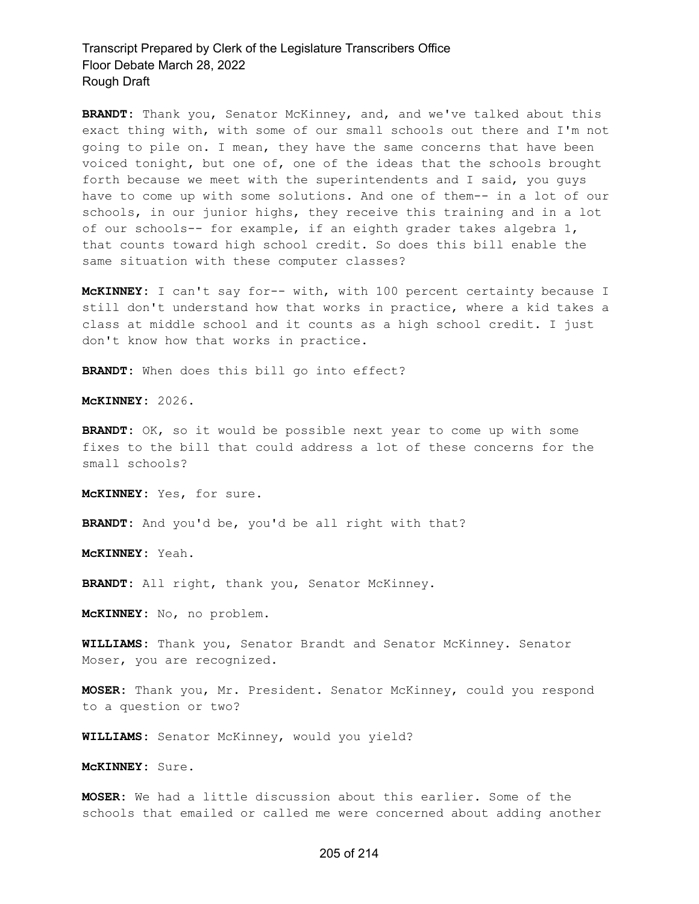**BRANDT:** Thank you, Senator McKinney, and, and we've talked about this exact thing with, with some of our small schools out there and I'm not going to pile on. I mean, they have the same concerns that have been voiced tonight, but one of, one of the ideas that the schools brought forth because we meet with the superintendents and I said, you guys have to come up with some solutions. And one of them-- in a lot of our schools, in our junior highs, they receive this training and in a lot of our schools-- for example, if an eighth grader takes algebra 1, that counts toward high school credit. So does this bill enable the same situation with these computer classes?

**McKINNEY:** I can't say for-- with, with 100 percent certainty because I still don't understand how that works in practice, where a kid takes a class at middle school and it counts as a high school credit. I just don't know how that works in practice.

**BRANDT:** When does this bill go into effect?

**McKINNEY:** 2026.

**BRANDT:** OK, so it would be possible next year to come up with some fixes to the bill that could address a lot of these concerns for the small schools?

**McKINNEY:** Yes, for sure.

**BRANDT:** And you'd be, you'd be all right with that?

**McKINNEY:** Yeah.

**BRANDT:** All right, thank you, Senator McKinney.

**McKINNEY:** No, no problem.

**WILLIAMS:** Thank you, Senator Brandt and Senator McKinney. Senator Moser, you are recognized.

**MOSER:** Thank you, Mr. President. Senator McKinney, could you respond to a question or two?

**WILLIAMS:** Senator McKinney, would you yield?

**McKINNEY:** Sure.

**MOSER:** We had a little discussion about this earlier. Some of the schools that emailed or called me were concerned about adding another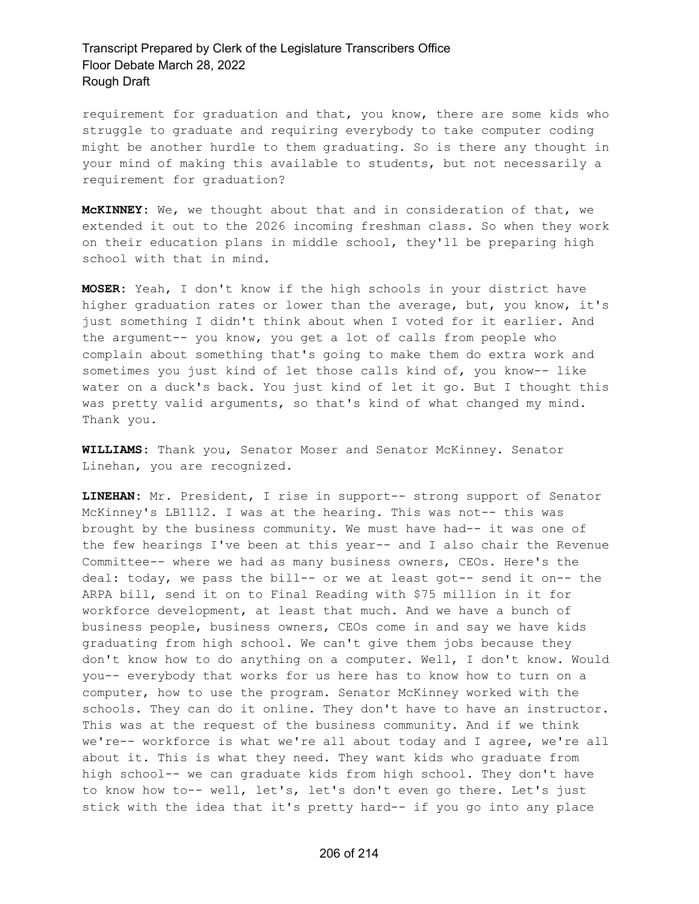requirement for graduation and that, you know, there are some kids who struggle to graduate and requiring everybody to take computer coding might be another hurdle to them graduating. So is there any thought in your mind of making this available to students, but not necessarily a requirement for graduation?

**McKINNEY:** We, we thought about that and in consideration of that, we extended it out to the 2026 incoming freshman class. So when they work on their education plans in middle school, they'll be preparing high school with that in mind.

**MOSER:** Yeah, I don't know if the high schools in your district have higher graduation rates or lower than the average, but, you know, it's just something I didn't think about when I voted for it earlier. And the argument-- you know, you get a lot of calls from people who complain about something that's going to make them do extra work and sometimes you just kind of let those calls kind of, you know-- like water on a duck's back. You just kind of let it go. But I thought this was pretty valid arguments, so that's kind of what changed my mind. Thank you.

**WILLIAMS:** Thank you, Senator Moser and Senator McKinney. Senator Linehan, you are recognized.

**LINEHAN:** Mr. President, I rise in support-- strong support of Senator McKinney's LB1112. I was at the hearing. This was not-- this was brought by the business community. We must have had-- it was one of the few hearings I've been at this year-- and I also chair the Revenue Committee-- where we had as many business owners, CEOs. Here's the deal: today, we pass the bill-- or we at least got-- send it on-- the ARPA bill, send it on to Final Reading with \$75 million in it for workforce development, at least that much. And we have a bunch of business people, business owners, CEOs come in and say we have kids graduating from high school. We can't give them jobs because they don't know how to do anything on a computer. Well, I don't know. Would you-- everybody that works for us here has to know how to turn on a computer, how to use the program. Senator McKinney worked with the schools. They can do it online. They don't have to have an instructor. This was at the request of the business community. And if we think we're-- workforce is what we're all about today and I agree, we're all about it. This is what they need. They want kids who graduate from high school-- we can graduate kids from high school. They don't have to know how to-- well, let's, let's don't even go there. Let's just stick with the idea that it's pretty hard-- if you go into any place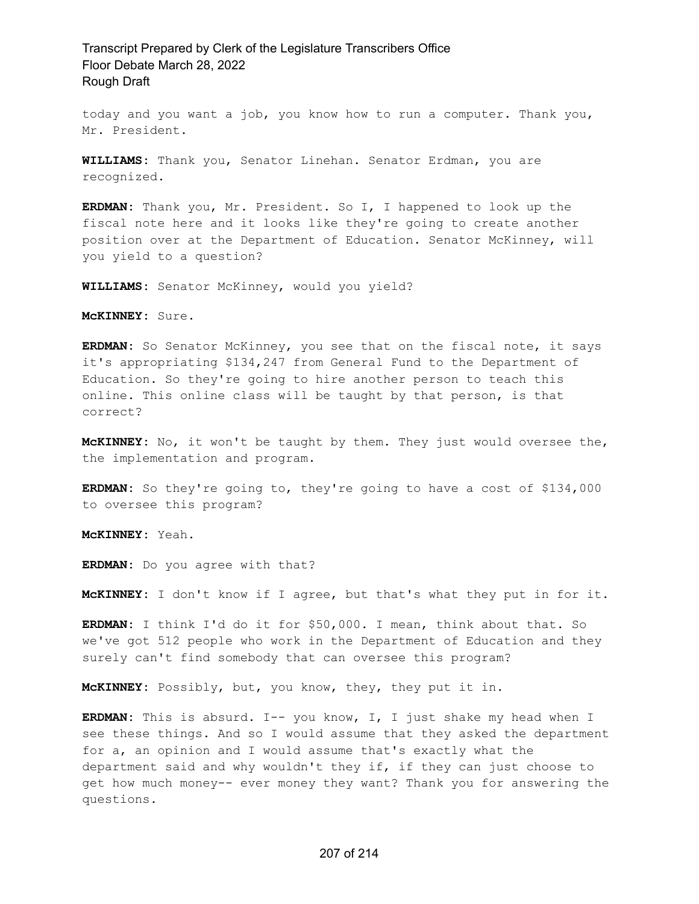today and you want a job, you know how to run a computer. Thank you, Mr. President.

**WILLIAMS:** Thank you, Senator Linehan. Senator Erdman, you are recognized.

**ERDMAN:** Thank you, Mr. President. So I, I happened to look up the fiscal note here and it looks like they're going to create another position over at the Department of Education. Senator McKinney, will you yield to a question?

**WILLIAMS:** Senator McKinney, would you yield?

**McKINNEY:** Sure.

**ERDMAN:** So Senator McKinney, you see that on the fiscal note, it says it's appropriating \$134,247 from General Fund to the Department of Education. So they're going to hire another person to teach this online. This online class will be taught by that person, is that correct?

**McKINNEY:** No, it won't be taught by them. They just would oversee the, the implementation and program.

**ERDMAN:** So they're going to, they're going to have a cost of \$134,000 to oversee this program?

**McKINNEY:** Yeah.

**ERDMAN:** Do you agree with that?

**McKINNEY:** I don't know if I agree, but that's what they put in for it.

**ERDMAN:** I think I'd do it for \$50,000. I mean, think about that. So we've got 512 people who work in the Department of Education and they surely can't find somebody that can oversee this program?

**McKINNEY:** Possibly, but, you know, they, they put it in.

**ERDMAN:** This is absurd. I-- you know, I, I just shake my head when I see these things. And so I would assume that they asked the department for a, an opinion and I would assume that's exactly what the department said and why wouldn't they if, if they can just choose to get how much money-- ever money they want? Thank you for answering the questions.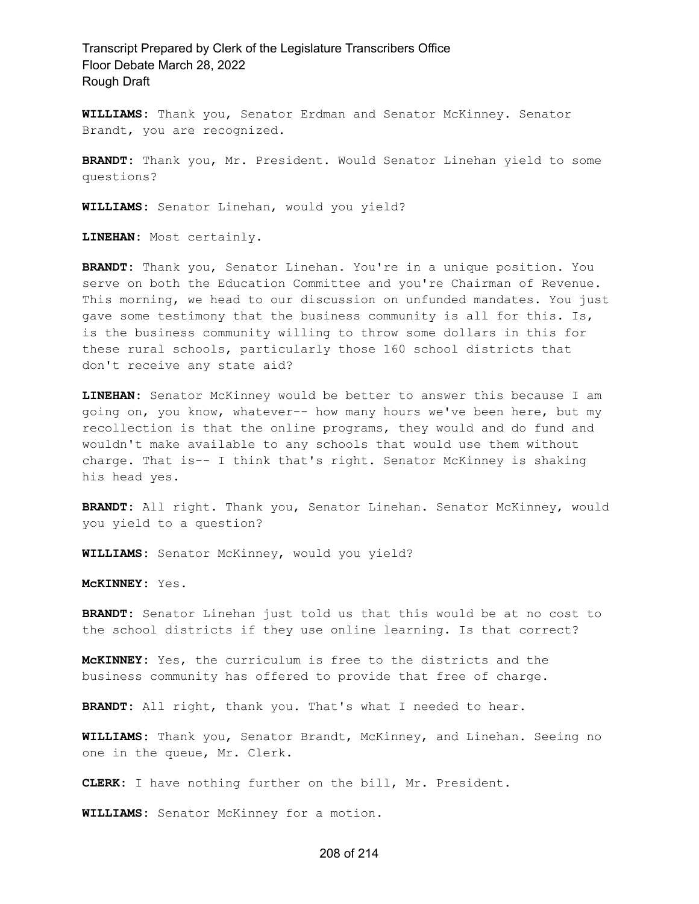**WILLIAMS:** Thank you, Senator Erdman and Senator McKinney. Senator Brandt, you are recognized.

**BRANDT:** Thank you, Mr. President. Would Senator Linehan yield to some questions?

**WILLIAMS:** Senator Linehan, would you yield?

**LINEHAN:** Most certainly.

**BRANDT:** Thank you, Senator Linehan. You're in a unique position. You serve on both the Education Committee and you're Chairman of Revenue. This morning, we head to our discussion on unfunded mandates. You just gave some testimony that the business community is all for this. Is, is the business community willing to throw some dollars in this for these rural schools, particularly those 160 school districts that don't receive any state aid?

**LINEHAN:** Senator McKinney would be better to answer this because I am going on, you know, whatever-- how many hours we've been here, but my recollection is that the online programs, they would and do fund and wouldn't make available to any schools that would use them without charge. That is-- I think that's right. Senator McKinney is shaking his head yes.

**BRANDT:** All right. Thank you, Senator Linehan. Senator McKinney, would you yield to a question?

**WILLIAMS:** Senator McKinney, would you yield?

**McKINNEY:** Yes.

**BRANDT:** Senator Linehan just told us that this would be at no cost to the school districts if they use online learning. Is that correct?

**McKINNEY:** Yes, the curriculum is free to the districts and the business community has offered to provide that free of charge.

**BRANDT:** All right, thank you. That's what I needed to hear.

**WILLIAMS:** Thank you, Senator Brandt, McKinney, and Linehan. Seeing no one in the queue, Mr. Clerk.

**CLERK:** I have nothing further on the bill, Mr. President.

**WILLIAMS:** Senator McKinney for a motion.

#### 208 of 214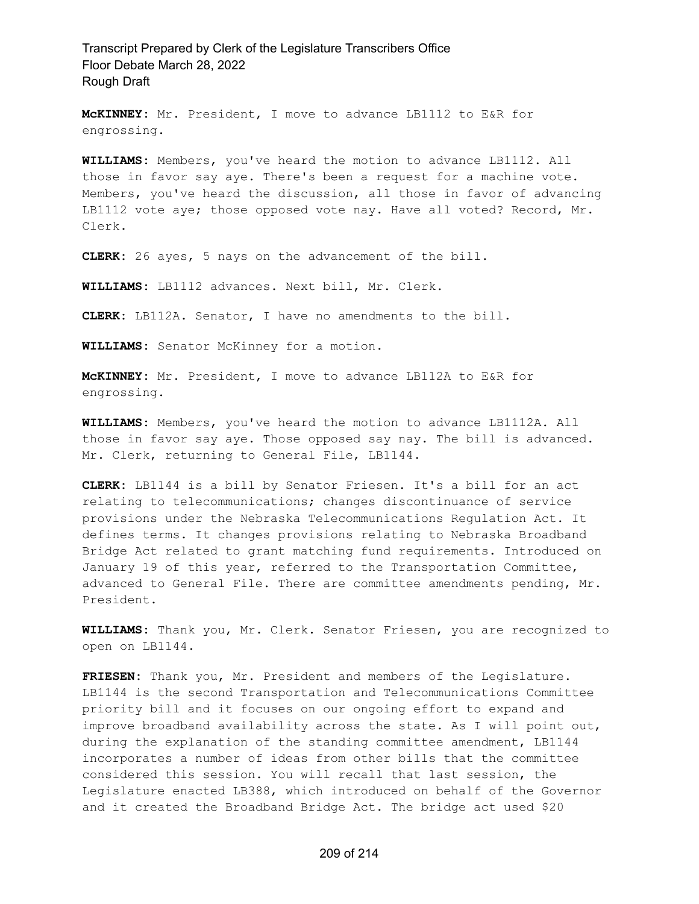**McKINNEY:** Mr. President, I move to advance LB1112 to E&R for engrossing.

**WILLIAMS:** Members, you've heard the motion to advance LB1112. All those in favor say aye. There's been a request for a machine vote. Members, you've heard the discussion, all those in favor of advancing LB1112 vote aye; those opposed vote nay. Have all voted? Record, Mr. Clerk.

**CLERK:** 26 ayes, 5 nays on the advancement of the bill.

**WILLIAMS:** LB1112 advances. Next bill, Mr. Clerk.

**CLERK:** LB112A. Senator, I have no amendments to the bill.

**WILLIAMS:** Senator McKinney for a motion.

**McKINNEY:** Mr. President, I move to advance LB112A to E&R for engrossing.

**WILLIAMS:** Members, you've heard the motion to advance LB1112A. All those in favor say aye. Those opposed say nay. The bill is advanced. Mr. Clerk, returning to General File, LB1144.

**CLERK:** LB1144 is a bill by Senator Friesen. It's a bill for an act relating to telecommunications; changes discontinuance of service provisions under the Nebraska Telecommunications Regulation Act. It defines terms. It changes provisions relating to Nebraska Broadband Bridge Act related to grant matching fund requirements. Introduced on January 19 of this year, referred to the Transportation Committee, advanced to General File. There are committee amendments pending, Mr. President.

**WILLIAMS:** Thank you, Mr. Clerk. Senator Friesen, you are recognized to open on LB1144.

**FRIESEN:** Thank you, Mr. President and members of the Legislature. LB1144 is the second Transportation and Telecommunications Committee priority bill and it focuses on our ongoing effort to expand and improve broadband availability across the state. As I will point out, during the explanation of the standing committee amendment, LB1144 incorporates a number of ideas from other bills that the committee considered this session. You will recall that last session, the Legislature enacted LB388, which introduced on behalf of the Governor and it created the Broadband Bridge Act. The bridge act used \$20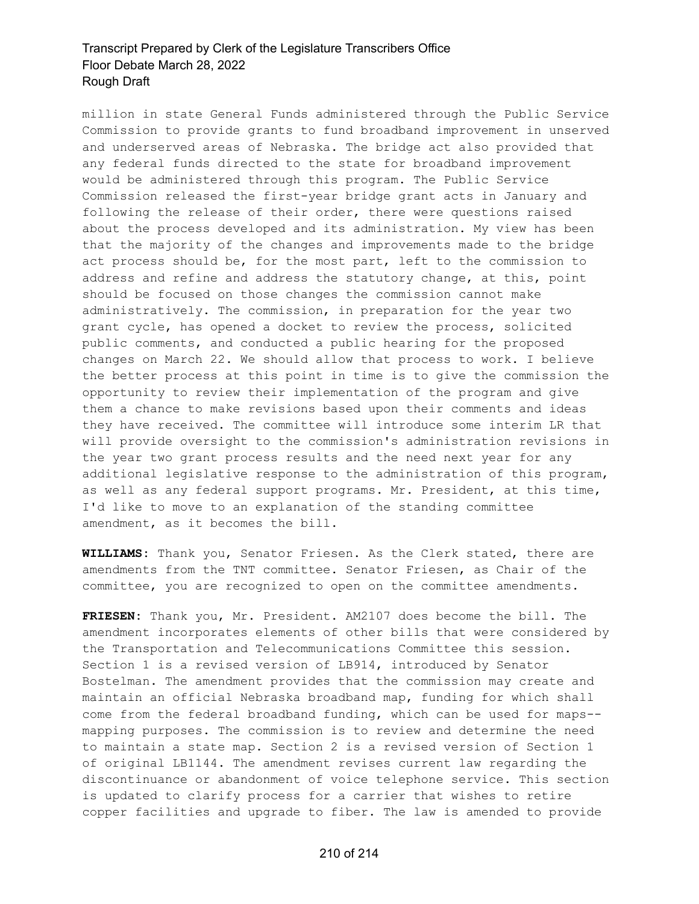million in state General Funds administered through the Public Service Commission to provide grants to fund broadband improvement in unserved and underserved areas of Nebraska. The bridge act also provided that any federal funds directed to the state for broadband improvement would be administered through this program. The Public Service Commission released the first-year bridge grant acts in January and following the release of their order, there were questions raised about the process developed and its administration. My view has been that the majority of the changes and improvements made to the bridge act process should be, for the most part, left to the commission to address and refine and address the statutory change, at this, point should be focused on those changes the commission cannot make administratively. The commission, in preparation for the year two grant cycle, has opened a docket to review the process, solicited public comments, and conducted a public hearing for the proposed changes on March 22. We should allow that process to work. I believe the better process at this point in time is to give the commission the opportunity to review their implementation of the program and give them a chance to make revisions based upon their comments and ideas they have received. The committee will introduce some interim LR that will provide oversight to the commission's administration revisions in the year two grant process results and the need next year for any additional legislative response to the administration of this program, as well as any federal support programs. Mr. President, at this time, I'd like to move to an explanation of the standing committee amendment, as it becomes the bill.

**WILLIAMS:** Thank you, Senator Friesen. As the Clerk stated, there are amendments from the TNT committee. Senator Friesen, as Chair of the committee, you are recognized to open on the committee amendments.

**FRIESEN:** Thank you, Mr. President. AM2107 does become the bill. The amendment incorporates elements of other bills that were considered by the Transportation and Telecommunications Committee this session. Section 1 is a revised version of LB914, introduced by Senator Bostelman. The amendment provides that the commission may create and maintain an official Nebraska broadband map, funding for which shall come from the federal broadband funding, which can be used for maps- mapping purposes. The commission is to review and determine the need to maintain a state map. Section 2 is a revised version of Section 1 of original LB1144. The amendment revises current law regarding the discontinuance or abandonment of voice telephone service. This section is updated to clarify process for a carrier that wishes to retire copper facilities and upgrade to fiber. The law is amended to provide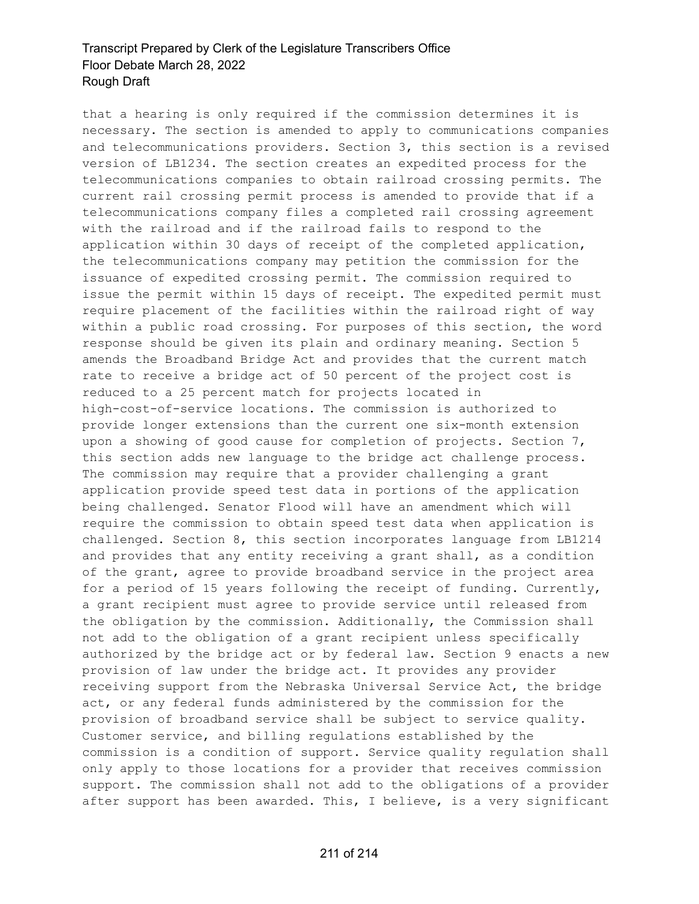that a hearing is only required if the commission determines it is necessary. The section is amended to apply to communications companies and telecommunications providers. Section 3, this section is a revised version of LB1234. The section creates an expedited process for the telecommunications companies to obtain railroad crossing permits. The current rail crossing permit process is amended to provide that if a telecommunications company files a completed rail crossing agreement with the railroad and if the railroad fails to respond to the application within 30 days of receipt of the completed application, the telecommunications company may petition the commission for the issuance of expedited crossing permit. The commission required to issue the permit within 15 days of receipt. The expedited permit must require placement of the facilities within the railroad right of way within a public road crossing. For purposes of this section, the word response should be given its plain and ordinary meaning. Section 5 amends the Broadband Bridge Act and provides that the current match rate to receive a bridge act of 50 percent of the project cost is reduced to a 25 percent match for projects located in high-cost-of-service locations. The commission is authorized to provide longer extensions than the current one six-month extension upon a showing of good cause for completion of projects. Section 7, this section adds new language to the bridge act challenge process. The commission may require that a provider challenging a grant application provide speed test data in portions of the application being challenged. Senator Flood will have an amendment which will require the commission to obtain speed test data when application is challenged. Section 8, this section incorporates language from LB1214 and provides that any entity receiving a grant shall, as a condition of the grant, agree to provide broadband service in the project area for a period of 15 years following the receipt of funding. Currently, a grant recipient must agree to provide service until released from the obligation by the commission. Additionally, the Commission shall not add to the obligation of a grant recipient unless specifically authorized by the bridge act or by federal law. Section 9 enacts a new provision of law under the bridge act. It provides any provider receiving support from the Nebraska Universal Service Act, the bridge act, or any federal funds administered by the commission for the provision of broadband service shall be subject to service quality. Customer service, and billing regulations established by the commission is a condition of support. Service quality regulation shall only apply to those locations for a provider that receives commission support. The commission shall not add to the obligations of a provider after support has been awarded. This, I believe, is a very significant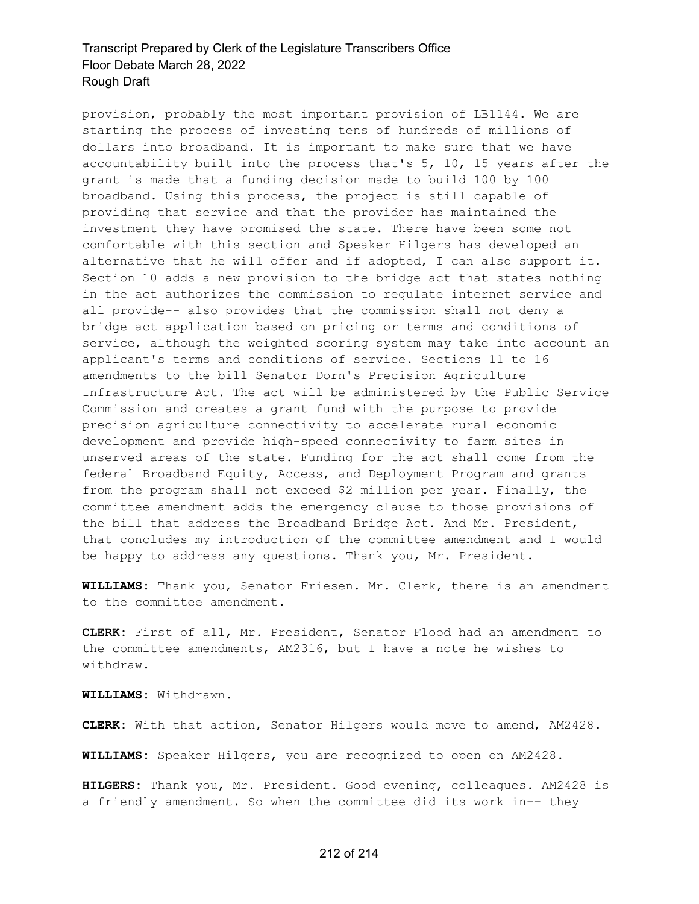provision, probably the most important provision of LB1144. We are starting the process of investing tens of hundreds of millions of dollars into broadband. It is important to make sure that we have accountability built into the process that's 5, 10, 15 years after the grant is made that a funding decision made to build 100 by 100 broadband. Using this process, the project is still capable of providing that service and that the provider has maintained the investment they have promised the state. There have been some not comfortable with this section and Speaker Hilgers has developed an alternative that he will offer and if adopted, I can also support it. Section 10 adds a new provision to the bridge act that states nothing in the act authorizes the commission to regulate internet service and all provide-- also provides that the commission shall not deny a bridge act application based on pricing or terms and conditions of service, although the weighted scoring system may take into account an applicant's terms and conditions of service. Sections 11 to 16 amendments to the bill Senator Dorn's Precision Agriculture Infrastructure Act. The act will be administered by the Public Service Commission and creates a grant fund with the purpose to provide precision agriculture connectivity to accelerate rural economic development and provide high-speed connectivity to farm sites in unserved areas of the state. Funding for the act shall come from the federal Broadband Equity, Access, and Deployment Program and grants from the program shall not exceed \$2 million per year. Finally, the committee amendment adds the emergency clause to those provisions of the bill that address the Broadband Bridge Act. And Mr. President, that concludes my introduction of the committee amendment and I would be happy to address any questions. Thank you, Mr. President.

**WILLIAMS:** Thank you, Senator Friesen. Mr. Clerk, there is an amendment to the committee amendment.

**CLERK:** First of all, Mr. President, Senator Flood had an amendment to the committee amendments, AM2316, but I have a note he wishes to withdraw.

**WILLIAMS:** Withdrawn.

**CLERK:** With that action, Senator Hilgers would move to amend, AM2428.

**WILLIAMS:** Speaker Hilgers, you are recognized to open on AM2428.

**HILGERS:** Thank you, Mr. President. Good evening, colleagues. AM2428 is a friendly amendment. So when the committee did its work in-- they

#### 212 of 214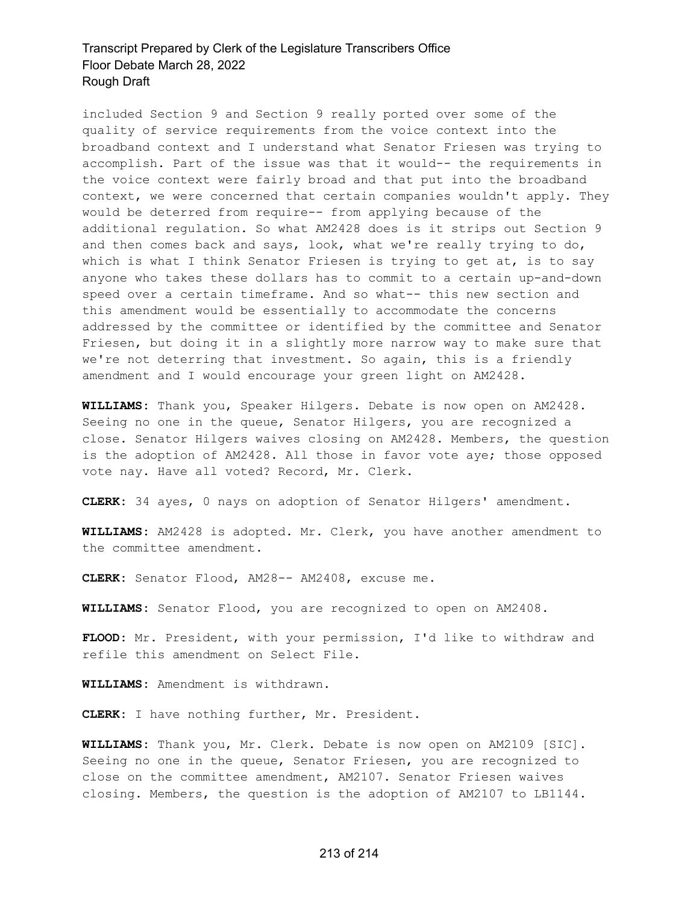included Section 9 and Section 9 really ported over some of the quality of service requirements from the voice context into the broadband context and I understand what Senator Friesen was trying to accomplish. Part of the issue was that it would-- the requirements in the voice context were fairly broad and that put into the broadband context, we were concerned that certain companies wouldn't apply. They would be deterred from require-- from applying because of the additional regulation. So what AM2428 does is it strips out Section 9 and then comes back and says, look, what we're really trying to do, which is what I think Senator Friesen is trying to get at, is to say anyone who takes these dollars has to commit to a certain up-and-down speed over a certain timeframe. And so what-- this new section and this amendment would be essentially to accommodate the concerns addressed by the committee or identified by the committee and Senator Friesen, but doing it in a slightly more narrow way to make sure that we're not deterring that investment. So again, this is a friendly amendment and I would encourage your green light on AM2428.

**WILLIAMS:** Thank you, Speaker Hilgers. Debate is now open on AM2428. Seeing no one in the queue, Senator Hilgers, you are recognized a close. Senator Hilgers waives closing on AM2428. Members, the question is the adoption of AM2428. All those in favor vote aye; those opposed vote nay. Have all voted? Record, Mr. Clerk.

**CLERK:** 34 ayes, 0 nays on adoption of Senator Hilgers' amendment.

**WILLIAMS:** AM2428 is adopted. Mr. Clerk, you have another amendment to the committee amendment.

**CLERK:** Senator Flood, AM28-- AM2408, excuse me.

**WILLIAMS:** Senator Flood, you are recognized to open on AM2408.

**FLOOD:** Mr. President, with your permission, I'd like to withdraw and refile this amendment on Select File.

**WILLIAMS:** Amendment is withdrawn.

**CLERK:** I have nothing further, Mr. President.

**WILLIAMS:** Thank you, Mr. Clerk. Debate is now open on AM2109 [SIC]. Seeing no one in the queue, Senator Friesen, you are recognized to close on the committee amendment, AM2107. Senator Friesen waives closing. Members, the question is the adoption of AM2107 to LB1144.

#### 213 of 214